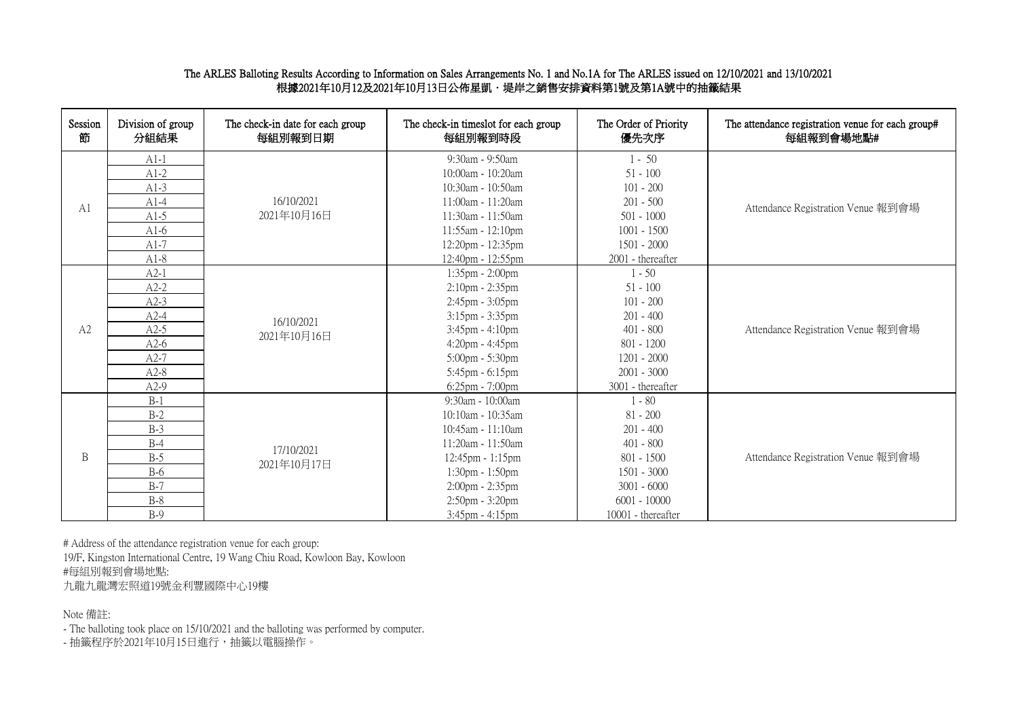## The ARLES Balloting Results According to Information on Sales Arrangements No. 1 and No.1A for The ARLES issued on 12/10/2021 and 13/10/2021 。<br>根據2021年10月12及2021年10月13日公佈星凱·堤岸之銷售安排資料第1號及第1A號中的抽籤結果

| Session<br>節   | Division of group<br>分組結果 | The check-in date for each group<br>每組別報到日期 | The check-in timeslot for each group<br>每組別報到時段 | The Order of Priority<br>優先次序 | The attendance registration venue for each group#<br>每組報到會場地點# |  |  |  |  |  |  |                 |               |
|----------------|---------------------------|---------------------------------------------|-------------------------------------------------|-------------------------------|----------------------------------------------------------------|--|--|--|--|--|--|-----------------|---------------|
|                | $A1-1$                    |                                             | 9:30am - 9:50am                                 | $1 - 50$                      |                                                                |  |  |  |  |  |  |                 |               |
|                | $A1-2$                    |                                             | 10:00am - 10:20am                               | $51 - 100$                    |                                                                |  |  |  |  |  |  |                 |               |
|                | $A1-3$                    |                                             | 10:30am - 10:50am                               | $101 - 200$                   |                                                                |  |  |  |  |  |  |                 |               |
| A <sub>1</sub> | $A1-4$                    | 16/10/2021                                  | 11:00am - 11:20am                               | $201 - 500$                   | Attendance Registration Venue 報到會場                             |  |  |  |  |  |  |                 |               |
|                | $A1-5$                    | 2021年10月16日                                 | 11:30am - 11:50am                               | $501 - 1000$                  |                                                                |  |  |  |  |  |  |                 |               |
|                | $A1-6$                    |                                             | 11:55am - 12:10pm                               | $1001 - 1500$                 |                                                                |  |  |  |  |  |  |                 |               |
|                | $A1-7$                    |                                             | 12:20pm - 12:35pm                               | $1501 - 2000$                 |                                                                |  |  |  |  |  |  |                 |               |
|                | $A1-8$                    |                                             | 12:40pm - 12:55pm                               | 2001 - thereafter             |                                                                |  |  |  |  |  |  |                 |               |
|                | $A2-1$                    |                                             | 1:35pm - 2:00pm                                 | $1 - 50$                      |                                                                |  |  |  |  |  |  |                 |               |
|                | $A2-2$                    |                                             | $2:10$ pm - $2:35$ pm                           | $51 - 100$                    |                                                                |  |  |  |  |  |  |                 |               |
|                | $A2-3$                    | 16/10/2021                                  | $2:45$ pm - $3:05$ pm                           | $101 - 200$                   |                                                                |  |  |  |  |  |  |                 |               |
|                | $A2-4$                    |                                             | $3:15$ pm - $3:35$ pm                           | $201 - 400$                   |                                                                |  |  |  |  |  |  |                 |               |
| A2             | $A2-5$                    |                                             | 3:45pm - 4:10pm                                 | $401 - 800$                   | Attendance Registration Venue 報到會場                             |  |  |  |  |  |  |                 |               |
|                | $A2-6$                    | 2021年10月16日                                 | $4:20$ pm - $4:45$ pm                           | $801 - 1200$                  |                                                                |  |  |  |  |  |  |                 |               |
|                | $A2-7$                    |                                             |                                                 |                               |                                                                |  |  |  |  |  |  | 5:00pm - 5:30pm | $1201 - 2000$ |
|                | $A2-8$                    |                                             | $5:45$ pm - $6:15$ pm                           | $2001 - 3000$                 |                                                                |  |  |  |  |  |  |                 |               |
|                | $A2-9$                    |                                             | 6:25pm - 7:00pm                                 | 3001 - thereafter             |                                                                |  |  |  |  |  |  |                 |               |
|                | $B-1$                     |                                             | 9:30am - 10:00am                                | $1 - 80$                      |                                                                |  |  |  |  |  |  |                 |               |
|                | $B-2$                     |                                             | 10:10am - 10:35am                               | $81 - 200$                    |                                                                |  |  |  |  |  |  |                 |               |
|                | $B-3$                     |                                             | 10:45am - 11:10am                               | $201 - 400$                   |                                                                |  |  |  |  |  |  |                 |               |
|                | $B-4$                     | 17/10/2021                                  | 11:20am - 11:50am                               | $401 - 800$                   |                                                                |  |  |  |  |  |  |                 |               |
| B              | $B-5$                     | 2021年10月17日                                 | $12:45$ pm - $1:15$ pm                          | $801 - 1500$                  | Attendance Registration Venue 報到會場                             |  |  |  |  |  |  |                 |               |
|                | $B-6$                     |                                             | $1:30 \text{pm} - 1:50 \text{pm}$               | $1501 - 3000$                 |                                                                |  |  |  |  |  |  |                 |               |
|                | $B-7$                     |                                             | 2:00pm - 2:35pm                                 | $3001 - 6000$                 |                                                                |  |  |  |  |  |  |                 |               |
|                | $B-8$                     |                                             | 2:50pm - 3:20pm                                 | $6001 - 10000$                |                                                                |  |  |  |  |  |  |                 |               |
|                | $B-9$                     |                                             | 3:45pm - 4:15pm                                 | 10001 - thereafter            |                                                                |  |  |  |  |  |  |                 |               |

# Address of the attendance registration venue for each group:

19/F, Kingston International Centre, 19 Wang Chiu Road, Kowloon Bay, Kowloon #每組別報到會場地點:

九龍九龍灣宏照道19號金利豐國際中心19樓

Note 備註:

- The balloting took place on 15/10/2021 and the balloting was performed by computer.

- 抽籤程序於2021年10月15日進行,抽籤以電腦操作。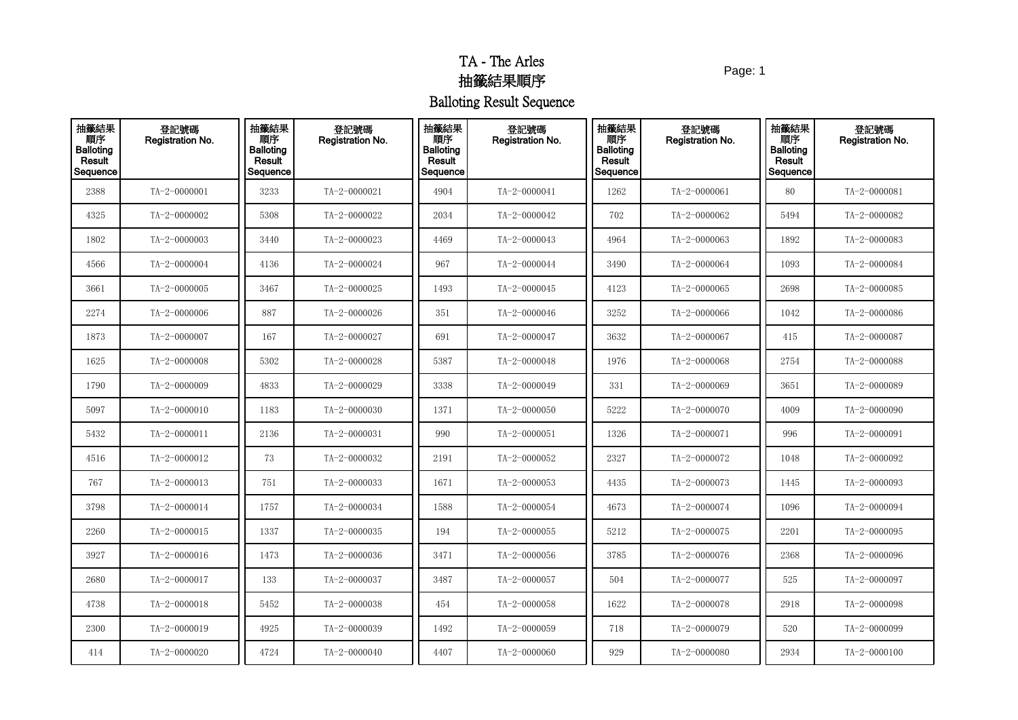Page: 1

| 抽籤結果<br>順序<br><b>Balloting</b><br>Result<br>Sequence | 登記號碼<br><b>Registration No.</b> | 抽籤結果<br>順序<br><b>Balloting</b><br>Result<br>Sequence | 登記號碼<br>Registration No. | 抽籤結果<br>順序<br><b>Balloting</b><br>Result<br>Sequence | 登記號碼<br>Registration No. | 抽籤結果<br>順序<br><b>Balloting</b><br>Result<br>Sequence | 登記號碼<br>Registration No. | 抽籤結果<br>順序<br><b>Balloting</b><br>Result<br>Sequence | 登記號碼<br>Registration No. |
|------------------------------------------------------|---------------------------------|------------------------------------------------------|--------------------------|------------------------------------------------------|--------------------------|------------------------------------------------------|--------------------------|------------------------------------------------------|--------------------------|
| 2388                                                 | TA-2-0000001                    | 3233                                                 | TA-2-0000021             | 4904                                                 | TA-2-0000041             | 1262                                                 | TA-2-0000061             | 80                                                   | TA-2-0000081             |
| 4325                                                 | TA-2-0000002                    | 5308                                                 | TA-2-0000022             | 2034                                                 | TA-2-0000042             | 702                                                  | TA-2-0000062             | 5494                                                 | TA-2-0000082             |
| 1802                                                 | TA-2-0000003                    | 3440                                                 | TA-2-0000023             | 4469                                                 | TA-2-0000043             | 4964                                                 | TA-2-0000063             | 1892                                                 | TA-2-0000083             |
| 4566                                                 | TA-2-0000004                    | 4136                                                 | TA-2-0000024             | 967                                                  | TA-2-0000044             | 3490                                                 | TA-2-0000064             | 1093                                                 | TA-2-0000084             |
| 3661                                                 | TA-2-0000005                    | 3467                                                 | TA-2-0000025             | 1493                                                 | TA-2-0000045             | 4123                                                 | TA-2-0000065             | 2698                                                 | TA-2-0000085             |
| 2274                                                 | TA-2-0000006                    | 887                                                  | TA-2-0000026             | 351                                                  | TA-2-0000046             | 3252                                                 | TA-2-0000066             | 1042                                                 | TA-2-0000086             |
| 1873                                                 | TA-2-0000007                    | 167                                                  | TA-2-0000027             | 691                                                  | TA-2-0000047             | 3632                                                 | TA-2-0000067             | 415                                                  | TA-2-0000087             |
| 1625                                                 | TA-2-0000008                    | 5302                                                 | TA-2-0000028             | 5387                                                 | TA-2-0000048             | 1976                                                 | TA-2-0000068             | 2754                                                 | TA-2-0000088             |
| 1790                                                 | TA-2-0000009                    | 4833                                                 | TA-2-0000029             | 3338                                                 | TA-2-0000049             | 331                                                  | TA-2-0000069             | 3651                                                 | TA-2-0000089             |
| 5097                                                 | TA-2-0000010                    | 1183                                                 | TA-2-0000030             | 1371                                                 | TA-2-0000050             | 5222                                                 | TA-2-0000070             | 4009                                                 | TA-2-0000090             |
| 5432                                                 | TA-2-0000011                    | 2136                                                 | TA-2-0000031             | 990                                                  | TA-2-0000051             | 1326                                                 | TA-2-0000071             | 996                                                  | TA-2-0000091             |
| 4516                                                 | TA-2-0000012                    | 73                                                   | TA-2-0000032             | 2191                                                 | TA-2-0000052             | 2327                                                 | TA-2-0000072             | 1048                                                 | TA-2-0000092             |
| 767                                                  | TA-2-0000013                    | 751                                                  | TA-2-0000033             | 1671                                                 | TA-2-0000053             | 4435                                                 | TA-2-0000073             | 1445                                                 | TA-2-0000093             |
| 3798                                                 | TA-2-0000014                    | 1757                                                 | TA-2-0000034             | 1588                                                 | TA-2-0000054             | 4673                                                 | TA-2-0000074             | 1096                                                 | TA-2-0000094             |
| 2260                                                 | TA-2-0000015                    | 1337                                                 | TA-2-0000035             | 194                                                  | TA-2-0000055             | 5212                                                 | TA-2-0000075             | 2201                                                 | TA-2-0000095             |
| 3927                                                 | TA-2-0000016                    | 1473                                                 | TA-2-0000036             | 3471                                                 | TA-2-0000056             | 3785                                                 | TA-2-0000076             | 2368                                                 | TA-2-0000096             |
| 2680                                                 | TA-2-0000017                    | 133                                                  | TA-2-0000037             | 3487                                                 | TA-2-0000057             | 504                                                  | TA-2-0000077             | 525                                                  | TA-2-0000097             |
| 4738                                                 | TA-2-0000018                    | 5452                                                 | TA-2-0000038             | 454                                                  | TA-2-0000058             | 1622                                                 | TA-2-0000078             | 2918                                                 | TA-2-0000098             |
| 2300                                                 | TA-2-0000019                    | 4925                                                 | TA-2-0000039             | 1492                                                 | TA-2-0000059             | 718                                                  | TA-2-0000079             | 520                                                  | TA-2-0000099             |
| 414                                                  | TA-2-0000020                    | 4724                                                 | TA-2-0000040             | 4407                                                 | TA-2-0000060             | 929                                                  | TA-2-0000080             | 2934                                                 | TA-2-0000100             |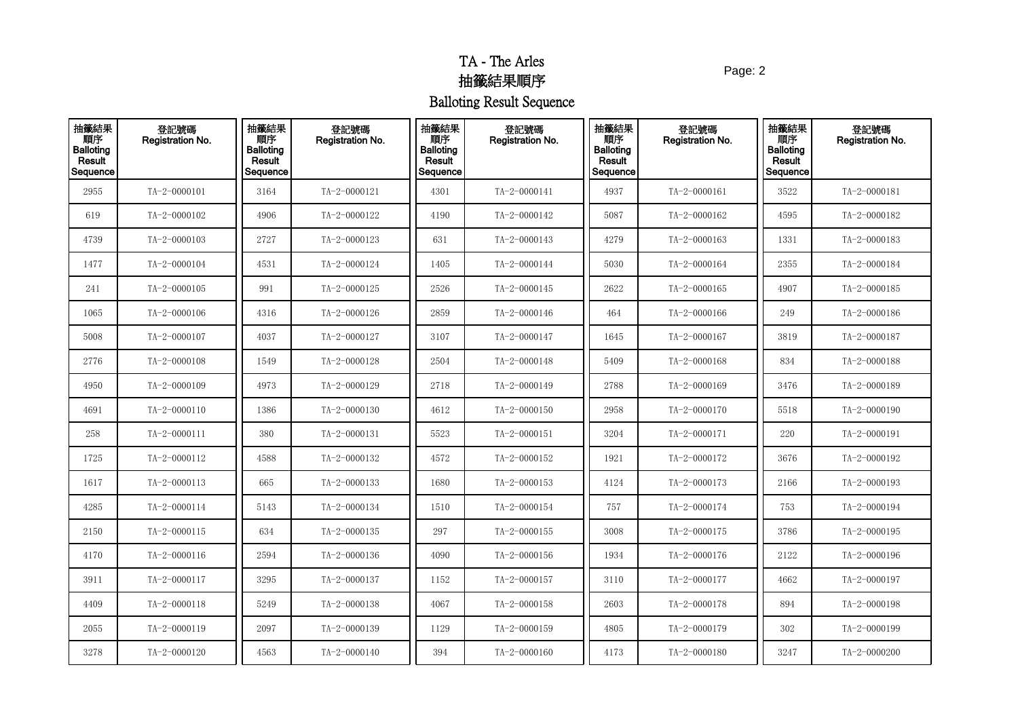Page: 2

| 抽籤結果<br>Result<br>Sequence | 登記號碼<br>Registration No. | 抽籤結果<br>順序<br><b>Balloting</b><br>Result<br>Sequence | 登記號碼<br>Registration No. | 抽籤結果<br>順序<br><b>Balloting</b><br>Result<br>Sequence | 登記號碼<br>Registration No. | 抽籤結果<br>順序<br><b>Balloting</b><br>Result<br>Sequence | 登記號碼<br><b>Registration No.</b> | 抽籤結果<br>順序<br><b>Balloting</b><br>Result<br>Sequence | 登記號碼<br><b>Registration No.</b> |
|----------------------------|--------------------------|------------------------------------------------------|--------------------------|------------------------------------------------------|--------------------------|------------------------------------------------------|---------------------------------|------------------------------------------------------|---------------------------------|
| 2955                       | $TA - 2 - 0000101$       | 3164                                                 | TA-2-0000121             | 4301                                                 | TA-2-0000141             | 4937                                                 | TA-2-0000161                    | 3522                                                 | TA-2-0000181                    |
| 619                        | TA-2-0000102             | 4906                                                 | TA-2-0000122             | 4190                                                 | TA-2-0000142             | 5087                                                 | TA-2-0000162                    | 4595                                                 | TA-2-0000182                    |
| 4739                       | TA-2-0000103             | 2727                                                 | TA-2-0000123             | 631                                                  | TA-2-0000143             | 4279                                                 | $TA - 2 - 0000163$              | 1331                                                 | $TA - 2 - 0000183$              |
| 1477                       | TA-2-0000104             | 4531                                                 | TA-2-0000124             | 1405                                                 | TA-2-0000144             | 5030                                                 | TA-2-0000164                    | 2355                                                 | TA-2-0000184                    |
| 241                        | TA-2-0000105             | 991                                                  | TA-2-0000125             | 2526                                                 | TA-2-0000145             | 2622                                                 | TA-2-0000165                    | 4907                                                 | TA-2-0000185                    |
| 1065                       | TA-2-0000106             | 4316                                                 | TA-2-0000126             | 2859                                                 | TA-2-0000146             | 464                                                  | TA-2-0000166                    | 249                                                  | TA-2-0000186                    |
| 5008                       | TA-2-0000107             | 4037                                                 | TA-2-0000127             | 3107                                                 | TA-2-0000147             | 1645                                                 | $TA - 2 - 0000167$              | 3819                                                 | $TA - 2 - 0000187$              |
| 2776                       | TA-2-0000108             | 1549                                                 | TA-2-0000128             | 2504                                                 | TA-2-0000148             | 5409                                                 | TA-2-0000168                    | 834                                                  | TA-2-0000188                    |
| 4950                       | TA-2-0000109             | 4973                                                 | TA-2-0000129             | 2718                                                 | TA-2-0000149             | 2788                                                 | TA-2-0000169                    | 3476                                                 | $TA - 2 - 0000189$              |
| 4691                       | TA-2-0000110             | 1386                                                 | TA-2-0000130             | 4612                                                 | TA-2-0000150             | 2958                                                 | $TA - 2 - 0000170$              | 5518                                                 | TA-2-0000190                    |
| 258                        | TA-2-0000111             | 380                                                  | TA-2-0000131             | 5523                                                 | TA-2-0000151             | 3204                                                 | TA-2-0000171                    | 220                                                  | TA-2-0000191                    |
| 1725                       | TA-2-0000112             | 4588                                                 | TA-2-0000132             | 4572                                                 | TA-2-0000152             | 1921                                                 | TA-2-0000172                    | 3676                                                 | TA-2-0000192                    |
| 1617                       | TA-2-0000113             | 665                                                  | TA-2-0000133             | 1680                                                 | TA-2-0000153             | 4124                                                 | $TA - 2 - 0000173$              | 2166                                                 | TA-2-0000193                    |
| 4285                       | TA-2-0000114             | 5143                                                 | TA-2-0000134             | 1510                                                 | TA-2-0000154             | 757                                                  | TA-2-0000174                    | 753                                                  | TA-2-0000194                    |
| 2150                       | $TA - 2 - 0000115$       | 634                                                  | TA-2-0000135             | 297                                                  | TA-2-0000155             | 3008                                                 | TA-2-0000175                    | 3786                                                 | TA-2-0000195                    |
| 4170                       | TA-2-0000116             | 2594                                                 | TA-2-0000136             | 4090                                                 | TA-2-0000156             | 1934                                                 | TA-2-0000176                    | 2122                                                 | TA-2-0000196                    |
| 3911                       | TA-2-0000117             | 3295                                                 | TA-2-0000137             | 1152                                                 | TA-2-0000157             | 3110                                                 | TA-2-0000177                    | 4662                                                 | $TA - 2 - 0000197$              |
| 4409                       | $TA - 2 - 0000118$       | 5249                                                 | TA-2-0000138             | 4067                                                 | TA-2-0000158             | 2603                                                 | TA-2-0000178                    | 894                                                  | TA-2-0000198                    |
| 2055                       | TA-2-0000119             | 2097                                                 | TA-2-0000139             | 1129                                                 | TA-2-0000159             | 4805                                                 | TA-2-0000179                    | 302                                                  | TA-2-0000199                    |
| 3278                       | TA-2-0000120             | 4563                                                 | TA-2-0000140             | 394                                                  | TA-2-0000160             | 4173                                                 | TA-2-0000180                    | 3247                                                 | TA-2-0000200                    |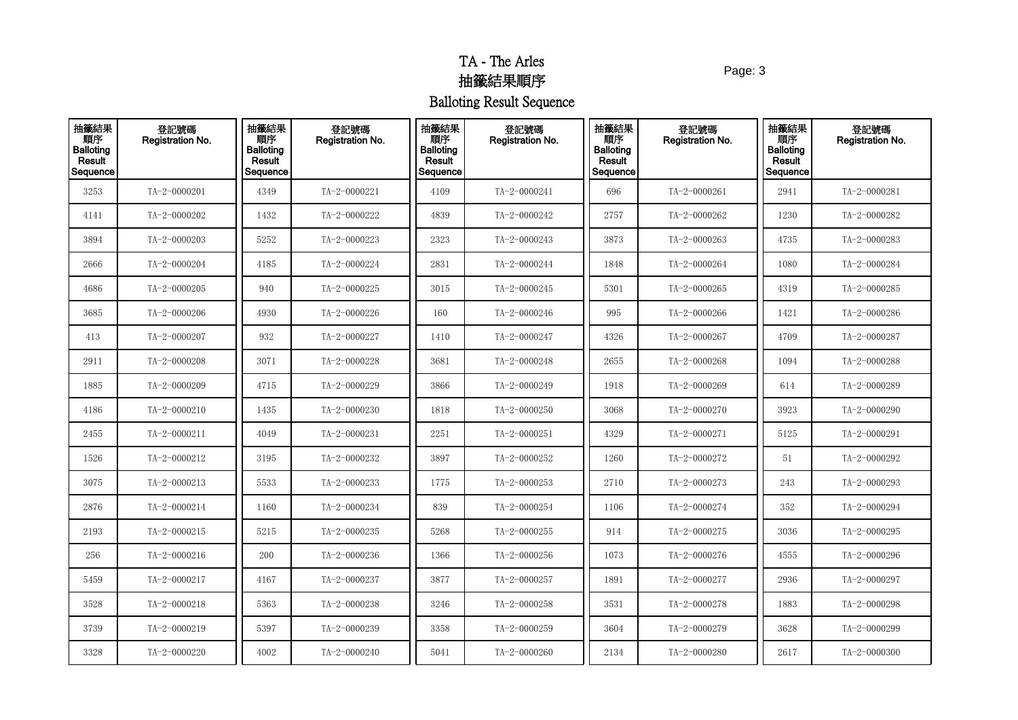Page: 3

| 抽籤結果<br>Result<br>Sequence | 登記號碼<br>Registration No. | 抽籤結果<br>順序<br><b>Balloting</b><br>Result<br>Sequence | 登記號碼<br>Registration No. | 抽籤結果<br>順序<br><b>Balloting</b><br>Result<br>Sequence | 登記號碼<br>Registration No. | 抽籤結果<br>順序<br><b>Balloting</b><br>Result<br>Sequence | 登記號碼<br><b>Registration No.</b> | 抽籤結果<br>順序<br><b>Balloting</b><br>Result<br>Sequence | 登記號碼<br><b>Registration No.</b> |
|----------------------------|--------------------------|------------------------------------------------------|--------------------------|------------------------------------------------------|--------------------------|------------------------------------------------------|---------------------------------|------------------------------------------------------|---------------------------------|
| 3253                       | TA-2-0000201             | 4349                                                 | TA-2-0000221             | 4109                                                 | TA-2-0000241             | 696                                                  | TA-2-0000261                    | 2941                                                 | TA-2-0000281                    |
| 4141                       | TA-2-0000202             | 1432                                                 | TA-2-0000222             | 4839                                                 | TA-2-0000242             | 2757                                                 | TA-2-0000262                    | 1230                                                 | TA-2-0000282                    |
| 3894                       | TA-2-0000203             | 5252                                                 | TA-2-0000223             | 2323                                                 | TA-2-0000243             | 3873                                                 | $TA - 2 - 0000263$              | 4735                                                 | TA-2-0000283                    |
| 2666                       | TA-2-0000204             | 4185                                                 | TA-2-0000224             | 2831                                                 | TA-2-0000244             | 1848                                                 | TA-2-0000264                    | 1080                                                 | TA-2-0000284                    |
| 4686                       | TA-2-0000205             | 940                                                  | TA-2-0000225             | 3015                                                 | TA-2-0000245             | 5301                                                 | TA-2-0000265                    | 4319                                                 | TA-2-0000285                    |
| 3685                       | TA-2-0000206             | 4930                                                 | TA-2-0000226             | 160                                                  | TA-2-0000246             | 995                                                  | TA-2-0000266                    | 1421                                                 | TA-2-0000286                    |
| 413                        | TA-2-0000207             | 932                                                  | TA-2-0000227             | 1410                                                 | TA-2-0000247             | 4326                                                 | TA-2-0000267                    | 4709                                                 | TA-2-0000287                    |
| 2911                       | TA-2-0000208             | 3071                                                 | TA-2-0000228             | 3681                                                 | TA-2-0000248             | 2655                                                 | TA-2-0000268                    | 1094                                                 | TA-2-0000288                    |
| 1885                       | TA-2-0000209             | 4715                                                 | TA-2-0000229             | 3866                                                 | TA-2-0000249             | 1918                                                 | TA-2-0000269                    | 614                                                  | TA-2-0000289                    |
| 4186                       | TA-2-0000210             | 1435                                                 | TA-2-0000230             | 1818                                                 | TA-2-0000250             | 3068                                                 | TA-2-0000270                    | 3923                                                 | TA-2-0000290                    |
| 2455                       | TA-2-0000211             | 4049                                                 | TA-2-0000231             | 2251                                                 | TA-2-0000251             | 4329                                                 | TA-2-0000271                    | 5125                                                 | TA-2-0000291                    |
| 1526                       | TA-2-0000212             | 3195                                                 | TA-2-0000232             | 3897                                                 | TA-2-0000252             | 1260                                                 | TA-2-0000272                    | 51                                                   | TA-2-0000292                    |
| 3075                       | TA-2-0000213             | 5533                                                 | TA-2-0000233             | 1775                                                 | TA-2-0000253             | 2710                                                 | TA-2-0000273                    | 243                                                  | TA-2-0000293                    |
| 2876                       | TA-2-0000214             | 1160                                                 | TA-2-0000234             | 839                                                  | TA-2-0000254             | 1106                                                 | TA-2-0000274                    | 352                                                  | TA-2-0000294                    |
| 2193                       | $TA - 2 - 0000215$       | 5215                                                 | TA-2-0000235             | 5268                                                 | TA-2-0000255             | 914                                                  | TA-2-0000275                    | 3036                                                 | TA-2-0000295                    |
| 256                        | TA-2-0000216             | 200                                                  | TA-2-0000236             | 1366                                                 | TA-2-0000256             | 1073                                                 | TA-2-0000276                    | 4555                                                 | TA-2-0000296                    |
| 5459                       | TA-2-0000217             | 4167                                                 | TA-2-0000237             | 3877                                                 | TA-2-0000257             | 1891                                                 | TA-2-0000277                    | 2936                                                 | TA-2-0000297                    |
| 3528                       | $TA - 2 - 0000218$       | 5363                                                 | TA-2-0000238             | 3246                                                 | TA-2-0000258             | 3531                                                 | TA-2-0000278                    | 1883                                                 | TA-2-0000298                    |
| 3739                       | TA-2-0000219             | 5397                                                 | TA-2-0000239             | 3358                                                 | TA-2-0000259             | 3604                                                 | TA-2-0000279                    | 3628                                                 | TA-2-0000299                    |
| 3328                       | TA-2-0000220             | 4002                                                 | TA-2-0000240             | 5041                                                 | TA-2-0000260             | 2134                                                 | TA-2-0000280                    | 2617                                                 | TA-2-0000300                    |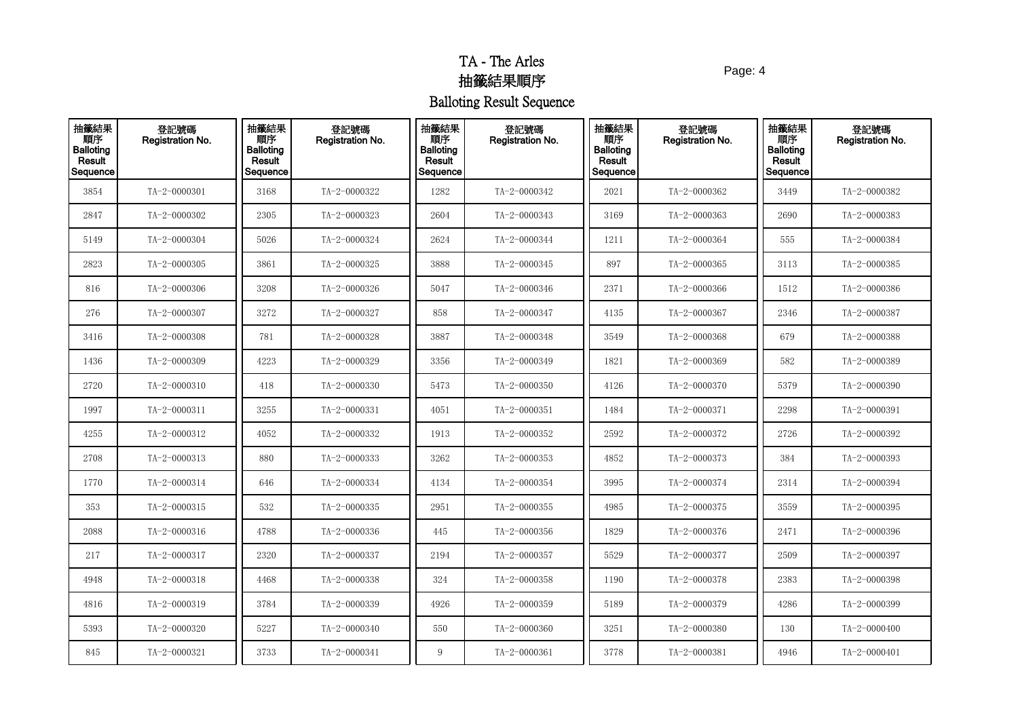Page: 4

| 抽籤結果<br>順序<br>Balloting<br>Result<br>Sequence | 登記號碼<br>Registration No. | 抽籤結果<br>順序<br><b>Balloting</b><br>Result<br>Sequence | 登記號碼<br>Registration No. | 抽籤結果<br>順序<br><b>Balloting</b><br>Result<br>Sequence | 登記號碼<br>Registration No. | 抽籤結果<br>順序<br><b>Balloting</b><br>Result<br>Sequence | 登記號碼<br>Registration No. | 抽籤結果<br>順序<br><b>Balloting</b><br><b>Result</b><br>Sequence | 登記號碼<br>Registration No. |
|-----------------------------------------------|--------------------------|------------------------------------------------------|--------------------------|------------------------------------------------------|--------------------------|------------------------------------------------------|--------------------------|-------------------------------------------------------------|--------------------------|
| 3854                                          | TA-2-0000301             | 3168                                                 | TA-2-0000322             | 1282                                                 | TA-2-0000342             | 2021                                                 | TA-2-0000362             | 3449                                                        | TA-2-0000382             |
| 2847                                          | TA-2-0000302             | 2305                                                 | TA-2-0000323             | 2604                                                 | TA-2-0000343             | 3169                                                 | TA-2-0000363             | 2690                                                        | TA-2-0000383             |
| 5149                                          | TA-2-0000304             | 5026                                                 | TA-2-0000324             | 2624                                                 | TA-2-0000344             | 1211                                                 | TA-2-0000364             | 555                                                         | TA-2-0000384             |
| 2823                                          | TA-2-0000305             | 3861                                                 | TA-2-0000325             | 3888                                                 | TA-2-0000345             | 897                                                  | TA-2-0000365             | 3113                                                        | TA-2-0000385             |
| 816                                           | TA-2-0000306             | 3208                                                 | TA-2-0000326             | 5047                                                 | TA-2-0000346             | 2371                                                 | TA-2-0000366             | 1512                                                        | TA-2-0000386             |
| 276                                           | TA-2-0000307             | 3272                                                 | TA-2-0000327             | 858                                                  | TA-2-0000347             | 4135                                                 | TA-2-0000367             | 2346                                                        | TA-2-0000387             |
| 3416                                          | TA-2-0000308             | 781                                                  | TA-2-0000328             | 3887                                                 | TA-2-0000348             | 3549                                                 | TA-2-0000368             | 679                                                         | TA-2-0000388             |
| 1436                                          | TA-2-0000309             | 4223                                                 | TA-2-0000329             | 3356                                                 | TA-2-0000349             | 1821                                                 | TA-2-0000369             | 582                                                         | TA-2-0000389             |
| 2720                                          | $TA - 2 - 0000310$       | 418                                                  | TA-2-0000330             | 5473                                                 | TA-2-0000350             | 4126                                                 | TA-2-0000370             | 5379                                                        | TA-2-0000390             |
| 1997                                          | TA-2-0000311             | 3255                                                 | TA-2-0000331             | 4051                                                 | TA-2-0000351             | 1484                                                 | TA-2-0000371             | 2298                                                        | $TA - 2 - 0000391$       |
| 4255                                          | TA-2-0000312             | 4052                                                 | TA-2-0000332             | 1913                                                 | TA-2-0000352             | 2592                                                 | TA-2-0000372             | 2726                                                        | TA-2-0000392             |
| 2708                                          | $TA - 2 - 0000313$       | 880                                                  | TA-2-0000333             | 3262                                                 | TA-2-0000353             | 4852                                                 | TA-2-0000373             | 384                                                         | TA-2-0000393             |
| 1770                                          | TA-2-0000314             | 646                                                  | TA-2-0000334             | 4134                                                 | TA-2-0000354             | 3995                                                 | TA-2-0000374             | 2314                                                        | TA-2-0000394             |
| 353                                           | TA-2-0000315             | 532                                                  | TA-2-0000335             | 2951                                                 | TA-2-0000355             | 4985                                                 | TA-2-0000375             | 3559                                                        | TA-2-0000395             |
| 2088                                          | $TA - 2 - 0000316$       | 4788                                                 | TA-2-0000336             | 445                                                  | TA-2-0000356             | 1829                                                 | TA-2-0000376             | 2471                                                        | TA-2-0000396             |
| 217                                           | TA-2-0000317             | 2320                                                 | TA-2-0000337             | 2194                                                 | TA-2-0000357             | 5529                                                 | TA-2-0000377             | 2509                                                        | TA-2-0000397             |
| 4948                                          | $TA - 2 - 0000318$       | 4468                                                 | TA-2-0000338             | 324                                                  | TA-2-0000358             | 1190                                                 | TA-2-0000378             | 2383                                                        | TA-2-0000398             |
| 4816                                          | TA-2-0000319             | 3784                                                 | TA-2-0000339             | 4926                                                 | TA-2-0000359             | 5189                                                 | TA-2-0000379             | 4286                                                        | TA-2-0000399             |
| 5393                                          | TA-2-0000320             | 5227                                                 | TA-2-0000340             | 550                                                  | TA-2-0000360             | 3251                                                 | TA-2-0000380             | 130                                                         | TA-2-0000400             |
| 845                                           | TA-2-0000321             | 3733                                                 | TA-2-0000341             | 9                                                    | TA-2-0000361             | 3778                                                 | TA-2-0000381             | 4946                                                        | $TA - 2 - 0000401$       |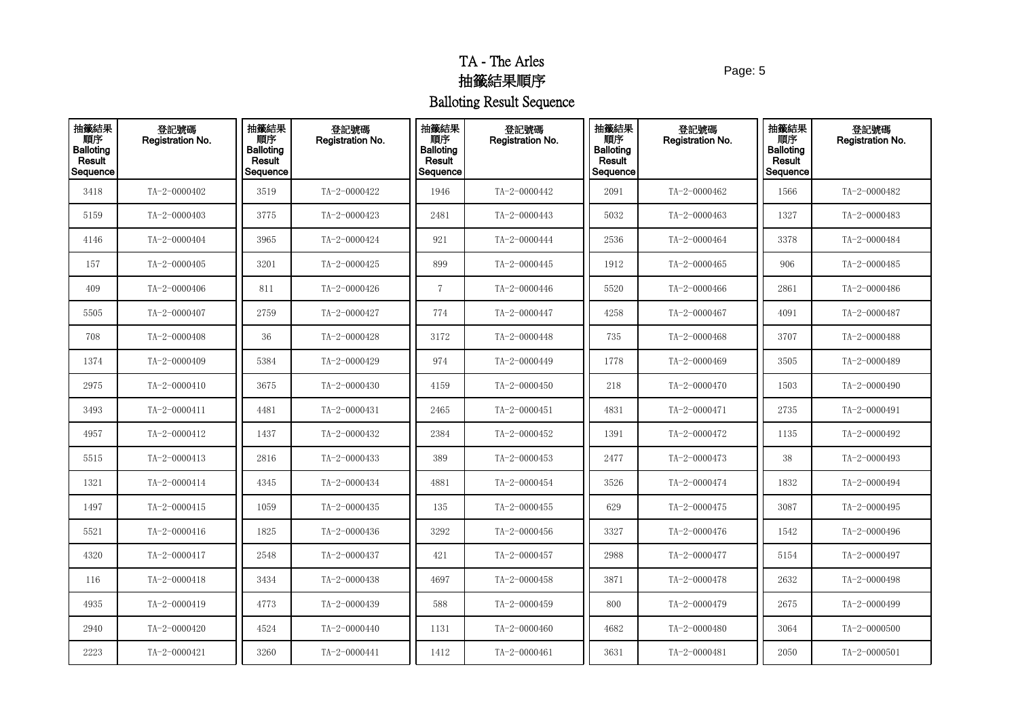Page: 5

| 抽籤結果<br>- 順序<br>Balloting<br>Result<br>Sequence | 登記號碼<br>Registration No. | 抽籤結果<br>順序<br><b>Balloting</b><br>Result<br>Sequence | 登記號碼<br>Registration No. | 抽籤結果<br>順序<br><b>Balloting</b><br>Result<br>Sequence | 登記號碼<br>Registration No. | 抽籤結果<br>順序<br><b>Balloting</b><br>Result<br>Sequence | 登記號碼<br><b>Registration No.</b> | 抽籤結果<br>順序<br><b>Balloting</b><br>Result<br>Sequence | 登記號碼<br>Registration No. |
|-------------------------------------------------|--------------------------|------------------------------------------------------|--------------------------|------------------------------------------------------|--------------------------|------------------------------------------------------|---------------------------------|------------------------------------------------------|--------------------------|
| 3418                                            | TA-2-0000402             | 3519                                                 | TA-2-0000422             | 1946                                                 | TA-2-0000442             | 2091                                                 | TA-2-0000462                    | 1566                                                 | TA-2-0000482             |
| 5159                                            | $TA - 2 - 0000403$       | 3775                                                 | TA-2-0000423             | 2481                                                 | TA-2-0000443             | 5032                                                 | TA-2-0000463                    | 1327                                                 | TA-2-0000483             |
| 4146                                            | TA-2-0000404             | 3965                                                 | TA-2-0000424             | 921                                                  | TA-2-0000444             | 2536                                                 | TA-2-0000464                    | 3378                                                 | TA-2-0000484             |
| 157                                             | TA-2-0000405             | 3201                                                 | TA-2-0000425             | 899                                                  | TA-2-0000445             | 1912                                                 | TA-2-0000465                    | 906                                                  | TA-2-0000485             |
| 409                                             | TA-2-0000406             | 811                                                  | TA-2-0000426             | $\overline{7}$                                       | TA-2-0000446             | 5520                                                 | TA-2-0000466                    | 2861                                                 | TA-2-0000486             |
| 5505                                            | TA-2-0000407             | 2759                                                 | TA-2-0000427             | 774                                                  | TA-2-0000447             | 4258                                                 | TA-2-0000467                    | 4091                                                 | TA-2-0000487             |
| 708                                             | TA-2-0000408             | 36                                                   | TA-2-0000428             | 3172                                                 | TA-2-0000448             | 735                                                  | TA-2-0000468                    | 3707                                                 | TA-2-0000488             |
| 1374                                            | TA-2-0000409             | 5384                                                 | TA-2-0000429             | 974                                                  | TA-2-0000449             | 1778                                                 | TA-2-0000469                    | 3505                                                 | TA-2-0000489             |
| 2975                                            | $TA - 2 - 0000410$       | 3675                                                 | TA-2-0000430             | 4159                                                 | TA-2-0000450             | 218                                                  | TA-2-0000470                    | 1503                                                 | TA-2-0000490             |
| 3493                                            | TA-2-0000411             | 4481                                                 | TA-2-0000431             | 2465                                                 | TA-2-0000451             | 4831                                                 | TA-2-0000471                    | 2735                                                 | TA-2-0000491             |
| 4957                                            | TA-2-0000412             | 1437                                                 | TA-2-0000432             | 2384                                                 | TA-2-0000452             | 1391                                                 | TA-2-0000472                    | 1135                                                 | TA-2-0000492             |
| 5515                                            | TA-2-0000413             | 2816                                                 | TA-2-0000433             | 389                                                  | TA-2-0000453             | 2477                                                 | TA-2-0000473                    | 38                                                   | TA-2-0000493             |
| 1321                                            | TA-2-0000414             | 4345                                                 | TA-2-0000434             | 4881                                                 | TA-2-0000454             | 3526                                                 | TA-2-0000474                    | 1832                                                 | TA-2-0000494             |
| 1497                                            | TA-2-0000415             | 1059                                                 | TA-2-0000435             | 135                                                  | TA-2-0000455             | 629                                                  | TA-2-0000475                    | 3087                                                 | TA-2-0000495             |
| 5521                                            | TA-2-0000416             | 1825                                                 | TA-2-0000436             | 3292                                                 | TA-2-0000456             | 3327                                                 | TA-2-0000476                    | 1542                                                 | TA-2-0000496             |
| 4320                                            | TA-2-0000417             | 2548                                                 | TA-2-0000437             | 421                                                  | TA-2-0000457             | 2988                                                 | TA-2-0000477                    | 5154                                                 | TA-2-0000497             |
| 116                                             | TA-2-0000418             | 3434                                                 | TA-2-0000438             | 4697                                                 | TA-2-0000458             | 3871                                                 | TA-2-0000478                    | 2632                                                 | TA-2-0000498             |
| 4935                                            | TA-2-0000419             | 4773                                                 | TA-2-0000439             | 588                                                  | TA-2-0000459             | 800                                                  | TA-2-0000479                    | 2675                                                 | TA-2-0000499             |
| 2940                                            | TA-2-0000420             | 4524                                                 | TA-2-0000440             | 1131                                                 | TA-2-0000460             | 4682                                                 | TA-2-0000480                    | 3064                                                 | TA-2-0000500             |
| 2223                                            | TA-2-0000421             | 3260                                                 | TA-2-0000441             | 1412                                                 | TA-2-0000461             | 3631                                                 | $TA - 2 - 0000481$              | 2050                                                 | TA-2-0000501             |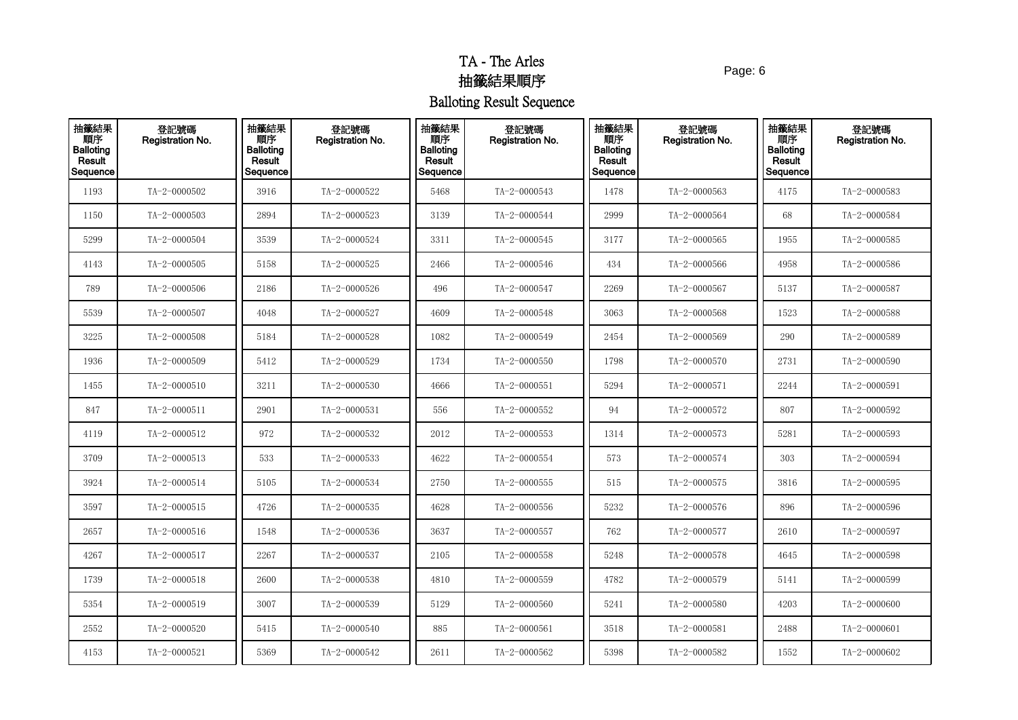Page: 6

| 抽籤結果<br>順序<br>Balloting<br>Result<br>Sequence | 登記號碼<br>Registration No. | 抽籤結果<br>順序<br><b>Balloting</b><br>Result<br>Sequence | 登記號碼<br>Registration No. | 抽籤結果<br>順序<br><b>Balloting</b><br>Result<br>Sequence | 登記號碼<br>Registration No. | 抽籤結果<br>順序<br><b>Balloting</b><br>Result<br>Sequence | 登記號碼<br>Registration No. | 抽籤結果<br>順序<br><b>Balloting</b><br>Result<br>Sequence | 登記號碼<br>Registration No. |
|-----------------------------------------------|--------------------------|------------------------------------------------------|--------------------------|------------------------------------------------------|--------------------------|------------------------------------------------------|--------------------------|------------------------------------------------------|--------------------------|
| 1193                                          | TA-2-0000502             | 3916                                                 | TA-2-0000522             | 5468                                                 | TA-2-0000543             | 1478                                                 | TA-2-0000563             | 4175                                                 | TA-2-0000583             |
| 1150                                          | $TA - 2 - 0000503$       | 2894                                                 | TA-2-0000523             | 3139                                                 | TA-2-0000544             | 2999                                                 | TA-2-0000564             | 68                                                   | TA-2-0000584             |
| 5299                                          | TA-2-0000504             | 3539                                                 | TA-2-0000524             | 3311                                                 | TA-2-0000545             | 3177                                                 | TA-2-0000565             | 1955                                                 | TA-2-0000585             |
| 4143                                          | TA-2-0000505             | 5158                                                 | TA-2-0000525             | 2466                                                 | TA-2-0000546             | 434                                                  | TA-2-0000566             | 4958                                                 | TA-2-0000586             |
| 789                                           | TA-2-0000506             | 2186                                                 | TA-2-0000526             | 496                                                  | TA-2-0000547             | 2269                                                 | TA-2-0000567             | 5137                                                 | TA-2-0000587             |
| 5539                                          | TA-2-0000507             | 4048                                                 | TA-2-0000527             | 4609                                                 | TA-2-0000548             | 3063                                                 | TA-2-0000568             | 1523                                                 | TA-2-0000588             |
| 3225                                          | TA-2-0000508             | 5184                                                 | TA-2-0000528             | 1082                                                 | TA-2-0000549             | 2454                                                 | TA-2-0000569             | 290                                                  | TA-2-0000589             |
| 1936                                          | TA-2-0000509             | 5412                                                 | TA-2-0000529             | 1734                                                 | TA-2-0000550             | 1798                                                 | TA-2-0000570             | 2731                                                 | TA-2-0000590             |
| 1455                                          | $TA - 2 - 0000510$       | 3211                                                 | TA-2-0000530             | 4666                                                 | TA-2-0000551             | 5294                                                 | TA-2-0000571             | 2244                                                 | TA-2-0000591             |
| 847                                           | TA-2-0000511             | 2901                                                 | TA-2-0000531             | 556                                                  | TA-2-0000552             | 94                                                   | TA-2-0000572             | 807                                                  | TA-2-0000592             |
| 4119                                          | TA-2-0000512             | 972                                                  | TA-2-0000532             | 2012                                                 | TA-2-0000553             | 1314                                                 | TA-2-0000573             | 5281                                                 | TA-2-0000593             |
| 3709                                          | $TA - 2 - 0000513$       | 533                                                  | TA-2-0000533             | 4622                                                 | TA-2-0000554             | 573                                                  | TA-2-0000574             | 303                                                  | TA-2-0000594             |
| 3924                                          | TA-2-0000514             | 5105                                                 | TA-2-0000534             | 2750                                                 | TA-2-0000555             | 515                                                  | TA-2-0000575             | 3816                                                 | TA-2-0000595             |
| 3597                                          | TA-2-0000515             | 4726                                                 | TA-2-0000535             | 4628                                                 | TA-2-0000556             | 5232                                                 | TA-2-0000576             | 896                                                  | TA-2-0000596             |
| 2657                                          | $TA - 2 - 0000516$       | 1548                                                 | TA-2-0000536             | 3637                                                 | TA-2-0000557             | 762                                                  | TA-2-0000577             | 2610                                                 | TA-2-0000597             |
| 4267                                          | $TA - 2 - 0000517$       | 2267                                                 | TA-2-0000537             | 2105                                                 | TA-2-0000558             | 5248                                                 | TA-2-0000578             | 4645                                                 | TA-2-0000598             |
| 1739                                          | $TA - 2 - 0000518$       | 2600                                                 | TA-2-0000538             | 4810                                                 | TA-2-0000559             | 4782                                                 | TA-2-0000579             | 5141                                                 | TA-2-0000599             |
| 5354                                          | $TA - 2 - 0000519$       | 3007                                                 | TA-2-0000539             | 5129                                                 | TA-2-0000560             | 5241                                                 | TA-2-0000580             | 4203                                                 | TA-2-0000600             |
| 2552                                          | TA-2-0000520             | 5415                                                 | TA-2-0000540             | 885                                                  | TA-2-0000561             | 3518                                                 | TA-2-0000581             | 2488                                                 | TA-2-0000601             |
| 4153                                          | $TA - 2 - 0000521$       | 5369                                                 | TA-2-0000542             | 2611                                                 | TA-2-0000562             | 5398                                                 | TA-2-0000582             | 1552                                                 | TA-2-0000602             |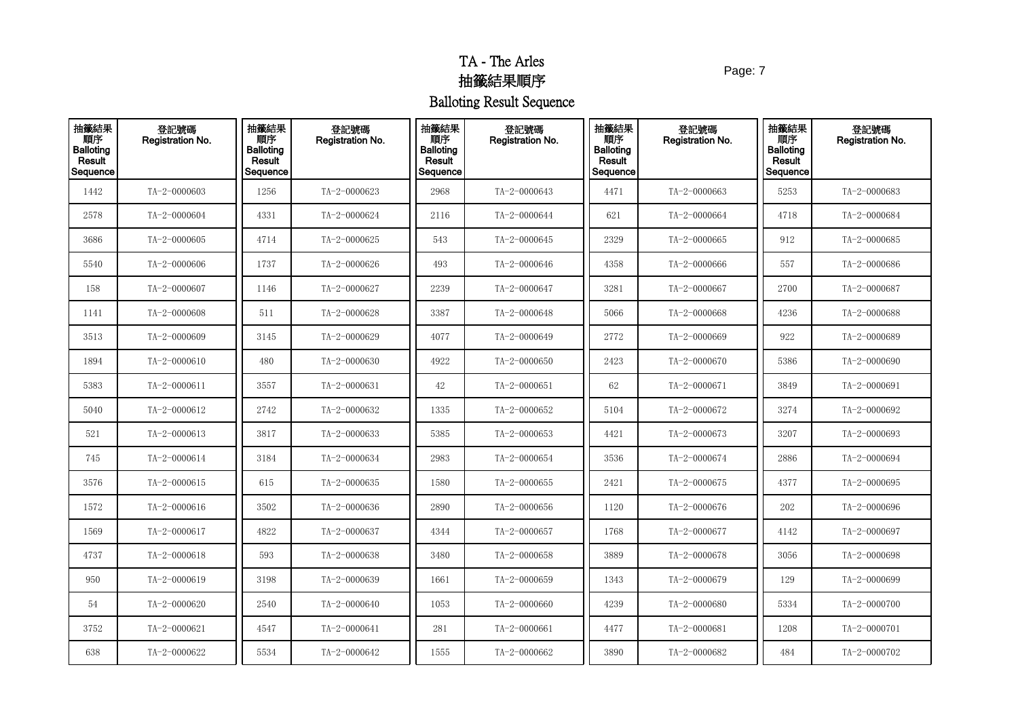Page: 7

| 抽籤結果<br>順序<br><b>Balloting</b><br>Result<br>Sequence | 登記號碼<br>Registration No. | 抽籤結果<br>順序<br><b>Balloting</b><br>Result<br>Sequence | 登記號碼<br>Registration No. | 抽籤結果<br>順序<br><b>Balloting</b><br>Result<br>Sequence | 登記號碼<br>Registration No. | 抽籤結果<br>順序<br><b>Balloting</b><br>Result<br>Sequence | 登記號碼<br>Registration No. | 抽籤結果<br>順序<br><b>Balloting</b><br>Result<br>Sequence | 登記號碼<br>Registration No. |
|------------------------------------------------------|--------------------------|------------------------------------------------------|--------------------------|------------------------------------------------------|--------------------------|------------------------------------------------------|--------------------------|------------------------------------------------------|--------------------------|
| 1442                                                 | TA-2-0000603             | 1256                                                 | TA-2-0000623             | 2968                                                 | TA-2-0000643             | 4471                                                 | TA-2-0000663             | 5253                                                 | TA-2-0000683             |
| 2578                                                 | TA-2-0000604             | 4331                                                 | TA-2-0000624             | 2116                                                 | TA-2-0000644             | 621                                                  | TA-2-0000664             | 4718                                                 | TA-2-0000684             |
| 3686                                                 | TA-2-0000605             | 4714                                                 | TA-2-0000625             | 543                                                  | TA-2-0000645             | 2329                                                 | TA-2-0000665             | 912                                                  | TA-2-0000685             |
| 5540                                                 | TA-2-0000606             | 1737                                                 | TA-2-0000626             | 493                                                  | TA-2-0000646             | 4358                                                 | TA-2-0000666             | 557                                                  | TA-2-0000686             |
| 158                                                  | TA-2-0000607             | 1146                                                 | TA-2-0000627             | 2239                                                 | TA-2-0000647             | 3281                                                 | TA-2-0000667             | 2700                                                 | TA-2-0000687             |
| 1141                                                 | TA-2-0000608             | 511                                                  | TA-2-0000628             | 3387                                                 | TA-2-0000648             | 5066                                                 | TA-2-0000668             | 4236                                                 | TA-2-0000688             |
| 3513                                                 | TA-2-0000609             | 3145                                                 | TA-2-0000629             | 4077                                                 | TA-2-0000649             | 2772                                                 | TA-2-0000669             | 922                                                  | TA-2-0000689             |
| 1894                                                 | $TA - 2 - 0000610$       | 480                                                  | TA-2-0000630             | 4922                                                 | TA-2-0000650             | 2423                                                 | TA-2-0000670             | 5386                                                 | TA-2-0000690             |
| 5383                                                 | TA-2-0000611             | 3557                                                 | TA-2-0000631             | 42                                                   | TA-2-0000651             | 62                                                   | $TA - 2 - 0000671$       | 3849                                                 | TA-2-0000691             |
| 5040                                                 | TA-2-0000612             | 2742                                                 | TA-2-0000632             | 1335                                                 | TA-2-0000652             | 5104                                                 | TA-2-0000672             | 3274                                                 | TA-2-0000692             |
| 521                                                  | TA-2-0000613             | 3817                                                 | TA-2-0000633             | 5385                                                 | TA-2-0000653             | 4421                                                 | $TA - 2 - 0000673$       | 3207                                                 | TA-2-0000693             |
| 745                                                  | TA-2-0000614             | 3184                                                 | TA-2-0000634             | 2983                                                 | TA-2-0000654             | 3536                                                 | TA-2-0000674             | 2886                                                 | TA-2-0000694             |
| 3576                                                 | TA-2-0000615             | 615                                                  | TA-2-0000635             | 1580                                                 | TA-2-0000655             | 2421                                                 | TA-2-0000675             | 4377                                                 | TA-2-0000695             |
| 1572                                                 | TA-2-0000616             | 3502                                                 | TA-2-0000636             | 2890                                                 | TA-2-0000656             | 1120                                                 | TA-2-0000676             | 202                                                  | TA-2-0000696             |
| 1569                                                 | TA-2-0000617             | 4822                                                 | TA-2-0000637             | 4344                                                 | TA-2-0000657             | 1768                                                 | TA-2-0000677             | 4142                                                 | TA-2-0000697             |
| 4737                                                 | $TA - 2 - 0000618$       | 593                                                  | TA-2-0000638             | 3480                                                 | TA-2-0000658             | 3889                                                 | TA-2-0000678             | 3056                                                 | TA-2-0000698             |
| 950                                                  | TA-2-0000619             | 3198                                                 | TA-2-0000639             | 1661                                                 | TA-2-0000659             | 1343                                                 | TA-2-0000679             | 129                                                  | TA-2-0000699             |
| 54                                                   | TA-2-0000620             | 2540                                                 | TA-2-0000640             | 1053                                                 | TA-2-0000660             | 4239                                                 | TA-2-0000680             | 5334                                                 | TA-2-0000700             |
| 3752                                                 | TA-2-0000621             | 4547                                                 | TA-2-0000641             | 281                                                  | TA-2-0000661             | 4477                                                 | $TA - 2 - 0000681$       | 1208                                                 | TA-2-0000701             |
| 638                                                  | TA-2-0000622             | 5534                                                 | TA-2-0000642             | 1555                                                 | TA-2-0000662             | 3890                                                 | TA-2-0000682             | 484                                                  | TA-2-0000702             |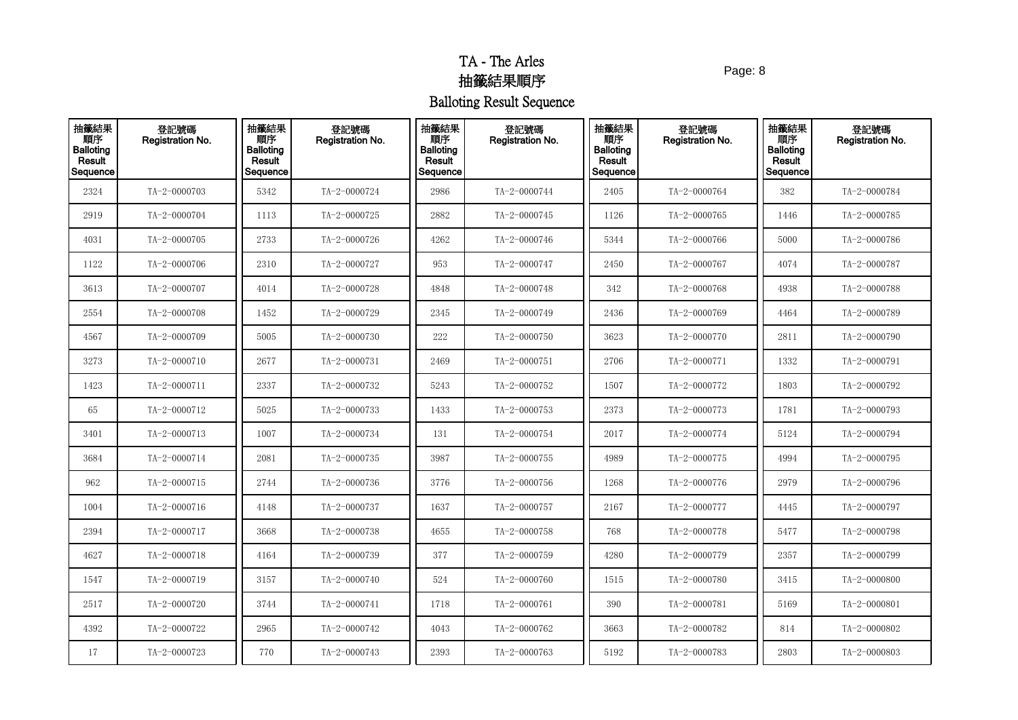Page: 8

| 抽籤結果<br>順序<br>Balloting<br>Result<br>Sequence | 登記號碼<br>Registration No. | 抽籤結果<br>順序<br><b>Balloting</b><br>Result<br>Sequence | 登記號碼<br>Registration No. | 抽籤結果<br>順序<br><b>Balloting</b><br>Result<br>Sequence | 登記號碼<br>Registration No. | 抽籤結果<br>順序<br><b>Balloting</b><br>Result<br>Sequence | 登記號碼<br>Registration No. | 抽籤結果<br>順序<br><b>Balloting</b><br>Result<br>Sequence | 登記號碼<br>Registration No. |
|-----------------------------------------------|--------------------------|------------------------------------------------------|--------------------------|------------------------------------------------------|--------------------------|------------------------------------------------------|--------------------------|------------------------------------------------------|--------------------------|
| 2324                                          | TA-2-0000703             | 5342                                                 | TA-2-0000724             | 2986                                                 | TA-2-0000744             | 2405                                                 | TA-2-0000764             | 382                                                  | TA-2-0000784             |
| 2919                                          | TA-2-0000704             | 1113                                                 | TA-2-0000725             | 2882                                                 | TA-2-0000745             | 1126                                                 | TA-2-0000765             | 1446                                                 | TA-2-0000785             |
| 4031                                          | TA-2-0000705             | 2733                                                 | TA-2-0000726             | 4262                                                 | TA-2-0000746             | 5344                                                 | TA-2-0000766             | 5000                                                 | TA-2-0000786             |
| 1122                                          | TA-2-0000706             | 2310                                                 | TA-2-0000727             | 953                                                  | TA-2-0000747             | 2450                                                 | TA-2-0000767             | 4074                                                 | TA-2-0000787             |
| 3613                                          | TA-2-0000707             | 4014                                                 | TA-2-0000728             | 4848                                                 | TA-2-0000748             | 342                                                  | TA-2-0000768             | 4938                                                 | TA-2-0000788             |
| 2554                                          | TA-2-0000708             | 1452                                                 | TA-2-0000729             | 2345                                                 | TA-2-0000749             | 2436                                                 | TA-2-0000769             | 4464                                                 | TA-2-0000789             |
| 4567                                          | TA-2-0000709             | 5005                                                 | TA-2-0000730             | 222                                                  | TA-2-0000750             | 3623                                                 | TA-2-0000770             | 2811                                                 | TA-2-0000790             |
| 3273                                          | $TA - 2 - 0000710$       | 2677                                                 | TA-2-0000731             | 2469                                                 | TA-2-0000751             | 2706                                                 | TA-2-0000771             | 1332                                                 | TA-2-0000791             |
| 1423                                          | $TA - 2 - 0000711$       | 2337                                                 | TA-2-0000732             | 5243                                                 | TA-2-0000752             | 1507                                                 | TA-2-0000772             | 1803                                                 | TA-2-0000792             |
| 65                                            | TA-2-0000712             | 5025                                                 | TA-2-0000733             | 1433                                                 | TA-2-0000753             | 2373                                                 | TA-2-0000773             | 1781                                                 | TA-2-0000793             |
| 3401                                          | $TA-2-0000713$           | 1007                                                 | TA-2-0000734             | 131                                                  | TA-2-0000754             | 2017                                                 | TA-2-0000774             | 5124                                                 | TA-2-0000794             |
| 3684                                          | TA-2-0000714             | 2081                                                 | TA-2-0000735             | 3987                                                 | TA-2-0000755             | 4989                                                 | TA-2-0000775             | 4994                                                 | TA-2-0000795             |
| 962                                           | TA-2-0000715             | 2744                                                 | TA-2-0000736             | 3776                                                 | TA-2-0000756             | 1268                                                 | TA-2-0000776             | 2979                                                 | TA-2-0000796             |
| 1004                                          | TA-2-0000716             | 4148                                                 | TA-2-0000737             | 1637                                                 | TA-2-0000757             | 2167                                                 | TA-2-0000777             | 4445                                                 | TA-2-0000797             |
| 2394                                          | TA-2-0000717             | 3668                                                 | TA-2-0000738             | 4655                                                 | TA-2-0000758             | 768                                                  | TA-2-0000778             | 5477                                                 | TA-2-0000798             |
| 4627                                          | TA-2-0000718             | 4164                                                 | TA-2-0000739             | 377                                                  | TA-2-0000759             | 4280                                                 | TA-2-0000779             | 2357                                                 | TA-2-0000799             |
| 1547                                          | TA-2-0000719             | 3157                                                 | TA-2-0000740             | 524                                                  | TA-2-0000760             | 1515                                                 | TA-2-0000780             | 3415                                                 | TA-2-0000800             |
| 2517                                          | TA-2-0000720             | 3744                                                 | TA-2-0000741             | 1718                                                 | TA-2-0000761             | 390                                                  | TA-2-0000781             | 5169                                                 | TA-2-0000801             |
| 4392                                          | TA-2-0000722             | 2965                                                 | TA-2-0000742             | 4043                                                 | TA-2-0000762             | 3663                                                 | TA-2-0000782             | 814                                                  | TA-2-0000802             |
| 17                                            | TA-2-0000723             | 770                                                  | TA-2-0000743             | 2393                                                 | TA-2-0000763             | 5192                                                 | TA-2-0000783             | 2803                                                 | $TA - 2 - 0000803$       |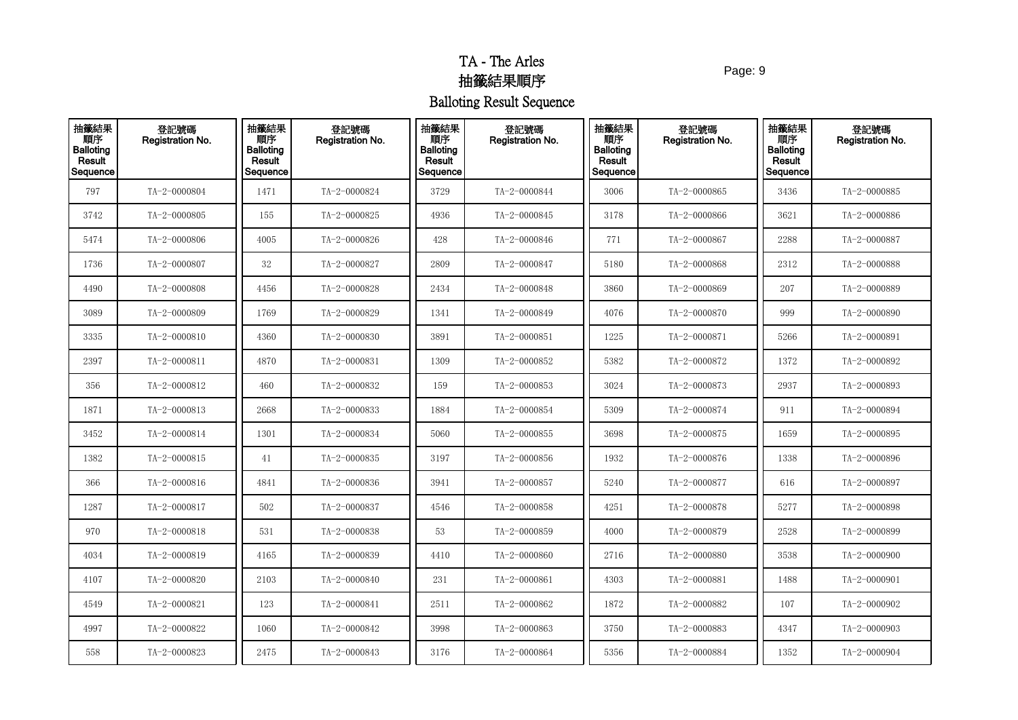Page: 9

| 抽籤結果<br>順序<br>Balloting<br>Result<br>Sequence | 登記號碼<br>Registration No. | 抽籤結果<br>順序<br><b>Balloting</b><br>Result<br>Sequence | 登記號碼<br>Registration No. | 抽籤結果<br>順序<br><b>Balloting</b><br>Result<br>Sequence | 登記號碼<br>Registration No. | 抽籤結果<br>順序<br><b>Balloting</b><br>Result<br>Sequence | 登記號碼<br>Registration No. | 抽籤結果<br>順序<br><b>Balloting</b><br><b>Result</b><br>Sequence | 登記號碼<br><b>Registration No.</b> |
|-----------------------------------------------|--------------------------|------------------------------------------------------|--------------------------|------------------------------------------------------|--------------------------|------------------------------------------------------|--------------------------|-------------------------------------------------------------|---------------------------------|
| 797                                           | TA-2-0000804             | 1471                                                 | TA-2-0000824             | 3729                                                 | TA-2-0000844             | 3006                                                 | TA-2-0000865             | 3436                                                        | TA-2-0000885                    |
| 3742                                          | TA-2-0000805             | 155                                                  | TA-2-0000825             | 4936                                                 | TA-2-0000845             | 3178                                                 | TA-2-0000866             | 3621                                                        | TA-2-0000886                    |
| 5474                                          | TA-2-0000806             | 4005                                                 | TA-2-0000826             | 428                                                  | TA-2-0000846             | 771                                                  | TA-2-0000867             | 2288                                                        | TA-2-0000887                    |
| 1736                                          | TA-2-0000807             | 32                                                   | TA-2-0000827             | 2809                                                 | TA-2-0000847             | 5180                                                 | TA-2-0000868             | 2312                                                        | TA-2-0000888                    |
| 4490                                          | TA-2-0000808             | 4456                                                 | TA-2-0000828             | 2434                                                 | TA-2-0000848             | 3860                                                 | TA-2-0000869             | 207                                                         | TA-2-0000889                    |
| 3089                                          | TA-2-0000809             | 1769                                                 | TA-2-0000829             | 1341                                                 | TA-2-0000849             | 4076                                                 | TA-2-0000870             | 999                                                         | TA-2-0000890                    |
| 3335                                          | TA-2-0000810             | 4360                                                 | TA-2-0000830             | 3891                                                 | TA-2-0000851             | 1225                                                 | TA-2-0000871             | 5266                                                        | $TA - 2 - 0000891$              |
| 2397                                          | TA-2-0000811             | 4870                                                 | TA-2-0000831             | 1309                                                 | TA-2-0000852             | 5382                                                 | TA-2-0000872             | 1372                                                        | TA-2-0000892                    |
| 356                                           | TA-2-0000812             | 460                                                  | TA-2-0000832             | 159                                                  | TA-2-0000853             | 3024                                                 | TA-2-0000873             | 2937                                                        | TA-2-0000893                    |
| 1871                                          | TA-2-0000813             | 2668                                                 | TA-2-0000833             | 1884                                                 | TA-2-0000854             | 5309                                                 | TA-2-0000874             | 911                                                         | TA-2-0000894                    |
| 3452                                          | TA-2-0000814             | 1301                                                 | TA-2-0000834             | 5060                                                 | TA-2-0000855             | 3698                                                 | TA-2-0000875             | 1659                                                        | TA-2-0000895                    |
| 1382                                          | $TA - 2 - 0000815$       | 41                                                   | TA-2-0000835             | 3197                                                 | TA-2-0000856             | 1932                                                 | TA-2-0000876             | 1338                                                        | TA-2-0000896                    |
| 366                                           | TA-2-0000816             | 4841                                                 | TA-2-0000836             | 3941                                                 | TA-2-0000857             | 5240                                                 | TA-2-0000877             | 616                                                         | TA-2-0000897                    |
| 1287                                          | TA-2-0000817             | 502                                                  | TA-2-0000837             | 4546                                                 | TA-2-0000858             | 4251                                                 | TA-2-0000878             | 5277                                                        | TA-2-0000898                    |
| 970                                           | $TA - 2 - 0000818$       | 531                                                  | TA-2-0000838             | 53                                                   | TA-2-0000859             | 4000                                                 | TA-2-0000879             | 2528                                                        | TA-2-0000899                    |
| 4034                                          | TA-2-0000819             | 4165                                                 | TA-2-0000839             | 4410                                                 | TA-2-0000860             | 2716                                                 | TA-2-0000880             | 3538                                                        | TA-2-0000900                    |
| 4107                                          | TA-2-0000820             | 2103                                                 | TA-2-0000840             | 231                                                  | TA-2-0000861             | 4303                                                 | TA-2-0000881             | 1488                                                        | $TA - 2 - 0000901$              |
| 4549                                          | TA-2-0000821             | 123                                                  | TA-2-0000841             | 2511                                                 | TA-2-0000862             | 1872                                                 | TA-2-0000882             | 107                                                         | TA-2-0000902                    |
| 4997                                          | TA-2-0000822             | 1060                                                 | TA-2-0000842             | 3998                                                 | TA-2-0000863             | 3750                                                 | TA-2-0000883             | 4347                                                        | TA-2-0000903                    |
| 558                                           | TA-2-0000823             | 2475                                                 | TA-2-0000843             | 3176                                                 | TA-2-0000864             | 5356                                                 | TA-2-0000884             | 1352                                                        | TA-2-0000904                    |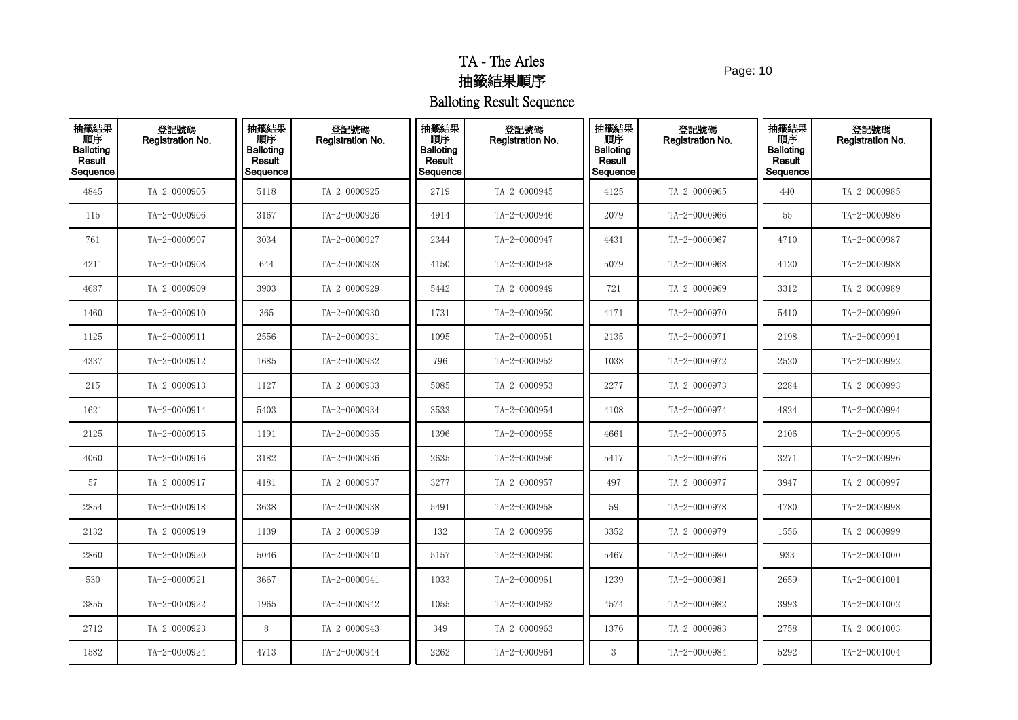Page: 10

| 抽籤結果<br><b>THE</b><br>Balloting<br>Result<br>Sequence | 登記號碼<br>Registration No. | 抽籤結果<br>順序<br><b>Balloting</b><br>Result<br>Sequence | 登記號碼<br>Registration No. | 抽籤結果<br>順序<br><b>Balloting</b><br>Result<br>Sequence | 登記號碼<br>Registration No. | 抽籤結果<br>順序<br><b>Balloting</b><br>Result<br>Sequence | 登記號碼<br>Registration No. | 抽籤結果<br>順序<br><b>Balloting</b><br>Result<br>Sequence | 登記號碼<br>Registration No. |
|-------------------------------------------------------|--------------------------|------------------------------------------------------|--------------------------|------------------------------------------------------|--------------------------|------------------------------------------------------|--------------------------|------------------------------------------------------|--------------------------|
| 4845                                                  | TA-2-0000905             | 5118                                                 | TA-2-0000925             | 2719                                                 | TA-2-0000945             | 4125                                                 | TA-2-0000965             | 440                                                  | TA-2-0000985             |
| 115                                                   | TA-2-0000906             | 3167                                                 | TA-2-0000926             | 4914                                                 | TA-2-0000946             | 2079                                                 | TA-2-0000966             | 55                                                   | TA-2-0000986             |
| 761                                                   | TA-2-0000907             | 3034                                                 | TA-2-0000927             | 2344                                                 | TA-2-0000947             | 4431                                                 | TA-2-0000967             | 4710                                                 | TA-2-0000987             |
| 4211                                                  | TA-2-0000908             | 644                                                  | TA-2-0000928             | 4150                                                 | TA-2-0000948             | 5079                                                 | TA-2-0000968             | 4120                                                 | TA-2-0000988             |
| 4687                                                  | TA-2-0000909             | 3903                                                 | TA-2-0000929             | 5442                                                 | TA-2-0000949             | 721                                                  | TA-2-0000969             | 3312                                                 | TA-2-0000989             |
| 1460                                                  | TA-2-0000910             | 365                                                  | TA-2-0000930             | 1731                                                 | TA-2-0000950             | 4171                                                 | TA-2-0000970             | 5410                                                 | TA-2-0000990             |
| 1125                                                  | TA-2-0000911             | 2556                                                 | TA-2-0000931             | 1095                                                 | TA-2-0000951             | 2135                                                 | TA-2-0000971             | 2198                                                 | TA-2-0000991             |
| 4337                                                  | TA-2-0000912             | 1685                                                 | TA-2-0000932             | 796                                                  | TA-2-0000952             | 1038                                                 | TA-2-0000972             | 2520                                                 | TA-2-0000992             |
| 215                                                   | TA-2-0000913             | 1127                                                 | TA-2-0000933             | 5085                                                 | TA-2-0000953             | 2277                                                 | TA-2-0000973             | 2284                                                 | TA-2-0000993             |
| 1621                                                  | TA-2-0000914             | 5403                                                 | TA-2-0000934             | 3533                                                 | TA-2-0000954             | 4108                                                 | TA-2-0000974             | 4824                                                 | TA-2-0000994             |
| 2125                                                  | TA-2-0000915             | 1191                                                 | TA-2-0000935             | 1396                                                 | TA-2-0000955             | 4661                                                 | TA-2-0000975             | 2106                                                 | TA-2-0000995             |
| 4060                                                  | TA-2-0000916             | 3182                                                 | TA-2-0000936             | 2635                                                 | TA-2-0000956             | 5417                                                 | TA-2-0000976             | 3271                                                 | TA-2-0000996             |
| 57                                                    | TA-2-0000917             | 4181                                                 | TA-2-0000937             | 3277                                                 | TA-2-0000957             | 497                                                  | TA-2-0000977             | 3947                                                 | TA-2-0000997             |
| 2854                                                  | TA-2-0000918             | 3638                                                 | TA-2-0000938             | 5491                                                 | TA-2-0000958             | 59                                                   | TA-2-0000978             | 4780                                                 | TA-2-0000998             |
| 2132                                                  | TA-2-0000919             | 1139                                                 | TA-2-0000939             | 132                                                  | TA-2-0000959             | 3352                                                 | TA-2-0000979             | 1556                                                 | TA-2-0000999             |
| 2860                                                  | TA-2-0000920             | 5046                                                 | TA-2-0000940             | 5157                                                 | TA-2-0000960             | 5467                                                 | TA-2-0000980             | 933                                                  | TA-2-0001000             |
| 530                                                   | TA-2-0000921             | 3667                                                 | TA-2-0000941             | 1033                                                 | TA-2-0000961             | 1239                                                 | TA-2-0000981             | 2659                                                 | TA-2-0001001             |
| 3855                                                  | TA-2-0000922             | 1965                                                 | TA-2-0000942             | 1055                                                 | TA-2-0000962             | 4574                                                 | TA-2-0000982             | 3993                                                 | TA-2-0001002             |
| 2712                                                  | TA-2-0000923             | 8                                                    | TA-2-0000943             | 349                                                  | TA-2-0000963             | 1376                                                 | TA-2-0000983             | 2758                                                 | $TA - 2 - 0001003$       |
| 1582                                                  | TA-2-0000924             | 4713                                                 | TA-2-0000944             | 2262                                                 | TA-2-0000964             | 3                                                    | TA-2-0000984             | 5292                                                 | $TA - 2 - 0001004$       |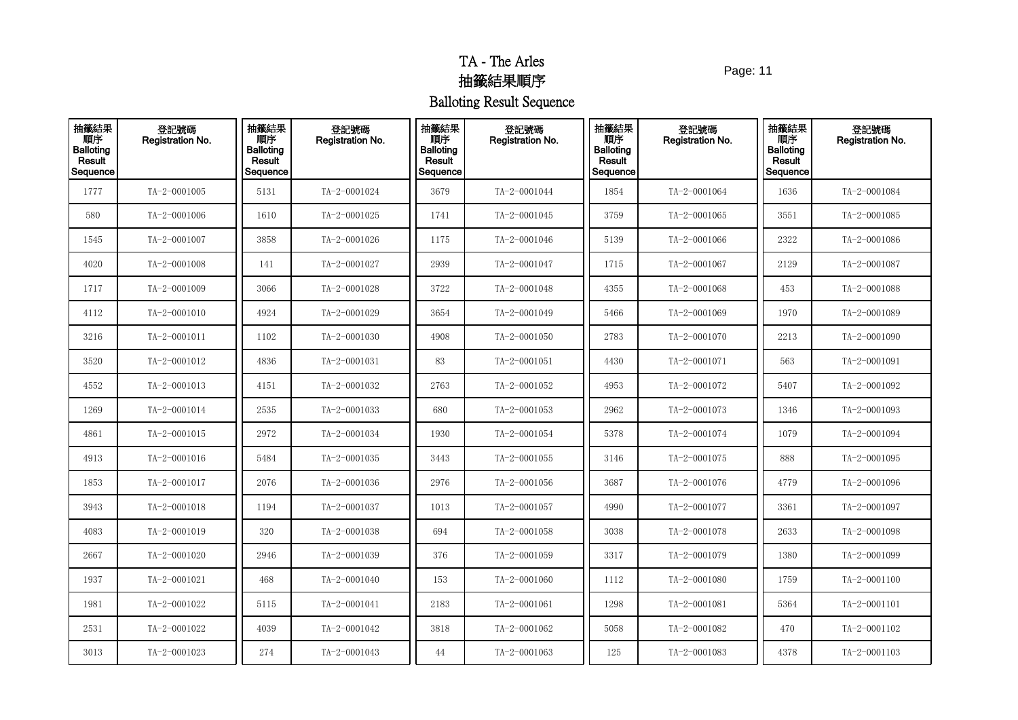Page: 11

| 抽籤結果<br><b>THE</b><br>Balloting<br>Result<br>Sequence | 登記號碼<br>Registration No. | 抽籤結果<br>順序<br><b>Balloting</b><br>Result<br>Sequence | 登記號碼<br>Registration No. | 抽籤結果<br>順序<br><b>Balloting</b><br>Result<br>Sequence | 登記號碼<br>Registration No. | 抽籤結果<br>順序<br><b>Balloting</b><br>Result<br>Sequence | 登記號碼<br>Registration No. | 抽籤結果<br>順序<br><b>Balloting</b><br>Result<br>Sequence | 登記號碼<br>Registration No. |
|-------------------------------------------------------|--------------------------|------------------------------------------------------|--------------------------|------------------------------------------------------|--------------------------|------------------------------------------------------|--------------------------|------------------------------------------------------|--------------------------|
| 1777                                                  | TA-2-0001005             | 5131                                                 | TA-2-0001024             | 3679                                                 | TA-2-0001044             | 1854                                                 | TA-2-0001064             | 1636                                                 | TA-2-0001084             |
| 580                                                   | TA-2-0001006             | 1610                                                 | TA-2-0001025             | 1741                                                 | TA-2-0001045             | 3759                                                 | TA-2-0001065             | 3551                                                 | TA-2-0001085             |
| 1545                                                  | TA-2-0001007             | 3858                                                 | TA-2-0001026             | 1175                                                 | TA-2-0001046             | 5139                                                 | TA-2-0001066             | 2322                                                 | TA-2-0001086             |
| 4020                                                  | TA-2-0001008             | 141                                                  | TA-2-0001027             | 2939                                                 | TA-2-0001047             | 1715                                                 | TA-2-0001067             | 2129                                                 | TA-2-0001087             |
| 1717                                                  | TA-2-0001009             | 3066                                                 | TA-2-0001028             | 3722                                                 | TA-2-0001048             | 4355                                                 | TA-2-0001068             | 453                                                  | TA-2-0001088             |
| 4112                                                  | $TA - 2 - 0001010$       | 4924                                                 | TA-2-0001029             | 3654                                                 | TA-2-0001049             | 5466                                                 | TA-2-0001069             | 1970                                                 | TA-2-0001089             |
| 3216                                                  | TA-2-0001011             | 1102                                                 | TA-2-0001030             | 4908                                                 | TA-2-0001050             | 2783                                                 | TA-2-0001070             | 2213                                                 | TA-2-0001090             |
| 3520                                                  | TA-2-0001012             | 4836                                                 | TA-2-0001031             | 83                                                   | $TA - 2 - 0001051$       | 4430                                                 | TA-2-0001071             | 563                                                  | TA-2-0001091             |
| 4552                                                  | TA-2-0001013             | 4151                                                 | TA-2-0001032             | 2763                                                 | TA-2-0001052             | 4953                                                 | TA-2-0001072             | 5407                                                 | TA-2-0001092             |
| 1269                                                  | TA-2-0001014             | 2535                                                 | TA-2-0001033             | 680                                                  | TA-2-0001053             | 2962                                                 | TA-2-0001073             | 1346                                                 | TA-2-0001093             |
| 4861                                                  | $TA - 2 - 0001015$       | 2972                                                 | TA-2-0001034             | 1930                                                 | TA-2-0001054             | 5378                                                 | TA-2-0001074             | 1079                                                 | TA-2-0001094             |
| 4913                                                  | TA-2-0001016             | 5484                                                 | TA-2-0001035             | 3443                                                 | TA-2-0001055             | 3146                                                 | TA-2-0001075             | 888                                                  | TA-2-0001095             |
| 1853                                                  | TA-2-0001017             | 2076                                                 | TA-2-0001036             | 2976                                                 | TA-2-0001056             | 3687                                                 | TA-2-0001076             | 4779                                                 | TA-2-0001096             |
| 3943                                                  | TA-2-0001018             | 1194                                                 | TA-2-0001037             | 1013                                                 | TA-2-0001057             | 4990                                                 | TA-2-0001077             | 3361                                                 | TA-2-0001097             |
| 4083                                                  | TA-2-0001019             | 320                                                  | TA-2-0001038             | 694                                                  | TA-2-0001058             | 3038                                                 | TA-2-0001078             | 2633                                                 | TA-2-0001098             |
| 2667                                                  | TA-2-0001020             | 2946                                                 | TA-2-0001039             | 376                                                  | TA-2-0001059             | 3317                                                 | TA-2-0001079             | 1380                                                 | TA-2-0001099             |
| 1937                                                  | TA-2-0001021             | 468                                                  | TA-2-0001040             | 153                                                  | TA-2-0001060             | 1112                                                 | TA-2-0001080             | 1759                                                 | $TA - 2 - 0001100$       |
| 1981                                                  | TA-2-0001022             | 5115                                                 | TA-2-0001041             | 2183                                                 | TA-2-0001061             | 1298                                                 | TA-2-0001081             | 5364                                                 | TA-2-0001101             |
| 2531                                                  | TA-2-0001022             | 4039                                                 | TA-2-0001042             | 3818                                                 | TA-2-0001062             | 5058                                                 | TA-2-0001082             | 470                                                  | TA-2-0001102             |
| 3013                                                  | TA-2-0001023             | 274                                                  | TA-2-0001043             | 44                                                   | TA-2-0001063             | 125                                                  | TA-2-0001083             | 4378                                                 | $TA - 2 - 0001103$       |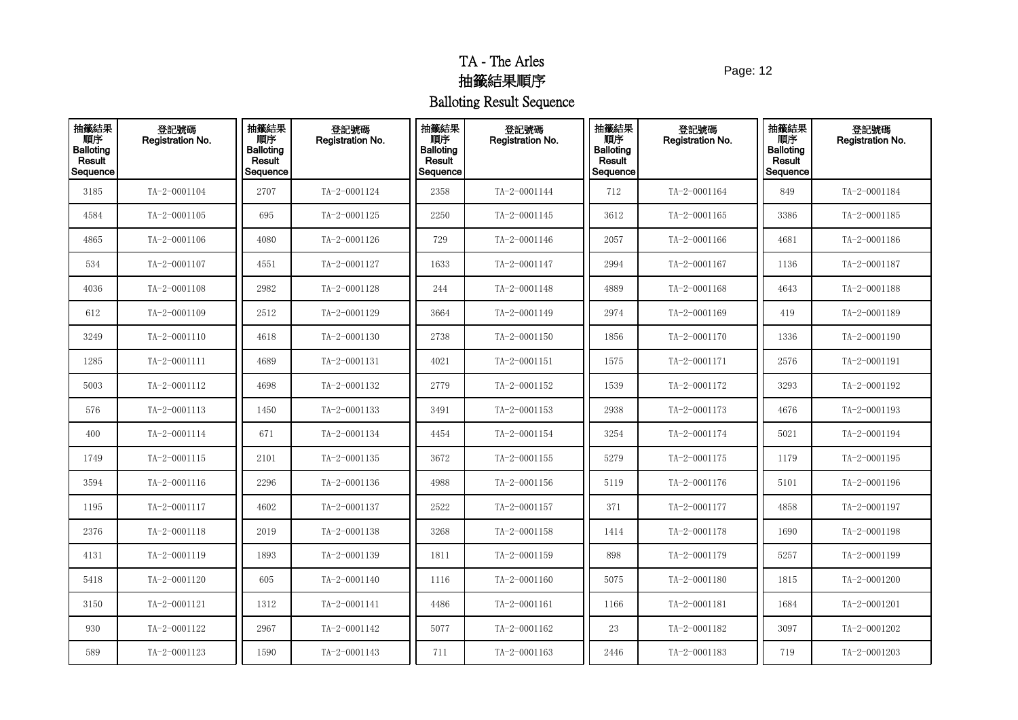Page: 12

| 抽籤結果<br><b>THE</b><br>Balloting<br>Result<br>Sequence | 登記號碼<br>Registration No. | 抽籤結果<br>順序<br><b>Balloting</b><br>Result<br>Sequence | 登記號碼<br>Registration No. | 抽籤結果<br>順序<br><b>Balloting</b><br>Result<br>Sequence | 登記號碼<br>Registration No. | 抽籤結果<br>順序<br><b>Balloting</b><br>Result<br>Sequence | 登記號碼<br>Registration No. | 抽籤結果<br>順序<br><b>Balloting</b><br>Result<br>Sequence | 登記號碼<br>Registration No. |
|-------------------------------------------------------|--------------------------|------------------------------------------------------|--------------------------|------------------------------------------------------|--------------------------|------------------------------------------------------|--------------------------|------------------------------------------------------|--------------------------|
| 3185                                                  | TA-2-0001104             | 2707                                                 | TA-2-0001124             | 2358                                                 | TA-2-0001144             | 712                                                  | TA-2-0001164             | 849                                                  | TA-2-0001184             |
| 4584                                                  | TA-2-0001105             | 695                                                  | TA-2-0001125             | 2250                                                 | TA-2-0001145             | 3612                                                 | $TA - 2 - 0001165$       | 3386                                                 | $TA - 2 - 0001185$       |
| 4865                                                  | TA-2-0001106             | 4080                                                 | TA-2-0001126             | 729                                                  | TA-2-0001146             | 2057                                                 | TA-2-0001166             | 4681                                                 | TA-2-0001186             |
| 534                                                   | TA-2-0001107             | 4551                                                 | TA-2-0001127             | 1633                                                 | TA-2-0001147             | 2994                                                 | $TA - 2 - 0001167$       | 1136                                                 | $TA - 2 - 0001187$       |
| 4036                                                  | TA-2-0001108             | 2982                                                 | TA-2-0001128             | 244                                                  | TA-2-0001148             | 4889                                                 | TA-2-0001168             | 4643                                                 | TA-2-0001188             |
| 612                                                   | TA-2-0001109             | 2512                                                 | TA-2-0001129             | 3664                                                 | TA-2-0001149             | 2974                                                 | TA-2-0001169             | 419                                                  | TA-2-0001189             |
| 3249                                                  | TA-2-0001110             | 4618                                                 | TA-2-0001130             | 2738                                                 | TA-2-0001150             | 1856                                                 | TA-2-0001170             | 1336                                                 | TA-2-0001190             |
| 1285                                                  | TA-2-0001111             | 4689                                                 | TA-2-0001131             | 4021                                                 | TA-2-0001151             | 1575                                                 | TA-2-0001171             | 2576                                                 | TA-2-0001191             |
| 5003                                                  | TA-2-0001112             | 4698                                                 | TA-2-0001132             | 2779                                                 | TA-2-0001152             | 1539                                                 | TA-2-0001172             | 3293                                                 | TA-2-0001192             |
| 576                                                   | TA-2-0001113             | 1450                                                 | TA-2-0001133             | 3491                                                 | TA-2-0001153             | 2938                                                 | TA-2-0001173             | 4676                                                 | TA-2-0001193             |
| 400                                                   | TA-2-0001114             | 671                                                  | TA-2-0001134             | 4454                                                 | TA-2-0001154             | 3254                                                 | TA-2-0001174             | 5021                                                 | TA-2-0001194             |
| 1749                                                  | TA-2-0001115             | 2101                                                 | TA-2-0001135             | 3672                                                 | TA-2-0001155             | 5279                                                 | TA-2-0001175             | 1179                                                 | TA-2-0001195             |
| 3594                                                  | TA-2-0001116             | 2296                                                 | TA-2-0001136             | 4988                                                 | TA-2-0001156             | 5119                                                 | TA-2-0001176             | 5101                                                 | TA-2-0001196             |
| 1195                                                  | TA-2-0001117             | 4602                                                 | TA-2-0001137             | 2522                                                 | TA-2-0001157             | 371                                                  | TA-2-0001177             | 4858                                                 | $TA - 2 - 0001197$       |
| 2376                                                  | $TA - 2 - 0001118$       | 2019                                                 | TA-2-0001138             | 3268                                                 | TA-2-0001158             | 1414                                                 | TA-2-0001178             | 1690                                                 | TA-2-0001198             |
| 4131                                                  | TA-2-0001119             | 1893                                                 | TA-2-0001139             | 1811                                                 | TA-2-0001159             | 898                                                  | TA-2-0001179             | 5257                                                 | TA-2-0001199             |
| 5418                                                  | TA-2-0001120             | 605                                                  | TA-2-0001140             | 1116                                                 | TA-2-0001160             | 5075                                                 | TA-2-0001180             | 1815                                                 | TA-2-0001200             |
| 3150                                                  | TA-2-0001121             | 1312                                                 | TA-2-0001141             | 4486                                                 | TA-2-0001161             | 1166                                                 | TA-2-0001181             | 1684                                                 | TA-2-0001201             |
| 930                                                   | TA-2-0001122             | 2967                                                 | TA-2-0001142             | 5077                                                 | TA-2-0001162             | 23                                                   | TA-2-0001182             | 3097                                                 | TA-2-0001202             |
| 589                                                   | TA-2-0001123             | 1590                                                 | TA-2-0001143             | 711                                                  | TA-2-0001163             | 2446                                                 | $TA - 2 - 0001183$       | 719                                                  | $TA - 2 - 0001203$       |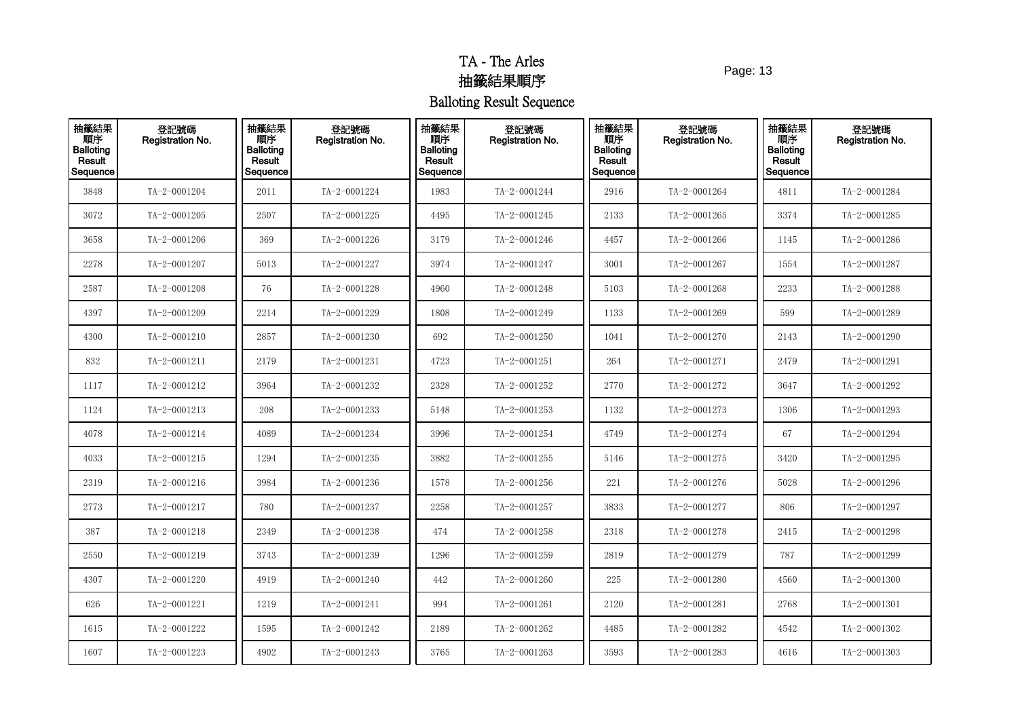Page: 13

| 抽籤結果<br>順序<br>Balloting<br>Result<br>Sequence | 登記號碼<br>Registration No. | 抽籤結果<br>順序<br><b>Balloting</b><br>Result<br>Sequence | 登記號碼<br>Registration No. | 抽籤結果<br>順序<br><b>Balloting</b><br>Result<br>Sequence | 登記號碼<br>Registration No. | 抽籤結果<br>順序<br><b>Balloting</b><br>Result<br>Sequence | 登記號碼<br>Registration No. | 抽籤結果<br>順序<br><b>Balloting</b><br>Result<br>Sequence | 登記號碼<br>Registration No. |
|-----------------------------------------------|--------------------------|------------------------------------------------------|--------------------------|------------------------------------------------------|--------------------------|------------------------------------------------------|--------------------------|------------------------------------------------------|--------------------------|
| 3848                                          | TA-2-0001204             | 2011                                                 | TA-2-0001224             | 1983                                                 | TA-2-0001244             | 2916                                                 | TA-2-0001264             | 4811                                                 | TA-2-0001284             |
| 3072                                          | TA-2-0001205             | 2507                                                 | TA-2-0001225             | 4495                                                 | TA-2-0001245             | 2133                                                 | TA-2-0001265             | 3374                                                 | TA-2-0001285             |
| 3658                                          | TA-2-0001206             | 369                                                  | TA-2-0001226             | 3179                                                 | TA-2-0001246             | 4457                                                 | TA-2-0001266             | 1145                                                 | TA-2-0001286             |
| 2278                                          | TA-2-0001207             | 5013                                                 | TA-2-0001227             | 3974                                                 | TA-2-0001247             | 3001                                                 | TA-2-0001267             | 1554                                                 | TA-2-0001287             |
| 2587                                          | TA-2-0001208             | 76                                                   | TA-2-0001228             | 4960                                                 | TA-2-0001248             | 5103                                                 | TA-2-0001268             | 2233                                                 | TA-2-0001288             |
| 4397                                          | TA-2-0001209             | 2214                                                 | TA-2-0001229             | 1808                                                 | TA-2-0001249             | 1133                                                 | TA-2-0001269             | 599                                                  | TA-2-0001289             |
| 4300                                          | TA-2-0001210             | 2857                                                 | TA-2-0001230             | 692                                                  | TA-2-0001250             | 1041                                                 | TA-2-0001270             | 2143                                                 | TA-2-0001290             |
| 832                                           | TA-2-0001211             | 2179                                                 | TA-2-0001231             | 4723                                                 | TA-2-0001251             | 264                                                  | TA-2-0001271             | 2479                                                 | TA-2-0001291             |
| 1117                                          | TA-2-0001212             | 3964                                                 | TA-2-0001232             | 2328                                                 | TA-2-0001252             | 2770                                                 | TA-2-0001272             | 3647                                                 | TA-2-0001292             |
| 1124                                          | TA-2-0001213             | 208                                                  | TA-2-0001233             | 5148                                                 | TA-2-0001253             | 1132                                                 | TA-2-0001273             | 1306                                                 | TA-2-0001293             |
| 4078                                          | TA-2-0001214             | 4089                                                 | TA-2-0001234             | 3996                                                 | TA-2-0001254             | 4749                                                 | TA-2-0001274             | 67                                                   | TA-2-0001294             |
| 4033                                          | TA-2-0001215             | 1294                                                 | TA-2-0001235             | 3882                                                 | TA-2-0001255             | 5146                                                 | TA-2-0001275             | 3420                                                 | TA-2-0001295             |
| 2319                                          | TA-2-0001216             | 3984                                                 | TA-2-0001236             | 1578                                                 | TA-2-0001256             | 221                                                  | TA-2-0001276             | 5028                                                 | TA-2-0001296             |
| 2773                                          | TA-2-0001217             | 780                                                  | TA-2-0001237             | 2258                                                 | TA-2-0001257             | 3833                                                 | TA-2-0001277             | 806                                                  | TA-2-0001297             |
| 387                                           | TA-2-0001218             | 2349                                                 | TA-2-0001238             | 474                                                  | TA-2-0001258             | 2318                                                 | TA-2-0001278             | 2415                                                 | TA-2-0001298             |
| 2550                                          | TA-2-0001219             | 3743                                                 | TA-2-0001239             | 1296                                                 | TA-2-0001259             | 2819                                                 | TA-2-0001279             | 787                                                  | TA-2-0001299             |
| 4307                                          | TA-2-0001220             | 4919                                                 | TA-2-0001240             | 442                                                  | TA-2-0001260             | 225                                                  | TA-2-0001280             | 4560                                                 | TA-2-0001300             |
| 626                                           | TA-2-0001221             | 1219                                                 | TA-2-0001241             | 994                                                  | TA-2-0001261             | 2120                                                 | TA-2-0001281             | 2768                                                 | TA-2-0001301             |
| 1615                                          | TA-2-0001222             | 1595                                                 | TA-2-0001242             | 2189                                                 | TA-2-0001262             | 4485                                                 | TA-2-0001282             | 4542                                                 | TA-2-0001302             |
| 1607                                          | TA-2-0001223             | 4902                                                 | TA-2-0001243             | 3765                                                 | TA-2-0001263             | 3593                                                 | TA-2-0001283             | 4616                                                 | TA-2-0001303             |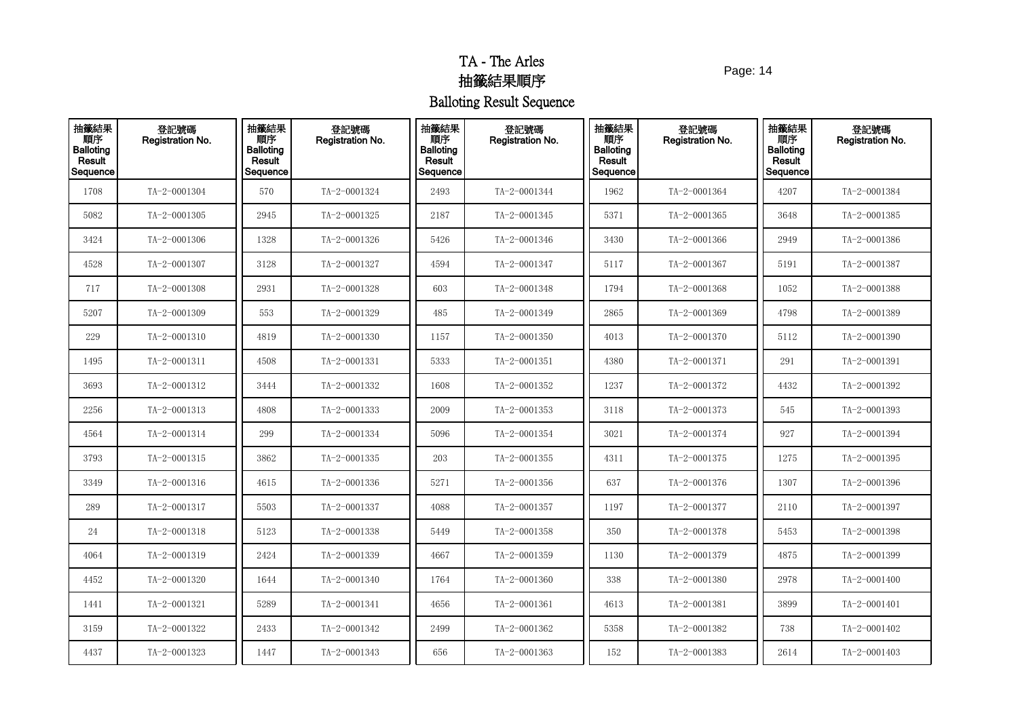Page: 14

| 抽籤結果<br><b>THE</b><br>Balloting<br>Result<br>Sequence | 登記號碼<br>Registration No. | 抽籤結果<br>順序<br><b>Balloting</b><br>Result<br>Sequence | 登記號碼<br>Registration No. | 抽籤結果<br>順序<br><b>Balloting</b><br>Result<br>Sequence | 登記號碼<br>Registration No. | 抽籤結果<br>順序<br><b>Balloting</b><br>Result<br>Sequence | 登記號碼<br><b>Registration No.</b> | 抽籤結果<br>順序<br><b>Balloting</b><br>Result<br>Sequence | 登記號碼<br>Registration No. |
|-------------------------------------------------------|--------------------------|------------------------------------------------------|--------------------------|------------------------------------------------------|--------------------------|------------------------------------------------------|---------------------------------|------------------------------------------------------|--------------------------|
| 1708                                                  | TA-2-0001304             | 570                                                  | TA-2-0001324             | 2493                                                 | TA-2-0001344             | 1962                                                 | TA-2-0001364                    | 4207                                                 | TA-2-0001384             |
| 5082                                                  | TA-2-0001305             | 2945                                                 | TA-2-0001325             | 2187                                                 | TA-2-0001345             | 5371                                                 | TA-2-0001365                    | 3648                                                 | TA-2-0001385             |
| 3424                                                  | TA-2-0001306             | 1328                                                 | TA-2-0001326             | 5426                                                 | TA-2-0001346             | 3430                                                 | TA-2-0001366                    | 2949                                                 | TA-2-0001386             |
| 4528                                                  | TA-2-0001307             | 3128                                                 | TA-2-0001327             | 4594                                                 | TA-2-0001347             | 5117                                                 | TA-2-0001367                    | 5191                                                 | TA-2-0001387             |
| 717                                                   | TA-2-0001308             | 2931                                                 | TA-2-0001328             | 603                                                  | TA-2-0001348             | 1794                                                 | TA-2-0001368                    | 1052                                                 | TA-2-0001388             |
| 5207                                                  | TA-2-0001309             | 553                                                  | TA-2-0001329             | 485                                                  | TA-2-0001349             | 2865                                                 | TA-2-0001369                    | 4798                                                 | TA-2-0001389             |
| 229                                                   | TA-2-0001310             | 4819                                                 | TA-2-0001330             | 1157                                                 | TA-2-0001350             | 4013                                                 | TA-2-0001370                    | 5112                                                 | TA-2-0001390             |
| 1495                                                  | TA-2-0001311             | 4508                                                 | TA-2-0001331             | 5333                                                 | TA-2-0001351             | 4380                                                 | TA-2-0001371                    | 291                                                  | TA-2-0001391             |
| 3693                                                  | TA-2-0001312             | 3444                                                 | TA-2-0001332             | 1608                                                 | TA-2-0001352             | 1237                                                 | TA-2-0001372                    | 4432                                                 | TA-2-0001392             |
| 2256                                                  | TA-2-0001313             | 4808                                                 | TA-2-0001333             | 2009                                                 | TA-2-0001353             | 3118                                                 | TA-2-0001373                    | 545                                                  | TA-2-0001393             |
| 4564                                                  | TA-2-0001314             | 299                                                  | TA-2-0001334             | 5096                                                 | TA-2-0001354             | 3021                                                 | TA-2-0001374                    | 927                                                  | TA-2-0001394             |
| 3793                                                  | TA-2-0001315             | 3862                                                 | TA-2-0001335             | 203                                                  | TA-2-0001355             | 4311                                                 | TA-2-0001375                    | 1275                                                 | TA-2-0001395             |
| 3349                                                  | TA-2-0001316             | 4615                                                 | TA-2-0001336             | 5271                                                 | TA-2-0001356             | 637                                                  | TA-2-0001376                    | 1307                                                 | TA-2-0001396             |
| 289                                                   | TA-2-0001317             | 5503                                                 | TA-2-0001337             | 4088                                                 | TA-2-0001357             | 1197                                                 | TA-2-0001377                    | 2110                                                 | TA-2-0001397             |
| 24                                                    | $TA - 2 - 0001318$       | 5123                                                 | TA-2-0001338             | 5449                                                 | TA-2-0001358             | 350                                                  | TA-2-0001378                    | 5453                                                 | TA-2-0001398             |
| 4064                                                  | TA-2-0001319             | 2424                                                 | TA-2-0001339             | 4667                                                 | TA-2-0001359             | 1130                                                 | TA-2-0001379                    | 4875                                                 | TA-2-0001399             |
| 4452                                                  | TA-2-0001320             | 1644                                                 | TA-2-0001340             | 1764                                                 | TA-2-0001360             | 338                                                  | TA-2-0001380                    | 2978                                                 | $TA - 2 - 0001400$       |
| 1441                                                  | TA-2-0001321             | 5289                                                 | TA-2-0001341             | 4656                                                 | TA-2-0001361             | 4613                                                 | TA-2-0001381                    | 3899                                                 | TA-2-0001401             |
| 3159                                                  | TA-2-0001322             | 2433                                                 | TA-2-0001342             | 2499                                                 | TA-2-0001362             | 5358                                                 | TA-2-0001382                    | 738                                                  | TA-2-0001402             |
| 4437                                                  | TA-2-0001323             | 1447                                                 | TA-2-0001343             | 656                                                  | TA-2-0001363             | 152                                                  | TA-2-0001383                    | 2614                                                 | TA-2-0001403             |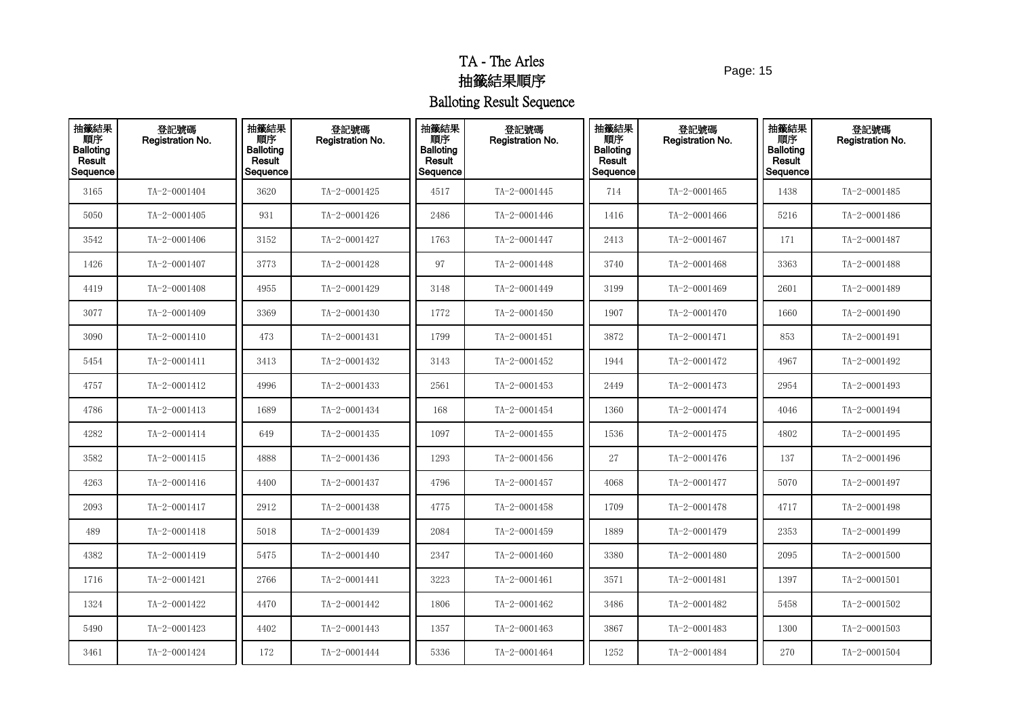Page: 15

| 抽籤結果<br>順序<br><b>Balloting</b><br>Result<br>Sequence | 登記號碼<br>Registration No. | 抽籤結果<br>順序<br><b>Balloting</b><br>Result<br>Sequence | 登記號碼<br>Registration No. | 抽籤結果<br>順序<br><b>Balloting</b><br>Result<br>Sequence | 登記號碼<br>Registration No. | 抽籤結果<br>順序<br><b>Balloting</b><br>Result<br>Sequence | 登記號碼<br>Registration No. | 抽籤結果<br>順序<br><b>Balloting</b><br>Result<br>Sequence | 登記號碼<br>Registration No. |
|------------------------------------------------------|--------------------------|------------------------------------------------------|--------------------------|------------------------------------------------------|--------------------------|------------------------------------------------------|--------------------------|------------------------------------------------------|--------------------------|
| 3165                                                 | TA-2-0001404             | 3620                                                 | TA-2-0001425             | 4517                                                 | TA-2-0001445             | 714                                                  | TA-2-0001465             | 1438                                                 | TA-2-0001485             |
| 5050                                                 | TA-2-0001405             | 931                                                  | TA-2-0001426             | 2486                                                 | TA-2-0001446             | 1416                                                 | TA-2-0001466             | 5216                                                 | TA-2-0001486             |
| 3542                                                 | TA-2-0001406             | 3152                                                 | TA-2-0001427             | 1763                                                 | TA-2-0001447             | 2413                                                 | TA-2-0001467             | 171                                                  | TA-2-0001487             |
| 1426                                                 | TA-2-0001407             | 3773                                                 | TA-2-0001428             | 97                                                   | TA-2-0001448             | 3740                                                 | TA-2-0001468             | 3363                                                 | TA-2-0001488             |
| 4419                                                 | TA-2-0001408             | 4955                                                 | TA-2-0001429             | 3148                                                 | TA-2-0001449             | 3199                                                 | TA-2-0001469             | 2601                                                 | TA-2-0001489             |
| 3077                                                 | TA-2-0001409             | 3369                                                 | TA-2-0001430             | 1772                                                 | TA-2-0001450             | 1907                                                 | TA-2-0001470             | 1660                                                 | TA-2-0001490             |
| 3090                                                 | TA-2-0001410             | 473                                                  | TA-2-0001431             | 1799                                                 | TA-2-0001451             | 3872                                                 | TA-2-0001471             | 853                                                  | TA-2-0001491             |
| 5454                                                 | TA-2-0001411             | 3413                                                 | TA-2-0001432             | 3143                                                 | TA-2-0001452             | 1944                                                 | TA-2-0001472             | 4967                                                 | TA-2-0001492             |
| 4757                                                 | TA-2-0001412             | 4996                                                 | TA-2-0001433             | 2561                                                 | TA-2-0001453             | 2449                                                 | TA-2-0001473             | 2954                                                 | TA-2-0001493             |
| 4786                                                 | TA-2-0001413             | 1689                                                 | TA-2-0001434             | 168                                                  | TA-2-0001454             | 1360                                                 | TA-2-0001474             | 4046                                                 | TA-2-0001494             |
| 4282                                                 | TA-2-0001414             | 649                                                  | TA-2-0001435             | 1097                                                 | TA-2-0001455             | 1536                                                 | TA-2-0001475             | 4802                                                 | TA-2-0001495             |
| 3582                                                 | TA-2-0001415             | 4888                                                 | TA-2-0001436             | 1293                                                 | TA-2-0001456             | 27                                                   | TA-2-0001476             | 137                                                  | TA-2-0001496             |
| 4263                                                 | TA-2-0001416             | 4400                                                 | TA-2-0001437             | 4796                                                 | TA-2-0001457             | 4068                                                 | TA-2-0001477             | 5070                                                 | TA-2-0001497             |
| 2093                                                 | TA-2-0001417             | 2912                                                 | TA-2-0001438             | 4775                                                 | TA-2-0001458             | 1709                                                 | TA-2-0001478             | 4717                                                 | TA-2-0001498             |
| 489                                                  | TA-2-0001418             | 5018                                                 | TA-2-0001439             | 2084                                                 | TA-2-0001459             | 1889                                                 | TA-2-0001479             | 2353                                                 | TA-2-0001499             |
| 4382                                                 | TA-2-0001419             | 5475                                                 | TA-2-0001440             | 2347                                                 | TA-2-0001460             | 3380                                                 | TA-2-0001480             | 2095                                                 | TA-2-0001500             |
| 1716                                                 | TA-2-0001421             | 2766                                                 | TA-2-0001441             | 3223                                                 | TA-2-0001461             | 3571                                                 | TA-2-0001481             | 1397                                                 | $TA - 2 - 0001501$       |
| 1324                                                 | TA-2-0001422             | 4470                                                 | TA-2-0001442             | 1806                                                 | TA-2-0001462             | 3486                                                 | TA-2-0001482             | 5458                                                 | TA-2-0001502             |
| 5490                                                 | TA-2-0001423             | 4402                                                 | TA-2-0001443             | 1357                                                 | TA-2-0001463             | 3867                                                 | TA-2-0001483             | 1300                                                 | TA-2-0001503             |
| 3461                                                 | TA-2-0001424             | 172                                                  | TA-2-0001444             | 5336                                                 | TA-2-0001464             | 1252                                                 | TA-2-0001484             | 270                                                  | TA-2-0001504             |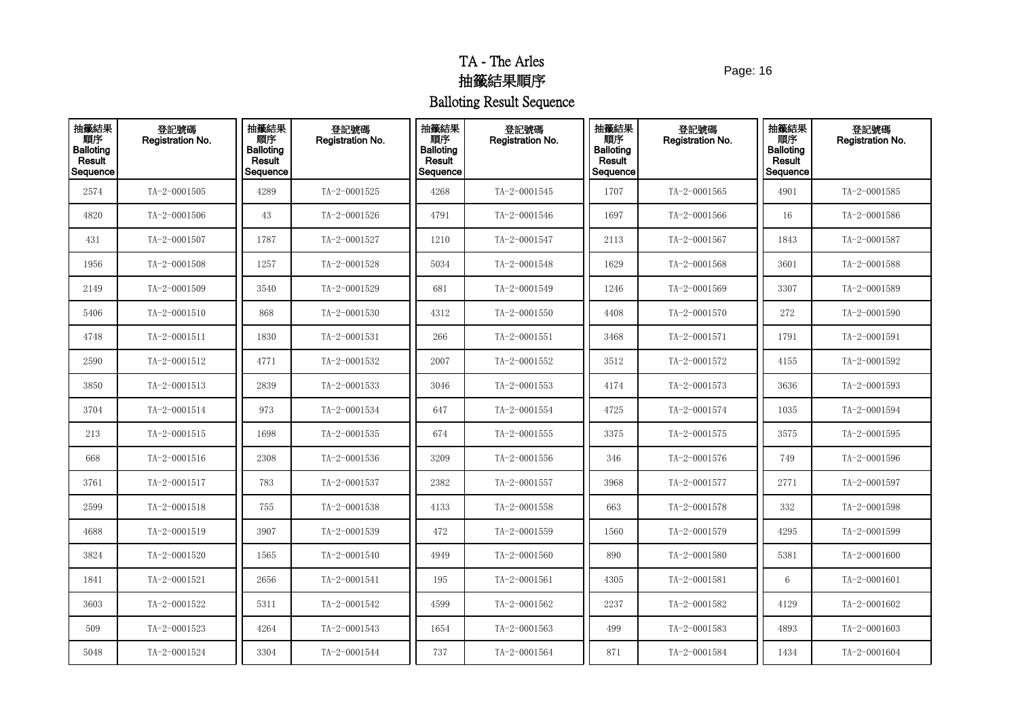Page: 16

| 抽籤結果<br>順序<br><b>Balloting</b><br>Result<br>Sequence | 登記號碼<br>Registration No. | 抽籤結果<br>順序<br><b>Balloting</b><br>Result<br>Sequence | 登記號碼<br>Registration No. | 抽籤結果<br>順序<br><b>Balloting</b><br>Result<br>Sequence | 登記號碼<br>Registration No. | 抽籤結果<br>順序<br><b>Balloting</b><br>Result<br>Sequence | 登記號碼<br>Registration No. | 抽籤結果<br>順序<br><b>Balloting</b><br>Result<br>Sequence | 登記號碼<br>Registration No. |
|------------------------------------------------------|--------------------------|------------------------------------------------------|--------------------------|------------------------------------------------------|--------------------------|------------------------------------------------------|--------------------------|------------------------------------------------------|--------------------------|
| 2574                                                 | TA-2-0001505             | 4289                                                 | TA-2-0001525             | 4268                                                 | TA-2-0001545             | 1707                                                 | TA-2-0001565             | 4901                                                 | TA-2-0001585             |
| 4820                                                 | TA-2-0001506             | 43                                                   | TA-2-0001526             | 4791                                                 | TA-2-0001546             | 1697                                                 | TA-2-0001566             | 16                                                   | TA-2-0001586             |
| 431                                                  | TA-2-0001507             | 1787                                                 | TA-2-0001527             | 1210                                                 | TA-2-0001547             | 2113                                                 | TA-2-0001567             | 1843                                                 | TA-2-0001587             |
| 1956                                                 | TA-2-0001508             | 1257                                                 | TA-2-0001528             | 5034                                                 | TA-2-0001548             | 1629                                                 | TA-2-0001568             | 3601                                                 | TA-2-0001588             |
| 2149                                                 | TA-2-0001509             | 3540                                                 | TA-2-0001529             | 681                                                  | TA-2-0001549             | 1246                                                 | TA-2-0001569             | 3307                                                 | TA-2-0001589             |
| 5406                                                 | TA-2-0001510             | 868                                                  | TA-2-0001530             | 4312                                                 | TA-2-0001550             | 4408                                                 | TA-2-0001570             | 272                                                  | TA-2-0001590             |
| 4748                                                 | TA-2-0001511             | 1830                                                 | TA-2-0001531             | 266                                                  | TA-2-0001551             | 3468                                                 | TA-2-0001571             | 1791                                                 | TA-2-0001591             |
| 2590                                                 | TA-2-0001512             | 4771                                                 | TA-2-0001532             | 2007                                                 | TA-2-0001552             | 3512                                                 | TA-2-0001572             | 4155                                                 | TA-2-0001592             |
| 3850                                                 | TA-2-0001513             | 2839                                                 | TA-2-0001533             | 3046                                                 | TA-2-0001553             | 4174                                                 | TA-2-0001573             | 3636                                                 | TA-2-0001593             |
| 3704                                                 | TA-2-0001514             | 973                                                  | TA-2-0001534             | 647                                                  | TA-2-0001554             | 4725                                                 | TA-2-0001574             | 1035                                                 | TA-2-0001594             |
| 213                                                  | TA-2-0001515             | 1698                                                 | TA-2-0001535             | 674                                                  | TA-2-0001555             | 3375                                                 | TA-2-0001575             | 3575                                                 | $TA - 2 - 0001595$       |
| 668                                                  | TA-2-0001516             | 2308                                                 | TA-2-0001536             | 3209                                                 | TA-2-0001556             | 346                                                  | TA-2-0001576             | 749                                                  | TA-2-0001596             |
| 3761                                                 | TA-2-0001517             | 783                                                  | TA-2-0001537             | 2382                                                 | TA-2-0001557             | 3968                                                 | TA-2-0001577             | 2771                                                 | TA-2-0001597             |
| 2599                                                 | TA-2-0001518             | 755                                                  | TA-2-0001538             | 4133                                                 | TA-2-0001558             | 663                                                  | TA-2-0001578             | 332                                                  | TA-2-0001598             |
| 4688                                                 | TA-2-0001519             | 3907                                                 | TA-2-0001539             | 472                                                  | TA-2-0001559             | 1560                                                 | TA-2-0001579             | 4295                                                 | TA-2-0001599             |
| 3824                                                 | TA-2-0001520             | 1565                                                 | TA-2-0001540             | 4949                                                 | TA-2-0001560             | 890                                                  | TA-2-0001580             | 5381                                                 | TA-2-0001600             |
| 1841                                                 | TA-2-0001521             | 2656                                                 | TA-2-0001541             | 195                                                  | TA-2-0001561             | 4305                                                 | TA-2-0001581             | 6                                                    | $TA - 2 - 0001601$       |
| 3603                                                 | TA-2-0001522             | 5311                                                 | TA-2-0001542             | 4599                                                 | TA-2-0001562             | 2237                                                 | TA-2-0001582             | 4129                                                 | TA-2-0001602             |
| 509                                                  | TA-2-0001523             | 4264                                                 | TA-2-0001543             | 1654                                                 | TA-2-0001563             | 499                                                  | TA-2-0001583             | 4893                                                 | TA-2-0001603             |
| 5048                                                 | TA-2-0001524             | 3304                                                 | TA-2-0001544             | 737                                                  | TA-2-0001564             | 871                                                  | TA-2-0001584             | 1434                                                 | TA-2-0001604             |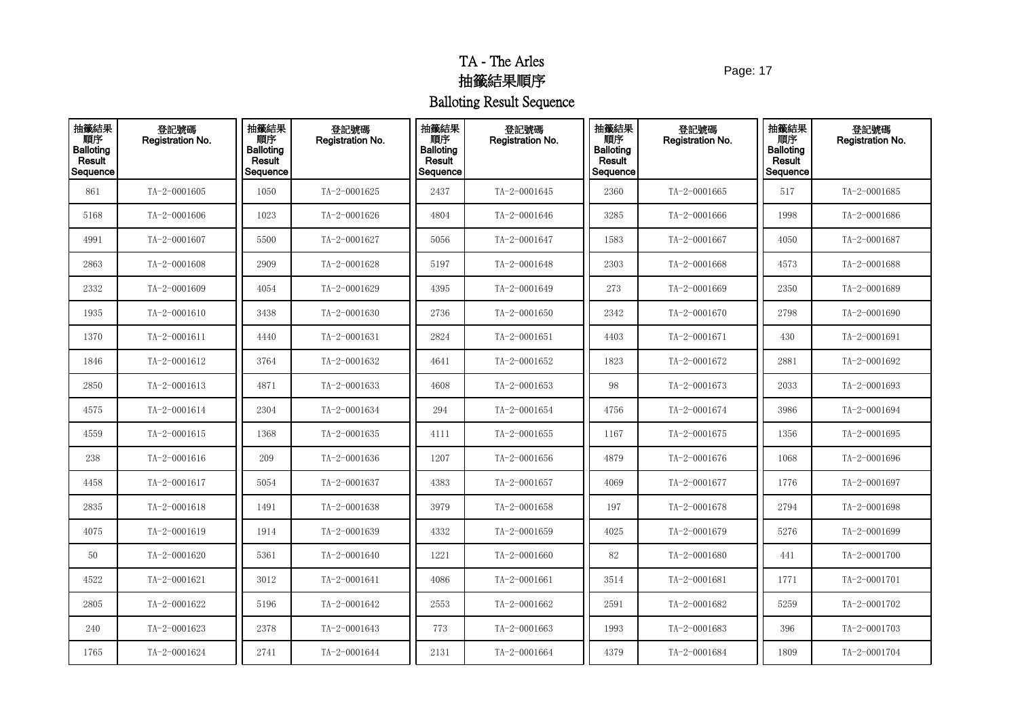Page: 17

| 抽籤結果<br><b>THE</b><br>Balloting<br>Result<br>Sequence | 登記號碼<br>Registration No. | 抽籤結果<br>順序<br><b>Balloting</b><br>Result<br>Sequence | 登記號碼<br>Registration No. | 抽籤結果<br>順序<br><b>Balloting</b><br>Result<br>Sequence | 登記號碼<br>Registration No. | 抽籤結果<br>順序<br><b>Balloting</b><br>Result<br>Sequence | 登記號碼<br><b>Registration No.</b> | 抽籤結果<br>順序<br><b>Balloting</b><br>Result<br>Sequence | 登記號碼<br>Registration No. |
|-------------------------------------------------------|--------------------------|------------------------------------------------------|--------------------------|------------------------------------------------------|--------------------------|------------------------------------------------------|---------------------------------|------------------------------------------------------|--------------------------|
| 861                                                   | TA-2-0001605             | 1050                                                 | TA-2-0001625             | 2437                                                 | TA-2-0001645             | 2360                                                 | TA-2-0001665                    | 517                                                  | TA-2-0001685             |
| 5168                                                  | TA-2-0001606             | 1023                                                 | TA-2-0001626             | 4804                                                 | TA-2-0001646             | 3285                                                 | TA-2-0001666                    | 1998                                                 | TA-2-0001686             |
| 4991                                                  | TA-2-0001607             | 5500                                                 | TA-2-0001627             | 5056                                                 | TA-2-0001647             | 1583                                                 | TA-2-0001667                    | 4050                                                 | TA-2-0001687             |
| 2863                                                  | TA-2-0001608             | 2909                                                 | TA-2-0001628             | 5197                                                 | TA-2-0001648             | 2303                                                 | TA-2-0001668                    | 4573                                                 | TA-2-0001688             |
| 2332                                                  | TA-2-0001609             | 4054                                                 | TA-2-0001629             | 4395                                                 | TA-2-0001649             | 273                                                  | TA-2-0001669                    | 2350                                                 | TA-2-0001689             |
| 1935                                                  | $TA - 2 - 0001610$       | 3438                                                 | TA-2-0001630             | 2736                                                 | TA-2-0001650             | 2342                                                 | TA-2-0001670                    | 2798                                                 | TA-2-0001690             |
| 1370                                                  | TA-2-0001611             | 4440                                                 | TA-2-0001631             | 2824                                                 | TA-2-0001651             | 4403                                                 | TA-2-0001671                    | 430                                                  | TA-2-0001691             |
| 1846                                                  | TA-2-0001612             | 3764                                                 | TA-2-0001632             | 4641                                                 | TA-2-0001652             | 1823                                                 | TA-2-0001672                    | 2881                                                 | TA-2-0001692             |
| 2850                                                  | $TA - 2 - 0001613$       | 4871                                                 | TA-2-0001633             | 4608                                                 | TA-2-0001653             | 98                                                   | TA-2-0001673                    | 2033                                                 | TA-2-0001693             |
| 4575                                                  | TA-2-0001614             | 2304                                                 | TA-2-0001634             | 294                                                  | TA-2-0001654             | 4756                                                 | TA-2-0001674                    | 3986                                                 | TA-2-0001694             |
| 4559                                                  | $TA - 2 - 0001615$       | 1368                                                 | TA-2-0001635             | 4111                                                 | TA-2-0001655             | 1167                                                 | TA-2-0001675                    | 1356                                                 | TA-2-0001695             |
| 238                                                   | TA-2-0001616             | 209                                                  | TA-2-0001636             | 1207                                                 | TA-2-0001656             | 4879                                                 | TA-2-0001676                    | 1068                                                 | TA-2-0001696             |
| 4458                                                  | TA-2-0001617             | 5054                                                 | TA-2-0001637             | 4383                                                 | TA-2-0001657             | 4069                                                 | TA-2-0001677                    | 1776                                                 | TA-2-0001697             |
| 2835                                                  | TA-2-0001618             | 1491                                                 | TA-2-0001638             | 3979                                                 | TA-2-0001658             | 197                                                  | TA-2-0001678                    | 2794                                                 | TA-2-0001698             |
| 4075                                                  | TA-2-0001619             | 1914                                                 | TA-2-0001639             | 4332                                                 | TA-2-0001659             | 4025                                                 | TA-2-0001679                    | 5276                                                 | TA-2-0001699             |
| 50                                                    | TA-2-0001620             | 5361                                                 | TA-2-0001640             | 1221                                                 | TA-2-0001660             | 82                                                   | TA-2-0001680                    | 441                                                  | TA-2-0001700             |
| 4522                                                  | TA-2-0001621             | 3012                                                 | TA-2-0001641             | 4086                                                 | TA-2-0001661             | 3514                                                 | TA-2-0001681                    | 1771                                                 | TA-2-0001701             |
| 2805                                                  | TA-2-0001622             | 5196                                                 | TA-2-0001642             | 2553                                                 | TA-2-0001662             | 2591                                                 | TA-2-0001682                    | 5259                                                 | TA-2-0001702             |
| 240                                                   | TA-2-0001623             | 2378                                                 | TA-2-0001643             | 773                                                  | TA-2-0001663             | 1993                                                 | TA-2-0001683                    | 396                                                  | TA-2-0001703             |
| 1765                                                  | TA-2-0001624             | 2741                                                 | TA-2-0001644             | 2131                                                 | TA-2-0001664             | 4379                                                 | TA-2-0001684                    | 1809                                                 | TA-2-0001704             |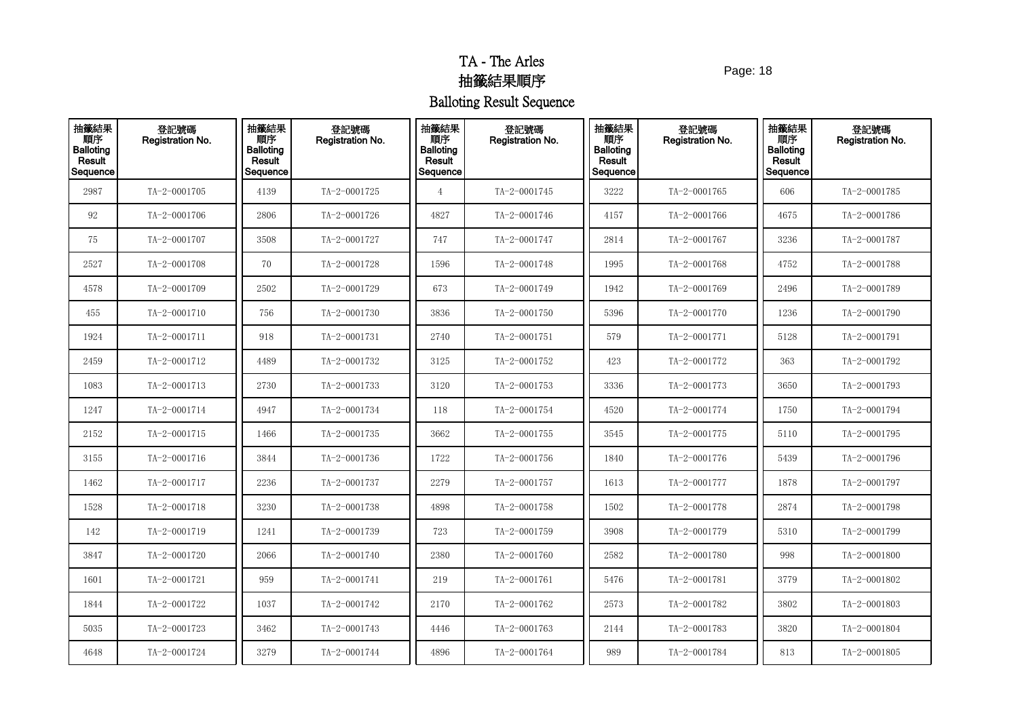Page: 18

| 抽籤結果<br>順序<br>Balloting<br>Result<br>Sequence | 登記號碼<br>Registration No. | 抽籤結果<br>順序<br><b>Balloting</b><br>Result<br>Sequence | 登記號碼<br>Registration No. | 抽籤結果<br>順序<br><b>Balloting</b><br>Result<br>Sequence | 登記號碼<br>Registration No. | 抽籤結果<br>順序<br><b>Balloting</b><br>Result<br>Sequence | 登記號碼<br><b>Registration No.</b> | 抽籤結果<br>順序<br><b>Balloting</b><br>Result<br>Sequence | 登記號碼<br><b>Registration No.</b> |
|-----------------------------------------------|--------------------------|------------------------------------------------------|--------------------------|------------------------------------------------------|--------------------------|------------------------------------------------------|---------------------------------|------------------------------------------------------|---------------------------------|
| 2987                                          | TA-2-0001705             | 4139                                                 | TA-2-0001725             | 4                                                    | TA-2-0001745             | 3222                                                 | TA-2-0001765                    | 606                                                  | TA-2-0001785                    |
| 92                                            | TA-2-0001706             | 2806                                                 | TA-2-0001726             | 4827                                                 | TA-2-0001746             | 4157                                                 | TA-2-0001766                    | 4675                                                 | TA-2-0001786                    |
| 75                                            | TA-2-0001707             | 3508                                                 | TA-2-0001727             | 747                                                  | TA-2-0001747             | 2814                                                 | TA-2-0001767                    | 3236                                                 | TA-2-0001787                    |
| 2527                                          | TA-2-0001708             | 70                                                   | TA-2-0001728             | 1596                                                 | TA-2-0001748             | 1995                                                 | TA-2-0001768                    | 4752                                                 | TA-2-0001788                    |
| 4578                                          | TA-2-0001709             | 2502                                                 | TA-2-0001729             | 673                                                  | TA-2-0001749             | 1942                                                 | TA-2-0001769                    | 2496                                                 | TA-2-0001789                    |
| 455                                           | TA-2-0001710             | 756                                                  | TA-2-0001730             | 3836                                                 | TA-2-0001750             | 5396                                                 | TA-2-0001770                    | 1236                                                 | TA-2-0001790                    |
| 1924                                          | TA-2-0001711             | 918                                                  | TA-2-0001731             | 2740                                                 | TA-2-0001751             | 579                                                  | TA-2-0001771                    | 5128                                                 | TA-2-0001791                    |
| 2459                                          | TA-2-0001712             | 4489                                                 | TA-2-0001732             | 3125                                                 | TA-2-0001752             | 423                                                  | TA-2-0001772                    | 363                                                  | TA-2-0001792                    |
| 1083                                          | TA-2-0001713             | 2730                                                 | TA-2-0001733             | 3120                                                 | TA-2-0001753             | 3336                                                 | TA-2-0001773                    | 3650                                                 | TA-2-0001793                    |
| 1247                                          | TA-2-0001714             | 4947                                                 | TA-2-0001734             | 118                                                  | TA-2-0001754             | 4520                                                 | TA-2-0001774                    | 1750                                                 | TA-2-0001794                    |
| 2152                                          | TA-2-0001715             | 1466                                                 | TA-2-0001735             | 3662                                                 | TA-2-0001755             | 3545                                                 | TA-2-0001775                    | 5110                                                 | TA-2-0001795                    |
| 3155                                          | TA-2-0001716             | 3844                                                 | TA-2-0001736             | 1722                                                 | TA-2-0001756             | 1840                                                 | TA-2-0001776                    | 5439                                                 | TA-2-0001796                    |
| 1462                                          | TA-2-0001717             | 2236                                                 | TA-2-0001737             | 2279                                                 | TA-2-0001757             | 1613                                                 | TA-2-0001777                    | 1878                                                 | TA-2-0001797                    |
| 1528                                          | $TA-2-0001718$           | 3230                                                 | TA-2-0001738             | 4898                                                 | TA-2-0001758             | 1502                                                 | TA-2-0001778                    | 2874                                                 | TA-2-0001798                    |
| 142                                           | TA-2-0001719             | 1241                                                 | TA-2-0001739             | 723                                                  | TA-2-0001759             | 3908                                                 | TA-2-0001779                    | 5310                                                 | TA-2-0001799                    |
| 3847                                          | TA-2-0001720             | 2066                                                 | TA-2-0001740             | 2380                                                 | TA-2-0001760             | 2582                                                 | TA-2-0001780                    | 998                                                  | TA-2-0001800                    |
| 1601                                          | TA-2-0001721             | 959                                                  | TA-2-0001741             | 219                                                  | TA-2-0001761             | 5476                                                 | TA-2-0001781                    | 3779                                                 | TA-2-0001802                    |
| 1844                                          | TA-2-0001722             | 1037                                                 | TA-2-0001742             | 2170                                                 | TA-2-0001762             | 2573                                                 | TA-2-0001782                    | 3802                                                 | TA-2-0001803                    |
| 5035                                          | TA-2-0001723             | 3462                                                 | TA-2-0001743             | 4446                                                 | TA-2-0001763             | 2144                                                 | TA-2-0001783                    | 3820                                                 | TA-2-0001804                    |
| 4648                                          | TA-2-0001724             | 3279                                                 | TA-2-0001744             | 4896                                                 | TA-2-0001764             | 989                                                  | TA-2-0001784                    | 813                                                  | $TA - 2 - 0001805$              |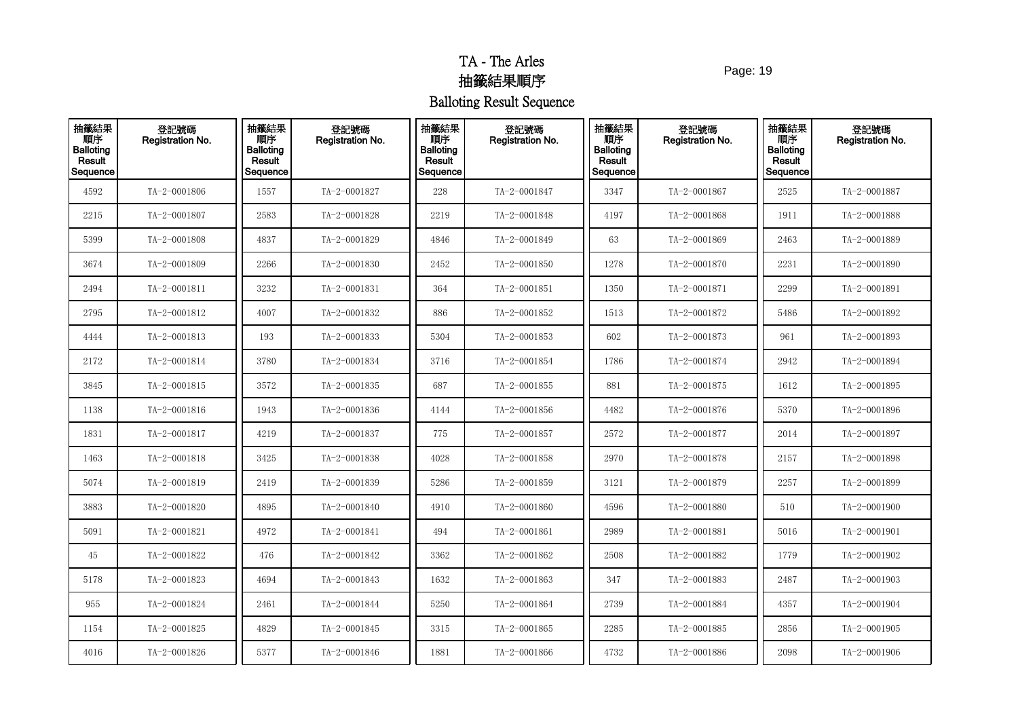Page: 19

| 抽籤結果<br>順序<br>Balloting<br>Result<br>Sequence | 登記號碼<br>Registration No. | 抽籤結果<br>順序<br><b>Balloting</b><br>Result<br>Sequence | 登記號碼<br>Registration No. | 抽籤結果<br>順序<br><b>Balloting</b><br>Result<br>Sequence | 登記號碼<br>Registration No. | 抽籤結果<br>順序<br><b>Balloting</b><br>Result<br>Sequence | 登記號碼<br><b>Registration No.</b> | 抽籤結果<br>順序<br><b>Balloting</b><br>Result<br>Sequence | 登記號碼<br>Registration No. |
|-----------------------------------------------|--------------------------|------------------------------------------------------|--------------------------|------------------------------------------------------|--------------------------|------------------------------------------------------|---------------------------------|------------------------------------------------------|--------------------------|
| 4592                                          | TA-2-0001806             | 1557                                                 | TA-2-0001827             | 228                                                  | TA-2-0001847             | 3347                                                 | TA-2-0001867                    | 2525                                                 | TA-2-0001887             |
| 2215                                          | TA-2-0001807             | 2583                                                 | TA-2-0001828             | 2219                                                 | TA-2-0001848             | 4197                                                 | TA-2-0001868                    | 1911                                                 | TA-2-0001888             |
| 5399                                          | TA-2-0001808             | 4837                                                 | TA-2-0001829             | 4846                                                 | TA-2-0001849             | 63                                                   | TA-2-0001869                    | 2463                                                 | TA-2-0001889             |
| 3674                                          | TA-2-0001809             | 2266                                                 | TA-2-0001830             | 2452                                                 | TA-2-0001850             | 1278                                                 | TA-2-0001870                    | 2231                                                 | TA-2-0001890             |
| 2494                                          | TA-2-0001811             | 3232                                                 | TA-2-0001831             | 364                                                  | TA-2-0001851             | 1350                                                 | TA-2-0001871                    | 2299                                                 | TA-2-0001891             |
| 2795                                          | TA-2-0001812             | 4007                                                 | TA-2-0001832             | 886                                                  | TA-2-0001852             | 1513                                                 | TA-2-0001872                    | 5486                                                 | TA-2-0001892             |
| 4444                                          | TA-2-0001813             | 193                                                  | TA-2-0001833             | 5304                                                 | TA-2-0001853             | 602                                                  | TA-2-0001873                    | 961                                                  | TA-2-0001893             |
| 2172                                          | TA-2-0001814             | 3780                                                 | TA-2-0001834             | 3716                                                 | TA-2-0001854             | 1786                                                 | TA-2-0001874                    | 2942                                                 | TA-2-0001894             |
| 3845                                          | TA-2-0001815             | 3572                                                 | TA-2-0001835             | 687                                                  | TA-2-0001855             | 881                                                  | TA-2-0001875                    | 1612                                                 | TA-2-0001895             |
| 1138                                          | TA-2-0001816             | 1943                                                 | TA-2-0001836             | 4144                                                 | TA-2-0001856             | 4482                                                 | TA-2-0001876                    | 5370                                                 | TA-2-0001896             |
| 1831                                          | TA-2-0001817             | 4219                                                 | TA-2-0001837             | 775                                                  | TA-2-0001857             | 2572                                                 | TA-2-0001877                    | 2014                                                 | TA-2-0001897             |
| 1463                                          | TA-2-0001818             | 3425                                                 | TA-2-0001838             | 4028                                                 | TA-2-0001858             | 2970                                                 | TA-2-0001878                    | 2157                                                 | TA-2-0001898             |
| 5074                                          | TA-2-0001819             | 2419                                                 | TA-2-0001839             | 5286                                                 | TA-2-0001859             | 3121                                                 | TA-2-0001879                    | 2257                                                 | TA-2-0001899             |
| 3883                                          | TA-2-0001820             | 4895                                                 | TA-2-0001840             | 4910                                                 | TA-2-0001860             | 4596                                                 | TA-2-0001880                    | 510                                                  | TA-2-0001900             |
| 5091                                          | TA-2-0001821             | 4972                                                 | TA-2-0001841             | 494                                                  | TA-2-0001861             | 2989                                                 | TA-2-0001881                    | 5016                                                 | $TA - 2 - 0001901$       |
| 45                                            | TA-2-0001822             | 476                                                  | TA-2-0001842             | 3362                                                 | TA-2-0001862             | 2508                                                 | TA-2-0001882                    | 1779                                                 | TA-2-0001902             |
| 5178                                          | TA-2-0001823             | 4694                                                 | TA-2-0001843             | 1632                                                 | TA-2-0001863             | 347                                                  | TA-2-0001883                    | 2487                                                 | TA-2-0001903             |
| 955                                           | TA-2-0001824             | 2461                                                 | TA-2-0001844             | 5250                                                 | TA-2-0001864             | 2739                                                 | TA-2-0001884                    | 4357                                                 | TA-2-0001904             |
| 1154                                          | TA-2-0001825             | 4829                                                 | TA-2-0001845             | 3315                                                 | TA-2-0001865             | 2285                                                 | TA-2-0001885                    | 2856                                                 | TA-2-0001905             |
| 4016                                          | TA-2-0001826             | 5377                                                 | TA-2-0001846             | 1881                                                 | TA-2-0001866             | 4732                                                 | TA-2-0001886                    | 2098                                                 | TA-2-0001906             |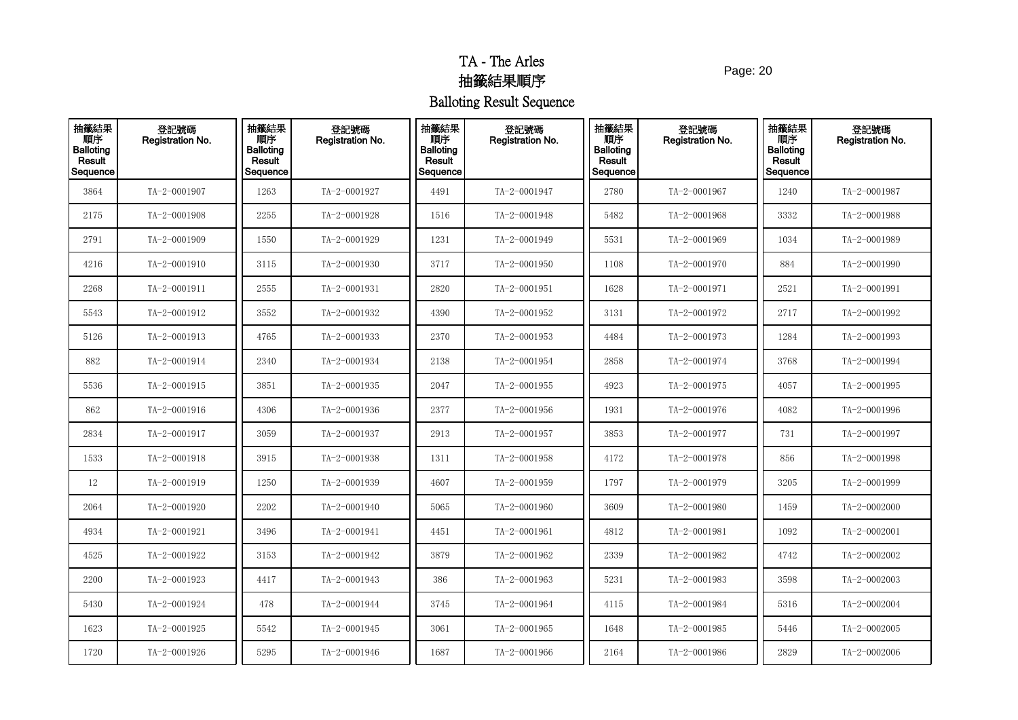Page: 20

| 抽籤結果<br><b>THE</b><br>Balloting<br>Result<br>Sequence | 登記號碼<br>Registration No. | 抽籤結果<br>順序<br><b>Balloting</b><br>Result<br>Sequence | 登記號碼<br>Registration No. | 抽籤結果<br>順序<br><b>Balloting</b><br>Result<br>Sequence | 登記號碼<br>Registration No. | 抽籤結果<br>順序<br><b>Balloting</b><br>Result<br>Sequence | 登記號碼<br>Registration No. | 抽籤結果<br>順序<br><b>Balloting</b><br>Result<br>Sequence | 登記號碼<br>Registration No. |
|-------------------------------------------------------|--------------------------|------------------------------------------------------|--------------------------|------------------------------------------------------|--------------------------|------------------------------------------------------|--------------------------|------------------------------------------------------|--------------------------|
| 3864                                                  | TA-2-0001907             | 1263                                                 | TA-2-0001927             | 4491                                                 | TA-2-0001947             | 2780                                                 | TA-2-0001967             | 1240                                                 | TA-2-0001987             |
| 2175                                                  | TA-2-0001908             | 2255                                                 | TA-2-0001928             | 1516                                                 | TA-2-0001948             | 5482                                                 | TA-2-0001968             | 3332                                                 | TA-2-0001988             |
| 2791                                                  | TA-2-0001909             | 1550                                                 | TA-2-0001929             | 1231                                                 | TA-2-0001949             | 5531                                                 | TA-2-0001969             | 1034                                                 | TA-2-0001989             |
| 4216                                                  | TA-2-0001910             | 3115                                                 | TA-2-0001930             | 3717                                                 | TA-2-0001950             | 1108                                                 | TA-2-0001970             | 884                                                  | TA-2-0001990             |
| 2268                                                  | TA-2-0001911             | 2555                                                 | TA-2-0001931             | 2820                                                 | TA-2-0001951             | 1628                                                 | TA-2-0001971             | 2521                                                 | TA-2-0001991             |
| 5543                                                  | TA-2-0001912             | 3552                                                 | TA-2-0001932             | 4390                                                 | TA-2-0001952             | 3131                                                 | TA-2-0001972             | 2717                                                 | TA-2-0001992             |
| 5126                                                  | TA-2-0001913             | 4765                                                 | TA-2-0001933             | 2370                                                 | TA-2-0001953             | 4484                                                 | TA-2-0001973             | 1284                                                 | TA-2-0001993             |
| 882                                                   | TA-2-0001914             | 2340                                                 | TA-2-0001934             | 2138                                                 | TA-2-0001954             | 2858                                                 | TA-2-0001974             | 3768                                                 | TA-2-0001994             |
| 5536                                                  | TA-2-0001915             | 3851                                                 | TA-2-0001935             | 2047                                                 | TA-2-0001955             | 4923                                                 | TA-2-0001975             | 4057                                                 | TA-2-0001995             |
| 862                                                   | TA-2-0001916             | 4306                                                 | TA-2-0001936             | 2377                                                 | TA-2-0001956             | 1931                                                 | TA-2-0001976             | 4082                                                 | TA-2-0001996             |
| 2834                                                  | TA-2-0001917             | 3059                                                 | TA-2-0001937             | 2913                                                 | TA-2-0001957             | 3853                                                 | TA-2-0001977             | 731                                                  | TA-2-0001997             |
| 1533                                                  | TA-2-0001918             | 3915                                                 | TA-2-0001938             | 1311                                                 | TA-2-0001958             | 4172                                                 | TA-2-0001978             | 856                                                  | TA-2-0001998             |
| $12\,$                                                | TA-2-0001919             | 1250                                                 | TA-2-0001939             | 4607                                                 | TA-2-0001959             | 1797                                                 | TA-2-0001979             | 3205                                                 | TA-2-0001999             |
| 2064                                                  | TA-2-0001920             | 2202                                                 | TA-2-0001940             | 5065                                                 | TA-2-0001960             | 3609                                                 | TA-2-0001980             | 1459                                                 | TA-2-0002000             |
| 4934                                                  | TA-2-0001921             | 3496                                                 | TA-2-0001941             | 4451                                                 | TA-2-0001961             | 4812                                                 | TA-2-0001981             | 1092                                                 | $TA - 2 - 0002001$       |
| 4525                                                  | TA-2-0001922             | 3153                                                 | TA-2-0001942             | 3879                                                 | TA-2-0001962             | 2339                                                 | TA-2-0001982             | 4742                                                 | TA-2-0002002             |
| 2200                                                  | TA-2-0001923             | 4417                                                 | TA-2-0001943             | 386                                                  | TA-2-0001963             | 5231                                                 | TA-2-0001983             | 3598                                                 | $TA - 2 - 0002003$       |
| 5430                                                  | TA-2-0001924             | 478                                                  | TA-2-0001944             | 3745                                                 | TA-2-0001964             | 4115                                                 | TA-2-0001984             | 5316                                                 | TA-2-0002004             |
| 1623                                                  | TA-2-0001925             | 5542                                                 | TA-2-0001945             | 3061                                                 | TA-2-0001965             | 1648                                                 | TA-2-0001985             | 5446                                                 | TA-2-0002005             |
| 1720                                                  | TA-2-0001926             | 5295                                                 | TA-2-0001946             | 1687                                                 | TA-2-0001966             | 2164                                                 | TA-2-0001986             | 2829                                                 | TA-2-0002006             |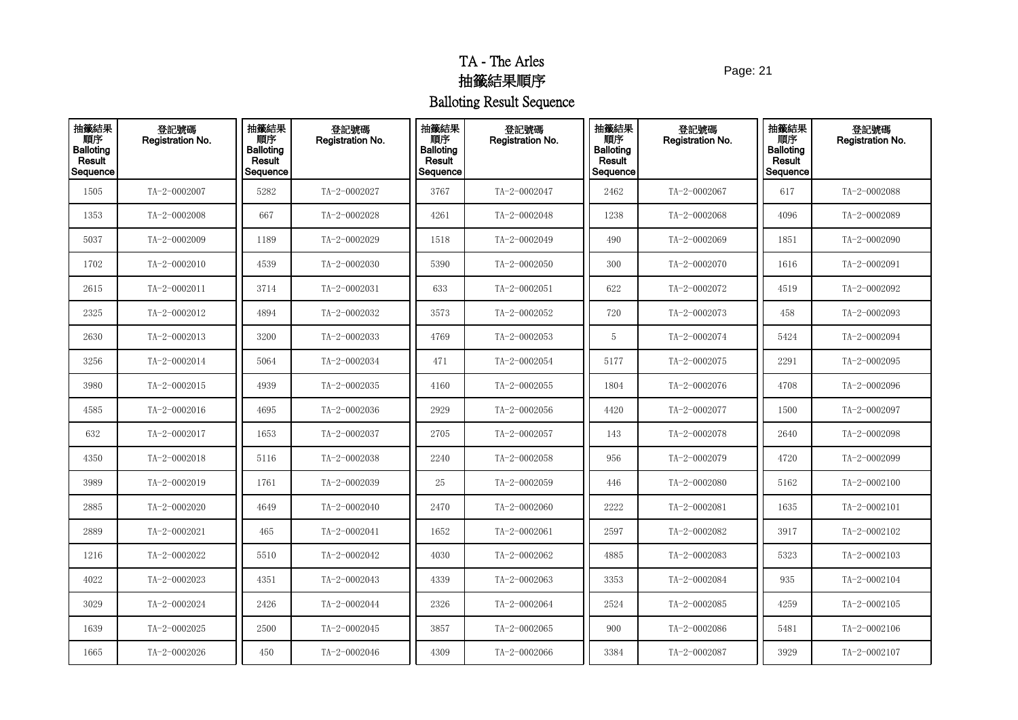Page: 21

| 抽籤結果<br><b>THE</b><br>Balloting<br>Result<br>Sequence | 登記號碼<br>Registration No. | 抽籤結果<br>順序<br><b>Balloting</b><br>Result<br>Sequence | 登記號碼<br>Registration No. | 抽籤結果<br>順序<br><b>Balloting</b><br>Result<br>Sequence | 登記號碼<br>Registration No. | 抽籤結果<br>順序<br><b>Balloting</b><br>Result<br>Sequence | 登記號碼<br>Registration No. | 抽籤結果<br>順序<br><b>Balloting</b><br>Result<br>Sequence | 登記號碼<br>Registration No. |
|-------------------------------------------------------|--------------------------|------------------------------------------------------|--------------------------|------------------------------------------------------|--------------------------|------------------------------------------------------|--------------------------|------------------------------------------------------|--------------------------|
| 1505                                                  | TA-2-0002007             | 5282                                                 | TA-2-0002027             | 3767                                                 | TA-2-0002047             | 2462                                                 | TA-2-0002067             | 617                                                  | TA-2-0002088             |
| 1353                                                  | TA-2-0002008             | 667                                                  | TA-2-0002028             | 4261                                                 | TA-2-0002048             | 1238                                                 | TA-2-0002068             | 4096                                                 | TA-2-0002089             |
| 5037                                                  | TA-2-0002009             | 1189                                                 | TA-2-0002029             | 1518                                                 | TA-2-0002049             | 490                                                  | TA-2-0002069             | 1851                                                 | TA-2-0002090             |
| 1702                                                  | TA-2-0002010             | 4539                                                 | TA-2-0002030             | 5390                                                 | TA-2-0002050             | 300                                                  | TA-2-0002070             | 1616                                                 | TA-2-0002091             |
| 2615                                                  | TA-2-0002011             | 3714                                                 | TA-2-0002031             | 633                                                  | $TA - 2 - 0002051$       | 622                                                  | TA-2-0002072             | 4519                                                 | TA-2-0002092             |
| 2325                                                  | TA-2-0002012             | 4894                                                 | TA-2-0002032             | 3573                                                 | TA-2-0002052             | 720                                                  | TA-2-0002073             | 458                                                  | TA-2-0002093             |
| 2630                                                  | TA-2-0002013             | 3200                                                 | TA-2-0002033             | 4769                                                 | TA-2-0002053             | 5                                                    | TA-2-0002074             | 5424                                                 | TA-2-0002094             |
| 3256                                                  | TA-2-0002014             | 5064                                                 | TA-2-0002034             | 471                                                  | TA-2-0002054             | 5177                                                 | TA-2-0002075             | 2291                                                 | TA-2-0002095             |
| 3980                                                  | TA-2-0002015             | 4939                                                 | TA-2-0002035             | 4160                                                 | TA-2-0002055             | 1804                                                 | TA-2-0002076             | 4708                                                 | TA-2-0002096             |
| 4585                                                  | TA-2-0002016             | 4695                                                 | TA-2-0002036             | 2929                                                 | TA-2-0002056             | 4420                                                 | TA-2-0002077             | 1500                                                 | TA-2-0002097             |
| 632                                                   | TA-2-0002017             | 1653                                                 | TA-2-0002037             | 2705                                                 | TA-2-0002057             | 143                                                  | TA-2-0002078             | 2640                                                 | TA-2-0002098             |
| 4350                                                  | TA-2-0002018             | 5116                                                 | TA-2-0002038             | 2240                                                 | TA-2-0002058             | 956                                                  | TA-2-0002079             | 4720                                                 | TA-2-0002099             |
| 3989                                                  | TA-2-0002019             | 1761                                                 | TA-2-0002039             | 25                                                   | TA-2-0002059             | 446                                                  | TA-2-0002080             | 5162                                                 | TA-2-0002100             |
| 2885                                                  | TA-2-0002020             | 4649                                                 | TA-2-0002040             | 2470                                                 | TA-2-0002060             | 2222                                                 | TA-2-0002081             | 1635                                                 | $TA - 2 - 0002101$       |
| 2889                                                  | TA-2-0002021             | 465                                                  | TA-2-0002041             | 1652                                                 | TA-2-0002061             | 2597                                                 | TA-2-0002082             | 3917                                                 | TA-2-0002102             |
| 1216                                                  | TA-2-0002022             | 5510                                                 | TA-2-0002042             | 4030                                                 | TA-2-0002062             | 4885                                                 | TA-2-0002083             | 5323                                                 | $TA - 2 - 0002103$       |
| 4022                                                  | TA-2-0002023             | 4351                                                 | TA-2-0002043             | 4339                                                 | TA-2-0002063             | 3353                                                 | TA-2-0002084             | 935                                                  | TA-2-0002104             |
| 3029                                                  | TA-2-0002024             | 2426                                                 | TA-2-0002044             | 2326                                                 | TA-2-0002064             | 2524                                                 | TA-2-0002085             | 4259                                                 | TA-2-0002105             |
| 1639                                                  | TA-2-0002025             | 2500                                                 | TA-2-0002045             | 3857                                                 | TA-2-0002065             | 900                                                  | TA-2-0002086             | 5481                                                 | TA-2-0002106             |
| 1665                                                  | TA-2-0002026             | 450                                                  | TA-2-0002046             | 4309                                                 | TA-2-0002066             | 3384                                                 | TA-2-0002087             | 3929                                                 | $TA - 2 - 0002107$       |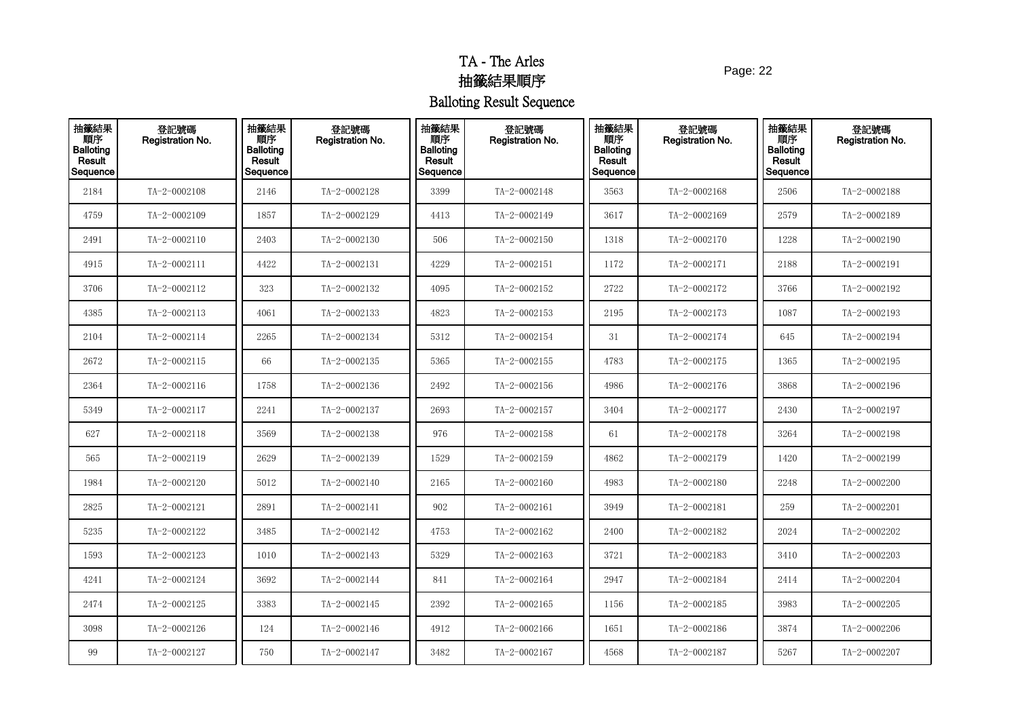Page: 22

| 抽籤結果<br><b>THE</b><br>Balloting<br>Result<br>Sequence | 登記號碼<br>Registration No. | 抽籤結果<br>順序<br><b>Balloting</b><br>Result<br>Sequence | 登記號碼<br>Registration No. | 抽籤結果<br>順序<br><b>Balloting</b><br><b>Result</b><br>Sequence | 登記號碼<br>Registration No. | 抽籤結果<br>順序<br><b>Balloting</b><br>Result<br>Sequence | 登記號碼<br><b>Registration No.</b> | 抽籤結果<br>順序<br><b>Balloting</b><br>Result<br>Sequence | 登記號碼<br>Registration No. |
|-------------------------------------------------------|--------------------------|------------------------------------------------------|--------------------------|-------------------------------------------------------------|--------------------------|------------------------------------------------------|---------------------------------|------------------------------------------------------|--------------------------|
| 2184                                                  | TA-2-0002108             | 2146                                                 | TA-2-0002128             | 3399                                                        | TA-2-0002148             | 3563                                                 | TA-2-0002168                    | 2506                                                 | TA-2-0002188             |
| 4759                                                  | TA-2-0002109             | 1857                                                 | TA-2-0002129             | 4413                                                        | TA-2-0002149             | 3617                                                 | TA-2-0002169                    | 2579                                                 | TA-2-0002189             |
| 2491                                                  | TA-2-0002110             | 2403                                                 | TA-2-0002130             | 506                                                         | TA-2-0002150             | 1318                                                 | TA-2-0002170                    | 1228                                                 | TA-2-0002190             |
| 4915                                                  | TA-2-0002111             | 4422                                                 | TA-2-0002131             | 4229                                                        | TA-2-0002151             | 1172                                                 | TA-2-0002171                    | 2188                                                 | $TA - 2 - 0002191$       |
| 3706                                                  | TA-2-0002112             | 323                                                  | TA-2-0002132             | 4095                                                        | TA-2-0002152             | 2722                                                 | TA-2-0002172                    | 3766                                                 | TA-2-0002192             |
| 4385                                                  | TA-2-0002113             | 4061                                                 | TA-2-0002133             | 4823                                                        | TA-2-0002153             | 2195                                                 | TA-2-0002173                    | 1087                                                 | TA-2-0002193             |
| 2104                                                  | TA-2-0002114             | 2265                                                 | TA-2-0002134             | 5312                                                        | TA-2-0002154             | 31                                                   | TA-2-0002174                    | 645                                                  | TA-2-0002194             |
| 2672                                                  | TA-2-0002115             | 66                                                   | TA-2-0002135             | 5365                                                        | TA-2-0002155             | 4783                                                 | TA-2-0002175                    | 1365                                                 | TA-2-0002195             |
| 2364                                                  | TA-2-0002116             | 1758                                                 | TA-2-0002136             | 2492                                                        | TA-2-0002156             | 4986                                                 | TA-2-0002176                    | 3868                                                 | TA-2-0002196             |
| 5349                                                  | TA-2-0002117             | 2241                                                 | TA-2-0002137             | 2693                                                        | TA-2-0002157             | 3404                                                 | TA-2-0002177                    | 2430                                                 | TA-2-0002197             |
| 627                                                   | TA-2-0002118             | 3569                                                 | TA-2-0002138             | 976                                                         | TA-2-0002158             | 61                                                   | TA-2-0002178                    | 3264                                                 | TA-2-0002198             |
| 565                                                   | TA-2-0002119             | 2629                                                 | TA-2-0002139             | 1529                                                        | TA-2-0002159             | 4862                                                 | TA-2-0002179                    | 1420                                                 | TA-2-0002199             |
| 1984                                                  | TA-2-0002120             | 5012                                                 | TA-2-0002140             | 2165                                                        | TA-2-0002160             | 4983                                                 | TA-2-0002180                    | 2248                                                 | TA-2-0002200             |
| 2825                                                  | TA-2-0002121             | 2891                                                 | TA-2-0002141             | 902                                                         | TA-2-0002161             | 3949                                                 | TA-2-0002181                    | 259                                                  | TA-2-0002201             |
| 5235                                                  | TA-2-0002122             | 3485                                                 | TA-2-0002142             | 4753                                                        | TA-2-0002162             | 2400                                                 | TA-2-0002182                    | 2024                                                 | TA-2-0002202             |
| 1593                                                  | TA-2-0002123             | 1010                                                 | TA-2-0002143             | 5329                                                        | TA-2-0002163             | 3721                                                 | TA-2-0002183                    | 3410                                                 | TA-2-0002203             |
| 4241                                                  | TA-2-0002124             | 3692                                                 | TA-2-0002144             | 841                                                         | TA-2-0002164             | 2947                                                 | TA-2-0002184                    | 2414                                                 | TA-2-0002204             |
| 2474                                                  | TA-2-0002125             | 3383                                                 | TA-2-0002145             | 2392                                                        | TA-2-0002165             | 1156                                                 | TA-2-0002185                    | 3983                                                 | TA-2-0002205             |
| 3098                                                  | TA-2-0002126             | 124                                                  | TA-2-0002146             | 4912                                                        | TA-2-0002166             | 1651                                                 | TA-2-0002186                    | 3874                                                 | TA-2-0002206             |
| 99                                                    | TA-2-0002127             | 750                                                  | TA-2-0002147             | 3482                                                        | TA-2-0002167             | 4568                                                 | TA-2-0002187                    | 5267                                                 | TA-2-0002207             |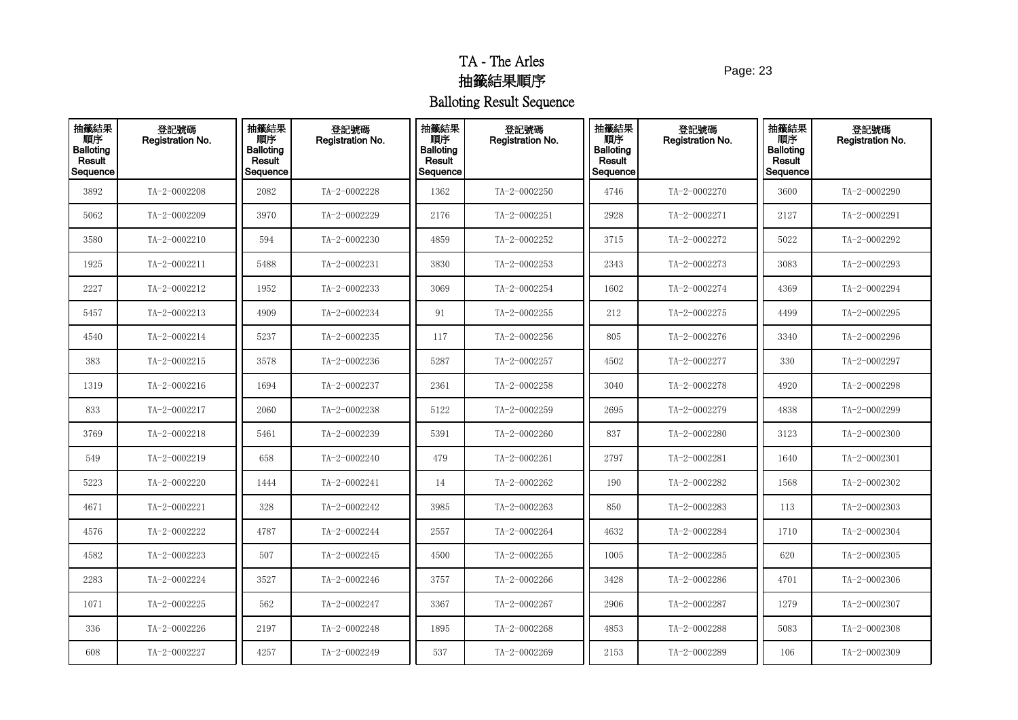Page: 23

| 抽籤結果<br>Result<br>Sequence | 登記號碼<br>Registration No. | 抽籤結果<br>順序<br><b>Balloting</b><br>Result<br>Sequence | 登記號碼<br>Registration No. | 抽籤結果<br>順序<br><b>Balloting</b><br>Result<br>Sequence | 登記號碼<br>Registration No. | 抽籤結果<br>順序<br><b>Balloting</b><br>Result<br>Sequence | 登記號碼<br><b>Registration No.</b> | 抽籤結果<br>順序<br><b>Balloting</b><br>Result<br>Sequence | 登記號碼<br><b>Registration No.</b> |
|----------------------------|--------------------------|------------------------------------------------------|--------------------------|------------------------------------------------------|--------------------------|------------------------------------------------------|---------------------------------|------------------------------------------------------|---------------------------------|
| 3892                       | TA-2-0002208             | 2082                                                 | TA-2-0002228             | 1362                                                 | TA-2-0002250             | 4746                                                 | TA-2-0002270                    | 3600                                                 | TA-2-0002290                    |
| 5062                       | TA-2-0002209             | 3970                                                 | TA-2-0002229             | 2176                                                 | TA-2-0002251             | 2928                                                 | TA-2-0002271                    | 2127                                                 | TA-2-0002291                    |
| 3580                       | TA-2-0002210             | 594                                                  | TA-2-0002230             | 4859                                                 | TA-2-0002252             | 3715                                                 | TA-2-0002272                    | 5022                                                 | TA-2-0002292                    |
| 1925                       | TA-2-0002211             | 5488                                                 | TA-2-0002231             | 3830                                                 | TA-2-0002253             | 2343                                                 | TA-2-0002273                    | 3083                                                 | TA-2-0002293                    |
| 2227                       | TA-2-0002212             | 1952                                                 | TA-2-0002233             | 3069                                                 | TA-2-0002254             | 1602                                                 | TA-2-0002274                    | 4369                                                 | TA-2-0002294                    |
| 5457                       | TA-2-0002213             | 4909                                                 | TA-2-0002234             | 91                                                   | TA-2-0002255             | 212                                                  | TA-2-0002275                    | 4499                                                 | TA-2-0002295                    |
| 4540                       | TA-2-0002214             | 5237                                                 | TA-2-0002235             | 117                                                  | TA-2-0002256             | 805                                                  | TA-2-0002276                    | 3340                                                 | TA-2-0002296                    |
| 383                        | TA-2-0002215             | 3578                                                 | TA-2-0002236             | 5287                                                 | TA-2-0002257             | 4502                                                 | TA-2-0002277                    | 330                                                  | TA-2-0002297                    |
| 1319                       | TA-2-0002216             | 1694                                                 | TA-2-0002237             | 2361                                                 | TA-2-0002258             | 3040                                                 | TA-2-0002278                    | 4920                                                 | TA-2-0002298                    |
| 833                        | TA-2-0002217             | 2060                                                 | TA-2-0002238             | 5122                                                 | TA-2-0002259             | 2695                                                 | TA-2-0002279                    | 4838                                                 | TA-2-0002299                    |
| 3769                       | TA-2-0002218             | 5461                                                 | TA-2-0002239             | 5391                                                 | TA-2-0002260             | 837                                                  | TA-2-0002280                    | 3123                                                 | TA-2-0002300                    |
| 549                        | TA-2-0002219             | 658                                                  | TA-2-0002240             | 479                                                  | TA-2-0002261             | 2797                                                 | TA-2-0002281                    | 1640                                                 | TA-2-0002301                    |
| 5223                       | TA-2-0002220             | 1444                                                 | TA-2-0002241             | 14                                                   | TA-2-0002262             | 190                                                  | TA-2-0002282                    | 1568                                                 | TA-2-0002302                    |
| 4671                       | TA-2-0002221             | 328                                                  | TA-2-0002242             | 3985                                                 | TA-2-0002263             | 850                                                  | TA-2-0002283                    | 113                                                  | $TA - 2 - 0002303$              |
| 4576                       | TA-2-0002222             | 4787                                                 | TA-2-0002244             | 2557                                                 | TA-2-0002264             | 4632                                                 | TA-2-0002284                    | 1710                                                 | TA-2-0002304                    |
| 4582                       | TA-2-0002223             | 507                                                  | TA-2-0002245             | 4500                                                 | TA-2-0002265             | 1005                                                 | TA-2-0002285                    | 620                                                  | TA-2-0002305                    |
| 2283                       | TA-2-0002224             | 3527                                                 | TA-2-0002246             | 3757                                                 | TA-2-0002266             | 3428                                                 | TA-2-0002286                    | 4701                                                 | TA-2-0002306                    |
| 1071                       | TA-2-0002225             | 562                                                  | TA-2-0002247             | 3367                                                 | TA-2-0002267             | 2906                                                 | TA-2-0002287                    | 1279                                                 | TA-2-0002307                    |
| 336                        | TA-2-0002226             | 2197                                                 | TA-2-0002248             | 1895                                                 | TA-2-0002268             | 4853                                                 | TA-2-0002288                    | 5083                                                 | TA-2-0002308                    |
| 608                        | TA-2-0002227             | 4257                                                 | TA-2-0002249             | 537                                                  | TA-2-0002269             | 2153                                                 | TA-2-0002289                    | 106                                                  | TA-2-0002309                    |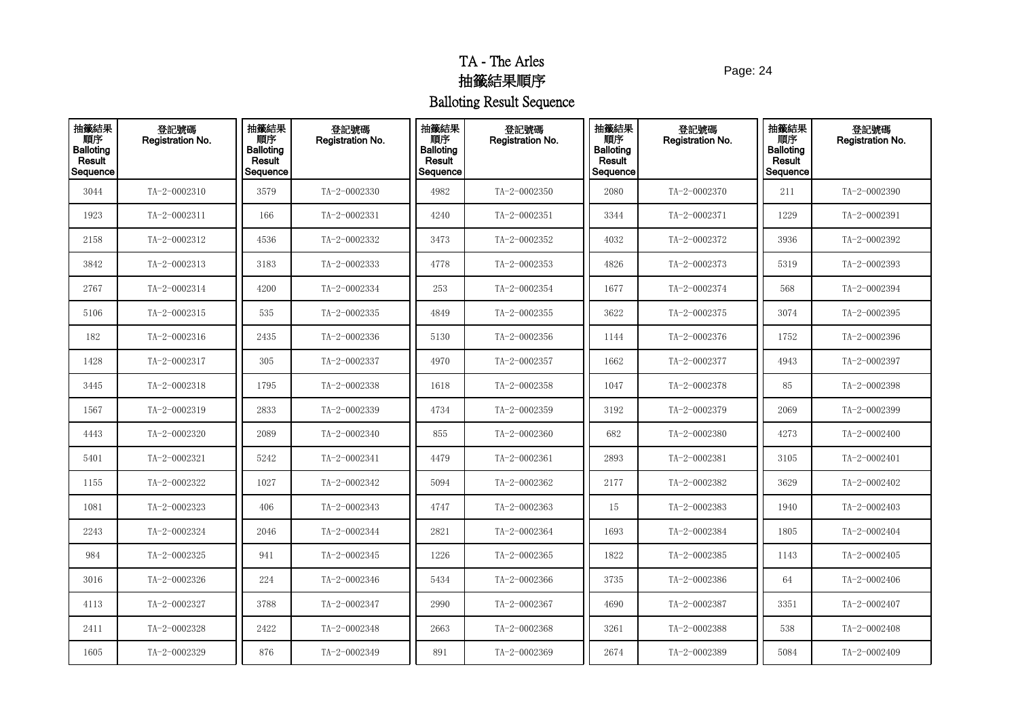Page: 24

| 抽籤結果<br>順序<br>Balloting<br>Result<br>Sequence | 登記號碼<br>Registration No. | 抽籤結果<br>順序<br><b>Balloting</b><br>Result<br>Sequence | 登記號碼<br>Registration No. | 抽籤結果<br>順序<br><b>Balloting</b><br>Result<br>Sequence | 登記號碼<br>Registration No. | 抽籤結果<br>順序<br><b>Balloting</b><br>Result<br>Sequence | 登記號碼<br><b>Registration No.</b> | 抽籤結果<br>順序<br><b>Balloting</b><br>Result<br>Sequence | 登記號碼<br>Registration No. |
|-----------------------------------------------|--------------------------|------------------------------------------------------|--------------------------|------------------------------------------------------|--------------------------|------------------------------------------------------|---------------------------------|------------------------------------------------------|--------------------------|
| 3044                                          | TA-2-0002310             | 3579                                                 | TA-2-0002330             | 4982                                                 | TA-2-0002350             | 2080                                                 | TA-2-0002370                    | 211                                                  | TA-2-0002390             |
| 1923                                          | TA-2-0002311             | 166                                                  | TA-2-0002331             | 4240                                                 | TA-2-0002351             | 3344                                                 | TA-2-0002371                    | 1229                                                 | TA-2-0002391             |
| 2158                                          | TA-2-0002312             | 4536                                                 | TA-2-0002332             | 3473                                                 | TA-2-0002352             | 4032                                                 | TA-2-0002372                    | 3936                                                 | TA-2-0002392             |
| 3842                                          | TA-2-0002313             | 3183                                                 | TA-2-0002333             | 4778                                                 | TA-2-0002353             | 4826                                                 | TA-2-0002373                    | 5319                                                 | TA-2-0002393             |
| 2767                                          | TA-2-0002314             | 4200                                                 | TA-2-0002334             | 253                                                  | TA-2-0002354             | 1677                                                 | TA-2-0002374                    | 568                                                  | TA-2-0002394             |
| 5106                                          | TA-2-0002315             | 535                                                  | TA-2-0002335             | 4849                                                 | TA-2-0002355             | 3622                                                 | TA-2-0002375                    | 3074                                                 | TA-2-0002395             |
| 182                                           | TA-2-0002316             | 2435                                                 | TA-2-0002336             | 5130                                                 | TA-2-0002356             | 1144                                                 | TA-2-0002376                    | 1752                                                 | TA-2-0002396             |
| 1428                                          | TA-2-0002317             | 305                                                  | TA-2-0002337             | 4970                                                 | TA-2-0002357             | 1662                                                 | TA-2-0002377                    | 4943                                                 | TA-2-0002397             |
| 3445                                          | TA-2-0002318             | 1795                                                 | TA-2-0002338             | 1618                                                 | TA-2-0002358             | 1047                                                 | TA-2-0002378                    | 85                                                   | TA-2-0002398             |
| 1567                                          | TA-2-0002319             | 2833                                                 | TA-2-0002339             | 4734                                                 | TA-2-0002359             | 3192                                                 | TA-2-0002379                    | 2069                                                 | TA-2-0002399             |
| 4443                                          | TA-2-0002320             | 2089                                                 | TA-2-0002340             | 855                                                  | TA-2-0002360             | 682                                                  | TA-2-0002380                    | 4273                                                 | TA-2-0002400             |
| 5401                                          | TA-2-0002321             | 5242                                                 | TA-2-0002341             | 4479                                                 | TA-2-0002361             | 2893                                                 | TA-2-0002381                    | 3105                                                 | TA-2-0002401             |
| 1155                                          | TA-2-0002322             | 1027                                                 | TA-2-0002342             | 5094                                                 | TA-2-0002362             | 2177                                                 | TA-2-0002382                    | 3629                                                 | TA-2-0002402             |
| 1081                                          | TA-2-0002323             | 406                                                  | TA-2-0002343             | 4747                                                 | TA-2-0002363             | 15                                                   | TA-2-0002383                    | 1940                                                 | TA-2-0002403             |
| 2243                                          | TA-2-0002324             | 2046                                                 | TA-2-0002344             | 2821                                                 | TA-2-0002364             | 1693                                                 | TA-2-0002384                    | 1805                                                 | TA-2-0002404             |
| 984                                           | TA-2-0002325             | 941                                                  | TA-2-0002345             | 1226                                                 | TA-2-0002365             | 1822                                                 | TA-2-0002385                    | 1143                                                 | TA-2-0002405             |
| 3016                                          | TA-2-0002326             | 224                                                  | TA-2-0002346             | 5434                                                 | TA-2-0002366             | 3735                                                 | TA-2-0002386                    | 64                                                   | TA-2-0002406             |
| 4113                                          | TA-2-0002327             | 3788                                                 | TA-2-0002347             | 2990                                                 | TA-2-0002367             | 4690                                                 | TA-2-0002387                    | 3351                                                 | TA-2-0002407             |
| 2411                                          | TA-2-0002328             | 2422                                                 | TA-2-0002348             | 2663                                                 | TA-2-0002368             | 3261                                                 | TA-2-0002388                    | 538                                                  | TA-2-0002408             |
| 1605                                          | TA-2-0002329             | 876                                                  | TA-2-0002349             | 891                                                  | TA-2-0002369             | 2674                                                 | TA-2-0002389                    | 5084                                                 | TA-2-0002409             |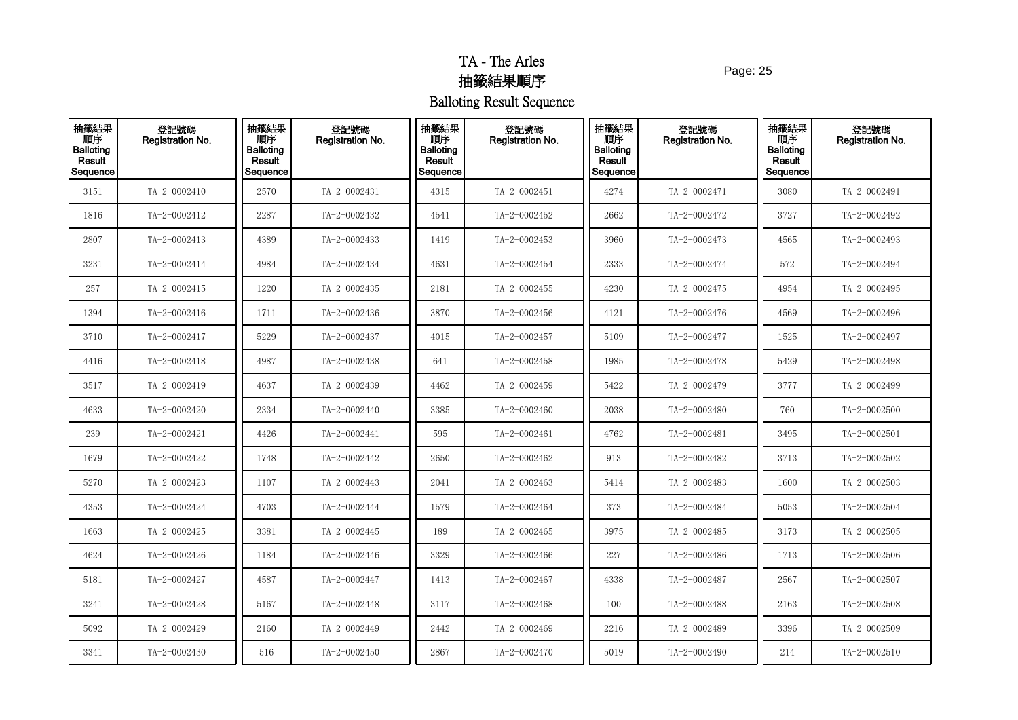Page: 25

| 抽籤結果<br>順序<br>Balloting<br>Result<br>Sequence | 登記號碼<br>Registration No. | 抽籤結果<br>順序<br><b>Balloting</b><br>Result<br>Sequence | 登記號碼<br>Registration No. | 抽籤結果<br>順序<br><b>Balloting</b><br>Result<br>Sequence | 登記號碼<br>Registration No. | 抽籤結果<br>順序<br><b>Balloting</b><br>Result<br>Sequence | 登記號碼<br><b>Registration No.</b> | 抽籤結果<br>順序<br><b>Balloting</b><br>Result<br>Sequence | 登記號碼<br>Registration No. |
|-----------------------------------------------|--------------------------|------------------------------------------------------|--------------------------|------------------------------------------------------|--------------------------|------------------------------------------------------|---------------------------------|------------------------------------------------------|--------------------------|
| 3151                                          | TA-2-0002410             | 2570                                                 | TA-2-0002431             | 4315                                                 | TA-2-0002451             | 4274                                                 | TA-2-0002471                    | 3080                                                 | TA-2-0002491             |
| 1816                                          | TA-2-0002412             | 2287                                                 | TA-2-0002432             | 4541                                                 | TA-2-0002452             | 2662                                                 | TA-2-0002472                    | 3727                                                 | TA-2-0002492             |
| 2807                                          | TA-2-0002413             | 4389                                                 | TA-2-0002433             | 1419                                                 | TA-2-0002453             | 3960                                                 | TA-2-0002473                    | 4565                                                 | TA-2-0002493             |
| 3231                                          | TA-2-0002414             | 4984                                                 | TA-2-0002434             | 4631                                                 | TA-2-0002454             | 2333                                                 | TA-2-0002474                    | 572                                                  | TA-2-0002494             |
| 257                                           | TA-2-0002415             | 1220                                                 | TA-2-0002435             | 2181                                                 | TA-2-0002455             | 4230                                                 | TA-2-0002475                    | 4954                                                 | TA-2-0002495             |
| 1394                                          | TA-2-0002416             | 1711                                                 | TA-2-0002436             | 3870                                                 | TA-2-0002456             | 4121                                                 | TA-2-0002476                    | 4569                                                 | TA-2-0002496             |
| 3710                                          | TA-2-0002417             | 5229                                                 | TA-2-0002437             | 4015                                                 | TA-2-0002457             | 5109                                                 | TA-2-0002477                    | 1525                                                 | TA-2-0002497             |
| 4416                                          | TA-2-0002418             | 4987                                                 | TA-2-0002438             | 641                                                  | TA-2-0002458             | 1985                                                 | TA-2-0002478                    | 5429                                                 | TA-2-0002498             |
| 3517                                          | TA-2-0002419             | 4637                                                 | TA-2-0002439             | 4462                                                 | TA-2-0002459             | 5422                                                 | TA-2-0002479                    | 3777                                                 | TA-2-0002499             |
| 4633                                          | TA-2-0002420             | 2334                                                 | TA-2-0002440             | 3385                                                 | TA-2-0002460             | 2038                                                 | TA-2-0002480                    | 760                                                  | TA-2-0002500             |
| 239                                           | TA-2-0002421             | 4426                                                 | TA-2-0002441             | 595                                                  | TA-2-0002461             | 4762                                                 | TA-2-0002481                    | 3495                                                 | $TA - 2 - 0002501$       |
| 1679                                          | TA-2-0002422             | 1748                                                 | TA-2-0002442             | 2650                                                 | TA-2-0002462             | 913                                                  | TA-2-0002482                    | 3713                                                 | TA-2-0002502             |
| 5270                                          | TA-2-0002423             | 1107                                                 | TA-2-0002443             | 2041                                                 | TA-2-0002463             | 5414                                                 | TA-2-0002483                    | 1600                                                 | TA-2-0002503             |
| 4353                                          | TA-2-0002424             | 4703                                                 | TA-2-0002444             | 1579                                                 | TA-2-0002464             | 373                                                  | TA-2-0002484                    | 5053                                                 | TA-2-0002504             |
| 1663                                          | TA-2-0002425             | 3381                                                 | TA-2-0002445             | 189                                                  | TA-2-0002465             | 3975                                                 | TA-2-0002485                    | 3173                                                 | TA-2-0002505             |
| 4624                                          | TA-2-0002426             | 1184                                                 | TA-2-0002446             | 3329                                                 | TA-2-0002466             | 227                                                  | TA-2-0002486                    | 1713                                                 | TA-2-0002506             |
| 5181                                          | TA-2-0002427             | 4587                                                 | TA-2-0002447             | 1413                                                 | TA-2-0002467             | 4338                                                 | TA-2-0002487                    | 2567                                                 | TA-2-0002507             |
| 3241                                          | TA-2-0002428             | 5167                                                 | TA-2-0002448             | $3117\,$                                             | TA-2-0002468             | 100                                                  | TA-2-0002488                    | 2163                                                 | TA-2-0002508             |
| 5092                                          | TA-2-0002429             | 2160                                                 | TA-2-0002449             | 2442                                                 | TA-2-0002469             | 2216                                                 | TA-2-0002489                    | 3396                                                 | TA-2-0002509             |
| 3341                                          | TA-2-0002430             | 516                                                  | TA-2-0002450             | 2867                                                 | TA-2-0002470             | 5019                                                 | TA-2-0002490                    | 214                                                  | $TA - 2 - 0002510$       |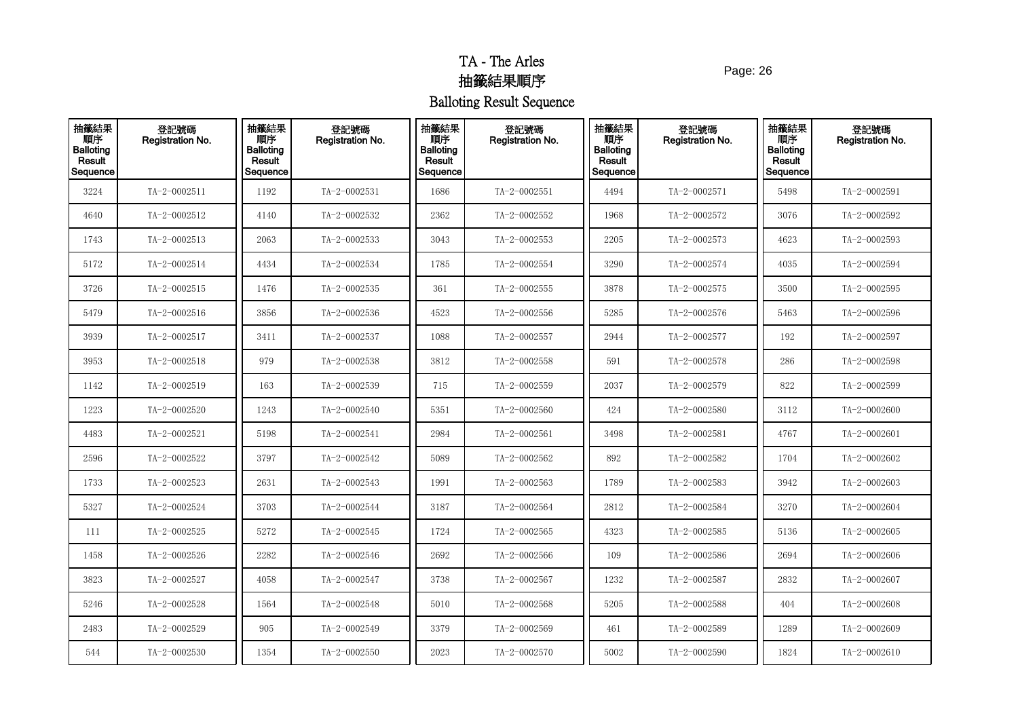Page: 26

| 抽籤結果<br><b>THE</b><br>Balloting<br>Result<br>Sequence | 登記號碼<br>Registration No. | 抽籤結果<br>順序<br><b>Balloting</b><br>Result<br>Sequence | 登記號碼<br>Registration No. | 抽籤結果<br>順序<br><b>Balloting</b><br>Result<br>Sequence | 登記號碼<br>Registration No. | 抽籤結果<br>順序<br><b>Balloting</b><br>Result<br>Sequence | 登記號碼<br>Registration No. | 抽籤結果<br>順序<br><b>Balloting</b><br>Result<br>Sequence | 登記號碼<br>Registration No. |
|-------------------------------------------------------|--------------------------|------------------------------------------------------|--------------------------|------------------------------------------------------|--------------------------|------------------------------------------------------|--------------------------|------------------------------------------------------|--------------------------|
| 3224                                                  | TA-2-0002511             | 1192                                                 | TA-2-0002531             | 1686                                                 | TA-2-0002551             | 4494                                                 | TA-2-0002571             | 5498                                                 | TA-2-0002591             |
| 4640                                                  | TA-2-0002512             | 4140                                                 | TA-2-0002532             | 2362                                                 | TA-2-0002552             | 1968                                                 | TA-2-0002572             | 3076                                                 | TA-2-0002592             |
| 1743                                                  | TA-2-0002513             | 2063                                                 | TA-2-0002533             | 3043                                                 | TA-2-0002553             | 2205                                                 | TA-2-0002573             | 4623                                                 | TA-2-0002593             |
| 5172                                                  | TA-2-0002514             | 4434                                                 | TA-2-0002534             | 1785                                                 | TA-2-0002554             | 3290                                                 | TA-2-0002574             | 4035                                                 | TA-2-0002594             |
| 3726                                                  | TA-2-0002515             | 1476                                                 | TA-2-0002535             | 361                                                  | TA-2-0002555             | 3878                                                 | TA-2-0002575             | 3500                                                 | TA-2-0002595             |
| 5479                                                  | TA-2-0002516             | 3856                                                 | TA-2-0002536             | 4523                                                 | TA-2-0002556             | 5285                                                 | TA-2-0002576             | 5463                                                 | TA-2-0002596             |
| 3939                                                  | TA-2-0002517             | 3411                                                 | TA-2-0002537             | 1088                                                 | TA-2-0002557             | 2944                                                 | TA-2-0002577             | 192                                                  | TA-2-0002597             |
| 3953                                                  | TA-2-0002518             | 979                                                  | TA-2-0002538             | 3812                                                 | TA-2-0002558             | 591                                                  | TA-2-0002578             | 286                                                  | TA-2-0002598             |
| 1142                                                  | TA-2-0002519             | 163                                                  | TA-2-0002539             | 715                                                  | TA-2-0002559             | 2037                                                 | TA-2-0002579             | 822                                                  | TA-2-0002599             |
| 1223                                                  | TA-2-0002520             | 1243                                                 | TA-2-0002540             | 5351                                                 | TA-2-0002560             | 424                                                  | TA-2-0002580             | 3112                                                 | TA-2-0002600             |
| 4483                                                  | TA-2-0002521             | 5198                                                 | TA-2-0002541             | 2984                                                 | TA-2-0002561             | 3498                                                 | TA-2-0002581             | 4767                                                 | $TA - 2 - 0002601$       |
| 2596                                                  | TA-2-0002522             | 3797                                                 | TA-2-0002542             | 5089                                                 | TA-2-0002562             | 892                                                  | TA-2-0002582             | 1704                                                 | TA-2-0002602             |
| 1733                                                  | TA-2-0002523             | 2631                                                 | TA-2-0002543             | 1991                                                 | TA-2-0002563             | 1789                                                 | TA-2-0002583             | 3942                                                 | TA-2-0002603             |
| 5327                                                  | TA-2-0002524             | 3703                                                 | TA-2-0002544             | 3187                                                 | TA-2-0002564             | 2812                                                 | TA-2-0002584             | 3270                                                 | TA-2-0002604             |
| 111                                                   | TA-2-0002525             | 5272                                                 | TA-2-0002545             | 1724                                                 | TA-2-0002565             | 4323                                                 | TA-2-0002585             | 5136                                                 | TA-2-0002605             |
| 1458                                                  | TA-2-0002526             | 2282                                                 | TA-2-0002546             | 2692                                                 | TA-2-0002566             | 109                                                  | TA-2-0002586             | 2694                                                 | TA-2-0002606             |
| 3823                                                  | TA-2-0002527             | 4058                                                 | TA-2-0002547             | 3738                                                 | TA-2-0002567             | 1232                                                 | TA-2-0002587             | 2832                                                 | TA-2-0002607             |
| 5246                                                  | TA-2-0002528             | 1564                                                 | TA-2-0002548             | 5010                                                 | TA-2-0002568             | 5205                                                 | TA-2-0002588             | 404                                                  | TA-2-0002608             |
| 2483                                                  | TA-2-0002529             | 905                                                  | TA-2-0002549             | 3379                                                 | TA-2-0002569             | 461                                                  | TA-2-0002589             | 1289                                                 | TA-2-0002609             |
| 544                                                   | TA-2-0002530             | 1354                                                 | TA-2-0002550             | 2023                                                 | TA-2-0002570             | 5002                                                 | TA-2-0002590             | 1824                                                 | TA-2-0002610             |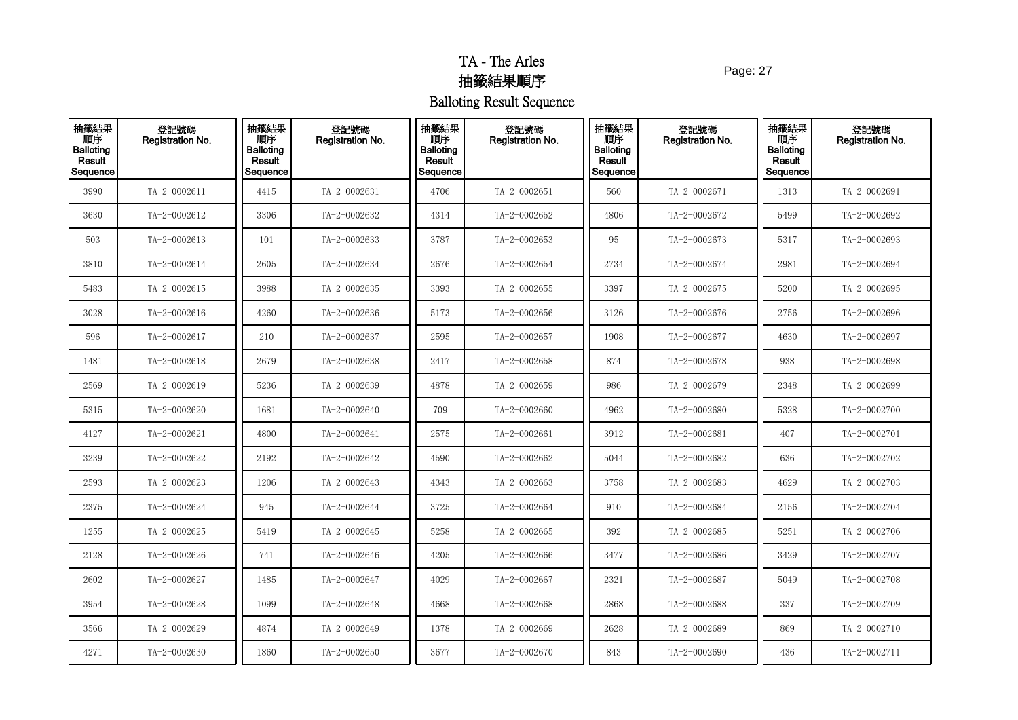Page: 27

| 抽籤結果<br>Result<br>Sequence | 登記號碼<br>Registration No. | 抽籤結果<br>順序<br><b>Balloting</b><br>Result<br>Sequence | 登記號碼<br>Registration No. | 抽籤結果<br>順序<br><b>Balloting</b><br>Result<br>Sequence | 登記號碼<br>Registration No. | 抽籤結果<br>順序<br><b>Balloting</b><br>Result<br>Sequence | 登記號碼<br><b>Registration No.</b> | 抽籤結果<br>順序<br><b>Balloting</b><br>Result<br>Sequence | 登記號碼<br><b>Registration No.</b> |
|----------------------------|--------------------------|------------------------------------------------------|--------------------------|------------------------------------------------------|--------------------------|------------------------------------------------------|---------------------------------|------------------------------------------------------|---------------------------------|
| 3990                       | TA-2-0002611             | 4415                                                 | TA-2-0002631             | 4706                                                 | TA-2-0002651             | 560                                                  | TA-2-0002671                    | 1313                                                 | TA-2-0002691                    |
| 3630                       | TA-2-0002612             | 3306                                                 | TA-2-0002632             | 4314                                                 | TA-2-0002652             | 4806                                                 | TA-2-0002672                    | 5499                                                 | TA-2-0002692                    |
| 503                        | TA-2-0002613             | 101                                                  | TA-2-0002633             | 3787                                                 | TA-2-0002653             | 95                                                   | TA-2-0002673                    | 5317                                                 | TA-2-0002693                    |
| 3810                       | TA-2-0002614             | 2605                                                 | TA-2-0002634             | 2676                                                 | TA-2-0002654             | 2734                                                 | TA-2-0002674                    | 2981                                                 | TA-2-0002694                    |
| 5483                       | $TA-2-0002615$           | 3988                                                 | TA-2-0002635             | 3393                                                 | TA-2-0002655             | 3397                                                 | TA-2-0002675                    | 5200                                                 | TA-2-0002695                    |
| 3028                       | TA-2-0002616             | 4260                                                 | TA-2-0002636             | 5173                                                 | TA-2-0002656             | 3126                                                 | TA-2-0002676                    | 2756                                                 | TA-2-0002696                    |
| 596                        | TA-2-0002617             | 210                                                  | TA-2-0002637             | 2595                                                 | TA-2-0002657             | 1908                                                 | TA-2-0002677                    | 4630                                                 | TA-2-0002697                    |
| 1481                       | TA-2-0002618             | 2679                                                 | TA-2-0002638             | 2417                                                 | TA-2-0002658             | 874                                                  | TA-2-0002678                    | 938                                                  | TA-2-0002698                    |
| 2569                       | TA-2-0002619             | 5236                                                 | TA-2-0002639             | 4878                                                 | TA-2-0002659             | 986                                                  | TA-2-0002679                    | 2348                                                 | TA-2-0002699                    |
| 5315                       | TA-2-0002620             | 1681                                                 | TA-2-0002640             | 709                                                  | TA-2-0002660             | 4962                                                 | TA-2-0002680                    | 5328                                                 | TA-2-0002700                    |
| 4127                       | TA-2-0002621             | 4800                                                 | TA-2-0002641             | 2575                                                 | TA-2-0002661             | 3912                                                 | TA-2-0002681                    | 407                                                  | TA-2-0002701                    |
| 3239                       | TA-2-0002622             | 2192                                                 | TA-2-0002642             | 4590                                                 | TA-2-0002662             | 5044                                                 | TA-2-0002682                    | 636                                                  | TA-2-0002702                    |
| 2593                       | TA-2-0002623             | 1206                                                 | TA-2-0002643             | 4343                                                 | TA-2-0002663             | 3758                                                 | TA-2-0002683                    | 4629                                                 | TA-2-0002703                    |
| 2375                       | TA-2-0002624             | 945                                                  | TA-2-0002644             | 3725                                                 | TA-2-0002664             | 910                                                  | TA-2-0002684                    | 2156                                                 | TA-2-0002704                    |
| 1255                       | TA-2-0002625             | 5419                                                 | TA-2-0002645             | 5258                                                 | TA-2-0002665             | 392                                                  | TA-2-0002685                    | 5251                                                 | TA-2-0002706                    |
| 2128                       | TA-2-0002626             | 741                                                  | TA-2-0002646             | 4205                                                 | TA-2-0002666             | 3477                                                 | TA-2-0002686                    | 3429                                                 | TA-2-0002707                    |
| 2602                       | TA-2-0002627             | 1485                                                 | TA-2-0002647             | 4029                                                 | TA-2-0002667             | 2321                                                 | TA-2-0002687                    | 5049                                                 | TA-2-0002708                    |
| 3954                       | TA-2-0002628             | 1099                                                 | TA-2-0002648             | 4668                                                 | TA-2-0002668             | 2868                                                 | TA-2-0002688                    | 337                                                  | TA-2-0002709                    |
| 3566                       | TA-2-0002629             | 4874                                                 | TA-2-0002649             | 1378                                                 | TA-2-0002669             | 2628                                                 | TA-2-0002689                    | 869                                                  | TA-2-0002710                    |
| 4271                       | TA-2-0002630             | 1860                                                 | TA-2-0002650             | 3677                                                 | TA-2-0002670             | 843                                                  | TA-2-0002690                    | 436                                                  | TA-2-0002711                    |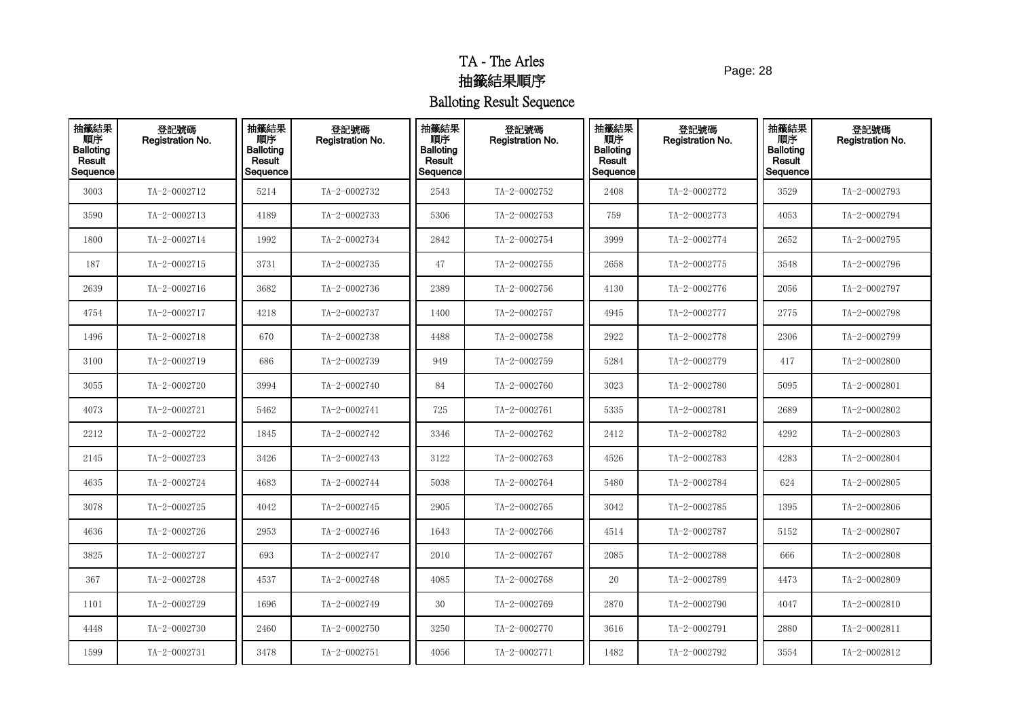Page: 28

| 抽籤結果<br><b>THE</b><br>Balloting<br>Result<br>Sequence | 登記號碼<br>Registration No. | 抽籤結果<br>順序<br><b>Balloting</b><br>Result<br>Sequence | 登記號碼<br>Registration No. | 抽籤結果<br>順序<br><b>Balloting</b><br>Result<br>Sequence | 登記號碼<br>Registration No. | 抽籤結果<br>順序<br><b>Balloting</b><br>Result<br>Sequence | 登記號碼<br>Registration No. | 抽籤結果<br>順序<br><b>Balloting</b><br>Result<br>Sequence | 登記號碼<br>Registration No. |
|-------------------------------------------------------|--------------------------|------------------------------------------------------|--------------------------|------------------------------------------------------|--------------------------|------------------------------------------------------|--------------------------|------------------------------------------------------|--------------------------|
| 3003                                                  | TA-2-0002712             | 5214                                                 | TA-2-0002732             | 2543                                                 | TA-2-0002752             | 2408                                                 | TA-2-0002772             | 3529                                                 | TA-2-0002793             |
| 3590                                                  | TA-2-0002713             | 4189                                                 | TA-2-0002733             | 5306                                                 | TA-2-0002753             | 759                                                  | TA-2-0002773             | 4053                                                 | TA-2-0002794             |
| 1800                                                  | TA-2-0002714             | 1992                                                 | TA-2-0002734             | 2842                                                 | TA-2-0002754             | 3999                                                 | TA-2-0002774             | 2652                                                 | TA-2-0002795             |
| 187                                                   | TA-2-0002715             | 3731                                                 | TA-2-0002735             | 47                                                   | TA-2-0002755             | 2658                                                 | TA-2-0002775             | 3548                                                 | TA-2-0002796             |
| 2639                                                  | TA-2-0002716             | 3682                                                 | TA-2-0002736             | 2389                                                 | TA-2-0002756             | 4130                                                 | TA-2-0002776             | 2056                                                 | TA-2-0002797             |
| 4754                                                  | TA-2-0002717             | 4218                                                 | TA-2-0002737             | 1400                                                 | TA-2-0002757             | 4945                                                 | TA-2-0002777             | 2775                                                 | TA-2-0002798             |
| 1496                                                  | TA-2-0002718             | 670                                                  | TA-2-0002738             | 4488                                                 | TA-2-0002758             | 2922                                                 | TA-2-0002778             | 2306                                                 | TA-2-0002799             |
| 3100                                                  | TA-2-0002719             | 686                                                  | TA-2-0002739             | 949                                                  | TA-2-0002759             | 5284                                                 | TA-2-0002779             | 417                                                  | TA-2-0002800             |
| 3055                                                  | TA-2-0002720             | 3994                                                 | TA-2-0002740             | 84                                                   | TA-2-0002760             | 3023                                                 | TA-2-0002780             | 5095                                                 | $TA - 2 - 0002801$       |
| 4073                                                  | TA-2-0002721             | 5462                                                 | TA-2-0002741             | 725                                                  | TA-2-0002761             | 5335                                                 | TA-2-0002781             | 2689                                                 | TA-2-0002802             |
| 2212                                                  | TA-2-0002722             | 1845                                                 | TA-2-0002742             | 3346                                                 | TA-2-0002762             | 2412                                                 | TA-2-0002782             | 4292                                                 | $TA - 2 - 0002803$       |
| 2145                                                  | TA-2-0002723             | 3426                                                 | TA-2-0002743             | 3122                                                 | TA-2-0002763             | 4526                                                 | TA-2-0002783             | 4283                                                 | TA-2-0002804             |
| 4635                                                  | TA-2-0002724             | 4683                                                 | TA-2-0002744             | 5038                                                 | TA-2-0002764             | 5480                                                 | TA-2-0002784             | 624                                                  | TA-2-0002805             |
| 3078                                                  | TA-2-0002725             | 4042                                                 | TA-2-0002745             | 2905                                                 | TA-2-0002765             | 3042                                                 | TA-2-0002785             | 1395                                                 | TA-2-0002806             |
| 4636                                                  | TA-2-0002726             | 2953                                                 | TA-2-0002746             | 1643                                                 | TA-2-0002766             | 4514                                                 | TA-2-0002787             | 5152                                                 | TA-2-0002807             |
| 3825                                                  | TA-2-0002727             | 693                                                  | TA-2-0002747             | 2010                                                 | TA-2-0002767             | 2085                                                 | TA-2-0002788             | 666                                                  | TA-2-0002808             |
| 367                                                   | TA-2-0002728             | 4537                                                 | TA-2-0002748             | 4085                                                 | TA-2-0002768             | 20                                                   | TA-2-0002789             | 4473                                                 | TA-2-0002809             |
| 1101                                                  | TA-2-0002729             | 1696                                                 | TA-2-0002749             | 30                                                   | TA-2-0002769             | 2870                                                 | TA-2-0002790             | 4047                                                 | TA-2-0002810             |
| 4448                                                  | TA-2-0002730             | 2460                                                 | TA-2-0002750             | 3250                                                 | TA-2-0002770             | 3616                                                 | TA-2-0002791             | 2880                                                 | TA-2-0002811             |
| 1599                                                  | TA-2-0002731             | 3478                                                 | TA-2-0002751             | 4056                                                 | TA-2-0002771             | 1482                                                 | TA-2-0002792             | 3554                                                 | TA-2-0002812             |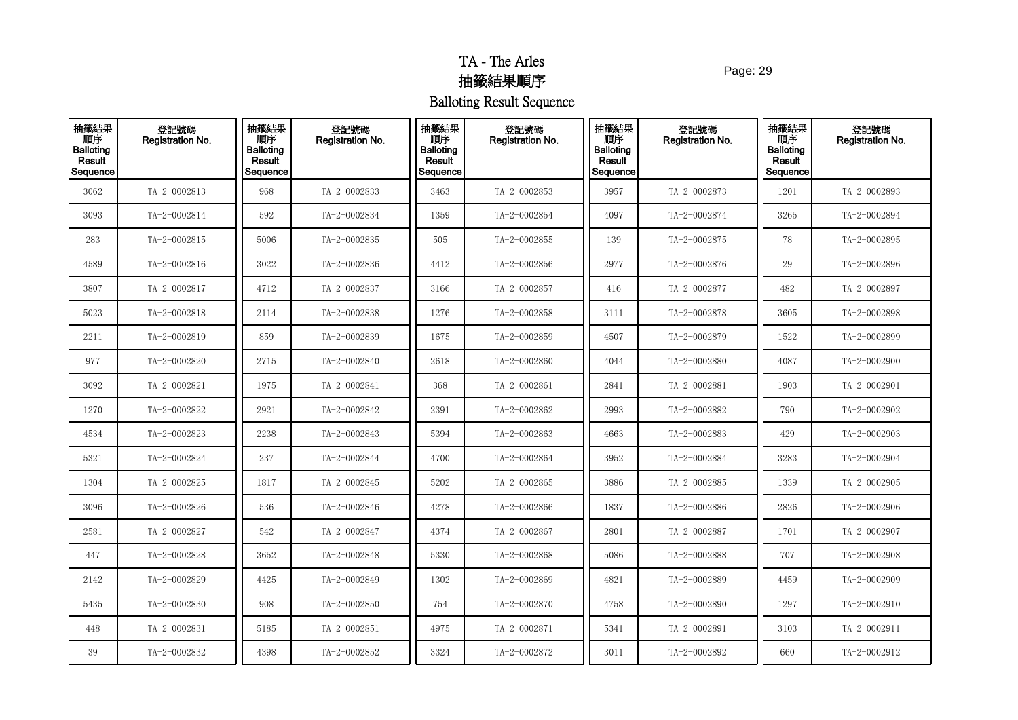Page: 29

| 抽籤結果<br>- 順序<br>Balloting<br>Result<br>Sequence | 登記號碼<br>Registration No. | 抽籤結果<br>順序<br><b>Balloting</b><br>Result<br>Sequence | 登記號碼<br>Registration No. | 抽籤結果<br>順序<br><b>Balloting</b><br>Result<br>Sequence | 登記號碼<br>Registration No. | 抽籤結果<br>順序<br><b>Balloting</b><br>Result<br>Sequence | 登記號碼<br>Registration No. | 抽籤結果<br>順序<br><b>Balloting</b><br>Result<br>Sequence | 登記號碼<br>Registration No. |
|-------------------------------------------------|--------------------------|------------------------------------------------------|--------------------------|------------------------------------------------------|--------------------------|------------------------------------------------------|--------------------------|------------------------------------------------------|--------------------------|
| 3062                                            | TA-2-0002813             | 968                                                  | TA-2-0002833             | 3463                                                 | TA-2-0002853             | 3957                                                 | TA-2-0002873             | 1201                                                 | TA-2-0002893             |
| 3093                                            | TA-2-0002814             | 592                                                  | TA-2-0002834             | 1359                                                 | TA-2-0002854             | 4097                                                 | TA-2-0002874             | 3265                                                 | TA-2-0002894             |
| 283                                             | TA-2-0002815             | 5006                                                 | TA-2-0002835             | 505                                                  | TA-2-0002855             | 139                                                  | TA-2-0002875             | 78                                                   | TA-2-0002895             |
| 4589                                            | TA-2-0002816             | 3022                                                 | TA-2-0002836             | 4412                                                 | TA-2-0002856             | 2977                                                 | TA-2-0002876             | 29                                                   | TA-2-0002896             |
| 3807                                            | TA-2-0002817             | 4712                                                 | TA-2-0002837             | 3166                                                 | TA-2-0002857             | 416                                                  | TA-2-0002877             | 482                                                  | TA-2-0002897             |
| 5023                                            | TA-2-0002818             | 2114                                                 | TA-2-0002838             | 1276                                                 | TA-2-0002858             | 3111                                                 | TA-2-0002878             | 3605                                                 | TA-2-0002898             |
| 2211                                            | TA-2-0002819             | 859                                                  | TA-2-0002839             | 1675                                                 | TA-2-0002859             | 4507                                                 | TA-2-0002879             | 1522                                                 | TA-2-0002899             |
| 977                                             | TA-2-0002820             | 2715                                                 | TA-2-0002840             | 2618                                                 | TA-2-0002860             | 4044                                                 | TA-2-0002880             | 4087                                                 | TA-2-0002900             |
| 3092                                            | TA-2-0002821             | 1975                                                 | TA-2-0002841             | 368                                                  | TA-2-0002861             | 2841                                                 | TA-2-0002881             | 1903                                                 | $TA - 2 - 0002901$       |
| 1270                                            | TA-2-0002822             | 2921                                                 | TA-2-0002842             | 2391                                                 | TA-2-0002862             | 2993                                                 | TA-2-0002882             | 790                                                  | TA-2-0002902             |
| 4534                                            | TA-2-0002823             | 2238                                                 | TA-2-0002843             | 5394                                                 | TA-2-0002863             | 4663                                                 | TA-2-0002883             | 429                                                  | TA-2-0002903             |
| 5321                                            | TA-2-0002824             | 237                                                  | TA-2-0002844             | 4700                                                 | TA-2-0002864             | 3952                                                 | TA-2-0002884             | 3283                                                 | TA-2-0002904             |
| 1304                                            | TA-2-0002825             | 1817                                                 | TA-2-0002845             | 5202                                                 | TA-2-0002865             | 3886                                                 | TA-2-0002885             | 1339                                                 | TA-2-0002905             |
| 3096                                            | TA-2-0002826             | 536                                                  | TA-2-0002846             | 4278                                                 | TA-2-0002866             | 1837                                                 | TA-2-0002886             | 2826                                                 | TA-2-0002906             |
| 2581                                            | TA-2-0002827             | 542                                                  | TA-2-0002847             | 4374                                                 | TA-2-0002867             | 2801                                                 | TA-2-0002887             | 1701                                                 | TA-2-0002907             |
| 447                                             | TA-2-0002828             | 3652                                                 | TA-2-0002848             | 5330                                                 | TA-2-0002868             | 5086                                                 | TA-2-0002888             | 707                                                  | TA-2-0002908             |
| 2142                                            | TA-2-0002829             | 4425                                                 | TA-2-0002849             | 1302                                                 | TA-2-0002869             | 4821                                                 | TA-2-0002889             | 4459                                                 | TA-2-0002909             |
| 5435                                            | TA-2-0002830             | 908                                                  | TA-2-0002850             | 754                                                  | TA-2-0002870             | 4758                                                 | TA-2-0002890             | 1297                                                 | TA-2-0002910             |
| 448                                             | TA-2-0002831             | 5185                                                 | TA-2-0002851             | 4975                                                 | TA-2-0002871             | 5341                                                 | TA-2-0002891             | 3103                                                 | TA-2-0002911             |
| 39                                              | TA-2-0002832             | 4398                                                 | TA-2-0002852             | 3324                                                 | TA-2-0002872             | 3011                                                 | TA-2-0002892             | 660                                                  | TA-2-0002912             |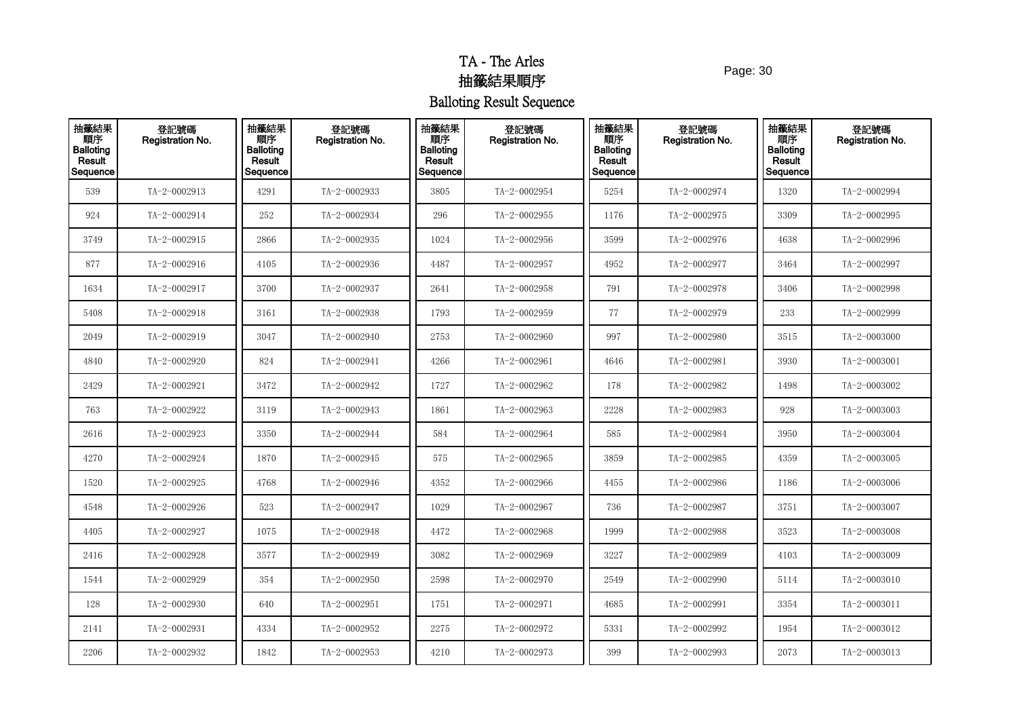Page: 30

| 抽籤結果<br>順序<br><b>Balloting</b><br>Result<br>Sequence | 登記號碼<br>Registration No. | 抽籤結果<br>順序<br><b>Balloting</b><br>Result<br>Sequence | 登記號碼<br><b>Registration No.</b> | 抽籤結果<br>順序<br><b>Balloting</b><br>Result<br>Sequence | 登記號碼<br>Registration No. | 抽籤結果<br>順序<br><b>Balloting</b><br>Result<br>Sequence | 登記號碼<br><b>Registration No.</b> | 抽籤結果<br>順序<br><b>Balloting</b><br>Result<br>Sequence | 登記號碼<br><b>Registration No.</b> |
|------------------------------------------------------|--------------------------|------------------------------------------------------|---------------------------------|------------------------------------------------------|--------------------------|------------------------------------------------------|---------------------------------|------------------------------------------------------|---------------------------------|
| 539                                                  | TA-2-0002913             | 4291                                                 | TA-2-0002933                    | 3805                                                 | TA-2-0002954             | 5254                                                 | TA-2-0002974                    | 1320                                                 | TA-2-0002994                    |
| 924                                                  | TA-2-0002914             | 252                                                  | TA-2-0002934                    | 296                                                  | TA-2-0002955             | 1176                                                 | TA-2-0002975                    | 3309                                                 | TA-2-0002995                    |
| 3749                                                 | TA-2-0002915             | 2866                                                 | TA-2-0002935                    | 1024                                                 | TA-2-0002956             | 3599                                                 | TA-2-0002976                    | 4638                                                 | TA-2-0002996                    |
| 877                                                  | TA-2-0002916             | 4105                                                 | TA-2-0002936                    | 4487                                                 | TA-2-0002957             | 4952                                                 | TA-2-0002977                    | 3464                                                 | TA-2-0002997                    |
| 1634                                                 | TA-2-0002917             | 3700                                                 | TA-2-0002937                    | 2641                                                 | TA-2-0002958             | 791                                                  | TA-2-0002978                    | 3406                                                 | TA-2-0002998                    |
| 5408                                                 | TA-2-0002918             | 3161                                                 | TA-2-0002938                    | 1793                                                 | TA-2-0002959             | 77                                                   | TA-2-0002979                    | 233                                                  | TA-2-0002999                    |
| 2049                                                 | TA-2-0002919             | 3047                                                 | TA-2-0002940                    | 2753                                                 | TA-2-0002960             | 997                                                  | TA-2-0002980                    | 3515                                                 | TA-2-0003000                    |
| 4840                                                 | TA-2-0002920             | 824                                                  | TA-2-0002941                    | 4266                                                 | TA-2-0002961             | 4646                                                 | TA-2-0002981                    | 3930                                                 | $TA - 2 - 0003001$              |
| 2429                                                 | TA-2-0002921             | 3472                                                 | TA-2-0002942                    | 1727                                                 | TA-2-0002962             | 178                                                  | TA-2-0002982                    | 1498                                                 | TA-2-0003002                    |
| 763                                                  | TA-2-0002922             | 3119                                                 | TA-2-0002943                    | 1861                                                 | TA-2-0002963             | 2228                                                 | TA-2-0002983                    | 928                                                  | TA-2-0003003                    |
| 2616                                                 | TA-2-0002923             | 3350                                                 | TA-2-0002944                    | 584                                                  | TA-2-0002964             | 585                                                  | TA-2-0002984                    | 3950                                                 | TA-2-0003004                    |
| 4270                                                 | TA-2-0002924             | 1870                                                 | TA-2-0002945                    | 575                                                  | TA-2-0002965             | 3859                                                 | TA-2-0002985                    | 4359                                                 | TA-2-0003005                    |
| 1520                                                 | TA-2-0002925             | 4768                                                 | TA-2-0002946                    | 4352                                                 | TA-2-0002966             | 4455                                                 | TA-2-0002986                    | 1186                                                 | TA-2-0003006                    |
| 4548                                                 | TA-2-0002926             | 523                                                  | TA-2-0002947                    | 1029                                                 | TA-2-0002967             | 736                                                  | TA-2-0002987                    | 3751                                                 | $TA - 2 - 0003007$              |
| 4405                                                 | TA-2-0002927             | 1075                                                 | TA-2-0002948                    | 4472                                                 | TA-2-0002968             | 1999                                                 | TA-2-0002988                    | 3523                                                 | TA-2-0003008                    |
| 2416                                                 | TA-2-0002928             | 3577                                                 | TA-2-0002949                    | 3082                                                 | TA-2-0002969             | 3227                                                 | TA-2-0002989                    | 4103                                                 | TA-2-0003009                    |
| 1544                                                 | TA-2-0002929             | 354                                                  | TA-2-0002950                    | 2598                                                 | TA-2-0002970             | 2549                                                 | TA-2-0002990                    | 5114                                                 | $TA - 2 - 0003010$              |
| 128                                                  | TA-2-0002930             | 640                                                  | TA-2-0002951                    | 1751                                                 | TA-2-0002971             | 4685                                                 | TA-2-0002991                    | 3354                                                 | TA-2-0003011                    |
| 2141                                                 | TA-2-0002931             | 4334                                                 | TA-2-0002952                    | 2275                                                 | TA-2-0002972             | 5331                                                 | TA-2-0002992                    | 1954                                                 | TA-2-0003012                    |
| 2206                                                 | TA-2-0002932             | 1842                                                 | TA-2-0002953                    | 4210                                                 | TA-2-0002973             | 399                                                  | TA-2-0002993                    | 2073                                                 | $TA - 2 - 0003013$              |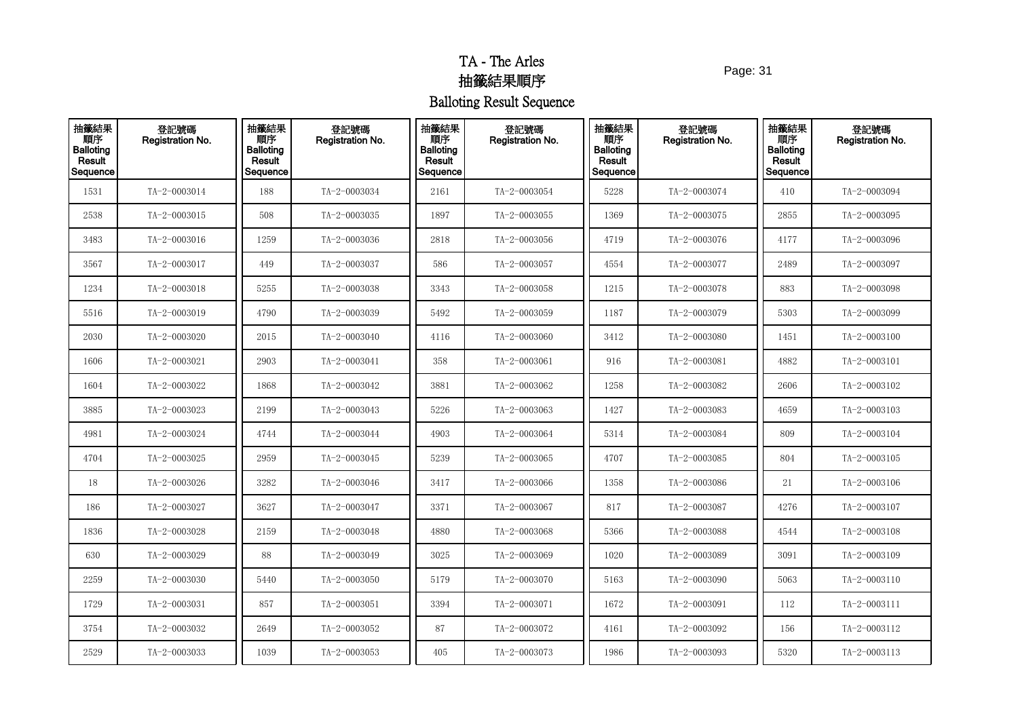Page: 31

| 抽籤結果<br>順序<br>Balloting<br>Result<br>Sequence | 登記號碼<br>Registration No. | 抽籤結果<br>順序<br><b>Balloting</b><br>Result<br>Sequence | 登記號碼<br>Registration No. | 抽籤結果<br>順序<br><b>Balloting</b><br><b>Result</b><br>Sequence | 登記號碼<br>Registration No. | 抽籤結果<br>順序<br><b>Balloting</b><br>Result<br>Sequence | 登記號碼<br><b>Registration No.</b> | 抽籤結果<br>順序<br><b>Balloting</b><br>Result<br>Sequence | 登記號碼<br>Registration No. |
|-----------------------------------------------|--------------------------|------------------------------------------------------|--------------------------|-------------------------------------------------------------|--------------------------|------------------------------------------------------|---------------------------------|------------------------------------------------------|--------------------------|
| 1531                                          | TA-2-0003014             | 188                                                  | TA-2-0003034             | 2161                                                        | TA-2-0003054             | 5228                                                 | TA-2-0003074                    | 410                                                  | TA-2-0003094             |
| 2538                                          | TA-2-0003015             | 508                                                  | TA-2-0003035             | 1897                                                        | TA-2-0003055             | 1369                                                 | TA-2-0003075                    | 2855                                                 | TA-2-0003095             |
| 3483                                          | TA-2-0003016             | 1259                                                 | TA-2-0003036             | 2818                                                        | TA-2-0003056             | 4719                                                 | TA-2-0003076                    | 4177                                                 | TA-2-0003096             |
| 3567                                          | TA-2-0003017             | 449                                                  | TA-2-0003037             | 586                                                         | TA-2-0003057             | 4554                                                 | TA-2-0003077                    | 2489                                                 | TA-2-0003097             |
| 1234                                          | TA-2-0003018             | 5255                                                 | TA-2-0003038             | 3343                                                        | TA-2-0003058             | 1215                                                 | TA-2-0003078                    | 883                                                  | TA-2-0003098             |
| 5516                                          | TA-2-0003019             | 4790                                                 | TA-2-0003039             | 5492                                                        | TA-2-0003059             | 1187                                                 | TA-2-0003079                    | 5303                                                 | TA-2-0003099             |
| 2030                                          | TA-2-0003020             | 2015                                                 | TA-2-0003040             | 4116                                                        | TA-2-0003060             | 3412                                                 | TA-2-0003080                    | 1451                                                 | TA-2-0003100             |
| 1606                                          | TA-2-0003021             | 2903                                                 | TA-2-0003041             | 358                                                         | $TA - 2 - 0003061$       | 916                                                  | TA-2-0003081                    | 4882                                                 | TA-2-0003101             |
| 1604                                          | TA-2-0003022             | 1868                                                 | TA-2-0003042             | 3881                                                        | TA-2-0003062             | 1258                                                 | TA-2-0003082                    | 2606                                                 | TA-2-0003102             |
| 3885                                          | TA-2-0003023             | 2199                                                 | TA-2-0003043             | 5226                                                        | TA-2-0003063             | 1427                                                 | TA-2-0003083                    | 4659                                                 | TA-2-0003103             |
| 4981                                          | TA-2-0003024             | 4744                                                 | TA-2-0003044             | 4903                                                        | TA-2-0003064             | 5314                                                 | TA-2-0003084                    | 809                                                  | TA-2-0003104             |
| 4704                                          | TA-2-0003025             | 2959                                                 | TA-2-0003045             | 5239                                                        | TA-2-0003065             | 4707                                                 | $TA - 2 - 0003085$              | 804                                                  | $TA - 2 - 0003105$       |
| 18                                            | TA-2-0003026             | 3282                                                 | TA-2-0003046             | 3417                                                        | TA-2-0003066             | 1358                                                 | TA-2-0003086                    | 21                                                   | TA-2-0003106             |
| 186                                           | TA-2-0003027             | 3627                                                 | TA-2-0003047             | 3371                                                        | TA-2-0003067             | 817                                                  | TA-2-0003087                    | 4276                                                 | TA-2-0003107             |
| 1836                                          | TA-2-0003028             | 2159                                                 | TA-2-0003048             | 4880                                                        | TA-2-0003068             | 5366                                                 | TA-2-0003088                    | 4544                                                 | TA-2-0003108             |
| 630                                           | TA-2-0003029             | 88                                                   | TA-2-0003049             | 3025                                                        | TA-2-0003069             | 1020                                                 | TA-2-0003089                    | 3091                                                 | TA-2-0003109             |
| 2259                                          | TA-2-0003030             | 5440                                                 | TA-2-0003050             | 5179                                                        | TA-2-0003070             | 5163                                                 | TA-2-0003090                    | 5063                                                 | TA-2-0003110             |
| 1729                                          | $TA - 2 - 0003031$       | 857                                                  | TA-2-0003051             | 3394                                                        | TA-2-0003071             | 1672                                                 | TA-2-0003091                    | 112                                                  | TA-2-0003111             |
| 3754                                          | TA-2-0003032             | 2649                                                 | TA-2-0003052             | 87                                                          | TA-2-0003072             | 4161                                                 | TA-2-0003092                    | 156                                                  | TA-2-0003112             |
| 2529                                          | TA-2-0003033             | 1039                                                 | TA-2-0003053             | 405                                                         | TA-2-0003073             | 1986                                                 | TA-2-0003093                    | 5320                                                 | TA-2-0003113             |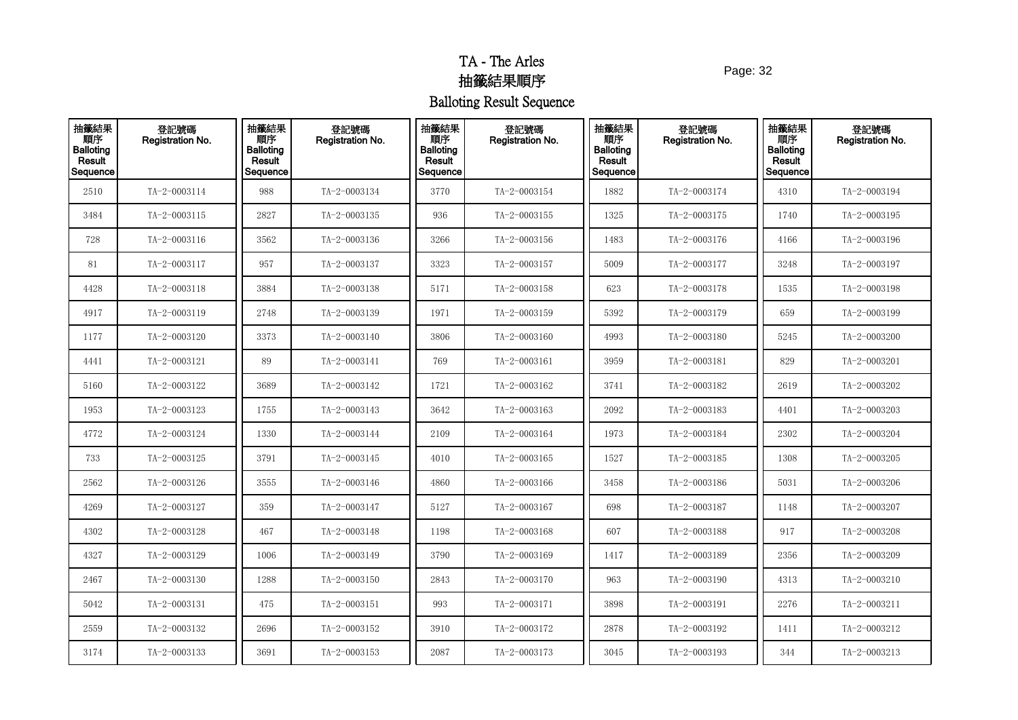Page: 32

| 抽籤結果<br>順序<br><b>Balloting</b><br>Result<br>Sequence | 登記號碼<br>Registration No. | 抽籤結果<br>順序<br><b>Balloting</b><br>Result<br>Sequence | 登記號碼<br>Registration No. | 抽籤結果<br>順序<br><b>Balloting</b><br>Result<br>Sequence | 登記號碼<br>Registration No. | 抽籤結果<br>順序<br><b>Balloting</b><br>Result<br>Sequence | 登記號碼<br>Registration No. | 抽籤結果<br>順序<br><b>Balloting</b><br>Result<br>Sequence | 登記號碼<br>Registration No. |
|------------------------------------------------------|--------------------------|------------------------------------------------------|--------------------------|------------------------------------------------------|--------------------------|------------------------------------------------------|--------------------------|------------------------------------------------------|--------------------------|
| 2510                                                 | TA-2-0003114             | 988                                                  | TA-2-0003134             | 3770                                                 | TA-2-0003154             | 1882                                                 | TA-2-0003174             | 4310                                                 | TA-2-0003194             |
| 3484                                                 | TA-2-0003115             | 2827                                                 | TA-2-0003135             | 936                                                  | TA-2-0003155             | 1325                                                 | TA-2-0003175             | 1740                                                 | TA-2-0003195             |
| 728                                                  | $TA - 2 - 0003116$       | 3562                                                 | TA-2-0003136             | 3266                                                 | TA-2-0003156             | 1483                                                 | TA-2-0003176             | 4166                                                 | TA-2-0003196             |
| 81                                                   | TA-2-0003117             | 957                                                  | TA-2-0003137             | 3323                                                 | TA-2-0003157             | 5009                                                 | TA-2-0003177             | 3248                                                 | TA-2-0003197             |
| 4428                                                 | TA-2-0003118             | 3884                                                 | TA-2-0003138             | 5171                                                 | TA-2-0003158             | 623                                                  | TA-2-0003178             | 1535                                                 | TA-2-0003198             |
| 4917                                                 | TA-2-0003119             | 2748                                                 | TA-2-0003139             | 1971                                                 | TA-2-0003159             | 5392                                                 | TA-2-0003179             | 659                                                  | TA-2-0003199             |
| 1177                                                 | TA-2-0003120             | 3373                                                 | TA-2-0003140             | 3806                                                 | TA-2-0003160             | 4993                                                 | TA-2-0003180             | 5245                                                 | TA-2-0003200             |
| 4441                                                 | TA-2-0003121             | 89                                                   | TA-2-0003141             | 769                                                  | TA-2-0003161             | 3959                                                 | $TA - 2 - 0003181$       | 829                                                  | TA-2-0003201             |
| 5160                                                 | TA-2-0003122             | 3689                                                 | TA-2-0003142             | 1721                                                 | TA-2-0003162             | 3741                                                 | TA-2-0003182             | 2619                                                 | TA-2-0003202             |
| 1953                                                 | TA-2-0003123             | 1755                                                 | TA-2-0003143             | 3642                                                 | TA-2-0003163             | 2092                                                 | TA-2-0003183             | 4401                                                 | TA-2-0003203             |
| 4772                                                 | TA-2-0003124             | 1330                                                 | TA-2-0003144             | 2109                                                 | TA-2-0003164             | 1973                                                 | TA-2-0003184             | 2302                                                 | TA-2-0003204             |
| 733                                                  | TA-2-0003125             | 3791                                                 | TA-2-0003145             | 4010                                                 | $TA - 2 - 0003165$       | 1527                                                 | $TA - 2 - 0003185$       | 1308                                                 | TA-2-0003205             |
| 2562                                                 | TA-2-0003126             | 3555                                                 | TA-2-0003146             | 4860                                                 | TA-2-0003166             | 3458                                                 | TA-2-0003186             | 5031                                                 | TA-2-0003206             |
| 4269                                                 | TA-2-0003127             | 359                                                  | TA-2-0003147             | 5127                                                 | TA-2-0003167             | 698                                                  | TA-2-0003187             | 1148                                                 | TA-2-0003207             |
| 4302                                                 | TA-2-0003128             | 467                                                  | TA-2-0003148             | 1198                                                 | TA-2-0003168             | 607                                                  | TA-2-0003188             | 917                                                  | TA-2-0003208             |
| 4327                                                 | TA-2-0003129             | 1006                                                 | TA-2-0003149             | 3790                                                 | TA-2-0003169             | 1417                                                 | TA-2-0003189             | 2356                                                 | TA-2-0003209             |
| 2467                                                 | TA-2-0003130             | 1288                                                 | TA-2-0003150             | 2843                                                 | TA-2-0003170             | 963                                                  | TA-2-0003190             | 4313                                                 | TA-2-0003210             |
| 5042                                                 | TA-2-0003131             | 475                                                  | TA-2-0003151             | 993                                                  | TA-2-0003171             | 3898                                                 | TA-2-0003191             | 2276                                                 | TA-2-0003211             |
| 2559                                                 | TA-2-0003132             | 2696                                                 | TA-2-0003152             | 3910                                                 | TA-2-0003172             | 2878                                                 | TA-2-0003192             | 1411                                                 | TA-2-0003212             |
| 3174                                                 | TA-2-0003133             | 3691                                                 | TA-2-0003153             | 2087                                                 | TA-2-0003173             | 3045                                                 | TA-2-0003193             | 344                                                  | TA-2-0003213             |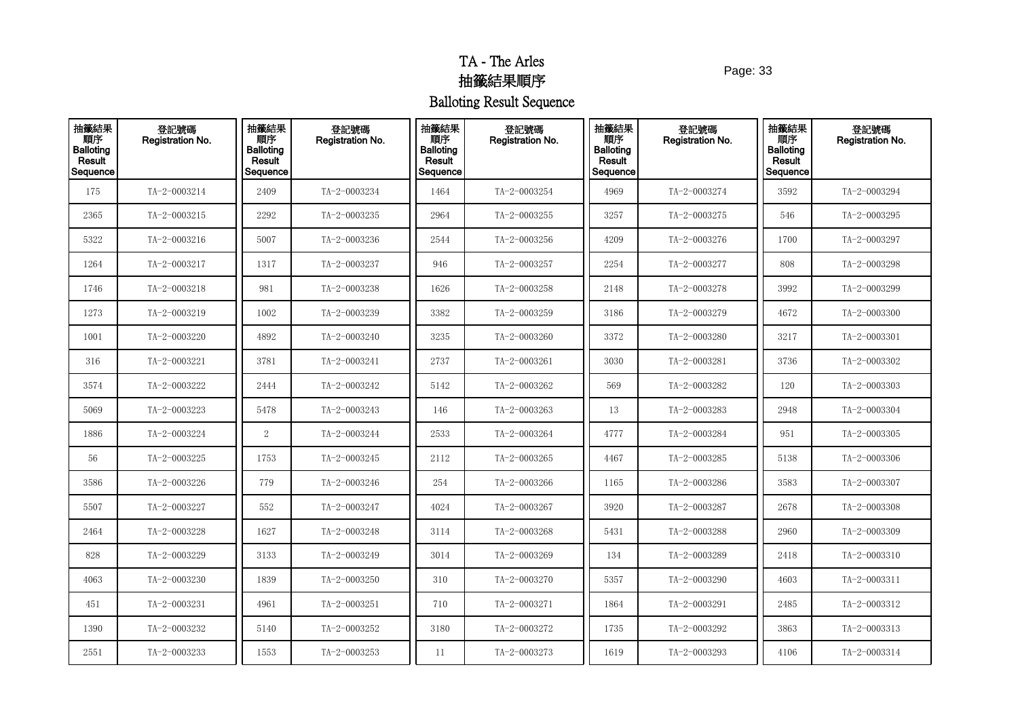Page: 33

| 抽籤結果<br>順序<br><b>Balloting</b><br>Result<br>Sequence | 登記號碼<br>Registration No. | 抽籤結果<br>順序<br><b>Balloting</b><br>Result<br>Sequence | 登記號碼<br><b>Registration No.</b> | 抽籤結果<br>順序<br><b>Balloting</b><br>Result<br>Sequence | 登記號碼<br>Registration No. | 抽籤結果<br>順序<br><b>Balloting</b><br>Result<br>Sequence | 登記號碼<br><b>Registration No.</b> | 抽籤結果<br>順序<br><b>Balloting</b><br>Result<br>Sequence | 登記號碼<br><b>Registration No.</b> |
|------------------------------------------------------|--------------------------|------------------------------------------------------|---------------------------------|------------------------------------------------------|--------------------------|------------------------------------------------------|---------------------------------|------------------------------------------------------|---------------------------------|
| 175                                                  | TA-2-0003214             | 2409                                                 | TA-2-0003234                    | 1464                                                 | TA-2-0003254             | 4969                                                 | TA-2-0003274                    | 3592                                                 | TA-2-0003294                    |
| 2365                                                 | TA-2-0003215             | 2292                                                 | TA-2-0003235                    | 2964                                                 | TA-2-0003255             | 3257                                                 | TA-2-0003275                    | 546                                                  | TA-2-0003295                    |
| 5322                                                 | TA-2-0003216             | 5007                                                 | TA-2-0003236                    | 2544                                                 | TA-2-0003256             | 4209                                                 | TA-2-0003276                    | 1700                                                 | TA-2-0003297                    |
| 1264                                                 | TA-2-0003217             | 1317                                                 | TA-2-0003237                    | 946                                                  | TA-2-0003257             | 2254                                                 | TA-2-0003277                    | 808                                                  | TA-2-0003298                    |
| 1746                                                 | TA-2-0003218             | 981                                                  | TA-2-0003238                    | 1626                                                 | TA-2-0003258             | 2148                                                 | TA-2-0003278                    | 3992                                                 | TA-2-0003299                    |
| 1273                                                 | TA-2-0003219             | 1002                                                 | TA-2-0003239                    | 3382                                                 | TA-2-0003259             | 3186                                                 | TA-2-0003279                    | 4672                                                 | TA-2-0003300                    |
| 1001                                                 | TA-2-0003220             | 4892                                                 | TA-2-0003240                    | 3235                                                 | TA-2-0003260             | 3372                                                 | TA-2-0003280                    | 3217                                                 | TA-2-0003301                    |
| 316                                                  | TA-2-0003221             | 3781                                                 | TA-2-0003241                    | 2737                                                 | TA-2-0003261             | 3030                                                 | TA-2-0003281                    | 3736                                                 | TA-2-0003302                    |
| 3574                                                 | TA-2-0003222             | 2444                                                 | TA-2-0003242                    | 5142                                                 | TA-2-0003262             | 569                                                  | TA-2-0003282                    | 120                                                  | TA-2-0003303                    |
| 5069                                                 | TA-2-0003223             | 5478                                                 | TA-2-0003243                    | 146                                                  | TA-2-0003263             | 13                                                   | TA-2-0003283                    | 2948                                                 | TA-2-0003304                    |
| 1886                                                 | TA-2-0003224             | 2                                                    | TA-2-0003244                    | 2533                                                 | TA-2-0003264             | 4777                                                 | TA-2-0003284                    | 951                                                  | TA-2-0003305                    |
| 56                                                   | TA-2-0003225             | 1753                                                 | TA-2-0003245                    | 2112                                                 | TA-2-0003265             | 4467                                                 | TA-2-0003285                    | 5138                                                 | TA-2-0003306                    |
| 3586                                                 | TA-2-0003226             | 779                                                  | TA-2-0003246                    | 254                                                  | TA-2-0003266             | 1165                                                 | TA-2-0003286                    | 3583                                                 | TA-2-0003307                    |
| 5507                                                 | TA-2-0003227             | 552                                                  | TA-2-0003247                    | 4024                                                 | TA-2-0003267             | 3920                                                 | TA-2-0003287                    | 2678                                                 | TA-2-0003308                    |
| 2464                                                 | TA-2-0003228             | 1627                                                 | TA-2-0003248                    | 3114                                                 | TA-2-0003268             | 5431                                                 | TA-2-0003288                    | 2960                                                 | TA-2-0003309                    |
| 828                                                  | TA-2-0003229             | 3133                                                 | TA-2-0003249                    | 3014                                                 | TA-2-0003269             | 134                                                  | TA-2-0003289                    | 2418                                                 | TA-2-0003310                    |
| 4063                                                 | TA-2-0003230             | 1839                                                 | TA-2-0003250                    | 310                                                  | TA-2-0003270             | 5357                                                 | TA-2-0003290                    | 4603                                                 | TA-2-0003311                    |
| 451                                                  | TA-2-0003231             | 4961                                                 | TA-2-0003251                    | 710                                                  | TA-2-0003271             | 1864                                                 | TA-2-0003291                    | 2485                                                 | TA-2-0003312                    |
| 1390                                                 | TA-2-0003232             | 5140                                                 | TA-2-0003252                    | 3180                                                 | TA-2-0003272             | 1735                                                 | TA-2-0003292                    | 3863                                                 | TA-2-0003313                    |
| 2551                                                 | TA-2-0003233             | 1553                                                 | TA-2-0003253                    | 11                                                   | TA-2-0003273             | 1619                                                 | TA-2-0003293                    | 4106                                                 | TA-2-0003314                    |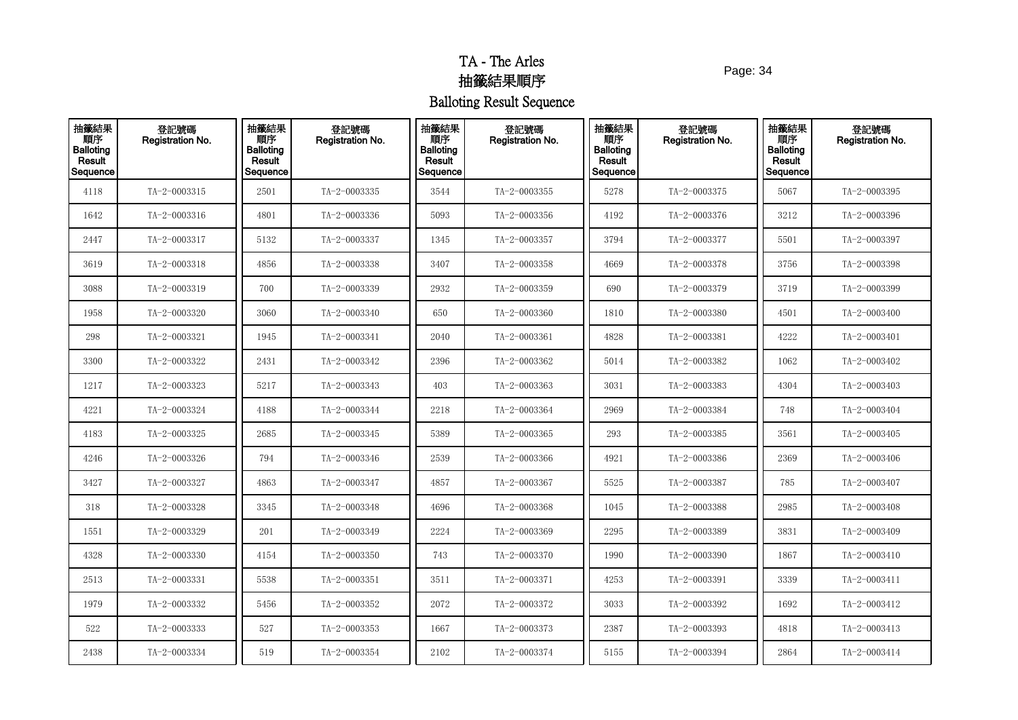Page: 34

| 抽籤結果<br>順序<br>Balloting<br>Result<br>Sequence | 登記號碼<br>Registration No. | 抽籤結果<br>順序<br><b>Balloting</b><br>Result<br>Sequence | 登記號碼<br>Registration No. | 抽籤結果<br>順序<br><b>Balloting</b><br>Result<br>Sequence | 登記號碼<br>Registration No. | 抽籤結果<br>順序<br><b>Balloting</b><br>Result<br>Sequence | 登記號碼<br>Registration No. | 抽籤結果<br>順序<br><b>Balloting</b><br>Result<br>Sequence | 登記號碼<br>Registration No. |
|-----------------------------------------------|--------------------------|------------------------------------------------------|--------------------------|------------------------------------------------------|--------------------------|------------------------------------------------------|--------------------------|------------------------------------------------------|--------------------------|
| 4118                                          | TA-2-0003315             | 2501                                                 | TA-2-0003335             | 3544                                                 | TA-2-0003355             | 5278                                                 | TA-2-0003375             | 5067                                                 | TA-2-0003395             |
| 1642                                          | TA-2-0003316             | 4801                                                 | TA-2-0003336             | 5093                                                 | TA-2-0003356             | 4192                                                 | TA-2-0003376             | 3212                                                 | TA-2-0003396             |
| 2447                                          | TA-2-0003317             | 5132                                                 | TA-2-0003337             | 1345                                                 | TA-2-0003357             | 3794                                                 | TA-2-0003377             | 5501                                                 | TA-2-0003397             |
| 3619                                          | TA-2-0003318             | 4856                                                 | TA-2-0003338             | 3407                                                 | TA-2-0003358             | 4669                                                 | TA-2-0003378             | 3756                                                 | TA-2-0003398             |
| 3088                                          | TA-2-0003319             | 700                                                  | TA-2-0003339             | 2932                                                 | TA-2-0003359             | 690                                                  | TA-2-0003379             | 3719                                                 | TA-2-0003399             |
| 1958                                          | TA-2-0003320             | 3060                                                 | TA-2-0003340             | 650                                                  | TA-2-0003360             | 1810                                                 | TA-2-0003380             | 4501                                                 | TA-2-0003400             |
| 298                                           | TA-2-0003321             | 1945                                                 | TA-2-0003341             | 2040                                                 | TA-2-0003361             | 4828                                                 | TA-2-0003381             | 4222                                                 | TA-2-0003401             |
| 3300                                          | TA-2-0003322             | 2431                                                 | TA-2-0003342             | 2396                                                 | TA-2-0003362             | 5014                                                 | TA-2-0003382             | 1062                                                 | TA-2-0003402             |
| 1217                                          | TA-2-0003323             | 5217                                                 | TA-2-0003343             | 403                                                  | TA-2-0003363             | 3031                                                 | TA-2-0003383             | 4304                                                 | TA-2-0003403             |
| 4221                                          | TA-2-0003324             | 4188                                                 | TA-2-0003344             | 2218                                                 | TA-2-0003364             | 2969                                                 | TA-2-0003384             | 748                                                  | TA-2-0003404             |
| 4183                                          | TA-2-0003325             | 2685                                                 | TA-2-0003345             | 5389                                                 | TA-2-0003365             | 293                                                  | TA-2-0003385             | 3561                                                 | TA-2-0003405             |
| 4246                                          | TA-2-0003326             | 794                                                  | TA-2-0003346             | 2539                                                 | TA-2-0003366             | 4921                                                 | TA-2-0003386             | 2369                                                 | TA-2-0003406             |
| 3427                                          | TA-2-0003327             | 4863                                                 | TA-2-0003347             | 4857                                                 | TA-2-0003367             | 5525                                                 | TA-2-0003387             | 785                                                  | TA-2-0003407             |
| 318                                           | TA-2-0003328             | 3345                                                 | TA-2-0003348             | 4696                                                 | TA-2-0003368             | 1045                                                 | TA-2-0003388             | 2985                                                 | TA-2-0003408             |
| 1551                                          | TA-2-0003329             | 201                                                  | TA-2-0003349             | 2224                                                 | TA-2-0003369             | 2295                                                 | TA-2-0003389             | 3831                                                 | TA-2-0003409             |
| 4328                                          | TA-2-0003330             | 4154                                                 | TA-2-0003350             | 743                                                  | TA-2-0003370             | 1990                                                 | TA-2-0003390             | 1867                                                 | TA-2-0003410             |
| 2513                                          | TA-2-0003331             | 5538                                                 | TA-2-0003351             | 3511                                                 | TA-2-0003371             | 4253                                                 | TA-2-0003391             | 3339                                                 | TA-2-0003411             |
| 1979                                          | TA-2-0003332             | 5456                                                 | TA-2-0003352             | 2072                                                 | TA-2-0003372             | 3033                                                 | TA-2-0003392             | 1692                                                 | TA-2-0003412             |
| 522                                           | TA-2-0003333             | 527                                                  | TA-2-0003353             | 1667                                                 | TA-2-0003373             | 2387                                                 | TA-2-0003393             | 4818                                                 | TA-2-0003413             |
| 2438                                          | TA-2-0003334             | 519                                                  | TA-2-0003354             | 2102                                                 | TA-2-0003374             | 5155                                                 | TA-2-0003394             | 2864                                                 | TA-2-0003414             |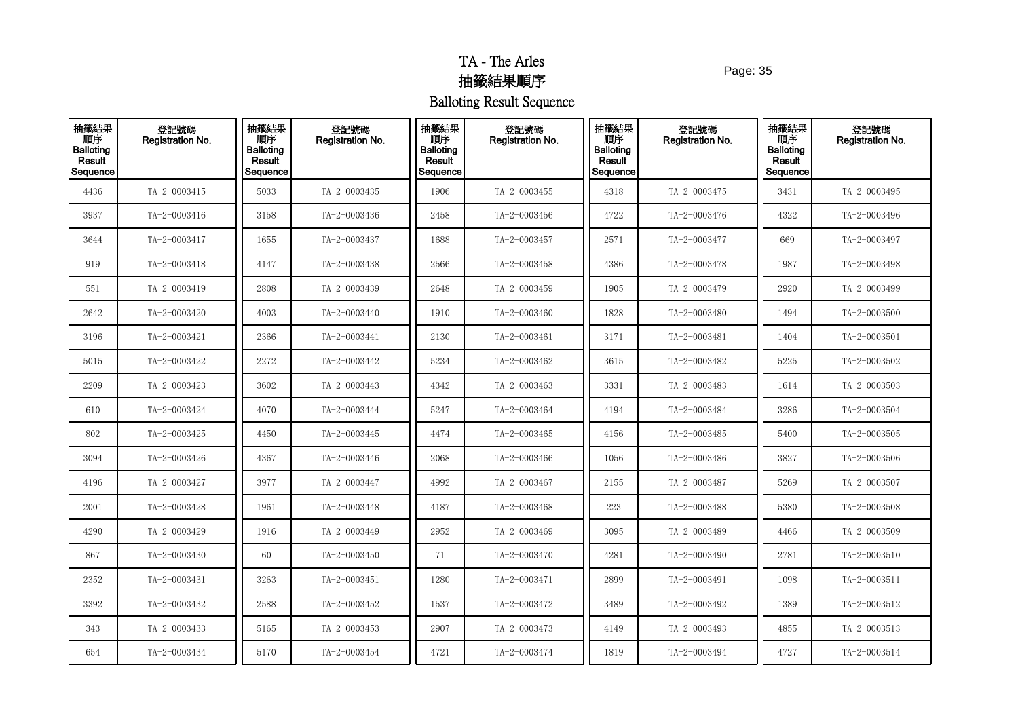Page: 35

| 抽籤結果<br>順序<br><b>Balloting</b><br>Result<br>Sequence | 登記號碼<br>Registration No. | 抽籤結果<br>順序<br><b>Balloting</b><br>Result<br>Sequence | 登記號碼<br>Registration No. | 抽籤結果<br>順序<br><b>Balloting</b><br>Result<br>Sequence | 登記號碼<br>Registration No. | 抽籤結果<br>順序<br><b>Balloting</b><br>Result<br>Sequence | 登記號碼<br>Registration No. | 抽籤結果<br>順序<br><b>Balloting</b><br>Result<br>Sequence | 登記號碼<br>Registration No. |
|------------------------------------------------------|--------------------------|------------------------------------------------------|--------------------------|------------------------------------------------------|--------------------------|------------------------------------------------------|--------------------------|------------------------------------------------------|--------------------------|
| 4436                                                 | TA-2-0003415             | 5033                                                 | TA-2-0003435             | 1906                                                 | TA-2-0003455             | 4318                                                 | TA-2-0003475             | 3431                                                 | TA-2-0003495             |
| 3937                                                 | TA-2-0003416             | 3158                                                 | TA-2-0003436             | 2458                                                 | TA-2-0003456             | 4722                                                 | TA-2-0003476             | 4322                                                 | TA-2-0003496             |
| 3644                                                 | TA-2-0003417             | 1655                                                 | TA-2-0003437             | 1688                                                 | TA-2-0003457             | 2571                                                 | TA-2-0003477             | 669                                                  | TA-2-0003497             |
| 919                                                  | TA-2-0003418             | 4147                                                 | TA-2-0003438             | 2566                                                 | TA-2-0003458             | 4386                                                 | TA-2-0003478             | 1987                                                 | TA-2-0003498             |
| 551                                                  | TA-2-0003419             | 2808                                                 | TA-2-0003439             | 2648                                                 | TA-2-0003459             | 1905                                                 | TA-2-0003479             | 2920                                                 | TA-2-0003499             |
| 2642                                                 | TA-2-0003420             | 4003                                                 | TA-2-0003440             | 1910                                                 | TA-2-0003460             | 1828                                                 | TA-2-0003480             | 1494                                                 | TA-2-0003500             |
| 3196                                                 | TA-2-0003421             | 2366                                                 | TA-2-0003441             | 2130                                                 | TA-2-0003461             | 3171                                                 | TA-2-0003481             | 1404                                                 | TA-2-0003501             |
| 5015                                                 | TA-2-0003422             | 2272                                                 | TA-2-0003442             | 5234                                                 | TA-2-0003462             | 3615                                                 | TA-2-0003482             | 5225                                                 | TA-2-0003502             |
| 2209                                                 | TA-2-0003423             | 3602                                                 | TA-2-0003443             | 4342                                                 | TA-2-0003463             | 3331                                                 | TA-2-0003483             | 1614                                                 | TA-2-0003503             |
| 610                                                  | TA-2-0003424             | 4070                                                 | TA-2-0003444             | 5247                                                 | TA-2-0003464             | 4194                                                 | TA-2-0003484             | 3286                                                 | TA-2-0003504             |
| 802                                                  | TA-2-0003425             | 4450                                                 | TA-2-0003445             | 4474                                                 | TA-2-0003465             | 4156                                                 | TA-2-0003485             | 5400                                                 | TA-2-0003505             |
| 3094                                                 | TA-2-0003426             | 4367                                                 | TA-2-0003446             | 2068                                                 | TA-2-0003466             | 1056                                                 | TA-2-0003486             | 3827                                                 | TA-2-0003506             |
| 4196                                                 | TA-2-0003427             | 3977                                                 | TA-2-0003447             | 4992                                                 | TA-2-0003467             | 2155                                                 | TA-2-0003487             | 5269                                                 | TA-2-0003507             |
| 2001                                                 | TA-2-0003428             | 1961                                                 | TA-2-0003448             | 4187                                                 | TA-2-0003468             | 223                                                  | TA-2-0003488             | 5380                                                 | TA-2-0003508             |
| 4290                                                 | TA-2-0003429             | 1916                                                 | TA-2-0003449             | 2952                                                 | TA-2-0003469             | 3095                                                 | TA-2-0003489             | 4466                                                 | TA-2-0003509             |
| 867                                                  | TA-2-0003430             | 60                                                   | TA-2-0003450             | 71                                                   | TA-2-0003470             | 4281                                                 | TA-2-0003490             | 2781                                                 | $TA - 2 - 0003510$       |
| 2352                                                 | TA-2-0003431             | 3263                                                 | TA-2-0003451             | 1280                                                 | TA-2-0003471             | 2899                                                 | TA-2-0003491             | 1098                                                 | TA-2-0003511             |
| 3392                                                 | TA-2-0003432             | 2588                                                 | TA-2-0003452             | 1537                                                 | TA-2-0003472             | 3489                                                 | TA-2-0003492             | 1389                                                 | TA-2-0003512             |
| 343                                                  | TA-2-0003433             | 5165                                                 | TA-2-0003453             | 2907                                                 | TA-2-0003473             | 4149                                                 | TA-2-0003493             | 4855                                                 | TA-2-0003513             |
| 654                                                  | TA-2-0003434             | 5170                                                 | TA-2-0003454             | 4721                                                 | TA-2-0003474             | 1819                                                 | TA-2-0003494             | 4727                                                 | TA-2-0003514             |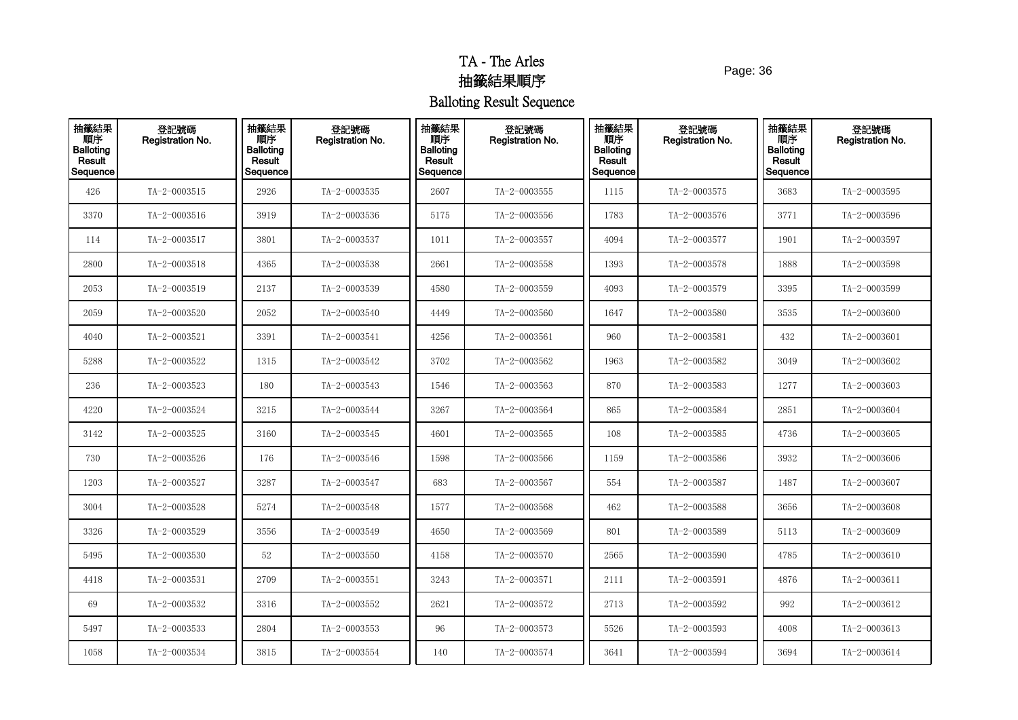Page: 36

| 抽籤結果<br>順序<br><b>Balloting</b><br>Result<br>Sequence | 登記號碼<br>Registration No. | 抽籤結果<br>順序<br><b>Balloting</b><br>Result<br>Sequence | 登記號碼<br>Registration No. | 抽籤結果<br>順序<br><b>Balloting</b><br>Result<br>Sequence | 登記號碼<br>Registration No. | 抽籤結果<br>順序<br><b>Balloting</b><br>Result<br>Sequence | 登記號碼<br>Registration No. | 抽籤結果<br>順序<br><b>Balloting</b><br>Result<br>Sequence | 登記號碼<br>Registration No. |
|------------------------------------------------------|--------------------------|------------------------------------------------------|--------------------------|------------------------------------------------------|--------------------------|------------------------------------------------------|--------------------------|------------------------------------------------------|--------------------------|
| 426                                                  | TA-2-0003515             | 2926                                                 | TA-2-0003535             | 2607                                                 | TA-2-0003555             | 1115                                                 | TA-2-0003575             | 3683                                                 | TA-2-0003595             |
| 3370                                                 | TA-2-0003516             | 3919                                                 | TA-2-0003536             | 5175                                                 | TA-2-0003556             | 1783                                                 | TA-2-0003576             | 3771                                                 | TA-2-0003596             |
| 114                                                  | TA-2-0003517             | 3801                                                 | TA-2-0003537             | 1011                                                 | TA-2-0003557             | 4094                                                 | TA-2-0003577             | 1901                                                 | TA-2-0003597             |
| 2800                                                 | TA-2-0003518             | 4365                                                 | TA-2-0003538             | 2661                                                 | TA-2-0003558             | 1393                                                 | TA-2-0003578             | 1888                                                 | TA-2-0003598             |
| 2053                                                 | TA-2-0003519             | 2137                                                 | TA-2-0003539             | 4580                                                 | TA-2-0003559             | 4093                                                 | TA-2-0003579             | 3395                                                 | TA-2-0003599             |
| 2059                                                 | TA-2-0003520             | 2052                                                 | TA-2-0003540             | 4449                                                 | TA-2-0003560             | 1647                                                 | TA-2-0003580             | 3535                                                 | TA-2-0003600             |
| 4040                                                 | TA-2-0003521             | 3391                                                 | TA-2-0003541             | 4256                                                 | TA-2-0003561             | 960                                                  | TA-2-0003581             | 432                                                  | TA-2-0003601             |
| 5288                                                 | TA-2-0003522             | 1315                                                 | TA-2-0003542             | 3702                                                 | TA-2-0003562             | 1963                                                 | TA-2-0003582             | 3049                                                 | TA-2-0003602             |
| 236                                                  | TA-2-0003523             | 180                                                  | TA-2-0003543             | 1546                                                 | TA-2-0003563             | 870                                                  | $TA - 2 - 0003583$       | 1277                                                 | TA-2-0003603             |
| 4220                                                 | TA-2-0003524             | 3215                                                 | TA-2-0003544             | 3267                                                 | TA-2-0003564             | 865                                                  | TA-2-0003584             | 2851                                                 | TA-2-0003604             |
| 3142                                                 | TA-2-0003525             | 3160                                                 | TA-2-0003545             | 4601                                                 | TA-2-0003565             | 108                                                  | TA-2-0003585             | 4736                                                 | TA-2-0003605             |
| 730                                                  | TA-2-0003526             | 176                                                  | TA-2-0003546             | 1598                                                 | TA-2-0003566             | 1159                                                 | TA-2-0003586             | 3932                                                 | TA-2-0003606             |
| 1203                                                 | TA-2-0003527             | 3287                                                 | TA-2-0003547             | 683                                                  | TA-2-0003567             | 554                                                  | TA-2-0003587             | 1487                                                 | TA-2-0003607             |
| 3004                                                 | TA-2-0003528             | 5274                                                 | TA-2-0003548             | 1577                                                 | TA-2-0003568             | 462                                                  | TA-2-0003588             | 3656                                                 | TA-2-0003608             |
| 3326                                                 | TA-2-0003529             | 3556                                                 | TA-2-0003549             | 4650                                                 | TA-2-0003569             | 801                                                  | TA-2-0003589             | 5113                                                 | TA-2-0003609             |
| 5495                                                 | TA-2-0003530             | 52                                                   | TA-2-0003550             | 4158                                                 | TA-2-0003570             | 2565                                                 | TA-2-0003590             | 4785                                                 | TA-2-0003610             |
| 4418                                                 | TA-2-0003531             | 2709                                                 | TA-2-0003551             | 3243                                                 | TA-2-0003571             | 2111                                                 | $TA - 2 - 0003591$       | 4876                                                 | TA-2-0003611             |
| 69                                                   | TA-2-0003532             | 3316                                                 | TA-2-0003552             | 2621                                                 | TA-2-0003572             | 2713                                                 | TA-2-0003592             | 992                                                  | TA-2-0003612             |
| 5497                                                 | TA-2-0003533             | 2804                                                 | TA-2-0003553             | 96                                                   | TA-2-0003573             | 5526                                                 | TA-2-0003593             | 4008                                                 | TA-2-0003613             |
| 1058                                                 | TA-2-0003534             | 3815                                                 | TA-2-0003554             | 140                                                  | TA-2-0003574             | 3641                                                 | TA-2-0003594             | 3694                                                 | TA-2-0003614             |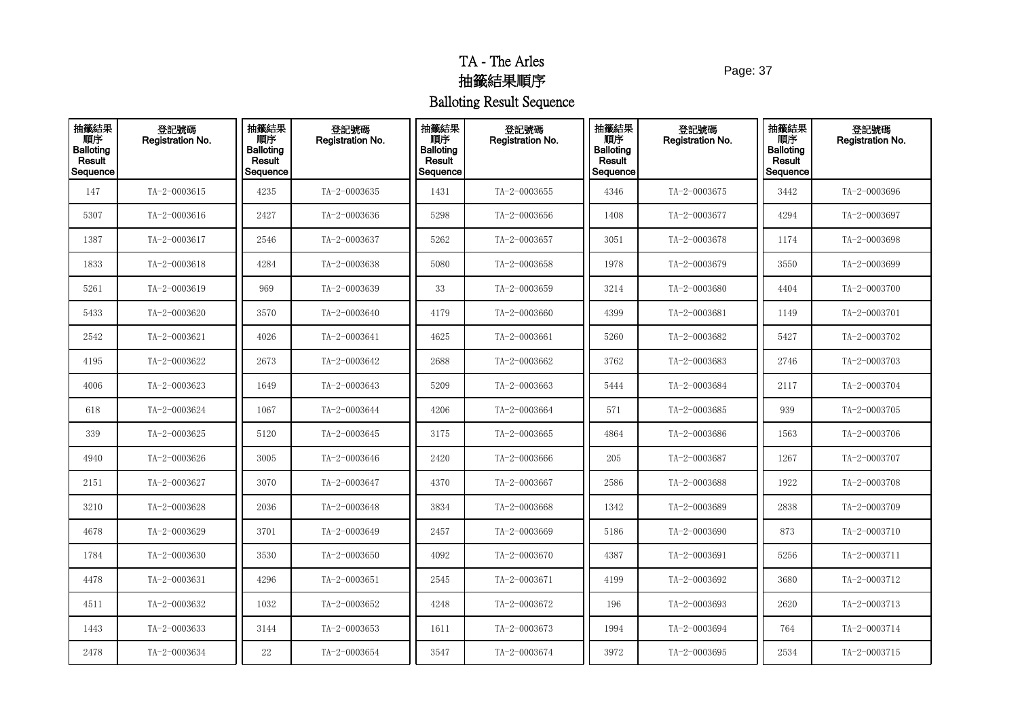Page: 37

| 抽籤結果<br>順序<br><b>Balloting</b><br>Result<br>Sequence | 登記號碼<br>Registration No. | 抽籤結果<br>順序<br><b>Balloting</b><br>Result<br>Sequence | 登記號碼<br>Registration No. | 抽籤結果<br>順序<br><b>Balloting</b><br>Result<br>Sequence | 登記號碼<br>Registration No. | 抽籤結果<br>順序<br><b>Balloting</b><br>Result<br>Sequence | 登記號碼<br><b>Registration No.</b> | 抽籤結果<br>順序<br><b>Balloting</b><br>Result<br>Sequence | 登記號碼<br>Registration No. |
|------------------------------------------------------|--------------------------|------------------------------------------------------|--------------------------|------------------------------------------------------|--------------------------|------------------------------------------------------|---------------------------------|------------------------------------------------------|--------------------------|
| 147                                                  | TA-2-0003615             | 4235                                                 | TA-2-0003635             | 1431                                                 | TA-2-0003655             | 4346                                                 | TA-2-0003675                    | 3442                                                 | TA-2-0003696             |
| 5307                                                 | TA-2-0003616             | 2427                                                 | TA-2-0003636             | 5298                                                 | TA-2-0003656             | 1408                                                 | TA-2-0003677                    | 4294                                                 | TA-2-0003697             |
| 1387                                                 | TA-2-0003617             | 2546                                                 | TA-2-0003637             | 5262                                                 | TA-2-0003657             | 3051                                                 | TA-2-0003678                    | 1174                                                 | TA-2-0003698             |
| 1833                                                 | TA-2-0003618             | 4284                                                 | TA-2-0003638             | 5080                                                 | TA-2-0003658             | 1978                                                 | TA-2-0003679                    | 3550                                                 | TA-2-0003699             |
| 5261                                                 | TA-2-0003619             | 969                                                  | TA-2-0003639             | 33                                                   | TA-2-0003659             | 3214                                                 | TA-2-0003680                    | 4404                                                 | TA-2-0003700             |
| 5433                                                 | TA-2-0003620             | 3570                                                 | TA-2-0003640             | 4179                                                 | TA-2-0003660             | 4399                                                 | TA-2-0003681                    | 1149                                                 | TA-2-0003701             |
| 2542                                                 | TA-2-0003621             | 4026                                                 | TA-2-0003641             | 4625                                                 | TA-2-0003661             | 5260                                                 | TA-2-0003682                    | 5427                                                 | TA-2-0003702             |
| 4195                                                 | TA-2-0003622             | 2673                                                 | TA-2-0003642             | 2688                                                 | TA-2-0003662             | 3762                                                 | TA-2-0003683                    | 2746                                                 | TA-2-0003703             |
| 4006                                                 | TA-2-0003623             | 1649                                                 | TA-2-0003643             | 5209                                                 | TA-2-0003663             | 5444                                                 | TA-2-0003684                    | 2117                                                 | TA-2-0003704             |
| 618                                                  | TA-2-0003624             | 1067                                                 | TA-2-0003644             | 4206                                                 | TA-2-0003664             | 571                                                  | TA-2-0003685                    | 939                                                  | TA-2-0003705             |
| 339                                                  | TA-2-0003625             | 5120                                                 | TA-2-0003645             | 3175                                                 | TA-2-0003665             | 4864                                                 | TA-2-0003686                    | 1563                                                 | TA-2-0003706             |
| 4940                                                 | TA-2-0003626             | 3005                                                 | TA-2-0003646             | 2420                                                 | TA-2-0003666             | 205                                                  | TA-2-0003687                    | 1267                                                 | TA-2-0003707             |
| 2151                                                 | TA-2-0003627             | 3070                                                 | TA-2-0003647             | 4370                                                 | TA-2-0003667             | 2586                                                 | TA-2-0003688                    | 1922                                                 | TA-2-0003708             |
| 3210                                                 | TA-2-0003628             | 2036                                                 | TA-2-0003648             | 3834                                                 | TA-2-0003668             | 1342                                                 | TA-2-0003689                    | 2838                                                 | TA-2-0003709             |
| 4678                                                 | TA-2-0003629             | 3701                                                 | TA-2-0003649             | 2457                                                 | TA-2-0003669             | 5186                                                 | TA-2-0003690                    | 873                                                  | TA-2-0003710             |
| 1784                                                 | TA-2-0003630             | 3530                                                 | TA-2-0003650             | 4092                                                 | TA-2-0003670             | 4387                                                 | TA-2-0003691                    | 5256                                                 | TA-2-0003711             |
| 4478                                                 | TA-2-0003631             | 4296                                                 | TA-2-0003651             | 2545                                                 | TA-2-0003671             | 4199                                                 | TA-2-0003692                    | 3680                                                 | TA-2-0003712             |
| 4511                                                 | TA-2-0003632             | 1032                                                 | TA-2-0003652             | 4248                                                 | TA-2-0003672             | 196                                                  | TA-2-0003693                    | 2620                                                 | TA-2-0003713             |
| 1443                                                 | TA-2-0003633             | 3144                                                 | TA-2-0003653             | 1611                                                 | TA-2-0003673             | 1994                                                 | TA-2-0003694                    | 764                                                  | TA-2-0003714             |
| 2478                                                 | TA-2-0003634             | 22                                                   | TA-2-0003654             | 3547                                                 | TA-2-0003674             | 3972                                                 | TA-2-0003695                    | 2534                                                 | TA-2-0003715             |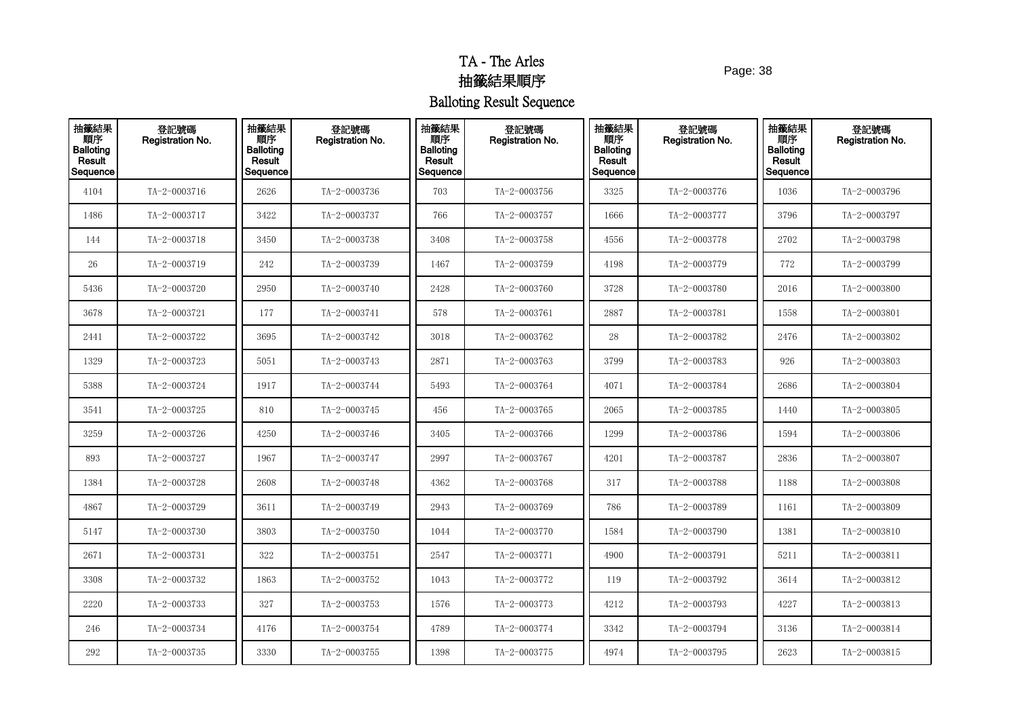Page: 38

| 抽籤結果<br>順序<br><b>Balloting</b><br>Result<br>Sequence | 登記號碼<br>Registration No. | 抽籤結果<br>順序<br><b>Balloting</b><br>Result<br>Sequence | 登記號碼<br>Registration No. | 抽籤結果<br>順序<br><b>Balloting</b><br>Result<br>Sequence | 登記號碼<br>Registration No. | 抽籤結果<br>順序<br><b>Balloting</b><br>Result<br>Sequence | 登記號碼<br>Registration No. | 抽籤結果<br>順序<br><b>Balloting</b><br>Result<br>Sequence | 登記號碼<br>Registration No. |
|------------------------------------------------------|--------------------------|------------------------------------------------------|--------------------------|------------------------------------------------------|--------------------------|------------------------------------------------------|--------------------------|------------------------------------------------------|--------------------------|
| 4104                                                 | TA-2-0003716             | 2626                                                 | TA-2-0003736             | 703                                                  | TA-2-0003756             | 3325                                                 | TA-2-0003776             | 1036                                                 | TA-2-0003796             |
| 1486                                                 | TA-2-0003717             | 3422                                                 | TA-2-0003737             | 766                                                  | TA-2-0003757             | 1666                                                 | TA-2-0003777             | 3796                                                 | TA-2-0003797             |
| 144                                                  | TA-2-0003718             | 3450                                                 | TA-2-0003738             | 3408                                                 | TA-2-0003758             | 4556                                                 | TA-2-0003778             | 2702                                                 | TA-2-0003798             |
| 26                                                   | TA-2-0003719             | 242                                                  | TA-2-0003739             | 1467                                                 | TA-2-0003759             | 4198                                                 | TA-2-0003779             | 772                                                  | TA-2-0003799             |
| 5436                                                 | TA-2-0003720             | 2950                                                 | TA-2-0003740             | 2428                                                 | TA-2-0003760             | 3728                                                 | TA-2-0003780             | 2016                                                 | TA-2-0003800             |
| 3678                                                 | TA-2-0003721             | 177                                                  | TA-2-0003741             | 578                                                  | TA-2-0003761             | 2887                                                 | TA-2-0003781             | 1558                                                 | TA-2-0003801             |
| 2441                                                 | TA-2-0003722             | 3695                                                 | TA-2-0003742             | 3018                                                 | TA-2-0003762             | ${\bf 28}$                                           | TA-2-0003782             | 2476                                                 | TA-2-0003802             |
| 1329                                                 | TA-2-0003723             | 5051                                                 | TA-2-0003743             | 2871                                                 | TA-2-0003763             | 3799                                                 | TA-2-0003783             | 926                                                  | TA-2-0003803             |
| 5388                                                 | TA-2-0003724             | 1917                                                 | TA-2-0003744             | 5493                                                 | TA-2-0003764             | 4071                                                 | TA-2-0003784             | 2686                                                 | TA-2-0003804             |
| 3541                                                 | TA-2-0003725             | 810                                                  | TA-2-0003745             | 456                                                  | TA-2-0003765             | 2065                                                 | TA-2-0003785             | 1440                                                 | TA-2-0003805             |
| 3259                                                 | TA-2-0003726             | 4250                                                 | TA-2-0003746             | 3405                                                 | TA-2-0003766             | 1299                                                 | TA-2-0003786             | 1594                                                 | TA-2-0003806             |
| 893                                                  | TA-2-0003727             | 1967                                                 | TA-2-0003747             | 2997                                                 | TA-2-0003767             | 4201                                                 | TA-2-0003787             | 2836                                                 | TA-2-0003807             |
| 1384                                                 | TA-2-0003728             | 2608                                                 | TA-2-0003748             | 4362                                                 | TA-2-0003768             | 317                                                  | TA-2-0003788             | 1188                                                 | TA-2-0003808             |
| 4867                                                 | TA-2-0003729             | 3611                                                 | TA-2-0003749             | 2943                                                 | TA-2-0003769             | 786                                                  | TA-2-0003789             | 1161                                                 | TA-2-0003809             |
| 5147                                                 | TA-2-0003730             | 3803                                                 | TA-2-0003750             | 1044                                                 | TA-2-0003770             | 1584                                                 | TA-2-0003790             | 1381                                                 | TA-2-0003810             |
| 2671                                                 | TA-2-0003731             | 322                                                  | TA-2-0003751             | 2547                                                 | TA-2-0003771             | 4900                                                 | TA-2-0003791             | 5211                                                 | TA-2-0003811             |
| 3308                                                 | TA-2-0003732             | 1863                                                 | TA-2-0003752             | 1043                                                 | TA-2-0003772             | 119                                                  | TA-2-0003792             | 3614                                                 | TA-2-0003812             |
| 2220                                                 | TA-2-0003733             | 327                                                  | TA-2-0003753             | 1576                                                 | TA-2-0003773             | 4212                                                 | TA-2-0003793             | 4227                                                 | TA-2-0003813             |
| 246                                                  | TA-2-0003734             | 4176                                                 | TA-2-0003754             | 4789                                                 | TA-2-0003774             | 3342                                                 | TA-2-0003794             | 3136                                                 | TA-2-0003814             |
| 292                                                  | TA-2-0003735             | 3330                                                 | TA-2-0003755             | 1398                                                 | TA-2-0003775             | 4974                                                 | TA-2-0003795             | 2623                                                 | TA-2-0003815             |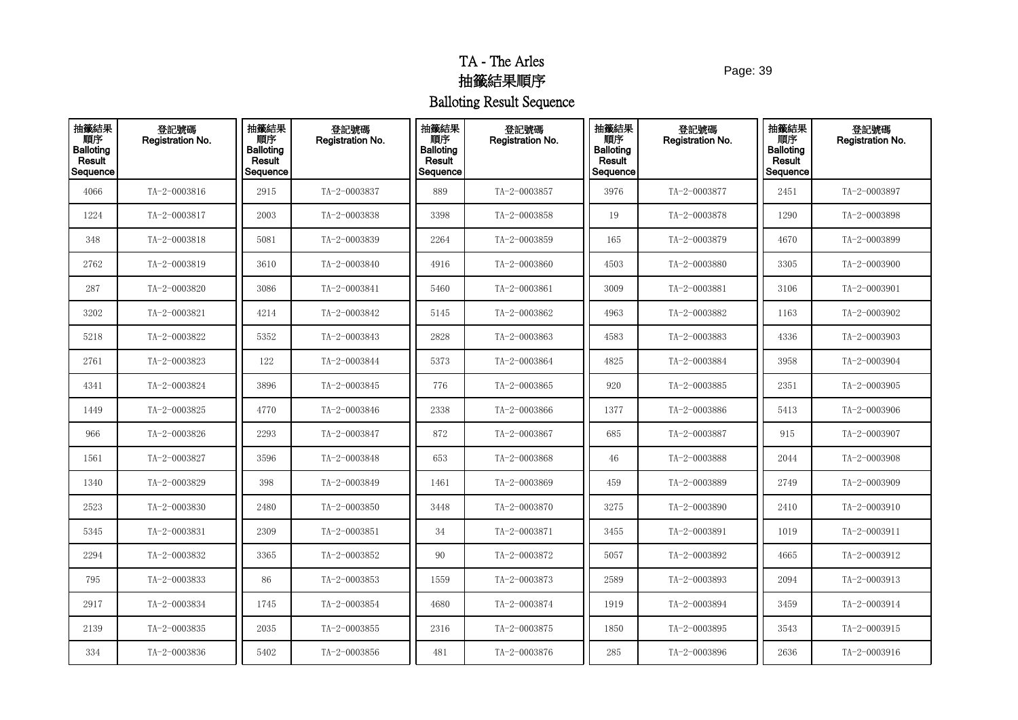Page: 39

| 抽籤結果<br>順序<br><b>Balloting</b><br>Result<br>Sequence | 登記號碼<br>Registration No. | 抽籤結果<br>順序<br><b>Balloting</b><br>Result<br>Sequence | 登記號碼<br>Registration No. | 抽籤結果<br>順序<br><b>Balloting</b><br>Result<br>Sequence | 登記號碼<br>Registration No. | 抽籤結果<br>順序<br><b>Balloting</b><br>Result<br>Sequence | 登記號碼<br>Registration No. | 抽籤結果<br>順序<br><b>Balloting</b><br>Result<br>Sequence | 登記號碼<br>Registration No. |
|------------------------------------------------------|--------------------------|------------------------------------------------------|--------------------------|------------------------------------------------------|--------------------------|------------------------------------------------------|--------------------------|------------------------------------------------------|--------------------------|
| 4066                                                 | TA-2-0003816             | 2915                                                 | TA-2-0003837             | 889                                                  | TA-2-0003857             | 3976                                                 | TA-2-0003877             | 2451                                                 | TA-2-0003897             |
| 1224                                                 | TA-2-0003817             | 2003                                                 | TA-2-0003838             | 3398                                                 | TA-2-0003858             | 19                                                   | TA-2-0003878             | 1290                                                 | TA-2-0003898             |
| 348                                                  | TA-2-0003818             | 5081                                                 | TA-2-0003839             | 2264                                                 | TA-2-0003859             | 165                                                  | TA-2-0003879             | 4670                                                 | TA-2-0003899             |
| 2762                                                 | TA-2-0003819             | 3610                                                 | TA-2-0003840             | 4916                                                 | TA-2-0003860             | 4503                                                 | TA-2-0003880             | 3305                                                 | TA-2-0003900             |
| 287                                                  | TA-2-0003820             | 3086                                                 | TA-2-0003841             | 5460                                                 | TA-2-0003861             | 3009                                                 | TA-2-0003881             | 3106                                                 | TA-2-0003901             |
| 3202                                                 | TA-2-0003821             | 4214                                                 | TA-2-0003842             | 5145                                                 | TA-2-0003862             | 4963                                                 | TA-2-0003882             | 1163                                                 | TA-2-0003902             |
| 5218                                                 | TA-2-0003822             | 5352                                                 | TA-2-0003843             | 2828                                                 | TA-2-0003863             | 4583                                                 | TA-2-0003883             | 4336                                                 | TA-2-0003903             |
| 2761                                                 | TA-2-0003823             | 122                                                  | TA-2-0003844             | 5373                                                 | TA-2-0003864             | 4825                                                 | TA-2-0003884             | 3958                                                 | TA-2-0003904             |
| 4341                                                 | TA-2-0003824             | 3896                                                 | TA-2-0003845             | 776                                                  | TA-2-0003865             | 920                                                  | TA-2-0003885             | 2351                                                 | TA-2-0003905             |
| 1449                                                 | TA-2-0003825             | 4770                                                 | TA-2-0003846             | 2338                                                 | TA-2-0003866             | 1377                                                 | TA-2-0003886             | 5413                                                 | TA-2-0003906             |
| 966                                                  | TA-2-0003826             | 2293                                                 | TA-2-0003847             | 872                                                  | TA-2-0003867             | 685                                                  | TA-2-0003887             | 915                                                  | TA-2-0003907             |
| 1561                                                 | TA-2-0003827             | 3596                                                 | TA-2-0003848             | 653                                                  | TA-2-0003868             | 46                                                   | TA-2-0003888             | 2044                                                 | TA-2-0003908             |
| 1340                                                 | TA-2-0003829             | 398                                                  | TA-2-0003849             | 1461                                                 | TA-2-0003869             | 459                                                  | TA-2-0003889             | 2749                                                 | TA-2-0003909             |
| 2523                                                 | TA-2-0003830             | 2480                                                 | TA-2-0003850             | 3448                                                 | TA-2-0003870             | 3275                                                 | TA-2-0003890             | 2410                                                 | TA-2-0003910             |
| 5345                                                 | TA-2-0003831             | 2309                                                 | TA-2-0003851             | 34                                                   | TA-2-0003871             | 3455                                                 | TA-2-0003891             | 1019                                                 | TA-2-0003911             |
| 2294                                                 | TA-2-0003832             | 3365                                                 | TA-2-0003852             | 90                                                   | TA-2-0003872             | 5057                                                 | TA-2-0003892             | 4665                                                 | TA-2-0003912             |
| 795                                                  | TA-2-0003833             | 86                                                   | TA-2-0003853             | 1559                                                 | TA-2-0003873             | 2589                                                 | TA-2-0003893             | 2094                                                 | TA-2-0003913             |
| 2917                                                 | TA-2-0003834             | 1745                                                 | TA-2-0003854             | 4680                                                 | TA-2-0003874             | 1919                                                 | TA-2-0003894             | 3459                                                 | TA-2-0003914             |
| 2139                                                 | TA-2-0003835             | 2035                                                 | TA-2-0003855             | 2316                                                 | TA-2-0003875             | 1850                                                 | TA-2-0003895             | 3543                                                 | TA-2-0003915             |
| 334                                                  | TA-2-0003836             | 5402                                                 | TA-2-0003856             | 481                                                  | TA-2-0003876             | 285                                                  | TA-2-0003896             | 2636                                                 | TA-2-0003916             |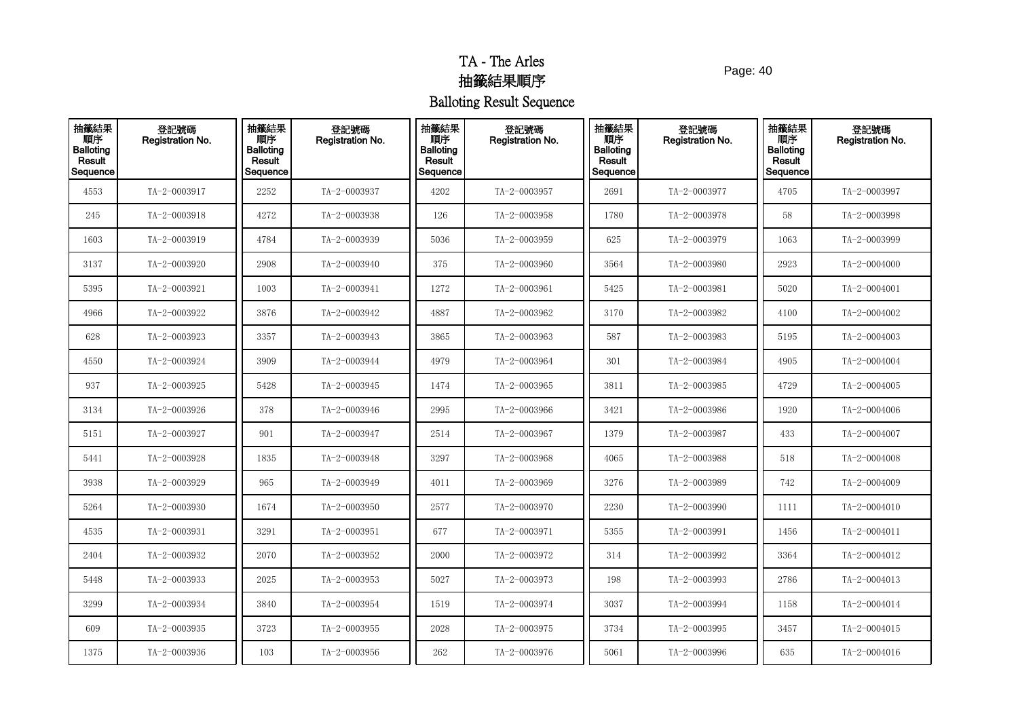Page: 40

| 抽籤結果<br>順序<br><b>Balloting</b><br>Result<br>Sequence | 登記號碼<br>Registration No. | 抽籤結果<br>順序<br><b>Balloting</b><br>Result<br>Sequence | 登記號碼<br>Registration No. | 抽籤結果<br>順序<br><b>Balloting</b><br>Result<br>Sequence | 登記號碼<br>Registration No. | 抽籤結果<br>順序<br><b>Balloting</b><br>Result<br>Sequence | 登記號碼<br><b>Registration No.</b> | 抽籤結果<br>順序<br><b>Balloting</b><br>Result<br>Sequence | 登記號碼<br>Registration No. |
|------------------------------------------------------|--------------------------|------------------------------------------------------|--------------------------|------------------------------------------------------|--------------------------|------------------------------------------------------|---------------------------------|------------------------------------------------------|--------------------------|
| 4553                                                 | TA-2-0003917             | 2252                                                 | TA-2-0003937             | 4202                                                 | TA-2-0003957             | 2691                                                 | TA-2-0003977                    | 4705                                                 | TA-2-0003997             |
| 245                                                  | TA-2-0003918             | 4272                                                 | TA-2-0003938             | 126                                                  | TA-2-0003958             | 1780                                                 | TA-2-0003978                    | 58                                                   | TA-2-0003998             |
| 1603                                                 | TA-2-0003919             | 4784                                                 | TA-2-0003939             | 5036                                                 | TA-2-0003959             | 625                                                  | TA-2-0003979                    | 1063                                                 | TA-2-0003999             |
| 3137                                                 | TA-2-0003920             | 2908                                                 | TA-2-0003940             | 375                                                  | TA-2-0003960             | 3564                                                 | TA-2-0003980                    | 2923                                                 | TA-2-0004000             |
| 5395                                                 | TA-2-0003921             | 1003                                                 | TA-2-0003941             | 1272                                                 | TA-2-0003961             | 5425                                                 | TA-2-0003981                    | 5020                                                 | $TA - 2 - 0004001$       |
| 4966                                                 | TA-2-0003922             | 3876                                                 | TA-2-0003942             | 4887                                                 | TA-2-0003962             | 3170                                                 | TA-2-0003982                    | 4100                                                 | TA-2-0004002             |
| 628                                                  | TA-2-0003923             | 3357                                                 | TA-2-0003943             | 3865                                                 | TA-2-0003963             | 587                                                  | TA-2-0003983                    | 5195                                                 | TA-2-0004003             |
| 4550                                                 | TA-2-0003924             | 3909                                                 | TA-2-0003944             | 4979                                                 | TA-2-0003964             | 301                                                  | TA-2-0003984                    | 4905                                                 | TA-2-0004004             |
| 937                                                  | TA-2-0003925             | 5428                                                 | TA-2-0003945             | 1474                                                 | TA-2-0003965             | 3811                                                 | TA-2-0003985                    | 4729                                                 | TA-2-0004005             |
| 3134                                                 | TA-2-0003926             | 378                                                  | TA-2-0003946             | 2995                                                 | TA-2-0003966             | 3421                                                 | TA-2-0003986                    | 1920                                                 | TA-2-0004006             |
| 5151                                                 | TA-2-0003927             | 901                                                  | TA-2-0003947             | 2514                                                 | TA-2-0003967             | 1379                                                 | TA-2-0003987                    | 433                                                  | TA-2-0004007             |
| 5441                                                 | TA-2-0003928             | 1835                                                 | TA-2-0003948             | 3297                                                 | TA-2-0003968             | 4065                                                 | TA-2-0003988                    | 518                                                  | TA-2-0004008             |
| 3938                                                 | TA-2-0003929             | 965                                                  | TA-2-0003949             | 4011                                                 | TA-2-0003969             | 3276                                                 | TA-2-0003989                    | 742                                                  | TA-2-0004009             |
| 5264                                                 | TA-2-0003930             | 1674                                                 | TA-2-0003950             | 2577                                                 | TA-2-0003970             | 2230                                                 | TA-2-0003990                    | 1111                                                 | $TA - 2 - 0004010$       |
| 4535                                                 | TA-2-0003931             | 3291                                                 | TA-2-0003951             | 677                                                  | TA-2-0003971             | 5355                                                 | TA-2-0003991                    | 1456                                                 | $TA - 2 - 0004011$       |
| 2404                                                 | TA-2-0003932             | 2070                                                 | TA-2-0003952             | 2000                                                 | TA-2-0003972             | 314                                                  | TA-2-0003992                    | 3364                                                 | TA-2-0004012             |
| 5448                                                 | TA-2-0003933             | 2025                                                 | TA-2-0003953             | 5027                                                 | TA-2-0003973             | 198                                                  | TA-2-0003993                    | 2786                                                 | $TA - 2 - 0004013$       |
| 3299                                                 | TA-2-0003934             | 3840                                                 | TA-2-0003954             | 1519                                                 | TA-2-0003974             | 3037                                                 | TA-2-0003994                    | 1158                                                 | TA-2-0004014             |
| 609                                                  | TA-2-0003935             | 3723                                                 | TA-2-0003955             | 2028                                                 | TA-2-0003975             | 3734                                                 | TA-2-0003995                    | 3457                                                 | TA-2-0004015             |
| 1375                                                 | TA-2-0003936             | 103                                                  | TA-2-0003956             | 262                                                  | TA-2-0003976             | 5061                                                 | TA-2-0003996                    | 635                                                  | TA-2-0004016             |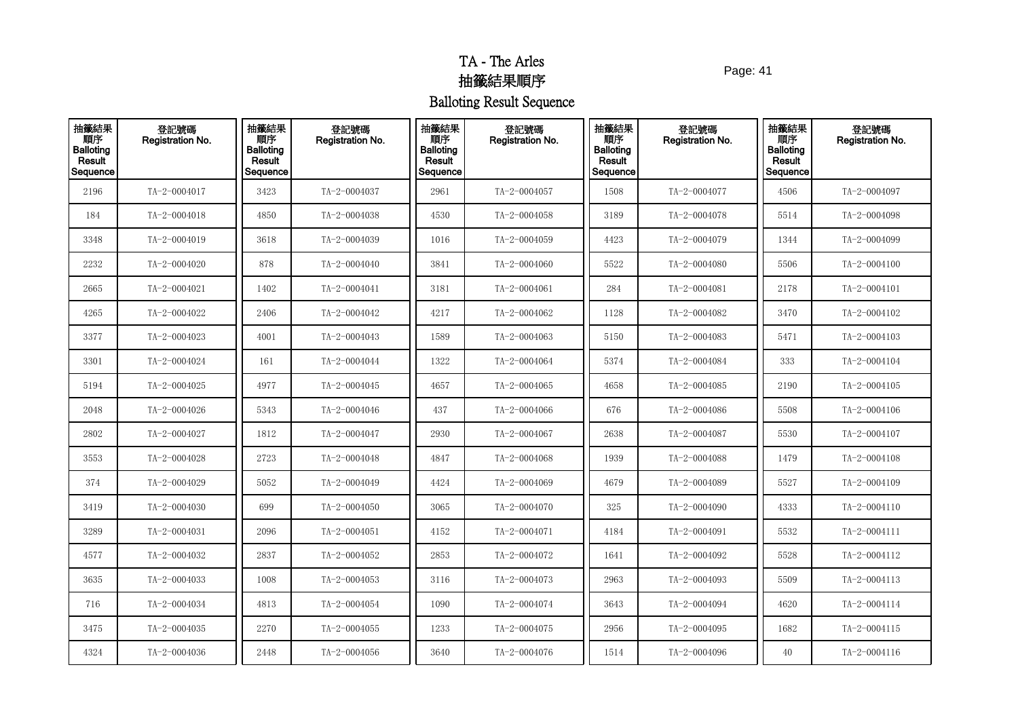Page: 41

| 抽籤結果<br>順序<br>Balloting<br>Result<br>Sequence | 登記號碼<br>Registration No. | 抽籤結果<br>順序<br><b>Balloting</b><br>Result<br>Sequence | 登記號碼<br>Registration No. | 抽籤結果<br>順序<br><b>Balloting</b><br>Result<br>Sequence | 登記號碼<br>Registration No. | 抽籤結果<br>順序<br><b>Balloting</b><br>Result<br>Sequence | 登記號碼<br><b>Registration No.</b> | 抽籤結果<br>順序<br><b>Balloting</b><br>Result<br>Sequence | 登記號碼<br>Registration No. |
|-----------------------------------------------|--------------------------|------------------------------------------------------|--------------------------|------------------------------------------------------|--------------------------|------------------------------------------------------|---------------------------------|------------------------------------------------------|--------------------------|
| 2196                                          | TA-2-0004017             | 3423                                                 | TA-2-0004037             | 2961                                                 | TA-2-0004057             | 1508                                                 | TA-2-0004077                    | 4506                                                 | TA-2-0004097             |
| 184                                           | TA-2-0004018             | 4850                                                 | TA-2-0004038             | 4530                                                 | TA-2-0004058             | 3189                                                 | TA-2-0004078                    | 5514                                                 | TA-2-0004098             |
| 3348                                          | TA-2-0004019             | 3618                                                 | TA-2-0004039             | 1016                                                 | TA-2-0004059             | 4423                                                 | TA-2-0004079                    | 1344                                                 | TA-2-0004099             |
| 2232                                          | TA-2-0004020             | 878                                                  | TA-2-0004040             | 3841                                                 | TA-2-0004060             | 5522                                                 | TA-2-0004080                    | 5506                                                 | TA-2-0004100             |
| 2665                                          | TA-2-0004021             | 1402                                                 | TA-2-0004041             | 3181                                                 | TA-2-0004061             | 284                                                  | TA-2-0004081                    | 2178                                                 | TA-2-0004101             |
| 4265                                          | TA-2-0004022             | 2406                                                 | TA-2-0004042             | 4217                                                 | TA-2-0004062             | 1128                                                 | TA-2-0004082                    | 3470                                                 | TA-2-0004102             |
| 3377                                          | TA-2-0004023             | 4001                                                 | TA-2-0004043             | 1589                                                 | TA-2-0004063             | 5150                                                 | TA-2-0004083                    | 5471                                                 | $TA - 2 - 0004103$       |
| 3301                                          | TA-2-0004024             | 161                                                  | TA-2-0004044             | 1322                                                 | TA-2-0004064             | 5374                                                 | TA-2-0004084                    | 333                                                  | TA-2-0004104             |
| 5194                                          | TA-2-0004025             | 4977                                                 | TA-2-0004045             | 4657                                                 | TA-2-0004065             | 4658                                                 | TA-2-0004085                    | 2190                                                 | $TA - 2 - 0004105$       |
| 2048                                          | TA-2-0004026             | 5343                                                 | TA-2-0004046             | 437                                                  | TA-2-0004066             | 676                                                  | TA-2-0004086                    | 5508                                                 | TA-2-0004106             |
| 2802                                          | TA-2-0004027             | 1812                                                 | TA-2-0004047             | 2930                                                 | TA-2-0004067             | 2638                                                 | TA-2-0004087                    | 5530                                                 | TA-2-0004107             |
| 3553                                          | TA-2-0004028             | 2723                                                 | TA-2-0004048             | 4847                                                 | TA-2-0004068             | 1939                                                 | TA-2-0004088                    | 1479                                                 | $TA - 2 - 0004108$       |
| 374                                           | TA-2-0004029             | 5052                                                 | TA-2-0004049             | 4424                                                 | TA-2-0004069             | 4679                                                 | TA-2-0004089                    | 5527                                                 | TA-2-0004109             |
| 3419                                          | TA-2-0004030             | 699                                                  | TA-2-0004050             | 3065                                                 | TA-2-0004070             | 325                                                  | TA-2-0004090                    | 4333                                                 | TA-2-0004110             |
| 3289                                          | TA-2-0004031             | 2096                                                 | TA-2-0004051             | 4152                                                 | TA-2-0004071             | 4184                                                 | TA-2-0004091                    | 5532                                                 | TA-2-0004111             |
| 4577                                          | TA-2-0004032             | 2837                                                 | TA-2-0004052             | 2853                                                 | TA-2-0004072             | 1641                                                 | TA-2-0004092                    | 5528                                                 | TA-2-0004112             |
| 3635                                          | TA-2-0004033             | 1008                                                 | TA-2-0004053             | 3116                                                 | TA-2-0004073             | 2963                                                 | TA-2-0004093                    | 5509                                                 | $TA - 2 - 0004113$       |
| 716                                           | TA-2-0004034             | 4813                                                 | TA-2-0004054             | 1090                                                 | TA-2-0004074             | 3643                                                 | TA-2-0004094                    | 4620                                                 | TA-2-0004114             |
| 3475                                          | TA-2-0004035             | 2270                                                 | TA-2-0004055             | 1233                                                 | TA-2-0004075             | 2956                                                 | TA-2-0004095                    | 1682                                                 | TA-2-0004115             |
| 4324                                          | TA-2-0004036             | 2448                                                 | TA-2-0004056             | 3640                                                 | TA-2-0004076             | 1514                                                 | TA-2-0004096                    | 40                                                   | TA-2-0004116             |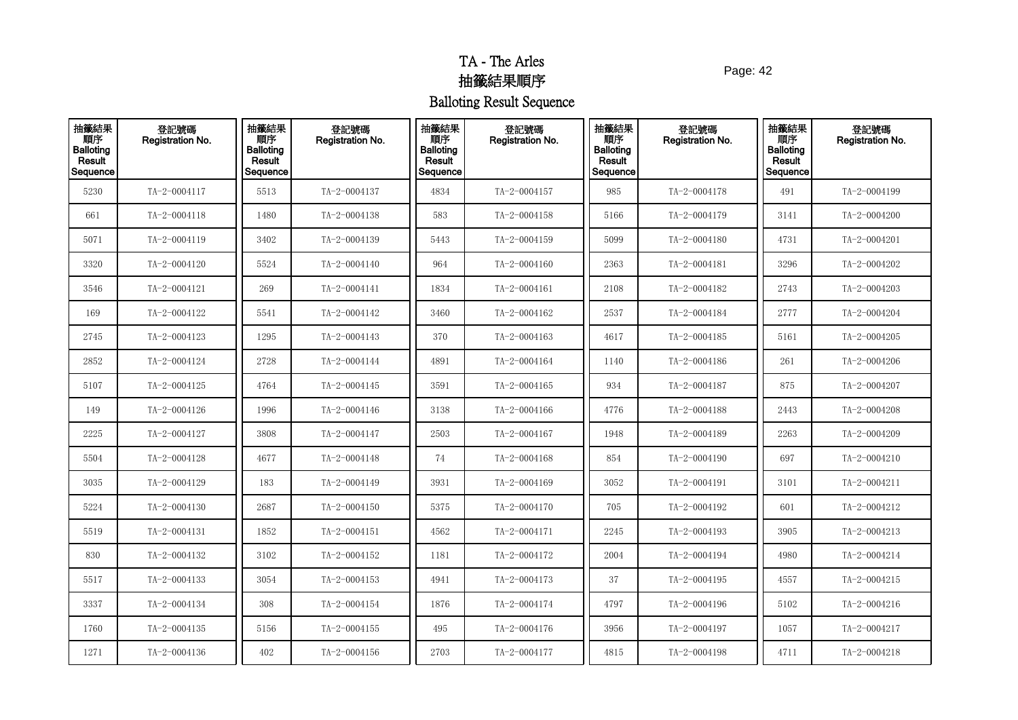Page: 42

| 抽籤結果<br>順序<br>Balloting<br>Result<br>Sequence | 登記號碼<br>Registration No. | 抽籤結果<br>順序<br><b>Balloting</b><br>Result<br>Sequence | 登記號碼<br>Registration No. | 抽籤結果<br>順序<br><b>Balloting</b><br>Result<br>Sequence | 登記號碼<br>Registration No. | 抽籤結果<br>順序<br><b>Balloting</b><br>Result<br>Sequence | 登記號碼<br><b>Registration No.</b> | 抽籤結果<br>順序<br><b>Balloting</b><br>Result<br>Sequence | 登記號碼<br>Registration No. |
|-----------------------------------------------|--------------------------|------------------------------------------------------|--------------------------|------------------------------------------------------|--------------------------|------------------------------------------------------|---------------------------------|------------------------------------------------------|--------------------------|
| 5230                                          | TA-2-0004117             | 5513                                                 | TA-2-0004137             | 4834                                                 | TA-2-0004157             | 985                                                  | TA-2-0004178                    | 491                                                  | TA-2-0004199             |
| 661                                           | TA-2-0004118             | 1480                                                 | TA-2-0004138             | 583                                                  | TA-2-0004158             | 5166                                                 | TA-2-0004179                    | 3141                                                 | TA-2-0004200             |
| 5071                                          | TA-2-0004119             | 3402                                                 | TA-2-0004139             | 5443                                                 | TA-2-0004159             | 5099                                                 | TA-2-0004180                    | 4731                                                 | TA-2-0004201             |
| 3320                                          | TA-2-0004120             | 5524                                                 | TA-2-0004140             | 964                                                  | TA-2-0004160             | 2363                                                 | TA-2-0004181                    | 3296                                                 | TA-2-0004202             |
| 3546                                          | TA-2-0004121             | 269                                                  | TA-2-0004141             | 1834                                                 | TA-2-0004161             | 2108                                                 | TA-2-0004182                    | 2743                                                 | TA-2-0004203             |
| 169                                           | TA-2-0004122             | 5541                                                 | TA-2-0004142             | 3460                                                 | TA-2-0004162             | 2537                                                 | TA-2-0004184                    | 2777                                                 | TA-2-0004204             |
| 2745                                          | TA-2-0004123             | 1295                                                 | TA-2-0004143             | 370                                                  | TA-2-0004163             | 4617                                                 | TA-2-0004185                    | 5161                                                 | TA-2-0004205             |
| 2852                                          | TA-2-0004124             | 2728                                                 | TA-2-0004144             | 4891                                                 | TA-2-0004164             | 1140                                                 | TA-2-0004186                    | 261                                                  | TA-2-0004206             |
| 5107                                          | TA-2-0004125             | 4764                                                 | TA-2-0004145             | 3591                                                 | TA-2-0004165             | 934                                                  | TA-2-0004187                    | 875                                                  | TA-2-0004207             |
| 149                                           | TA-2-0004126             | 1996                                                 | TA-2-0004146             | 3138                                                 | TA-2-0004166             | 4776                                                 | TA-2-0004188                    | 2443                                                 | TA-2-0004208             |
| 2225                                          | TA-2-0004127             | 3808                                                 | TA-2-0004147             | 2503                                                 | TA-2-0004167             | 1948                                                 | TA-2-0004189                    | 2263                                                 | TA-2-0004209             |
| 5504                                          | TA-2-0004128             | 4677                                                 | TA-2-0004148             | 74                                                   | TA-2-0004168             | 854                                                  | TA-2-0004190                    | 697                                                  | TA-2-0004210             |
| 3035                                          | TA-2-0004129             | 183                                                  | TA-2-0004149             | 3931                                                 | TA-2-0004169             | 3052                                                 | TA-2-0004191                    | 3101                                                 | TA-2-0004211             |
| 5224                                          | TA-2-0004130             | 2687                                                 | TA-2-0004150             | 5375                                                 | TA-2-0004170             | 705                                                  | TA-2-0004192                    | 601                                                  | TA-2-0004212             |
| 5519                                          | TA-2-0004131             | 1852                                                 | TA-2-0004151             | 4562                                                 | TA-2-0004171             | 2245                                                 | TA-2-0004193                    | 3905                                                 | TA-2-0004213             |
| 830                                           | TA-2-0004132             | 3102                                                 | TA-2-0004152             | 1181                                                 | TA-2-0004172             | 2004                                                 | TA-2-0004194                    | 4980                                                 | TA-2-0004214             |
| 5517                                          | TA-2-0004133             | 3054                                                 | TA-2-0004153             | 4941                                                 | TA-2-0004173             | 37                                                   | TA-2-0004195                    | 4557                                                 | $TA - 2 - 0004215$       |
| 3337                                          | TA-2-0004134             | 308                                                  | TA-2-0004154             | 1876                                                 | TA-2-0004174             | 4797                                                 | TA-2-0004196                    | 5102                                                 | TA-2-0004216             |
| 1760                                          | TA-2-0004135             | 5156                                                 | TA-2-0004155             | 495                                                  | TA-2-0004176             | 3956                                                 | TA-2-0004197                    | 1057                                                 | TA-2-0004217             |
| 1271                                          | TA-2-0004136             | 402                                                  | TA-2-0004156             | 2703                                                 | TA-2-0004177             | 4815                                                 | TA-2-0004198                    | 4711                                                 | TA-2-0004218             |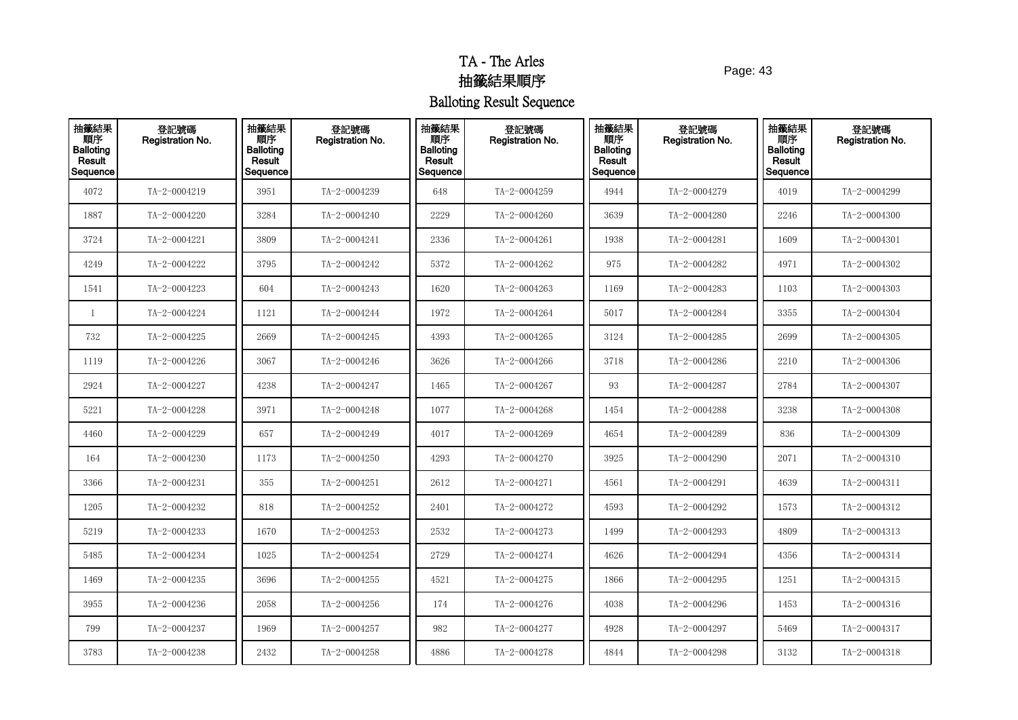Page: 43

| 抽籤結果<br>順序<br>Balloting<br>Result<br>Sequence | 登記號碼<br>Registration No. | 抽籤結果<br>順序<br><b>Balloting</b><br>Result<br>Sequence | 登記號碼<br>Registration No. | 抽籤結果<br>順序<br><b>Balloting</b><br>Result<br>Sequence | 登記號碼<br>Registration No. | 抽籤結果<br>順序<br><b>Balloting</b><br>Result<br>Sequence | 登記號碼<br><b>Registration No.</b> | 抽籤結果<br>順序<br><b>Balloting</b><br>Result<br>Sequence | 登記號碼<br>Registration No. |
|-----------------------------------------------|--------------------------|------------------------------------------------------|--------------------------|------------------------------------------------------|--------------------------|------------------------------------------------------|---------------------------------|------------------------------------------------------|--------------------------|
| 4072                                          | TA-2-0004219             | 3951                                                 | TA-2-0004239             | 648                                                  | TA-2-0004259             | 4944                                                 | TA-2-0004279                    | 4019                                                 | TA-2-0004299             |
| 1887                                          | TA-2-0004220             | 3284                                                 | TA-2-0004240             | 2229                                                 | TA-2-0004260             | 3639                                                 | TA-2-0004280                    | 2246                                                 | TA-2-0004300             |
| 3724                                          | TA-2-0004221             | 3809                                                 | TA-2-0004241             | 2336                                                 | TA-2-0004261             | 1938                                                 | TA-2-0004281                    | 1609                                                 | TA-2-0004301             |
| 4249                                          | TA-2-0004222             | 3795                                                 | TA-2-0004242             | 5372                                                 | TA-2-0004262             | 975                                                  | TA-2-0004282                    | 4971                                                 | TA-2-0004302             |
| 1541                                          | TA-2-0004223             | 604                                                  | TA-2-0004243             | 1620                                                 | TA-2-0004263             | 1169                                                 | TA-2-0004283                    | 1103                                                 | TA-2-0004303             |
| 1                                             | TA-2-0004224             | 1121                                                 | TA-2-0004244             | 1972                                                 | TA-2-0004264             | 5017                                                 | TA-2-0004284                    | 3355                                                 | TA-2-0004304             |
| 732                                           | TA-2-0004225             | 2669                                                 | TA-2-0004245             | 4393                                                 | TA-2-0004265             | 3124                                                 | TA-2-0004285                    | 2699                                                 | TA-2-0004305             |
| 1119                                          | TA-2-0004226             | 3067                                                 | TA-2-0004246             | 3626                                                 | TA-2-0004266             | 3718                                                 | TA-2-0004286                    | 2210                                                 | TA-2-0004306             |
| 2924                                          | TA-2-0004227             | 4238                                                 | TA-2-0004247             | 1465                                                 | TA-2-0004267             | 93                                                   | TA-2-0004287                    | 2784                                                 | TA-2-0004307             |
| 5221                                          | TA-2-0004228             | 3971                                                 | TA-2-0004248             | 1077                                                 | TA-2-0004268             | 1454                                                 | TA-2-0004288                    | 3238                                                 | TA-2-0004308             |
| 4460                                          | TA-2-0004229             | 657                                                  | TA-2-0004249             | 4017                                                 | TA-2-0004269             | 4654                                                 | TA-2-0004289                    | 836                                                  | TA-2-0004309             |
| 164                                           | TA-2-0004230             | 1173                                                 | TA-2-0004250             | 4293                                                 | TA-2-0004270             | 3925                                                 | TA-2-0004290                    | 2071                                                 | TA-2-0004310             |
| 3366                                          | TA-2-0004231             | 355                                                  | TA-2-0004251             | 2612                                                 | TA-2-0004271             | 4561                                                 | TA-2-0004291                    | 4639                                                 | TA-2-0004311             |
| 1205                                          | TA-2-0004232             | 818                                                  | TA-2-0004252             | 2401                                                 | TA-2-0004272             | 4593                                                 | TA-2-0004292                    | 1573                                                 | TA-2-0004312             |
| 5219                                          | TA-2-0004233             | 1670                                                 | TA-2-0004253             | 2532                                                 | TA-2-0004273             | 1499                                                 | TA-2-0004293                    | 4809                                                 | TA-2-0004313             |
| 5485                                          | TA-2-0004234             | 1025                                                 | TA-2-0004254             | 2729                                                 | TA-2-0004274             | 4626                                                 | TA-2-0004294                    | 4356                                                 | TA-2-0004314             |
| 1469                                          | TA-2-0004235             | 3696                                                 | TA-2-0004255             | 4521                                                 | TA-2-0004275             | 1866                                                 | TA-2-0004295                    | 1251                                                 | $TA - 2 - 0004315$       |
| 3955                                          | TA-2-0004236             | 2058                                                 | TA-2-0004256             | 174                                                  | TA-2-0004276             | 4038                                                 | TA-2-0004296                    | 1453                                                 | TA-2-0004316             |
| 799                                           | TA-2-0004237             | 1969                                                 | TA-2-0004257             | 982                                                  | TA-2-0004277             | 4928                                                 | TA-2-0004297                    | 5469                                                 | TA-2-0004317             |
| 3783                                          | TA-2-0004238             | 2432                                                 | TA-2-0004258             | 4886                                                 | TA-2-0004278             | 4844                                                 | TA-2-0004298                    | 3132                                                 | $TA - 2 - 0004318$       |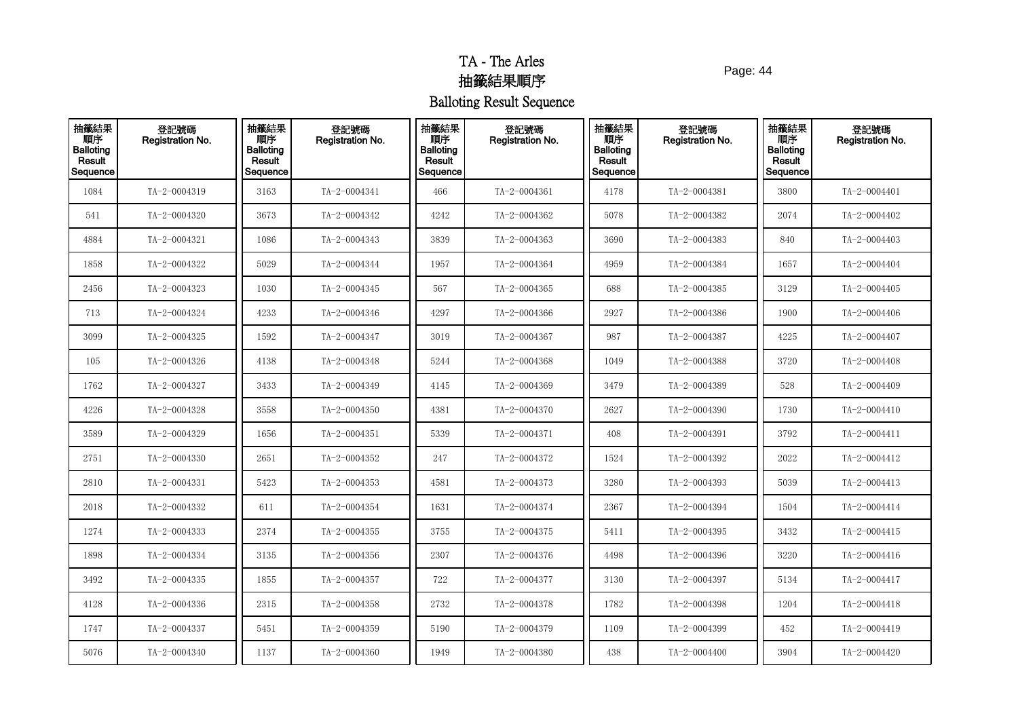Page: 44

| 抽籤結果<br>順序<br>Balloting<br>Result<br>Sequence | 登記號碼<br>Registration No. | 抽籤結果<br>順序<br><b>Balloting</b><br>Result<br>Sequence | 登記號碼<br>Registration No. | 抽籤結果<br>順序<br><b>Balloting</b><br>Result<br>Sequence | 登記號碼<br>Registration No. | 抽籤結果<br>順序<br><b>Balloting</b><br>Result<br>Sequence | 登記號碼<br><b>Registration No.</b> | 抽籤結果<br>順序<br><b>Balloting</b><br>Result<br>Sequence | 登記號碼<br>Registration No. |
|-----------------------------------------------|--------------------------|------------------------------------------------------|--------------------------|------------------------------------------------------|--------------------------|------------------------------------------------------|---------------------------------|------------------------------------------------------|--------------------------|
| 1084                                          | TA-2-0004319             | 3163                                                 | TA-2-0004341             | 466                                                  | TA-2-0004361             | 4178                                                 | TA-2-0004381                    | 3800                                                 | TA-2-0004401             |
| 541                                           | TA-2-0004320             | 3673                                                 | TA-2-0004342             | 4242                                                 | TA-2-0004362             | 5078                                                 | TA-2-0004382                    | 2074                                                 | TA-2-0004402             |
| 4884                                          | TA-2-0004321             | 1086                                                 | TA-2-0004343             | 3839                                                 | TA-2-0004363             | 3690                                                 | TA-2-0004383                    | 840                                                  | TA-2-0004403             |
| 1858                                          | TA-2-0004322             | 5029                                                 | TA-2-0004344             | 1957                                                 | TA-2-0004364             | 4959                                                 | TA-2-0004384                    | 1657                                                 | TA-2-0004404             |
| 2456                                          | TA-2-0004323             | 1030                                                 | TA-2-0004345             | 567                                                  | TA-2-0004365             | 688                                                  | TA-2-0004385                    | 3129                                                 | TA-2-0004405             |
| 713                                           | TA-2-0004324             | 4233                                                 | TA-2-0004346             | 4297                                                 | TA-2-0004366             | 2927                                                 | TA-2-0004386                    | 1900                                                 | TA-2-0004406             |
| 3099                                          | TA-2-0004325             | 1592                                                 | TA-2-0004347             | 3019                                                 | TA-2-0004367             | 987                                                  | TA-2-0004387                    | 4225                                                 | TA-2-0004407             |
| 105                                           | TA-2-0004326             | 4138                                                 | TA-2-0004348             | 5244                                                 | TA-2-0004368             | 1049                                                 | TA-2-0004388                    | 3720                                                 | TA-2-0004408             |
| 1762                                          | TA-2-0004327             | 3433                                                 | TA-2-0004349             | 4145                                                 | TA-2-0004369             | 3479                                                 | TA-2-0004389                    | 528                                                  | TA-2-0004409             |
| 4226                                          | TA-2-0004328             | 3558                                                 | TA-2-0004350             | 4381                                                 | TA-2-0004370             | 2627                                                 | TA-2-0004390                    | 1730                                                 | TA-2-0004410             |
| 3589                                          | TA-2-0004329             | 1656                                                 | TA-2-0004351             | 5339                                                 | TA-2-0004371             | 408                                                  | TA-2-0004391                    | 3792                                                 | TA-2-0004411             |
| 2751                                          | TA-2-0004330             | 2651                                                 | TA-2-0004352             | 247                                                  | TA-2-0004372             | 1524                                                 | TA-2-0004392                    | 2022                                                 | TA-2-0004412             |
| 2810                                          | TA-2-0004331             | 5423                                                 | TA-2-0004353             | 4581                                                 | TA-2-0004373             | 3280                                                 | TA-2-0004393                    | 5039                                                 | TA-2-0004413             |
| 2018                                          | TA-2-0004332             | 611                                                  | TA-2-0004354             | 1631                                                 | TA-2-0004374             | 2367                                                 | TA-2-0004394                    | 1504                                                 | TA-2-0004414             |
| 1274                                          | TA-2-0004333             | 2374                                                 | TA-2-0004355             | 3755                                                 | TA-2-0004375             | 5411                                                 | TA-2-0004395                    | 3432                                                 | TA-2-0004415             |
| 1898                                          | TA-2-0004334             | 3135                                                 | TA-2-0004356             | 2307                                                 | TA-2-0004376             | 4498                                                 | TA-2-0004396                    | 3220                                                 | TA-2-0004416             |
| 3492                                          | TA-2-0004335             | 1855                                                 | TA-2-0004357             | 722                                                  | TA-2-0004377             | 3130                                                 | TA-2-0004397                    | 5134                                                 | TA-2-0004417             |
| 4128                                          | TA-2-0004336             | 2315                                                 | TA-2-0004358             | 2732                                                 | TA-2-0004378             | 1782                                                 | TA-2-0004398                    | 1204                                                 | $TA - 2 - 0004418$       |
| 1747                                          | TA-2-0004337             | 5451                                                 | TA-2-0004359             | 5190                                                 | TA-2-0004379             | 1109                                                 | TA-2-0004399                    | 452                                                  | TA-2-0004419             |
| 5076                                          | TA-2-0004340             | 1137                                                 | TA-2-0004360             | 1949                                                 | TA-2-0004380             | 438                                                  | TA-2-0004400                    | 3904                                                 | TA-2-0004420             |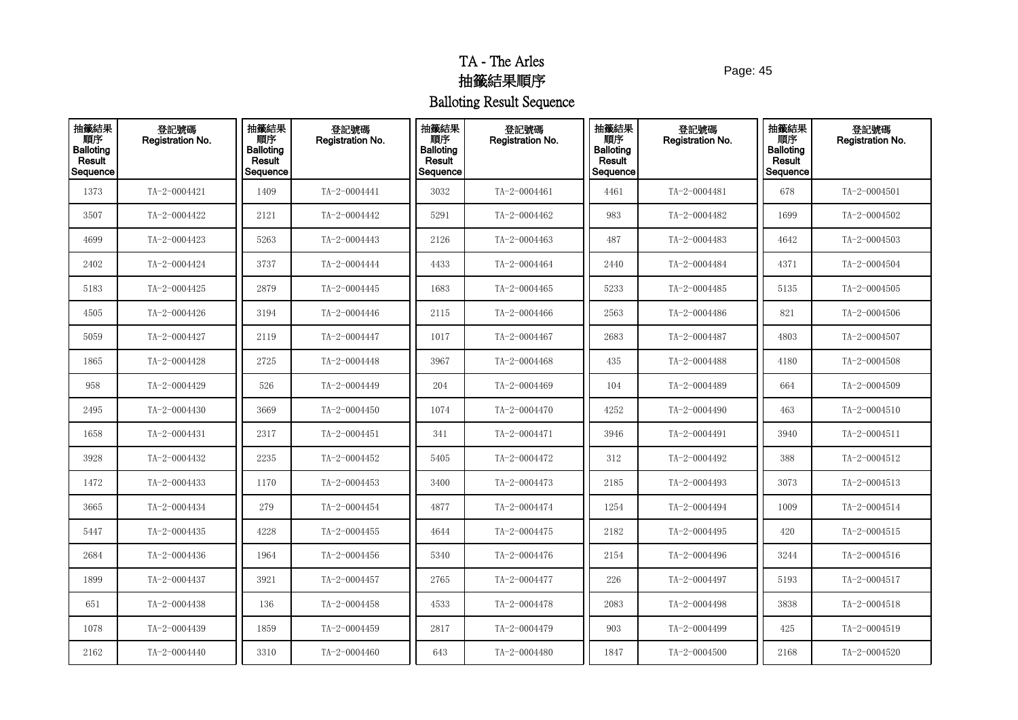Page: 45

| 抽籤結果<br>順序<br><b>Balloting</b><br>Result<br>Sequence | 登記號碼<br>Registration No. | 抽籤結果<br>順序<br><b>Balloting</b><br>Result<br>Sequence | 登記號碼<br>Registration No. | 抽籤結果<br>順序<br><b>Balloting</b><br>Result<br>Sequence | 登記號碼<br>Registration No. | 抽籤結果<br>順序<br><b>Balloting</b><br>Result<br>Sequence | 登記號碼<br><b>Registration No.</b> | 抽籤結果<br>順序<br><b>Balloting</b><br>Result<br>Sequence | 登記號碼<br>Registration No. |
|------------------------------------------------------|--------------------------|------------------------------------------------------|--------------------------|------------------------------------------------------|--------------------------|------------------------------------------------------|---------------------------------|------------------------------------------------------|--------------------------|
| 1373                                                 | TA-2-0004421             | 1409                                                 | TA-2-0004441             | 3032                                                 | TA-2-0004461             | 4461                                                 | TA-2-0004481                    | 678                                                  | TA-2-0004501             |
| 3507                                                 | TA-2-0004422             | 2121                                                 | TA-2-0004442             | 5291                                                 | TA-2-0004462             | 983                                                  | TA-2-0004482                    | 1699                                                 | TA-2-0004502             |
| 4699                                                 | TA-2-0004423             | 5263                                                 | TA-2-0004443             | 2126                                                 | TA-2-0004463             | 487                                                  | TA-2-0004483                    | 4642                                                 | $TA - 2 - 0004503$       |
| 2402                                                 | TA-2-0004424             | 3737                                                 | TA-2-0004444             | 4433                                                 | TA-2-0004464             | 2440                                                 | TA-2-0004484                    | 4371                                                 | TA-2-0004504             |
| 5183                                                 | TA-2-0004425             | 2879                                                 | TA-2-0004445             | 1683                                                 | TA-2-0004465             | 5233                                                 | TA-2-0004485                    | 5135                                                 | TA-2-0004505             |
| 4505                                                 | TA-2-0004426             | 3194                                                 | TA-2-0004446             | 2115                                                 | TA-2-0004466             | 2563                                                 | TA-2-0004486                    | 821                                                  | TA-2-0004506             |
| 5059                                                 | TA-2-0004427             | 2119                                                 | TA-2-0004447             | 1017                                                 | TA-2-0004467             | 2683                                                 | TA-2-0004487                    | 4803                                                 | TA-2-0004507             |
| 1865                                                 | TA-2-0004428             | 2725                                                 | TA-2-0004448             | 3967                                                 | TA-2-0004468             | 435                                                  | TA-2-0004488                    | 4180                                                 | TA-2-0004508             |
| 958                                                  | TA-2-0004429             | 526                                                  | TA-2-0004449             | 204                                                  | TA-2-0004469             | 104                                                  | TA-2-0004489                    | 664                                                  | TA-2-0004509             |
| 2495                                                 | TA-2-0004430             | 3669                                                 | TA-2-0004450             | 1074                                                 | TA-2-0004470             | 4252                                                 | TA-2-0004490                    | 463                                                  | TA-2-0004510             |
| 1658                                                 | TA-2-0004431             | 2317                                                 | TA-2-0004451             | 341                                                  | TA-2-0004471             | 3946                                                 | TA-2-0004491                    | 3940                                                 | $TA - 2 - 0004511$       |
| 3928                                                 | TA-2-0004432             | 2235                                                 | TA-2-0004452             | 5405                                                 | TA-2-0004472             | 312                                                  | TA-2-0004492                    | 388                                                  | TA-2-0004512             |
| 1472                                                 | TA-2-0004433             | 1170                                                 | TA-2-0004453             | 3400                                                 | TA-2-0004473             | 2185                                                 | TA-2-0004493                    | 3073                                                 | TA-2-0004513             |
| 3665                                                 | TA-2-0004434             | 279                                                  | TA-2-0004454             | 4877                                                 | TA-2-0004474             | 1254                                                 | TA-2-0004494                    | 1009                                                 | TA-2-0004514             |
| 5447                                                 | TA-2-0004435             | 4228                                                 | TA-2-0004455             | 4644                                                 | TA-2-0004475             | 2182                                                 | TA-2-0004495                    | 420                                                  | $TA - 2 - 0004515$       |
| 2684                                                 | TA-2-0004436             | 1964                                                 | TA-2-0004456             | 5340                                                 | TA-2-0004476             | 2154                                                 | TA-2-0004496                    | 3244                                                 | $TA - 2 - 0004516$       |
| 1899                                                 | TA-2-0004437             | 3921                                                 | TA-2-0004457             | 2765                                                 | TA-2-0004477             | 226                                                  | TA-2-0004497                    | 5193                                                 | TA-2-0004517             |
| 651                                                  | TA-2-0004438             | 136                                                  | TA-2-0004458             | 4533                                                 | TA-2-0004478             | 2083                                                 | TA-2-0004498                    | 3838                                                 | TA-2-0004518             |
| 1078                                                 | TA-2-0004439             | 1859                                                 | TA-2-0004459             | 2817                                                 | TA-2-0004479             | 903                                                  | TA-2-0004499                    | 425                                                  | TA-2-0004519             |
| 2162                                                 | TA-2-0004440             | 3310                                                 | TA-2-0004460             | 643                                                  | TA-2-0004480             | 1847                                                 | TA-2-0004500                    | 2168                                                 | TA-2-0004520             |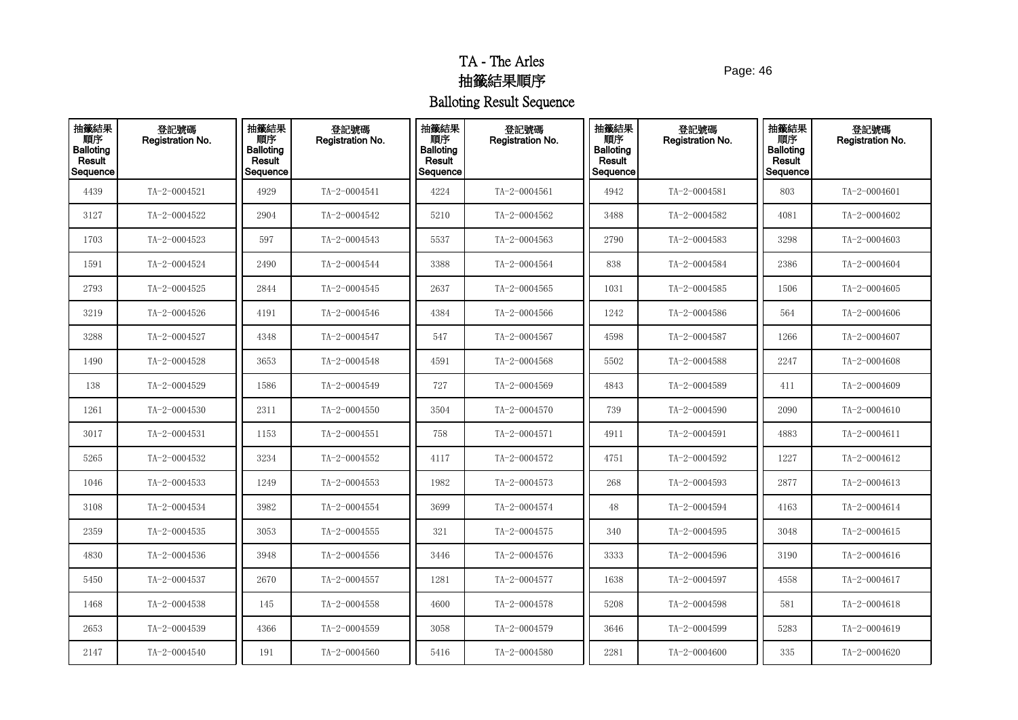Page: 46

| 抽籤結果<br>順序<br>Balloting<br>Result<br>Sequence | 登記號碼<br>Registration No. | 抽籤結果<br>順序<br><b>Balloting</b><br>Result<br>Sequence | 登記號碼<br>Registration No. | 抽籤結果<br>順序<br><b>Balloting</b><br>Result<br>Sequence | 登記號碼<br>Registration No. | 抽籤結果<br>順序<br><b>Balloting</b><br>Result<br>Sequence | 登記號碼<br>Registration No. | 抽籤結果<br>順序<br><b>Balloting</b><br>Result<br>Sequence | 登記號碼<br>Registration No. |
|-----------------------------------------------|--------------------------|------------------------------------------------------|--------------------------|------------------------------------------------------|--------------------------|------------------------------------------------------|--------------------------|------------------------------------------------------|--------------------------|
| 4439                                          | TA-2-0004521             | 4929                                                 | TA-2-0004541             | 4224                                                 | TA-2-0004561             | 4942                                                 | TA-2-0004581             | 803                                                  | TA-2-0004601             |
| 3127                                          | TA-2-0004522             | 2904                                                 | TA-2-0004542             | 5210                                                 | TA-2-0004562             | 3488                                                 | TA-2-0004582             | 4081                                                 | TA-2-0004602             |
| 1703                                          | TA-2-0004523             | 597                                                  | TA-2-0004543             | 5537                                                 | TA-2-0004563             | 2790                                                 | TA-2-0004583             | 3298                                                 | TA-2-0004603             |
| 1591                                          | TA-2-0004524             | 2490                                                 | TA-2-0004544             | 3388                                                 | TA-2-0004564             | 838                                                  | TA-2-0004584             | 2386                                                 | TA-2-0004604             |
| 2793                                          | TA-2-0004525             | 2844                                                 | TA-2-0004545             | 2637                                                 | TA-2-0004565             | 1031                                                 | TA-2-0004585             | 1506                                                 | TA-2-0004605             |
| 3219                                          | TA-2-0004526             | 4191                                                 | TA-2-0004546             | 4384                                                 | TA-2-0004566             | 1242                                                 | TA-2-0004586             | 564                                                  | TA-2-0004606             |
| 3288                                          | TA-2-0004527             | 4348                                                 | TA-2-0004547             | 547                                                  | TA-2-0004567             | 4598                                                 | TA-2-0004587             | 1266                                                 | TA-2-0004607             |
| 1490                                          | TA-2-0004528             | 3653                                                 | TA-2-0004548             | 4591                                                 | TA-2-0004568             | 5502                                                 | TA-2-0004588             | 2247                                                 | TA-2-0004608             |
| 138                                           | TA-2-0004529             | 1586                                                 | TA-2-0004549             | 727                                                  | TA-2-0004569             | 4843                                                 | TA-2-0004589             | 411                                                  | TA-2-0004609             |
| 1261                                          | TA-2-0004530             | 2311                                                 | TA-2-0004550             | 3504                                                 | TA-2-0004570             | 739                                                  | TA-2-0004590             | 2090                                                 | TA-2-0004610             |
| 3017                                          | TA-2-0004531             | 1153                                                 | TA-2-0004551             | 758                                                  | TA-2-0004571             | 4911                                                 | TA-2-0004591             | 4883                                                 | TA-2-0004611             |
| 5265                                          | TA-2-0004532             | 3234                                                 | TA-2-0004552             | 4117                                                 | TA-2-0004572             | 4751                                                 | TA-2-0004592             | 1227                                                 | TA-2-0004612             |
| 1046                                          | TA-2-0004533             | 1249                                                 | TA-2-0004553             | 1982                                                 | TA-2-0004573             | 268                                                  | TA-2-0004593             | 2877                                                 | $TA - 2 - 0004613$       |
| 3108                                          | TA-2-0004534             | 3982                                                 | TA-2-0004554             | 3699                                                 | TA-2-0004574             | 48                                                   | TA-2-0004594             | 4163                                                 | TA-2-0004614             |
| 2359                                          | TA-2-0004535             | 3053                                                 | TA-2-0004555             | 321                                                  | TA-2-0004575             | 340                                                  | TA-2-0004595             | 3048                                                 | $TA - 2 - 0004615$       |
| 4830                                          | TA-2-0004536             | 3948                                                 | TA-2-0004556             | 3446                                                 | TA-2-0004576             | 3333                                                 | TA-2-0004596             | 3190                                                 | TA-2-0004616             |
| 5450                                          | TA-2-0004537             | 2670                                                 | TA-2-0004557             | 1281                                                 | TA-2-0004577             | 1638                                                 | TA-2-0004597             | 4558                                                 | TA-2-0004617             |
| 1468                                          | TA-2-0004538             | 145                                                  | TA-2-0004558             | 4600                                                 | TA-2-0004578             | 5208                                                 | TA-2-0004598             | 581                                                  | $TA - 2 - 0004618$       |
| 2653                                          | TA-2-0004539             | 4366                                                 | TA-2-0004559             | 3058                                                 | TA-2-0004579             | 3646                                                 | TA-2-0004599             | 5283                                                 | TA-2-0004619             |
| 2147                                          | TA-2-0004540             | 191                                                  | TA-2-0004560             | 5416                                                 | TA-2-0004580             | 2281                                                 | TA-2-0004600             | 335                                                  | TA-2-0004620             |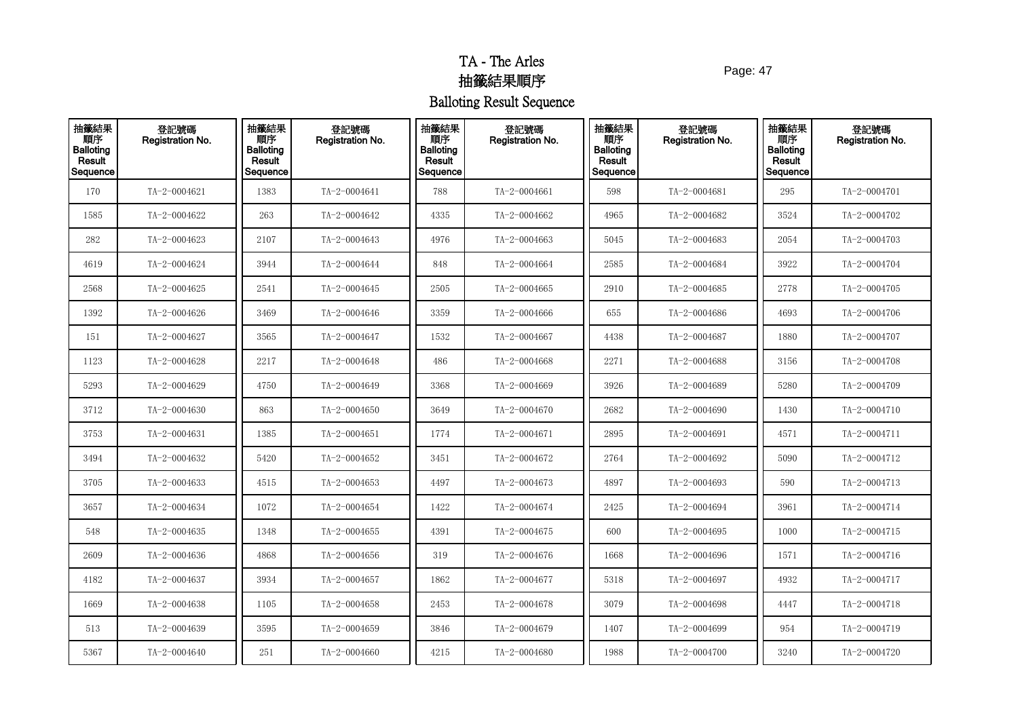Page: 47

| 抽籤結果<br>順序<br><b>Balloting</b><br>Result<br>Sequence | 登記號碼<br>Registration No. | 抽籤結果<br>順序<br><b>Balloting</b><br>Result<br>Sequence | 登記號碼<br><b>Registration No.</b> | 抽籤結果<br>順序<br><b>Balloting</b><br>Result<br>Sequence | 登記號碼<br>Registration No. | 抽籤結果<br>順序<br><b>Balloting</b><br>Result<br>Sequence | 登記號碼<br><b>Registration No.</b> | 抽籤結果<br>順序<br><b>Balloting</b><br>Result<br>Sequence | 登記號碼<br><b>Registration No.</b> |
|------------------------------------------------------|--------------------------|------------------------------------------------------|---------------------------------|------------------------------------------------------|--------------------------|------------------------------------------------------|---------------------------------|------------------------------------------------------|---------------------------------|
| 170                                                  | TA-2-0004621             | 1383                                                 | TA-2-0004641                    | 788                                                  | TA-2-0004661             | 598                                                  | TA-2-0004681                    | 295                                                  | TA-2-0004701                    |
| 1585                                                 | TA-2-0004622             | 263                                                  | TA-2-0004642                    | 4335                                                 | TA-2-0004662             | 4965                                                 | TA-2-0004682                    | 3524                                                 | TA-2-0004702                    |
| 282                                                  | TA-2-0004623             | 2107                                                 | TA-2-0004643                    | 4976                                                 | TA-2-0004663             | 5045                                                 | TA-2-0004683                    | 2054                                                 | TA-2-0004703                    |
| 4619                                                 | TA-2-0004624             | 3944                                                 | TA-2-0004644                    | 848                                                  | TA-2-0004664             | 2585                                                 | TA-2-0004684                    | 3922                                                 | TA-2-0004704                    |
| 2568                                                 | TA-2-0004625             | 2541                                                 | TA-2-0004645                    | 2505                                                 | TA-2-0004665             | 2910                                                 | TA-2-0004685                    | 2778                                                 | TA-2-0004705                    |
| 1392                                                 | TA-2-0004626             | 3469                                                 | TA-2-0004646                    | 3359                                                 | TA-2-0004666             | 655                                                  | TA-2-0004686                    | 4693                                                 | TA-2-0004706                    |
| 151                                                  | TA-2-0004627             | 3565                                                 | TA-2-0004647                    | 1532                                                 | TA-2-0004667             | 4438                                                 | TA-2-0004687                    | 1880                                                 | TA-2-0004707                    |
| 1123                                                 | TA-2-0004628             | 2217                                                 | TA-2-0004648                    | 486                                                  | TA-2-0004668             | 2271                                                 | TA-2-0004688                    | 3156                                                 | TA-2-0004708                    |
| 5293                                                 | TA-2-0004629             | 4750                                                 | TA-2-0004649                    | 3368                                                 | TA-2-0004669             | 3926                                                 | TA-2-0004689                    | 5280                                                 | TA-2-0004709                    |
| 3712                                                 | TA-2-0004630             | 863                                                  | TA-2-0004650                    | 3649                                                 | TA-2-0004670             | 2682                                                 | TA-2-0004690                    | 1430                                                 | TA-2-0004710                    |
| 3753                                                 | TA-2-0004631             | 1385                                                 | TA-2-0004651                    | 1774                                                 | TA-2-0004671             | 2895                                                 | TA-2-0004691                    | 4571                                                 | TA-2-0004711                    |
| 3494                                                 | TA-2-0004632             | 5420                                                 | TA-2-0004652                    | 3451                                                 | TA-2-0004672             | 2764                                                 | TA-2-0004692                    | 5090                                                 | TA-2-0004712                    |
| 3705                                                 | TA-2-0004633             | 4515                                                 | TA-2-0004653                    | 4497                                                 | TA-2-0004673             | 4897                                                 | TA-2-0004693                    | 590                                                  | TA-2-0004713                    |
| 3657                                                 | TA-2-0004634             | 1072                                                 | TA-2-0004654                    | 1422                                                 | TA-2-0004674             | 2425                                                 | TA-2-0004694                    | 3961                                                 | TA-2-0004714                    |
| 548                                                  | TA-2-0004635             | 1348                                                 | TA-2-0004655                    | 4391                                                 | TA-2-0004675             | 600                                                  | TA-2-0004695                    | 1000                                                 | TA-2-0004715                    |
| 2609                                                 | TA-2-0004636             | 4868                                                 | TA-2-0004656                    | 319                                                  | TA-2-0004676             | 1668                                                 | TA-2-0004696                    | 1571                                                 | TA-2-0004716                    |
| 4182                                                 | TA-2-0004637             | 3934                                                 | TA-2-0004657                    | 1862                                                 | TA-2-0004677             | 5318                                                 | TA-2-0004697                    | 4932                                                 | TA-2-0004717                    |
| 1669                                                 | TA-2-0004638             | 1105                                                 | TA-2-0004658                    | 2453                                                 | TA-2-0004678             | 3079                                                 | TA-2-0004698                    | 4447                                                 | TA-2-0004718                    |
| 513                                                  | TA-2-0004639             | 3595                                                 | TA-2-0004659                    | 3846                                                 | TA-2-0004679             | 1407                                                 | TA-2-0004699                    | 954                                                  | TA-2-0004719                    |
| 5367                                                 | TA-2-0004640             | 251                                                  | TA-2-0004660                    | 4215                                                 | TA-2-0004680             | 1988                                                 | TA-2-0004700                    | 3240                                                 | TA-2-0004720                    |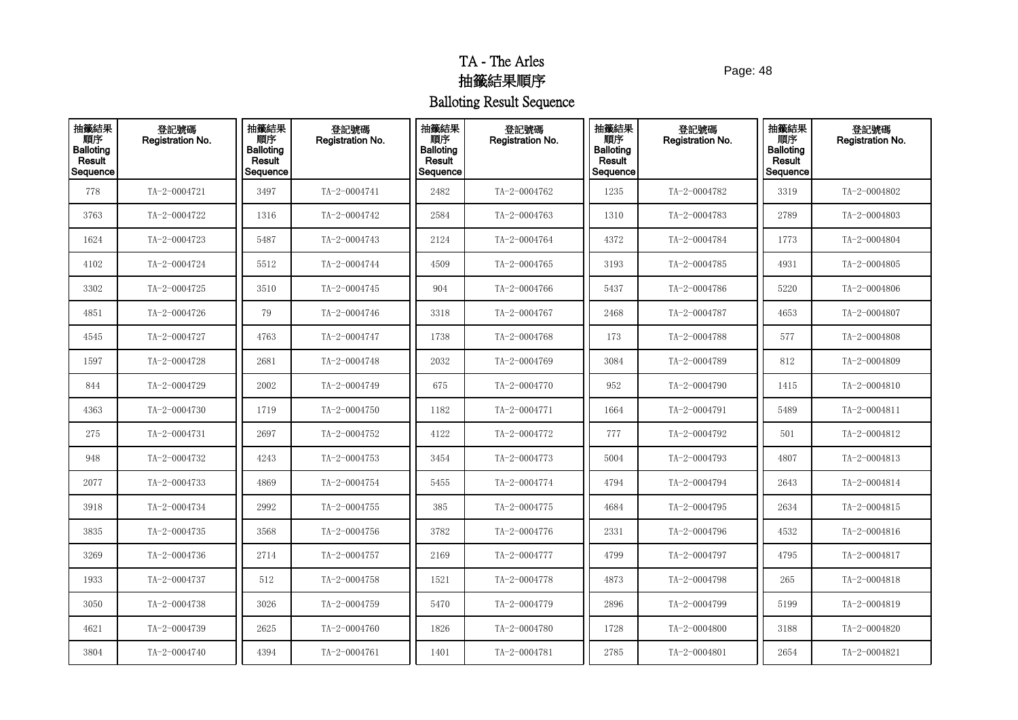Page: 48

| 抽籤結果<br>順序<br><b>Balloting</b><br>Result<br>Sequence | 登記號碼<br>Registration No. | 抽籤結果<br>順序<br><b>Balloting</b><br>Result<br>Sequence | 登記號碼<br><b>Registration No.</b> | 抽籤結果<br>順序<br><b>Balloting</b><br>Result<br>Sequence | 登記號碼<br>Registration No. | 抽籤結果<br>順序<br><b>Balloting</b><br>Result<br>Sequence | 登記號碼<br><b>Registration No.</b> | 抽籤結果<br>順序<br><b>Balloting</b><br>Result<br>Sequence | 登記號碼<br><b>Registration No.</b> |
|------------------------------------------------------|--------------------------|------------------------------------------------------|---------------------------------|------------------------------------------------------|--------------------------|------------------------------------------------------|---------------------------------|------------------------------------------------------|---------------------------------|
| 778                                                  | TA-2-0004721             | 3497                                                 | TA-2-0004741                    | 2482                                                 | TA-2-0004762             | 1235                                                 | TA-2-0004782                    | 3319                                                 | TA-2-0004802                    |
| 3763                                                 | TA-2-0004722             | 1316                                                 | TA-2-0004742                    | 2584                                                 | TA-2-0004763             | 1310                                                 | TA-2-0004783                    | 2789                                                 | $TA - 2 - 0004803$              |
| 1624                                                 | TA-2-0004723             | 5487                                                 | TA-2-0004743                    | 2124                                                 | TA-2-0004764             | 4372                                                 | TA-2-0004784                    | 1773                                                 | TA-2-0004804                    |
| 4102                                                 | TA-2-0004724             | 5512                                                 | TA-2-0004744                    | 4509                                                 | TA-2-0004765             | 3193                                                 | TA-2-0004785                    | 4931                                                 | TA-2-0004805                    |
| 3302                                                 | TA-2-0004725             | 3510                                                 | TA-2-0004745                    | 904                                                  | TA-2-0004766             | 5437                                                 | TA-2-0004786                    | 5220                                                 | TA-2-0004806                    |
| 4851                                                 | TA-2-0004726             | 79                                                   | TA-2-0004746                    | 3318                                                 | TA-2-0004767             | 2468                                                 | TA-2-0004787                    | 4653                                                 | TA-2-0004807                    |
| 4545                                                 | TA-2-0004727             | 4763                                                 | TA-2-0004747                    | 1738                                                 | TA-2-0004768             | 173                                                  | TA-2-0004788                    | 577                                                  | TA-2-0004808                    |
| 1597                                                 | TA-2-0004728             | 2681                                                 | TA-2-0004748                    | 2032                                                 | TA-2-0004769             | 3084                                                 | TA-2-0004789                    | 812                                                  | TA-2-0004809                    |
| 844                                                  | TA-2-0004729             | 2002                                                 | TA-2-0004749                    | 675                                                  | TA-2-0004770             | 952                                                  | TA-2-0004790                    | 1415                                                 | TA-2-0004810                    |
| 4363                                                 | TA-2-0004730             | 1719                                                 | TA-2-0004750                    | 1182                                                 | TA-2-0004771             | 1664                                                 | TA-2-0004791                    | 5489                                                 | TA-2-0004811                    |
| 275                                                  | TA-2-0004731             | 2697                                                 | TA-2-0004752                    | 4122                                                 | TA-2-0004772             | 777                                                  | TA-2-0004792                    | 501                                                  | TA-2-0004812                    |
| 948                                                  | TA-2-0004732             | 4243                                                 | TA-2-0004753                    | 3454                                                 | TA-2-0004773             | 5004                                                 | TA-2-0004793                    | 4807                                                 | TA-2-0004813                    |
| 2077                                                 | TA-2-0004733             | 4869                                                 | TA-2-0004754                    | 5455                                                 | TA-2-0004774             | 4794                                                 | TA-2-0004794                    | 2643                                                 | TA-2-0004814                    |
| 3918                                                 | TA-2-0004734             | 2992                                                 | TA-2-0004755                    | 385                                                  | TA-2-0004775             | 4684                                                 | TA-2-0004795                    | 2634                                                 | $TA - 2 - 0004815$              |
| 3835                                                 | TA-2-0004735             | 3568                                                 | TA-2-0004756                    | 3782                                                 | TA-2-0004776             | 2331                                                 | TA-2-0004796                    | 4532                                                 | TA-2-0004816                    |
| 3269                                                 | TA-2-0004736             | 2714                                                 | TA-2-0004757                    | 2169                                                 | TA-2-0004777             | 4799                                                 | TA-2-0004797                    | 4795                                                 | TA-2-0004817                    |
| 1933                                                 | TA-2-0004737             | 512                                                  | TA-2-0004758                    | 1521                                                 | TA-2-0004778             | 4873                                                 | TA-2-0004798                    | 265                                                  | TA-2-0004818                    |
| 3050                                                 | TA-2-0004738             | 3026                                                 | TA-2-0004759                    | 5470                                                 | TA-2-0004779             | 2896                                                 | TA-2-0004799                    | 5199                                                 | TA-2-0004819                    |
| 4621                                                 | TA-2-0004739             | 2625                                                 | TA-2-0004760                    | 1826                                                 | TA-2-0004780             | 1728                                                 | TA-2-0004800                    | 3188                                                 | TA-2-0004820                    |
| 3804                                                 | TA-2-0004740             | 4394                                                 | TA-2-0004761                    | 1401                                                 | TA-2-0004781             | 2785                                                 | TA-2-0004801                    | 2654                                                 | TA-2-0004821                    |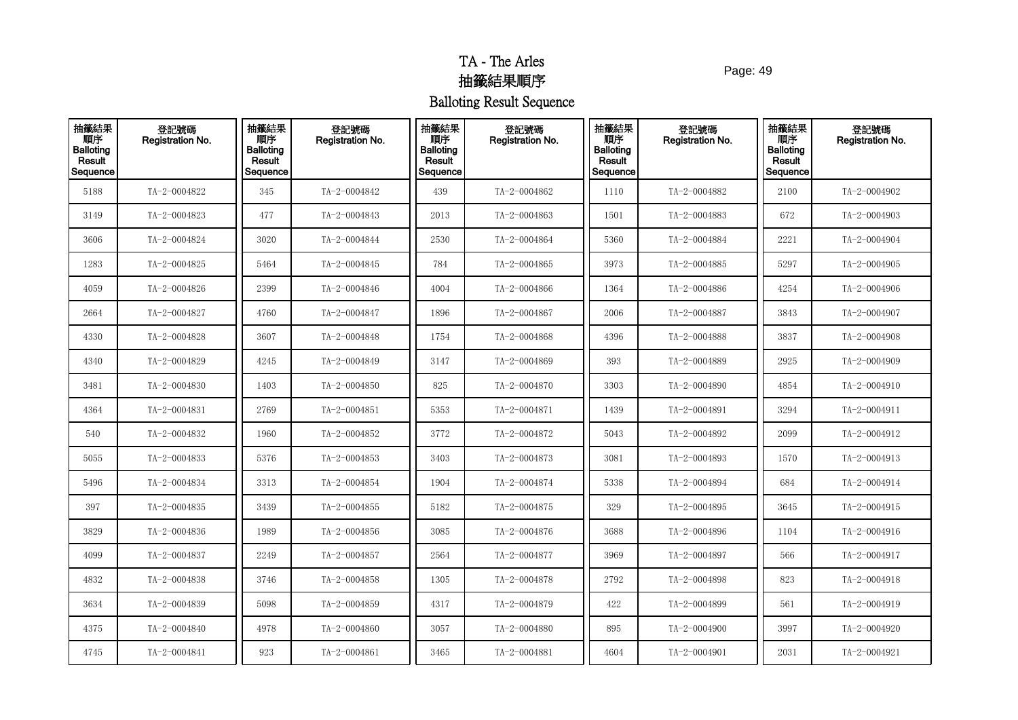Page: 49

| 抽籤結果<br>Result<br>Sequence | 登記號碼<br>Registration No. | 抽籤結果<br>順序<br><b>Balloting</b><br>Result<br>Sequence | 登記號碼<br>Registration No. | 抽籤結果<br>順序<br><b>Balloting</b><br>Result<br>Sequence | 登記號碼<br>Registration No. | 抽籤結果<br>順序<br><b>Balloting</b><br>Result<br>Sequence | 登記號碼<br><b>Registration No.</b> | 抽籤結果<br>順序<br><b>Balloting</b><br><b>Result</b><br>Sequence | 登記號碼<br><b>Registration No.</b> |
|----------------------------|--------------------------|------------------------------------------------------|--------------------------|------------------------------------------------------|--------------------------|------------------------------------------------------|---------------------------------|-------------------------------------------------------------|---------------------------------|
| 5188                       | TA-2-0004822             | 345                                                  | TA-2-0004842             | 439                                                  | TA-2-0004862             | 1110                                                 | TA-2-0004882                    | 2100                                                        | TA-2-0004902                    |
| 3149                       | TA-2-0004823             | 477                                                  | TA-2-0004843             | 2013                                                 | TA-2-0004863             | 1501                                                 | TA-2-0004883                    | 672                                                         | TA-2-0004903                    |
| 3606                       | TA-2-0004824             | 3020                                                 | TA-2-0004844             | 2530                                                 | TA-2-0004864             | 5360                                                 | TA-2-0004884                    | 2221                                                        | TA-2-0004904                    |
| 1283                       | TA-2-0004825             | 5464                                                 | TA-2-0004845             | 784                                                  | TA-2-0004865             | 3973                                                 | TA-2-0004885                    | 5297                                                        | TA-2-0004905                    |
| 4059                       | TA-2-0004826             | 2399                                                 | TA-2-0004846             | 4004                                                 | TA-2-0004866             | 1364                                                 | TA-2-0004886                    | 4254                                                        | TA-2-0004906                    |
| 2664                       | TA-2-0004827             | 4760                                                 | TA-2-0004847             | 1896                                                 | TA-2-0004867             | 2006                                                 | TA-2-0004887                    | 3843                                                        | TA-2-0004907                    |
| 4330                       | TA-2-0004828             | 3607                                                 | TA-2-0004848             | 1754                                                 | TA-2-0004868             | 4396                                                 | TA-2-0004888                    | 3837                                                        | TA-2-0004908                    |
| 4340                       | TA-2-0004829             | 4245                                                 | TA-2-0004849             | 3147                                                 | TA-2-0004869             | 393                                                  | TA-2-0004889                    | 2925                                                        | TA-2-0004909                    |
| 3481                       | TA-2-0004830             | 1403                                                 | TA-2-0004850             | 825                                                  | TA-2-0004870             | 3303                                                 | TA-2-0004890                    | 4854                                                        | TA-2-0004910                    |
| 4364                       | TA-2-0004831             | 2769                                                 | TA-2-0004851             | 5353                                                 | TA-2-0004871             | 1439                                                 | TA-2-0004891                    | 3294                                                        | TA-2-0004911                    |
| 540                        | TA-2-0004832             | 1960                                                 | TA-2-0004852             | 3772                                                 | TA-2-0004872             | 5043                                                 | TA-2-0004892                    | 2099                                                        | TA-2-0004912                    |
| 5055                       | TA-2-0004833             | 5376                                                 | TA-2-0004853             | 3403                                                 | TA-2-0004873             | 3081                                                 | TA-2-0004893                    | 1570                                                        | TA-2-0004913                    |
| 5496                       | TA-2-0004834             | 3313                                                 | TA-2-0004854             | 1904                                                 | TA-2-0004874             | 5338                                                 | TA-2-0004894                    | 684                                                         | TA-2-0004914                    |
| 397                        | TA-2-0004835             | 3439                                                 | TA-2-0004855             | 5182                                                 | TA-2-0004875             | 329                                                  | TA-2-0004895                    | 3645                                                        | TA-2-0004915                    |
| 3829                       | TA-2-0004836             | 1989                                                 | TA-2-0004856             | 3085                                                 | TA-2-0004876             | 3688                                                 | TA-2-0004896                    | 1104                                                        | TA-2-0004916                    |
| 4099                       | TA-2-0004837             | 2249                                                 | TA-2-0004857             | 2564                                                 | TA-2-0004877             | 3969                                                 | TA-2-0004897                    | 566                                                         | TA-2-0004917                    |
| 4832                       | TA-2-0004838             | 3746                                                 | TA-2-0004858             | 1305                                                 | TA-2-0004878             | 2792                                                 | TA-2-0004898                    | 823                                                         | TA-2-0004918                    |
| 3634                       | TA-2-0004839             | 5098                                                 | TA-2-0004859             | 4317                                                 | TA-2-0004879             | 422                                                  | TA-2-0004899                    | 561                                                         | TA-2-0004919                    |
| 4375                       | TA-2-0004840             | 4978                                                 | TA-2-0004860             | 3057                                                 | TA-2-0004880             | 895                                                  | TA-2-0004900                    | 3997                                                        | TA-2-0004920                    |
| 4745                       | TA-2-0004841             | 923                                                  | TA-2-0004861             | 3465                                                 | TA-2-0004881             | 4604                                                 | TA-2-0004901                    | 2031                                                        | TA-2-0004921                    |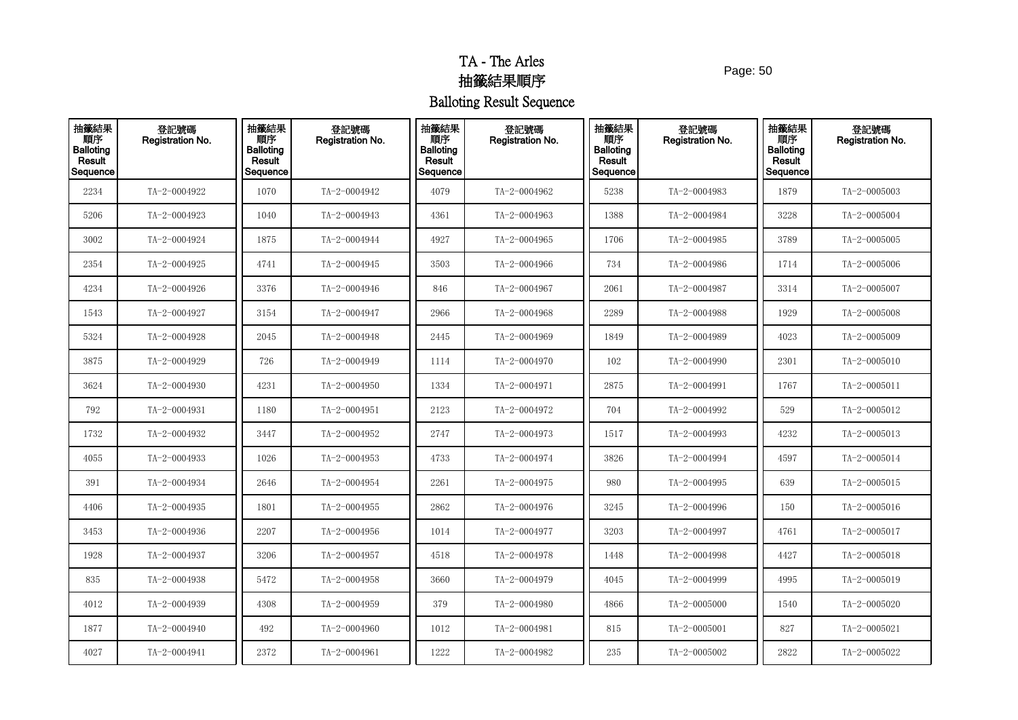Page: 50

| 抽籤結果<br>順序<br><b>Balloting</b><br>Result<br>Sequence | 登記號碼<br>Registration No. | 抽籤結果<br>順序<br><b>Balloting</b><br>Result<br>Sequence | 登記號碼<br>Registration No. | 抽籤結果<br>順序<br><b>Balloting</b><br>Result<br>Sequence | 登記號碼<br>Registration No. | 抽籤結果<br>順序<br><b>Balloting</b><br>Result<br>Sequence | 登記號碼<br><b>Registration No.</b> | 抽籤結果<br>順序<br><b>Balloting</b><br>Result<br>Sequence | 登記號碼<br>Registration No. |
|------------------------------------------------------|--------------------------|------------------------------------------------------|--------------------------|------------------------------------------------------|--------------------------|------------------------------------------------------|---------------------------------|------------------------------------------------------|--------------------------|
| 2234                                                 | TA-2-0004922             | 1070                                                 | TA-2-0004942             | 4079                                                 | TA-2-0004962             | 5238                                                 | TA-2-0004983                    | 1879                                                 | $TA - 2 - 0005003$       |
| 5206                                                 | TA-2-0004923             | 1040                                                 | TA-2-0004943             | 4361                                                 | TA-2-0004963             | 1388                                                 | TA-2-0004984                    | 3228                                                 | TA-2-0005004             |
| 3002                                                 | TA-2-0004924             | 1875                                                 | TA-2-0004944             | 4927                                                 | TA-2-0004965             | 1706                                                 | TA-2-0004985                    | 3789                                                 | $TA - 2 - 0005005$       |
| 2354                                                 | TA-2-0004925             | 4741                                                 | TA-2-0004945             | 3503                                                 | TA-2-0004966             | 734                                                  | TA-2-0004986                    | 1714                                                 | TA-2-0005006             |
| 4234                                                 | TA-2-0004926             | 3376                                                 | TA-2-0004946             | 846                                                  | TA-2-0004967             | 2061                                                 | TA-2-0004987                    | 3314                                                 | $TA - 2 - 0005007$       |
| 1543                                                 | TA-2-0004927             | 3154                                                 | TA-2-0004947             | 2966                                                 | TA-2-0004968             | 2289                                                 | TA-2-0004988                    | 1929                                                 | $TA - 2 - 0005008$       |
| 5324                                                 | TA-2-0004928             | 2045                                                 | TA-2-0004948             | 2445                                                 | TA-2-0004969             | 1849                                                 | TA-2-0004989                    | 4023                                                 | TA-2-0005009             |
| 3875                                                 | TA-2-0004929             | 726                                                  | TA-2-0004949             | 1114                                                 | TA-2-0004970             | 102                                                  | TA-2-0004990                    | 2301                                                 | $TA - 2 - 0005010$       |
| 3624                                                 | TA-2-0004930             | 4231                                                 | TA-2-0004950             | 1334                                                 | TA-2-0004971             | 2875                                                 | TA-2-0004991                    | 1767                                                 | $TA - 2 - 0005011$       |
| 792                                                  | TA-2-0004931             | 1180                                                 | TA-2-0004951             | 2123                                                 | TA-2-0004972             | 704                                                  | TA-2-0004992                    | 529                                                  | TA-2-0005012             |
| 1732                                                 | TA-2-0004932             | 3447                                                 | TA-2-0004952             | 2747                                                 | TA-2-0004973             | 1517                                                 | TA-2-0004993                    | 4232                                                 | TA-2-0005013             |
| 4055                                                 | TA-2-0004933             | 1026                                                 | TA-2-0004953             | 4733                                                 | TA-2-0004974             | 3826                                                 | TA-2-0004994                    | 4597                                                 | TA-2-0005014             |
| 391                                                  | TA-2-0004934             | 2646                                                 | TA-2-0004954             | 2261                                                 | TA-2-0004975             | 980                                                  | TA-2-0004995                    | 639                                                  | $TA - 2 - 0005015$       |
| 4406                                                 | TA-2-0004935             | 1801                                                 | TA-2-0004955             | 2862                                                 | TA-2-0004976             | 3245                                                 | TA-2-0004996                    | 150                                                  | TA-2-0005016             |
| 3453                                                 | TA-2-0004936             | 2207                                                 | TA-2-0004956             | 1014                                                 | TA-2-0004977             | 3203                                                 | TA-2-0004997                    | 4761                                                 | TA-2-0005017             |
| 1928                                                 | TA-2-0004937             | 3206                                                 | TA-2-0004957             | 4518                                                 | TA-2-0004978             | 1448                                                 | TA-2-0004998                    | 4427                                                 | $TA - 2 - 0005018$       |
| 835                                                  | TA-2-0004938             | 5472                                                 | TA-2-0004958             | 3660                                                 | TA-2-0004979             | 4045                                                 | TA-2-0004999                    | 4995                                                 | $TA - 2 - 0005019$       |
| 4012                                                 | TA-2-0004939             | 4308                                                 | TA-2-0004959             | 379                                                  | TA-2-0004980             | 4866                                                 | TA-2-0005000                    | 1540                                                 | TA-2-0005020             |
| 1877                                                 | TA-2-0004940             | 492                                                  | TA-2-0004960             | 1012                                                 | TA-2-0004981             | 815                                                  | TA-2-0005001                    | 827                                                  | TA-2-0005021             |
| 4027                                                 | TA-2-0004941             | 2372                                                 | TA-2-0004961             | 1222                                                 | TA-2-0004982             | 235                                                  | TA-2-0005002                    | 2822                                                 | TA-2-0005022             |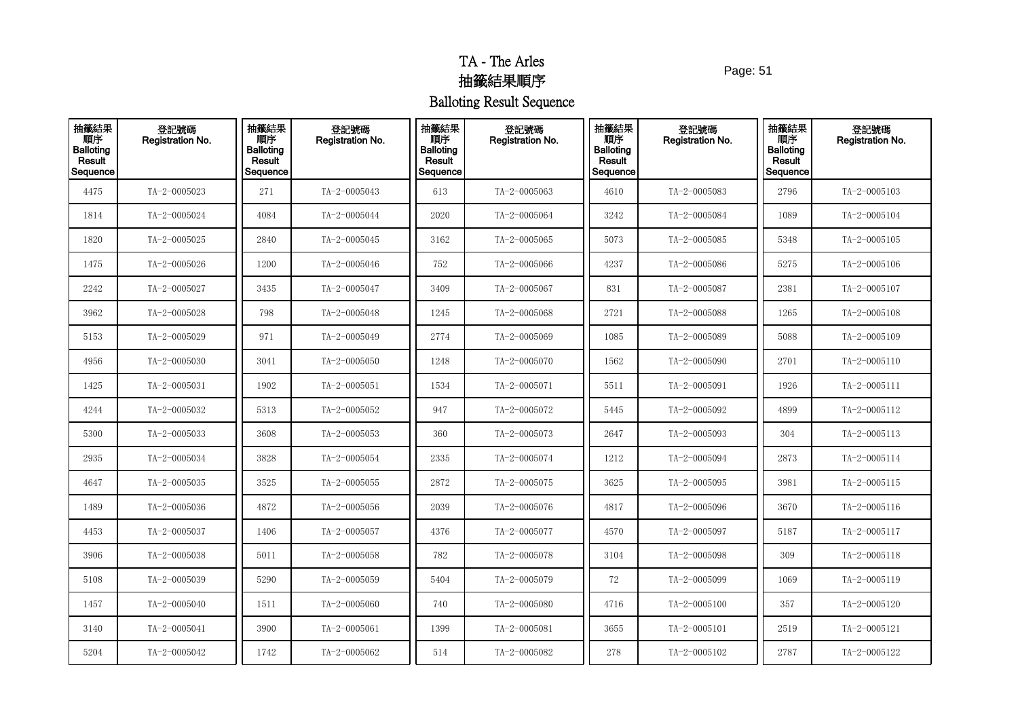Page: 51

| 抽籤結果<br>順序<br>Balloting<br>Result<br>Sequence | 登記號碼<br><b>Registration No.</b> | 抽籤結果<br>順序<br><b>Balloting</b><br>Result<br>Sequence | 登記號碼<br>Registration No. | 抽籤結果<br>順序<br><b>Balloting</b><br>Result<br>Sequence | 登記號碼<br>Registration No. | 抽籤結果<br>順序<br><b>Balloting</b><br>Result<br>Sequence | 登記號碼<br><b>Registration No.</b> | 抽籤結果<br>順序<br><b>Balloting</b><br>Result<br>Sequence | 登記號碼<br>Registration No. |
|-----------------------------------------------|---------------------------------|------------------------------------------------------|--------------------------|------------------------------------------------------|--------------------------|------------------------------------------------------|---------------------------------|------------------------------------------------------|--------------------------|
| 4475                                          | TA-2-0005023                    | 271                                                  | TA-2-0005043             | 613                                                  | TA-2-0005063             | 4610                                                 | TA-2-0005083                    | 2796                                                 | TA-2-0005103             |
| 1814                                          | TA-2-0005024                    | 4084                                                 | TA-2-0005044             | 2020                                                 | TA-2-0005064             | 3242                                                 | TA-2-0005084                    | 1089                                                 | TA-2-0005104             |
| 1820                                          | TA-2-0005025                    | 2840                                                 | TA-2-0005045             | 3162                                                 | TA-2-0005065             | 5073                                                 | $TA - 2 - 0005085$              | 5348                                                 | TA-2-0005105             |
| 1475                                          | TA-2-0005026                    | 1200                                                 | TA-2-0005046             | 752                                                  | TA-2-0005066             | 4237                                                 | TA-2-0005086                    | 5275                                                 | TA-2-0005106             |
| 2242                                          | TA-2-0005027                    | 3435                                                 | TA-2-0005047             | 3409                                                 | TA-2-0005067             | 831                                                  | TA-2-0005087                    | 2381                                                 | $TA - 2 - 0005107$       |
| 3962                                          | TA-2-0005028                    | 798                                                  | TA-2-0005048             | 1245                                                 | TA-2-0005068             | 2721                                                 | $TA - 2 - 0005088$              | 1265                                                 | TA-2-0005108             |
| 5153                                          | TA-2-0005029                    | 971                                                  | TA-2-0005049             | 2774                                                 | TA-2-0005069             | 1085                                                 | TA-2-0005089                    | 5088                                                 | TA-2-0005109             |
| 4956                                          | TA-2-0005030                    | 3041                                                 | $TA - 2 - 0005050$       | 1248                                                 | TA-2-0005070             | 1562                                                 | TA-2-0005090                    | 2701                                                 | $TA - 2 - 0005110$       |
| 1425                                          | $TA - 2 - 0005031$              | 1902                                                 | $TA - 2 - 0005051$       | 1534                                                 | TA-2-0005071             | 5511                                                 | $TA - 2 - 0005091$              | 1926                                                 | $TA - 2 - 0005111$       |
| 4244                                          | TA-2-0005032                    | 5313                                                 | TA-2-0005052             | 947                                                  | TA-2-0005072             | 5445                                                 | TA-2-0005092                    | 4899                                                 | TA-2-0005112             |
| 5300                                          | TA-2-0005033                    | 3608                                                 | $TA-2-0005053$           | 360                                                  | TA-2-0005073             | 2647                                                 | TA-2-0005093                    | 304                                                  | $TA - 2 - 0005113$       |
| 2935                                          | TA-2-0005034                    | 3828                                                 | TA-2-0005054             | 2335                                                 | TA-2-0005074             | 1212                                                 | TA-2-0005094                    | 2873                                                 | TA-2-0005114             |
| 4647                                          | TA-2-0005035                    | 3525                                                 | TA-2-0005055             | 2872                                                 | TA-2-0005075             | 3625                                                 | $TA - 2 - 0005095$              | 3981                                                 | TA-2-0005115             |
| 1489                                          | TA-2-0005036                    | 4872                                                 | TA-2-0005056             | 2039                                                 | TA-2-0005076             | 4817                                                 | TA-2-0005096                    | 3670                                                 | TA-2-0005116             |
| 4453                                          | TA-2-0005037                    | 1406                                                 | TA-2-0005057             | 4376                                                 | TA-2-0005077             | 4570                                                 | TA-2-0005097                    | 5187                                                 | $TA - 2 - 0005117$       |
| 3906                                          | TA-2-0005038                    | 5011                                                 | TA-2-0005058             | 782                                                  | TA-2-0005078             | 3104                                                 | TA-2-0005098                    | 309                                                  | $TA - 2 - 0005118$       |
| 5108                                          | TA-2-0005039                    | 5290                                                 | TA-2-0005059             | 5404                                                 | TA-2-0005079             | 72                                                   | TA-2-0005099                    | 1069                                                 | TA-2-0005119             |
| 1457                                          | TA-2-0005040                    | 1511                                                 | TA-2-0005060             | 740                                                  | TA-2-0005080             | 4716                                                 | $TA - 2 - 0005100$              | 357                                                  | TA-2-0005120             |
| 3140                                          | TA-2-0005041                    | 3900                                                 | TA-2-0005061             | 1399                                                 | TA-2-0005081             | 3655                                                 | $TA - 2 - 0005101$              | 2519                                                 | TA-2-0005121             |
| 5204                                          | TA-2-0005042                    | 1742                                                 | TA-2-0005062             | 514                                                  | TA-2-0005082             | 278                                                  | TA-2-0005102                    | 2787                                                 | TA-2-0005122             |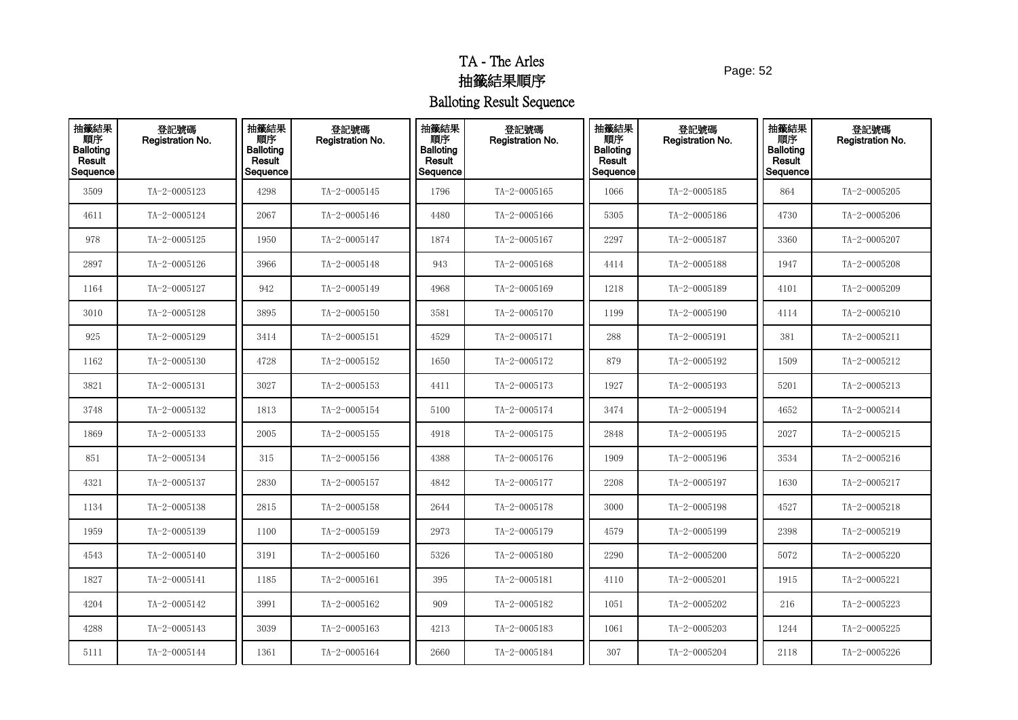Page: 52

| 抽籤結果<br>順序<br>Balloting<br>Result<br>Sequence | 登記號碼<br>Registration No. | 抽籤結果<br>順序<br><b>Balloting</b><br>Result<br>Sequence | 登記號碼<br>Registration No. | 抽籤結果<br>順序<br><b>Balloting</b><br>Result<br>Sequence | 登記號碼<br>Registration No. | 抽籤結果<br>順序<br><b>Balloting</b><br>Result<br>Sequence | 登記號碼<br><b>Registration No.</b> | 抽籤結果<br>順序<br><b>Balloting</b><br>Result<br>Sequence | 登記號碼<br>Registration No. |
|-----------------------------------------------|--------------------------|------------------------------------------------------|--------------------------|------------------------------------------------------|--------------------------|------------------------------------------------------|---------------------------------|------------------------------------------------------|--------------------------|
| 3509                                          | TA-2-0005123             | 4298                                                 | TA-2-0005145             | 1796                                                 | TA-2-0005165             | 1066                                                 | $TA - 2 - 0005185$              | 864                                                  | TA-2-0005205             |
| 4611                                          | TA-2-0005124             | 2067                                                 | TA-2-0005146             | 4480                                                 | TA-2-0005166             | 5305                                                 | TA-2-0005186                    | 4730                                                 | TA-2-0005206             |
| 978                                           | TA-2-0005125             | 1950                                                 | TA-2-0005147             | 1874                                                 | $TA - 2 - 0005167$       | 2297                                                 | TA-2-0005187                    | 3360                                                 | TA-2-0005207             |
| 2897                                          | TA-2-0005126             | 3966                                                 | TA-2-0005148             | 943                                                  | TA-2-0005168             | 4414                                                 | TA-2-0005188                    | 1947                                                 | TA-2-0005208             |
| 1164                                          | TA-2-0005127             | 942                                                  | TA-2-0005149             | 4968                                                 | TA-2-0005169             | 1218                                                 | TA-2-0005189                    | 4101                                                 | TA-2-0005209             |
| 3010                                          | TA-2-0005128             | 3895                                                 | TA-2-0005150             | 3581                                                 | TA-2-0005170             | 1199                                                 | TA-2-0005190                    | 4114                                                 | TA-2-0005210             |
| 925                                           | TA-2-0005129             | 3414                                                 | TA-2-0005151             | 4529                                                 | TA-2-0005171             | 288                                                  | TA-2-0005191                    | 381                                                  | TA-2-0005211             |
| 1162                                          | $TA-2-0005130$           | 4728                                                 | TA-2-0005152             | 1650                                                 | TA-2-0005172             | 879                                                  | TA-2-0005192                    | 1509                                                 | TA-2-0005212             |
| 3821                                          | TA-2-0005131             | 3027                                                 | TA-2-0005153             | 4411                                                 | TA-2-0005173             | 1927                                                 | TA-2-0005193                    | 5201                                                 | TA-2-0005213             |
| 3748                                          | TA-2-0005132             | 1813                                                 | TA-2-0005154             | 5100                                                 | TA-2-0005174             | 3474                                                 | TA-2-0005194                    | 4652                                                 | TA-2-0005214             |
| 1869                                          | $TA-2-0005133$           | 2005                                                 | TA-2-0005155             | 4918                                                 | TA-2-0005175             | 2848                                                 | TA-2-0005195                    | 2027                                                 | TA-2-0005215             |
| 851                                           | TA-2-0005134             | 315                                                  | TA-2-0005156             | 4388                                                 | TA-2-0005176             | 1909                                                 | TA-2-0005196                    | 3534                                                 | TA-2-0005216             |
| 4321                                          | TA-2-0005137             | 2830                                                 | TA-2-0005157             | 4842                                                 | TA-2-0005177             | 2208                                                 | TA-2-0005197                    | 1630                                                 | TA-2-0005217             |
| 1134                                          | TA-2-0005138             | 2815                                                 | TA-2-0005158             | 2644                                                 | TA-2-0005178             | 3000                                                 | TA-2-0005198                    | 4527                                                 | TA-2-0005218             |
| 1959                                          | TA-2-0005139             | 1100                                                 | TA-2-0005159             | 2973                                                 | TA-2-0005179             | 4579                                                 | TA-2-0005199                    | 2398                                                 | TA-2-0005219             |
| 4543                                          | TA-2-0005140             | 3191                                                 | TA-2-0005160             | 5326                                                 | $TA - 2 - 0005180$       | 2290                                                 | TA-2-0005200                    | 5072                                                 | TA-2-0005220             |
| 1827                                          | TA-2-0005141             | 1185                                                 | TA-2-0005161             | 395                                                  | TA-2-0005181             | 4110                                                 | TA-2-0005201                    | 1915                                                 | TA-2-0005221             |
| 4204                                          | TA-2-0005142             | 3991                                                 | TA-2-0005162             | 909                                                  | TA-2-0005182             | 1051                                                 | TA-2-0005202                    | 216                                                  | TA-2-0005223             |
| 4288                                          | TA-2-0005143             | 3039                                                 | TA-2-0005163             | 4213                                                 | TA-2-0005183             | 1061                                                 | TA-2-0005203                    | 1244                                                 | TA-2-0005225             |
| 5111                                          | TA-2-0005144             | 1361                                                 | TA-2-0005164             | 2660                                                 | TA-2-0005184             | 307                                                  | TA-2-0005204                    | 2118                                                 | TA-2-0005226             |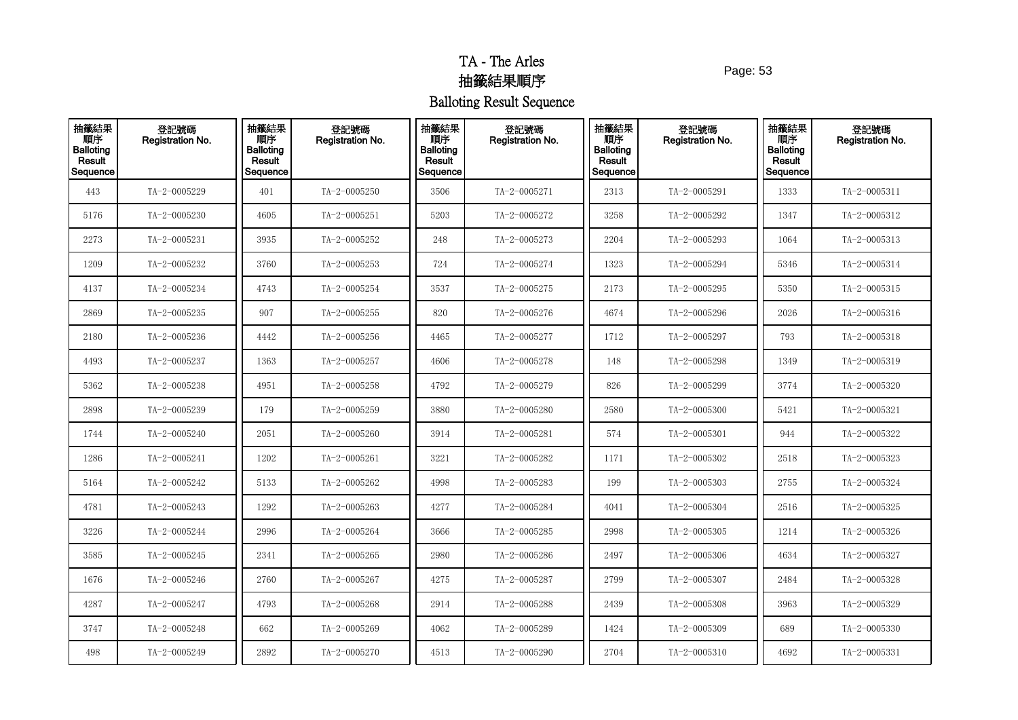Page: 53

| 抽籤結果<br>順序<br><b>Balloting</b><br>Result<br>Sequence | 登記號碼<br>Registration No. | 抽籤結果<br>順序<br><b>Balloting</b><br>Result<br>Sequence | 登記號碼<br>Registration No. | 抽籤結果<br>順序<br><b>Balloting</b><br>Result<br>Sequence | 登記號碼<br>Registration No. | 抽籤結果<br>順序<br><b>Balloting</b><br>Result<br>Sequence | 登記號碼<br>Registration No. | 抽籤結果<br>順序<br><b>Balloting</b><br>Result<br>Sequence | 登記號碼<br>Registration No. |
|------------------------------------------------------|--------------------------|------------------------------------------------------|--------------------------|------------------------------------------------------|--------------------------|------------------------------------------------------|--------------------------|------------------------------------------------------|--------------------------|
| 443                                                  | TA-2-0005229             | 401                                                  | TA-2-0005250             | 3506                                                 | TA-2-0005271             | 2313                                                 | TA-2-0005291             | 1333                                                 | TA-2-0005311             |
| 5176                                                 | TA-2-0005230             | 4605                                                 | TA-2-0005251             | 5203                                                 | TA-2-0005272             | 3258                                                 | TA-2-0005292             | 1347                                                 | TA-2-0005312             |
| 2273                                                 | TA-2-0005231             | 3935                                                 | TA-2-0005252             | 248                                                  | TA-2-0005273             | 2204                                                 | TA-2-0005293             | 1064                                                 | $TA - 2 - 0005313$       |
| 1209                                                 | TA-2-0005232             | 3760                                                 | TA-2-0005253             | 724                                                  | TA-2-0005274             | 1323                                                 | TA-2-0005294             | 5346                                                 | TA-2-0005314             |
| 4137                                                 | TA-2-0005234             | 4743                                                 | TA-2-0005254             | 3537                                                 | TA-2-0005275             | 2173                                                 | TA-2-0005295             | 5350                                                 | TA-2-0005315             |
| 2869                                                 | TA-2-0005235             | 907                                                  | TA-2-0005255             | 820                                                  | TA-2-0005276             | 4674                                                 | TA-2-0005296             | 2026                                                 | $TA - 2 - 0005316$       |
| 2180                                                 | TA-2-0005236             | 4442                                                 | TA-2-0005256             | 4465                                                 | TA-2-0005277             | 1712                                                 | TA-2-0005297             | 793                                                  | TA-2-0005318             |
| 4493                                                 | TA-2-0005237             | 1363                                                 | TA-2-0005257             | 4606                                                 | TA-2-0005278             | 148                                                  | TA-2-0005298             | 1349                                                 | TA-2-0005319             |
| 5362                                                 | TA-2-0005238             | 4951                                                 | TA-2-0005258             | 4792                                                 | TA-2-0005279             | 826                                                  | TA-2-0005299             | 3774                                                 | TA-2-0005320             |
| 2898                                                 | TA-2-0005239             | 179                                                  | TA-2-0005259             | 3880                                                 | TA-2-0005280             | 2580                                                 | TA-2-0005300             | 5421                                                 | TA-2-0005321             |
| 1744                                                 | TA-2-0005240             | 2051                                                 | TA-2-0005260             | 3914                                                 | TA-2-0005281             | 574                                                  | TA-2-0005301             | 944                                                  | TA-2-0005322             |
| 1286                                                 | TA-2-0005241             | 1202                                                 | TA-2-0005261             | 3221                                                 | TA-2-0005282             | 1171                                                 | TA-2-0005302             | 2518                                                 | TA-2-0005323             |
| 5164                                                 | TA-2-0005242             | 5133                                                 | TA-2-0005262             | 4998                                                 | TA-2-0005283             | 199                                                  | TA-2-0005303             | 2755                                                 | TA-2-0005324             |
| 4781                                                 | TA-2-0005243             | 1292                                                 | TA-2-0005263             | 4277                                                 | TA-2-0005284             | 4041                                                 | TA-2-0005304             | 2516                                                 | TA-2-0005325             |
| 3226                                                 | TA-2-0005244             | 2996                                                 | TA-2-0005264             | 3666                                                 | TA-2-0005285             | 2998                                                 | TA-2-0005305             | 1214                                                 | TA-2-0005326             |
| 3585                                                 | TA-2-0005245             | 2341                                                 | TA-2-0005265             | 2980                                                 | TA-2-0005286             | 2497                                                 | TA-2-0005306             | 4634                                                 | TA-2-0005327             |
| 1676                                                 | TA-2-0005246             | 2760                                                 | TA-2-0005267             | 4275                                                 | TA-2-0005287             | 2799                                                 | TA-2-0005307             | 2484                                                 | TA-2-0005328             |
| 4287                                                 | TA-2-0005247             | 4793                                                 | TA-2-0005268             | 2914                                                 | TA-2-0005288             | 2439                                                 | TA-2-0005308             | 3963                                                 | TA-2-0005329             |
| 3747                                                 | TA-2-0005248             | 662                                                  | TA-2-0005269             | 4062                                                 | TA-2-0005289             | 1424                                                 | TA-2-0005309             | 689                                                  | TA-2-0005330             |
| 498                                                  | TA-2-0005249             | 2892                                                 | TA-2-0005270             | 4513                                                 | TA-2-0005290             | 2704                                                 | TA-2-0005310             | 4692                                                 | $TA - 2 - 0005331$       |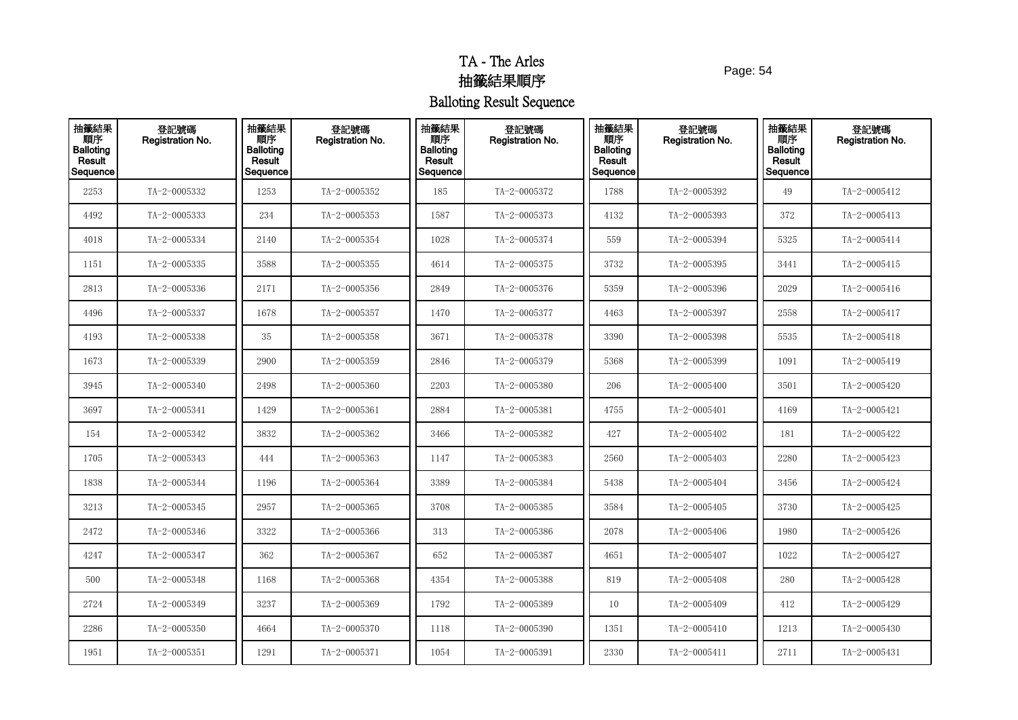Page: 54

| 抽籤結果<br>順序<br><b>Balloting</b><br>Result<br>Sequence | 登記號碼<br>Registration No. | 抽籤結果<br>順序<br><b>Balloting</b><br>Result<br>Sequence | 登記號碼<br>Registration No. | 抽籤結果<br>順序<br><b>Balloting</b><br>Result<br>Sequence | 登記號碼<br>Registration No. | 抽籤結果<br>順序<br><b>Balloting</b><br>Result<br>Sequence | 登記號碼<br><b>Registration No.</b> | 抽籤結果<br>順序<br><b>Balloting</b><br>Result<br>Sequence | 登記號碼<br>Registration No. |
|------------------------------------------------------|--------------------------|------------------------------------------------------|--------------------------|------------------------------------------------------|--------------------------|------------------------------------------------------|---------------------------------|------------------------------------------------------|--------------------------|
| 2253                                                 | TA-2-0005332             | 1253                                                 | TA-2-0005352             | 185                                                  | TA-2-0005372             | 1788                                                 | TA-2-0005392                    | 49                                                   | TA-2-0005412             |
| 4492                                                 | TA-2-0005333             | 234                                                  | TA-2-0005353             | 1587                                                 | TA-2-0005373             | 4132                                                 | TA-2-0005393                    | 372                                                  | $TA - 2 - 0005413$       |
| 4018                                                 | TA-2-0005334             | 2140                                                 | TA-2-0005354             | 1028                                                 | TA-2-0005374             | 559                                                  | TA-2-0005394                    | 5325                                                 | TA-2-0005414             |
| 1151                                                 | TA-2-0005335             | 3588                                                 | TA-2-0005355             | 4614                                                 | TA-2-0005375             | 3732                                                 | TA-2-0005395                    | 3441                                                 | TA-2-0005415             |
| 2813                                                 | TA-2-0005336             | 2171                                                 | TA-2-0005356             | 2849                                                 | TA-2-0005376             | 5359                                                 | TA-2-0005396                    | 2029                                                 | TA-2-0005416             |
| 4496                                                 | TA-2-0005337             | 1678                                                 | TA-2-0005357             | 1470                                                 | TA-2-0005377             | 4463                                                 | TA-2-0005397                    | 2558                                                 | TA-2-0005417             |
| 4193                                                 | TA-2-0005338             | 35                                                   | TA-2-0005358             | 3671                                                 | TA-2-0005378             | 3390                                                 | TA-2-0005398                    | 5535                                                 | TA-2-0005418             |
| 1673                                                 | TA-2-0005339             | 2900                                                 | TA-2-0005359             | 2846                                                 | TA-2-0005379             | 5368                                                 | TA-2-0005399                    | 1091                                                 | TA-2-0005419             |
| 3945                                                 | TA-2-0005340             | 2498                                                 | TA-2-0005360             | 2203                                                 | TA-2-0005380             | 206                                                  | TA-2-0005400                    | 3501                                                 | TA-2-0005420             |
| 3697                                                 | TA-2-0005341             | 1429                                                 | TA-2-0005361             | 2884                                                 | TA-2-0005381             | 4755                                                 | TA-2-0005401                    | 4169                                                 | TA-2-0005421             |
| 154                                                  | TA-2-0005342             | 3832                                                 | TA-2-0005362             | 3466                                                 | TA-2-0005382             | 427                                                  | TA-2-0005402                    | 181                                                  | TA-2-0005422             |
| 1705                                                 | TA-2-0005343             | 444                                                  | TA-2-0005363             | 1147                                                 | TA-2-0005383             | 2560                                                 | TA-2-0005403                    | 2280                                                 | TA-2-0005423             |
| 1838                                                 | TA-2-0005344             | 1196                                                 | TA-2-0005364             | 3389                                                 | TA-2-0005384             | 5438                                                 | TA-2-0005404                    | 3456                                                 | TA-2-0005424             |
| 3213                                                 | TA-2-0005345             | 2957                                                 | TA-2-0005365             | 3708                                                 | TA-2-0005385             | 3584                                                 | TA-2-0005405                    | 3730                                                 | TA-2-0005425             |
| 2472                                                 | TA-2-0005346             | 3322                                                 | TA-2-0005366             | 313                                                  | TA-2-0005386             | 2078                                                 | TA-2-0005406                    | 1980                                                 | TA-2-0005426             |
| 4247                                                 | TA-2-0005347             | 362                                                  | TA-2-0005367             | 652                                                  | TA-2-0005387             | 4651                                                 | TA-2-0005407                    | 1022                                                 | TA-2-0005427             |
| 500                                                  | TA-2-0005348             | 1168                                                 | TA-2-0005368             | 4354                                                 | TA-2-0005388             | 819                                                  | TA-2-0005408                    | 280                                                  | TA-2-0005428             |
| 2724                                                 | TA-2-0005349             | 3237                                                 | TA-2-0005369             | 1792                                                 | TA-2-0005389             | 10                                                   | TA-2-0005409                    | 412                                                  | TA-2-0005429             |
| 2286                                                 | TA-2-0005350             | 4664                                                 | TA-2-0005370             | 1118                                                 | TA-2-0005390             | 1351                                                 | TA-2-0005410                    | 1213                                                 | TA-2-0005430             |
| 1951                                                 | $TA - 2 - 0005351$       | 1291                                                 | TA-2-0005371             | 1054                                                 | TA-2-0005391             | 2330                                                 | TA-2-0005411                    | 2711                                                 | TA-2-0005431             |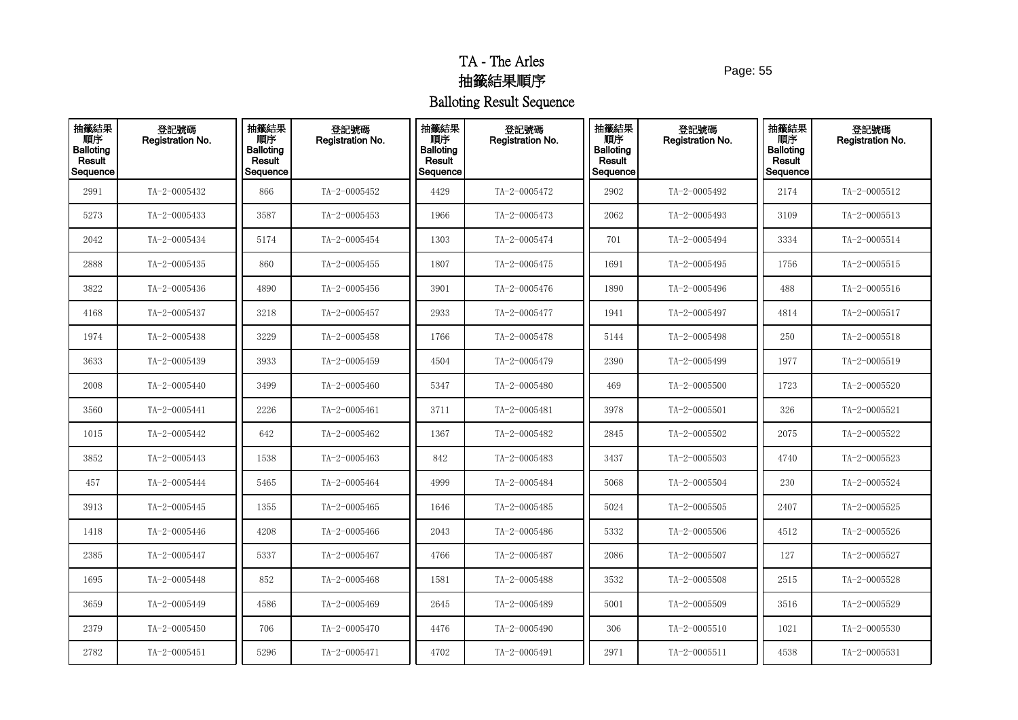Page: 55

| 抽籤結果<br>順序<br><b>Balloting</b><br>Result<br>Sequence | 登記號碼<br>Registration No. | 抽籤結果<br>順序<br><b>Balloting</b><br>Result<br>Sequence | 登記號碼<br>Registration No. | 抽籤結果<br>順序<br><b>Balloting</b><br>Result<br>Sequence | 登記號碼<br>Registration No. | 抽籤結果<br>順序<br><b>Balloting</b><br>Result<br>Sequence | 登記號碼<br><b>Registration No.</b> | 抽籤結果<br>順序<br><b>Balloting</b><br>Result<br>Sequence | 登記號碼<br>Registration No. |
|------------------------------------------------------|--------------------------|------------------------------------------------------|--------------------------|------------------------------------------------------|--------------------------|------------------------------------------------------|---------------------------------|------------------------------------------------------|--------------------------|
| 2991                                                 | TA-2-0005432             | 866                                                  | TA-2-0005452             | 4429                                                 | TA-2-0005472             | 2902                                                 | TA-2-0005492                    | 2174                                                 | TA-2-0005512             |
| 5273                                                 | TA-2-0005433             | 3587                                                 | TA-2-0005453             | 1966                                                 | TA-2-0005473             | 2062                                                 | TA-2-0005493                    | 3109                                                 | $TA - 2 - 0005513$       |
| 2042                                                 | TA-2-0005434             | 5174                                                 | TA-2-0005454             | 1303                                                 | TA-2-0005474             | 701                                                  | TA-2-0005494                    | 3334                                                 | TA-2-0005514             |
| 2888                                                 | TA-2-0005435             | 860                                                  | TA-2-0005455             | 1807                                                 | TA-2-0005475             | 1691                                                 | TA-2-0005495                    | 1756                                                 | $TA - 2 - 0005515$       |
| 3822                                                 | TA-2-0005436             | 4890                                                 | TA-2-0005456             | 3901                                                 | TA-2-0005476             | 1890                                                 | TA-2-0005496                    | 488                                                  | $TA - 2 - 0005516$       |
| 4168                                                 | TA-2-0005437             | 3218                                                 | TA-2-0005457             | 2933                                                 | TA-2-0005477             | 1941                                                 | TA-2-0005497                    | 4814                                                 | $TA - 2 - 0005517$       |
| 1974                                                 | TA-2-0005438             | 3229                                                 | TA-2-0005458             | 1766                                                 | TA-2-0005478             | 5144                                                 | TA-2-0005498                    | 250                                                  | $TA - 2 - 0005518$       |
| 3633                                                 | TA-2-0005439             | 3933                                                 | TA-2-0005459             | 4504                                                 | TA-2-0005479             | 2390                                                 | TA-2-0005499                    | 1977                                                 | $TA - 2 - 0005519$       |
| 2008                                                 | TA-2-0005440             | 3499                                                 | TA-2-0005460             | 5347                                                 | TA-2-0005480             | 469                                                  | TA-2-0005500                    | 1723                                                 | TA-2-0005520             |
| 3560                                                 | TA-2-0005441             | 2226                                                 | TA-2-0005461             | 3711                                                 | TA-2-0005481             | 3978                                                 | TA-2-0005501                    | 326                                                  | TA-2-0005521             |
| 1015                                                 | TA-2-0005442             | 642                                                  | TA-2-0005462             | 1367                                                 | TA-2-0005482             | 2845                                                 | TA-2-0005502                    | 2075                                                 | TA-2-0005522             |
| 3852                                                 | TA-2-0005443             | 1538                                                 | TA-2-0005463             | 842                                                  | TA-2-0005483             | 3437                                                 | $TA - 2 - 0005503$              | 4740                                                 | TA-2-0005523             |
| 457                                                  | TA-2-0005444             | 5465                                                 | TA-2-0005464             | 4999                                                 | TA-2-0005484             | 5068                                                 | TA-2-0005504                    | 230                                                  | TA-2-0005524             |
| 3913                                                 | TA-2-0005445             | 1355                                                 | TA-2-0005465             | 1646                                                 | TA-2-0005485             | 5024                                                 | TA-2-0005505                    | 2407                                                 | $TA - 2 - 0005525$       |
| 1418                                                 | TA-2-0005446             | 4208                                                 | TA-2-0005466             | 2043                                                 | TA-2-0005486             | 5332                                                 | TA-2-0005506                    | 4512                                                 | TA-2-0005526             |
| 2385                                                 | TA-2-0005447             | 5337                                                 | TA-2-0005467             | 4766                                                 | TA-2-0005487             | 2086                                                 | TA-2-0005507                    | 127                                                  | TA-2-0005527             |
| 1695                                                 | TA-2-0005448             | 852                                                  | TA-2-0005468             | 1581                                                 | TA-2-0005488             | 3532                                                 | TA-2-0005508                    | 2515                                                 | TA-2-0005528             |
| 3659                                                 | TA-2-0005449             | 4586                                                 | TA-2-0005469             | 2645                                                 | TA-2-0005489             | 5001                                                 | TA-2-0005509                    | 3516                                                 | TA-2-0005529             |
| 2379                                                 | TA-2-0005450             | 706                                                  | TA-2-0005470             | 4476                                                 | TA-2-0005490             | 306                                                  | TA-2-0005510                    | 1021                                                 | TA-2-0005530             |
| 2782                                                 | TA-2-0005451             | 5296                                                 | TA-2-0005471             | 4702                                                 | TA-2-0005491             | 2971                                                 | TA-2-0005511                    | 4538                                                 | $TA - 2 - 0005531$       |